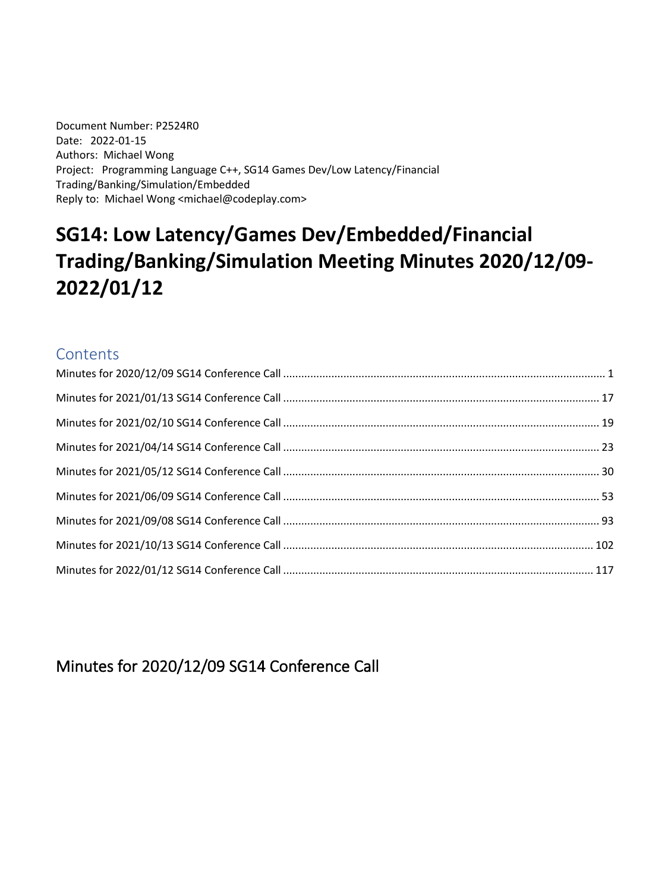Document Number: P2524R0 Date: 2022-01-15 Authors: Michael Wong Project: Programming Language C++, SG14 Games Dev/Low Latency/Financial Trading/Banking/Simulation/Embedded Reply to: Michael Wong <michael@codeplay.com>

# **SG14: Low Latency/Games Dev/Embedded/Financial Trading/Banking/Simulation Meeting Minutes 2020/12/09- 2022/01/12**

#### **Contents**

<span id="page-0-0"></span>Minutes for 2020/12/09 SG14 Conference Call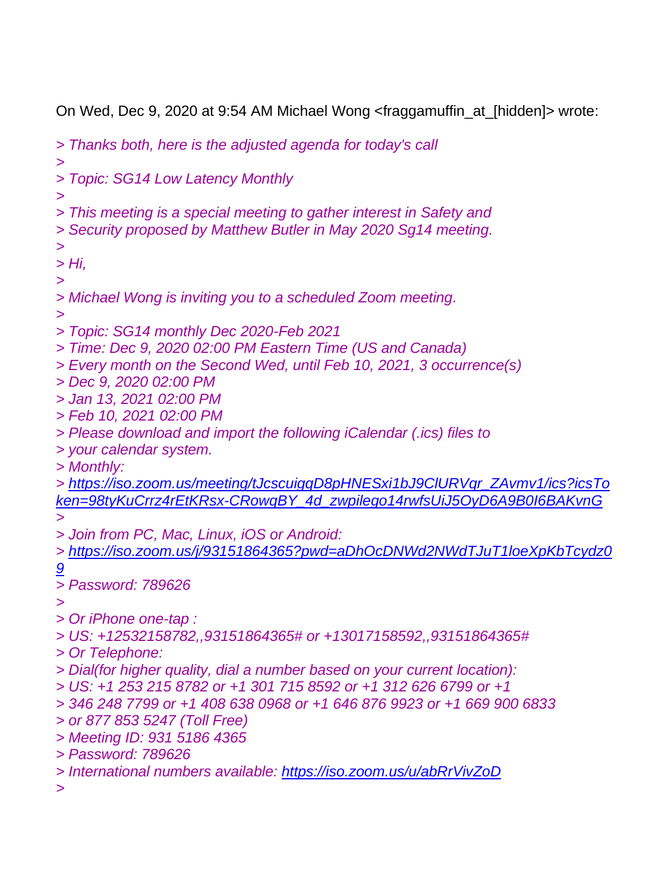On Wed, Dec 9, 2020 at 9:54 AM Michael Wong <fraggamuffin\_at\_[hidden]> wrote:

*> Thanks both, here is the adjusted agenda for today's call > > Topic: SG14 Low Latency Monthly > > This meeting is a special meeting to gather interest in Safety and > Security proposed by Matthew Butler in May 2020 Sg14 meeting. > > Hi, > > Michael Wong is inviting you to a scheduled Zoom meeting. > > Topic: SG14 monthly Dec 2020-Feb 2021 > Time: Dec 9, 2020 02:00 PM Eastern Time (US and Canada) > Every month on the Second Wed, until Feb 10, 2021, 3 occurrence(s) > Dec 9, 2020 02:00 PM > Jan 13, 2021 02:00 PM > Feb 10, 2021 02:00 PM > Please download and import the following iCalendar (.ics) files to > your calendar system. > Monthly: > [https://iso.zoom.us/meeting/tJcscuigqD8pHNESxi1bJ9ClURVqr\\_ZAvmv1/ics?icsTo](https://iso.zoom.us/meeting/tJcscuigqD8pHNESxi1bJ9ClURVqr_ZAvmv1/ics?icsToken=98tyKuCrrz4rEtKRsx-CRowqBY_4d_zwpilego14rwfsUiJ5OyD6A9B0I6BAKvnG) [ken=98tyKuCrrz4rEtKRsx-CRowqBY\\_4d\\_zwpilego14rwfsUiJ5OyD6A9B0I6BAKvnG](https://iso.zoom.us/meeting/tJcscuigqD8pHNESxi1bJ9ClURVqr_ZAvmv1/ics?icsToken=98tyKuCrrz4rEtKRsx-CRowqBY_4d_zwpilego14rwfsUiJ5OyD6A9B0I6BAKvnG) > > Join from PC, Mac, Linux, iOS or Android: > [https://iso.zoom.us/j/93151864365?pwd=aDhOcDNWd2NWdTJuT1loeXpKbTcydz0](https://iso.zoom.us/j/93151864365?pwd=aDhOcDNWd2NWdTJuT1loeXpKbTcydz09) [9](https://iso.zoom.us/j/93151864365?pwd=aDhOcDNWd2NWdTJuT1loeXpKbTcydz09) > Password: 789626 > > Or iPhone one-tap : > US: +12532158782,,93151864365# or +13017158592,,93151864365# > Or Telephone: > Dial(for higher quality, dial a number based on your current location): > US: +1 253 215 8782 or +1 301 715 8592 or +1 312 626 6799 or +1 > 346 248 7799 or +1 408 638 0968 or +1 646 876 9923 or +1 669 900 6833 > or 877 853 5247 (Toll Free) > Meeting ID: 931 5186 4365 > Password: 789626 > International numbers available: <https://iso.zoom.us/u/abRrVivZoD> >*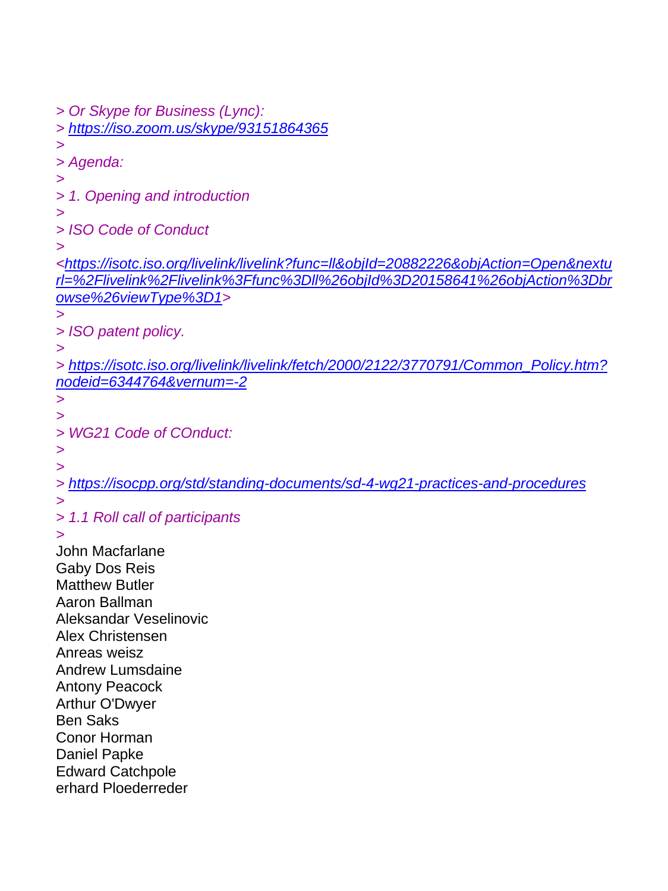*> Or Skype for Business (Lync): > <https://iso.zoom.us/skype/93151864365> > > Agenda: > > 1. Opening and introduction > > ISO Code of Conduct > [<https://isotc.iso.org/livelink/livelink?func=ll&objId=20882226&objAction=Open&nextu](https://isotc.iso.org/livelink/livelink?func=ll&objId=20882226&objAction=Open&nexturl=%2Flivelink%2Flivelink%3Ffunc%3Dll%26objId%3D20158641%26objAction%3Dbrowse%26viewType%3D1) [rl=%2Flivelink%2Flivelink%3Ffunc%3Dll%26objId%3D20158641%26objAction%3Dbr](https://isotc.iso.org/livelink/livelink?func=ll&objId=20882226&objAction=Open&nexturl=%2Flivelink%2Flivelink%3Ffunc%3Dll%26objId%3D20158641%26objAction%3Dbrowse%26viewType%3D1) [owse%26viewType%3D1>](https://isotc.iso.org/livelink/livelink?func=ll&objId=20882226&objAction=Open&nexturl=%2Flivelink%2Flivelink%3Ffunc%3Dll%26objId%3D20158641%26objAction%3Dbrowse%26viewType%3D1) > > ISO patent policy. > > [https://isotc.iso.org/livelink/livelink/fetch/2000/2122/3770791/Common\\_Policy.htm?](https://isotc.iso.org/livelink/livelink/fetch/2000/2122/3770791/Common_Policy.htm?nodeid=6344764&vernum=-2) [nodeid=6344764&vernum=-2](https://isotc.iso.org/livelink/livelink/fetch/2000/2122/3770791/Common_Policy.htm?nodeid=6344764&vernum=-2) > > > WG21 Code of COnduct: > > > <https://isocpp.org/std/standing-documents/sd-4-wg21-practices-and-procedures> > > 1.1 Roll call of participants >* John Macfarlane Gaby Dos Reis Matthew Butler Aaron Ballman Aleksandar Veselinovic Alex Christensen Anreas weisz Andrew Lumsdaine Antony Peacock Arthur O'Dwyer Ben Saks Conor Horman Daniel Papke Edward Catchpole erhard Ploederreder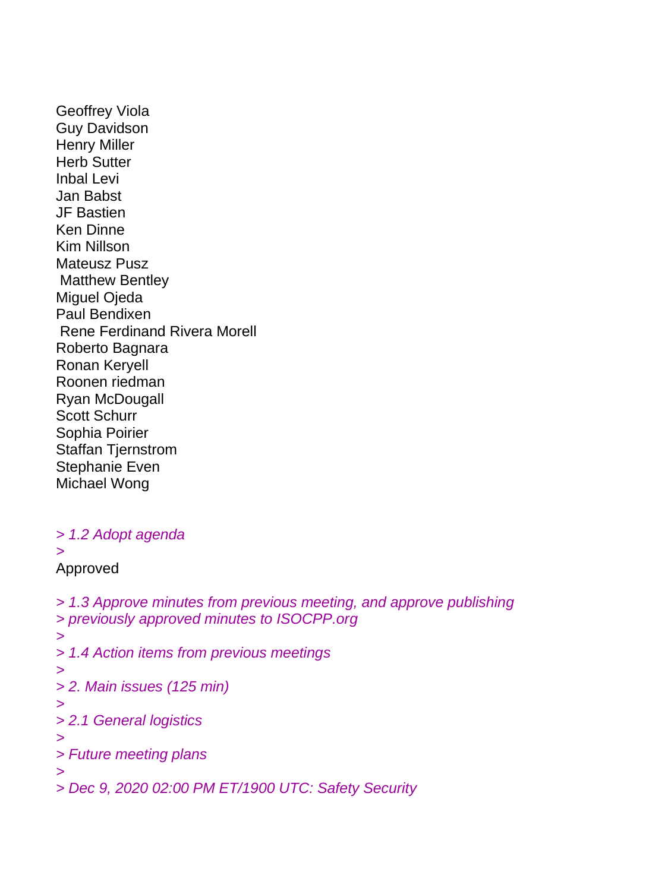Geoffrey Viola Guy Davidson Henry Miller Herb Sutter Inbal Levi Jan Babst JF Bastien Ken Dinne Kim Nillson Mateusz Pusz Matthew Bentley Miguel Ojeda Paul Bendixen Rene Ferdinand Rivera Morell Roberto Bagnara Ronan Keryell Roonen riedman Ryan McDougall Scott Schurr Sophia Poirier Staffan Tjernstrom Stephanie Even Michael Wong

#### *> 1.2 Adopt agenda*

*>*

#### Approved

*> 1.3 Approve minutes from previous meeting, and approve publishing > previously approved minutes to ISOCPP.org > > 1.4 Action items from previous meetings > > 2. Main issues (125 min) > > 2.1 General logistics > > Future meeting plans > > Dec 9, 2020 02:00 PM ET/1900 UTC: Safety Security*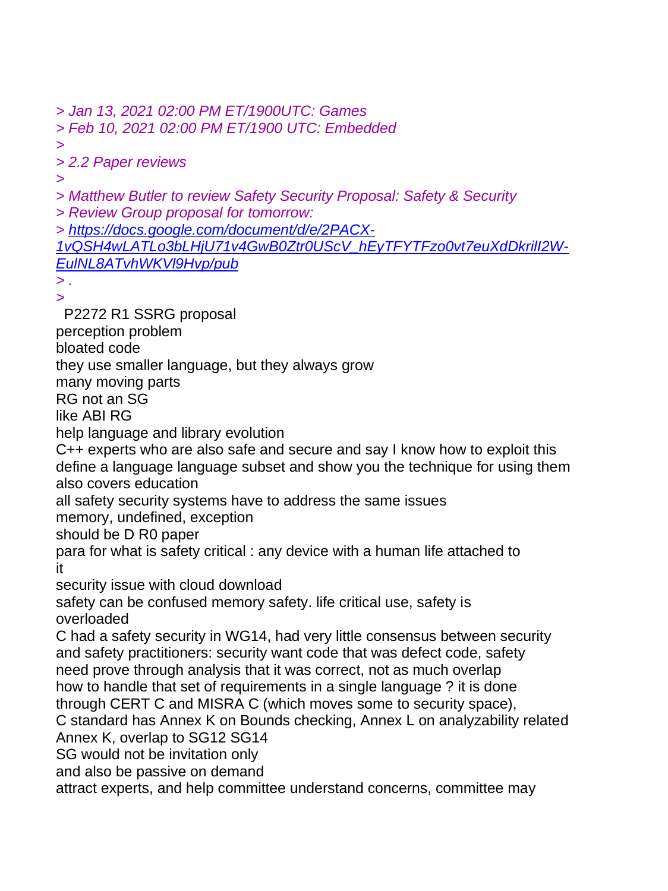*> Jan 13, 2021 02:00 PM ET/1900UTC: Games*

*> Feb 10, 2021 02:00 PM ET/1900 UTC: Embedded*

*> > 2.2 Paper reviews*

*>*

*> Matthew Butler to review Safety Security Proposal: Safety & Security*

*> Review Group proposal for tomorrow:*

*> [https://docs.google.com/document/d/e/2PACX-](https://docs.google.com/document/d/e/2PACX-1vQSH4wLATLo3bLHjU71v4GwB0Ztr0UScV_hEyTFYTFzo0vt7euXdDkrilI2W-EulNL8ATvhWKVl9Hvp/pub)*

*[1vQSH4wLATLo3bLHjU71v4GwB0Ztr0UScV\\_hEyTFYTFzo0vt7euXdDkrilI2W-](https://docs.google.com/document/d/e/2PACX-1vQSH4wLATLo3bLHjU71v4GwB0Ztr0UScV_hEyTFYTFzo0vt7euXdDkrilI2W-EulNL8ATvhWKVl9Hvp/pub)[EulNL8ATvhWKVl9Hvp/pub](https://docs.google.com/document/d/e/2PACX-1vQSH4wLATLo3bLHjU71v4GwB0Ztr0UScV_hEyTFYTFzo0vt7euXdDkrilI2W-EulNL8ATvhWKVl9Hvp/pub)*

*> .*

*>*

P2272 R1 SSRG proposal

perception problem

bloated code

they use smaller language, but they always grow

many moving parts

RG not an SG

like ABI RG

help language and library evolution

C++ experts who are also safe and secure and say I know how to exploit this define a language language subset and show you the technique for using them also covers education

all safety security systems have to address the same issues

memory, undefined, exception

should be D R0 paper

para for what is safety critical : any device with a human life attached to it

security issue with cloud download

safety can be confused memory safety. life critical use, safety is overloaded

C had a safety security in WG14, had very little consensus between security and safety practitioners: security want code that was defect code, safety need prove through analysis that it was correct, not as much overlap how to handle that set of requirements in a single language ? it is done through CERT C and MISRA C (which moves some to security space),

C standard has Annex K on Bounds checking, Annex L on analyzability related Annex K, overlap to SG12 SG14

SG would not be invitation only

and also be passive on demand

attract experts, and help committee understand concerns, committee may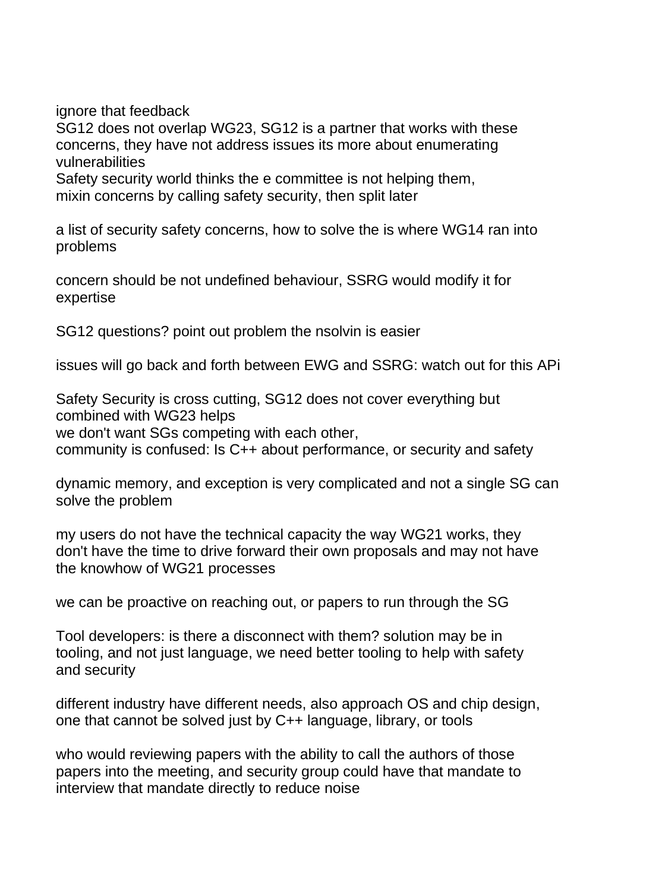ignore that feedback

SG12 does not overlap WG23, SG12 is a partner that works with these concerns, they have not address issues its more about enumerating vulnerabilities

Safety security world thinks the e committee is not helping them, mixin concerns by calling safety security, then split later

a list of security safety concerns, how to solve the is where WG14 ran into problems

concern should be not undefined behaviour, SSRG would modify it for expertise

SG12 questions? point out problem the nsolvin is easier

issues will go back and forth between EWG and SSRG: watch out for this APi

Safety Security is cross cutting, SG12 does not cover everything but combined with WG23 helps

we don't want SGs competing with each other, community is confused: Is C++ about performance, or security and safety

dynamic memory, and exception is very complicated and not a single SG can solve the problem

my users do not have the technical capacity the way WG21 works, they don't have the time to drive forward their own proposals and may not have the knowhow of WG21 processes

we can be proactive on reaching out, or papers to run through the SG

Tool developers: is there a disconnect with them? solution may be in tooling, and not just language, we need better tooling to help with safety and security

different industry have different needs, also approach OS and chip design, one that cannot be solved just by C++ language, library, or tools

who would reviewing papers with the ability to call the authors of those papers into the meeting, and security group could have that mandate to interview that mandate directly to reduce noise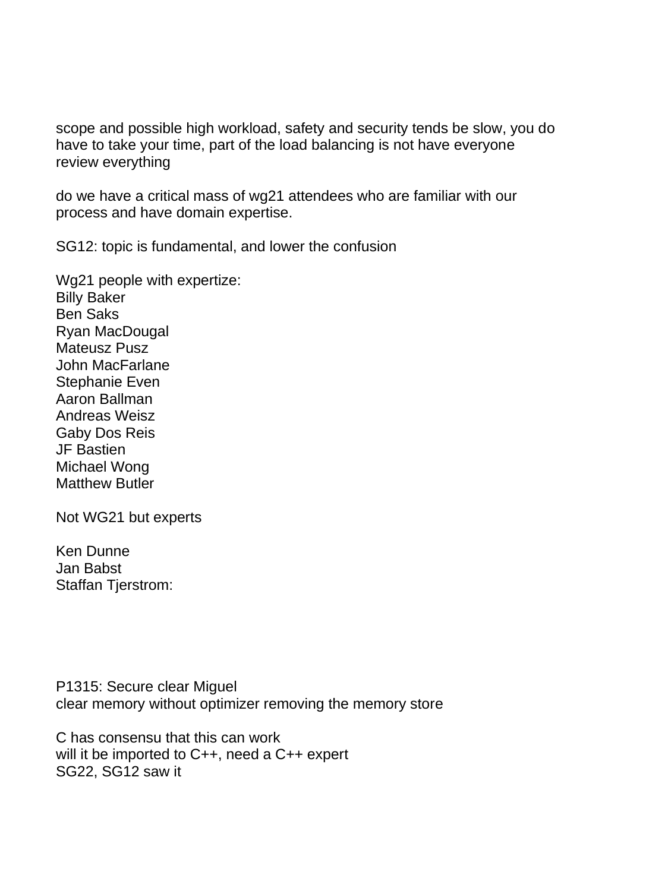scope and possible high workload, safety and security tends be slow, you do have to take your time, part of the load balancing is not have everyone review everything

do we have a critical mass of wg21 attendees who are familiar with our process and have domain expertise.

SG12: topic is fundamental, and lower the confusion

Wg21 people with expertize: Billy Baker Ben Saks Ryan MacDougal Mateusz Pusz John MacFarlane Stephanie Even Aaron Ballman Andreas Weisz Gaby Dos Reis JF Bastien Michael Wong Matthew Butler

Not WG21 but experts

Ken Dunne Jan Babst Staffan Tjerstrom:

P1315: Secure clear Miguel clear memory without optimizer removing the memory store

C has consensu that this can work will it be imported to C++, need a C++ expert SG22, SG12 saw it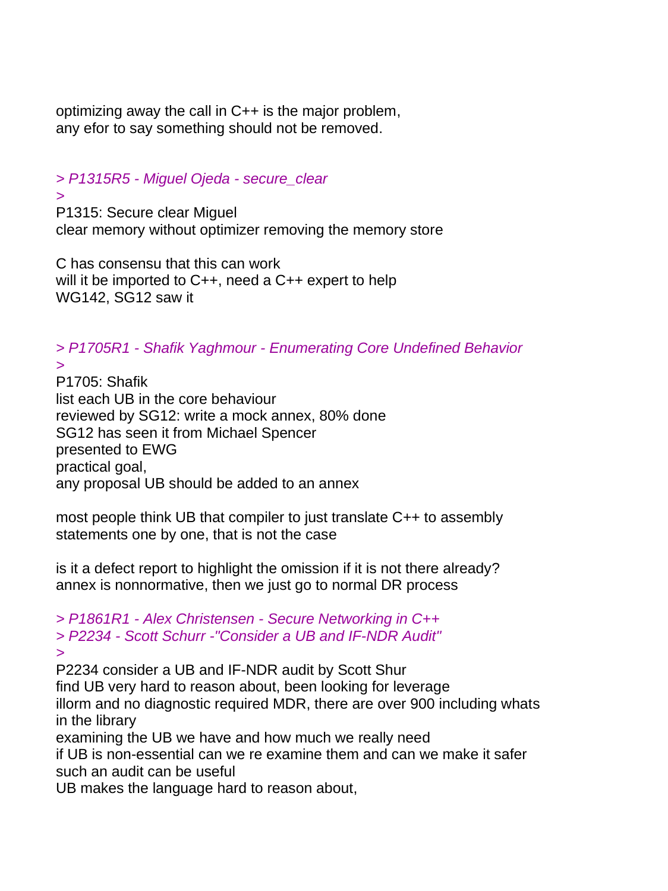optimizing away the call in C++ is the major problem, any efor to say something should not be removed.

### *> P1315R5 - Miguel Ojeda - secure\_clear*

#### *>*

*>*

P1315: Secure clear Miguel clear memory without optimizer removing the memory store

C has consensu that this can work will it be imported to C++, need a C++ expert to help WG142, SG12 saw it

*> P1705R1 - Shafik Yaghmour - Enumerating Core Undefined Behavior*

P1705: Shafik list each UB in the core behaviour reviewed by SG12: write a mock annex, 80% done SG12 has seen it from Michael Spencer presented to EWG practical goal, any proposal UB should be added to an annex

most people think UB that compiler to just translate C++ to assembly statements one by one, that is not the case

is it a defect report to highlight the omission if it is not there already? annex is nonnormative, then we just go to normal DR process

*> P1861R1 - Alex Christensen - Secure Networking in C++ > P2234 - Scott Schurr -"Consider a UB and IF-NDR Audit" >*

P2234 consider a UB and IF-NDR audit by Scott Shur

find UB very hard to reason about, been looking for leverage

illorm and no diagnostic required MDR, there are over 900 including whats in the library

examining the UB we have and how much we really need

if UB is non-essential can we re examine them and can we make it safer such an audit can be useful

UB makes the language hard to reason about,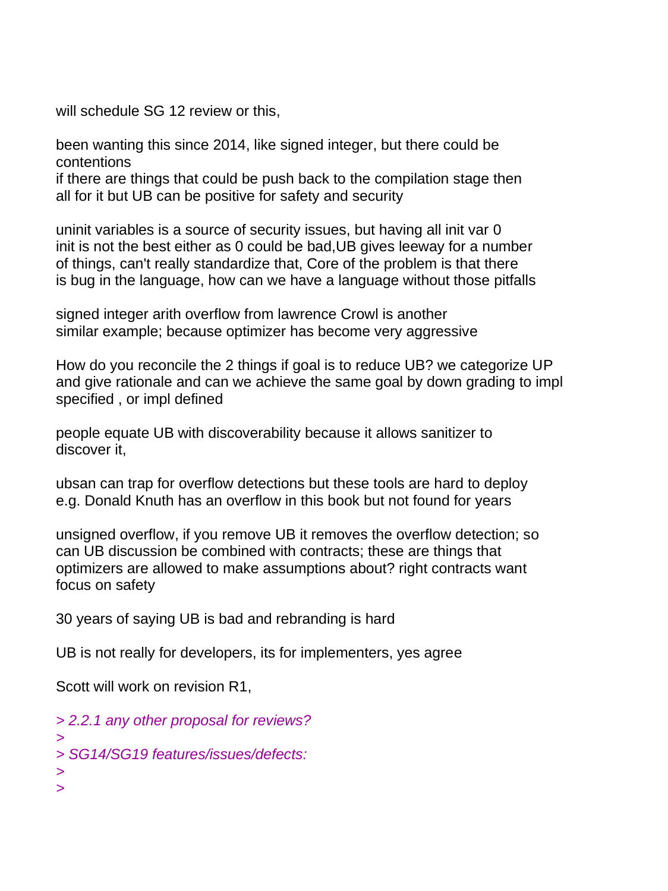will schedule SG 12 review or this,

been wanting this since 2014, like signed integer, but there could be contentions

if there are things that could be push back to the compilation stage then all for it but UB can be positive for safety and security

uninit variables is a source of security issues, but having all init var 0 init is not the best either as 0 could be bad,UB gives leeway for a number of things, can't really standardize that, Core of the problem is that there is bug in the language, how can we have a language without those pitfalls

signed integer arith overflow from lawrence Crowl is another similar example; because optimizer has become very aggressive

How do you reconcile the 2 things if goal is to reduce UB? we categorize UP and give rationale and can we achieve the same goal by down grading to impl specified , or impl defined

people equate UB with discoverability because it allows sanitizer to discover it,

ubsan can trap for overflow detections but these tools are hard to deploy e.g. Donald Knuth has an overflow in this book but not found for years

unsigned overflow, if you remove UB it removes the overflow detection; so can UB discussion be combined with contracts; these are things that optimizers are allowed to make assumptions about? right contracts want focus on safety

30 years of saying UB is bad and rebranding is hard

UB is not really for developers, its for implementers, yes agree

Scott will work on revision R1,

*> 2.2.1 any other proposal for reviews? > > SG14/SG19 features/issues/defects: > >*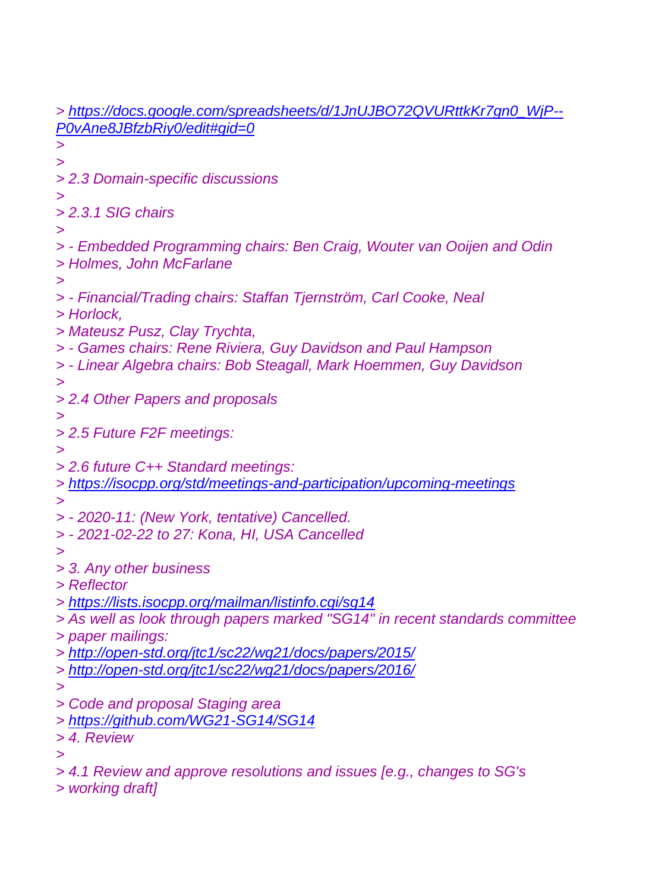*> [https://docs.google.com/spreadsheets/d/1JnUJBO72QVURttkKr7gn0\\_WjP--](https://docs.google.com/spreadsheets/d/1JnUJBO72QVURttkKr7gn0_WjP--P0vAne8JBfzbRiy0/edit#gid=0) [P0vAne8JBfzbRiy0/edit#gid=0](https://docs.google.com/spreadsheets/d/1JnUJBO72QVURttkKr7gn0_WjP--P0vAne8JBfzbRiy0/edit#gid=0) > > > 2.3 Domain-specific discussions > > 2.3.1 SIG chairs > > - Embedded Programming chairs: Ben Craig, Wouter van Ooijen and Odin > Holmes, John McFarlane > > - Financial/Trading chairs: Staffan Tjernström, Carl Cooke, Neal > Horlock, > Mateusz Pusz, Clay Trychta, > - Games chairs: Rene Riviera, Guy Davidson and Paul Hampson > - Linear Algebra chairs: Bob Steagall, Mark Hoemmen, Guy Davidson > > 2.4 Other Papers and proposals > > 2.5 Future F2F meetings: > > 2.6 future C++ Standard meetings: > <https://isocpp.org/std/meetings-and-participation/upcoming-meetings> > > - 2020-11: (New York, tentative) Cancelled. > - 2021-02-22 to 27: Kona, HI, USA Cancelled > > 3. Any other business > Reflector > <https://lists.isocpp.org/mailman/listinfo.cgi/sg14> > As well as look through papers marked "SG14" in recent standards committee > paper mailings: > <http://open-std.org/jtc1/sc22/wg21/docs/papers/2015/> > <http://open-std.org/jtc1/sc22/wg21/docs/papers/2016/> > > Code and proposal Staging area > <https://github.com/WG21-SG14/SG14> > 4. Review > > 4.1 Review and approve resolutions and issues [e.g., changes to SG's*

*> working draft]*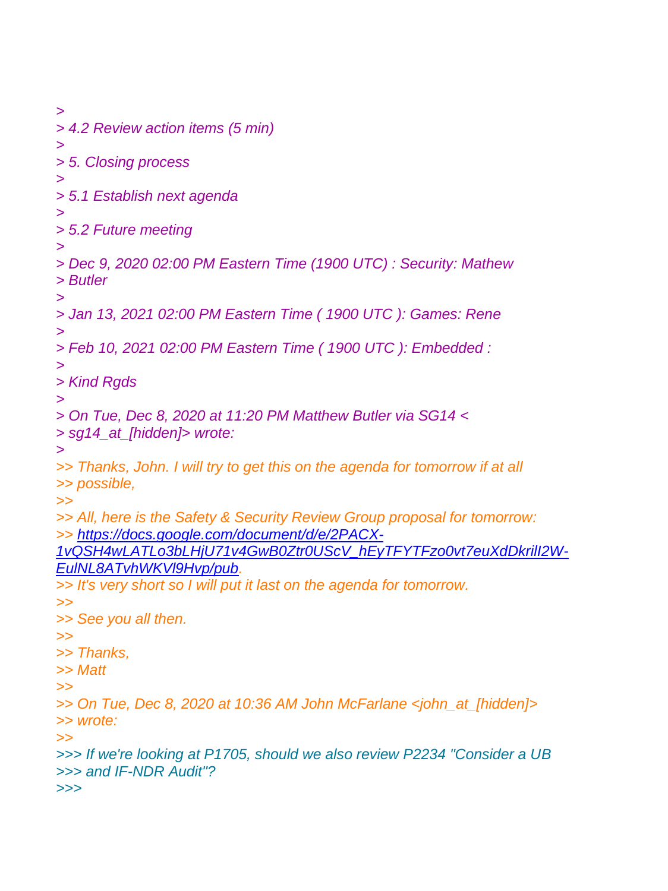*> > 4.2 Review action items (5 min) > > 5. Closing process > > 5.1 Establish next agenda > > 5.2 Future meeting > > Dec 9, 2020 02:00 PM Eastern Time (1900 UTC) : Security: Mathew > Butler > > Jan 13, 2021 02:00 PM Eastern Time ( 1900 UTC ): Games: Rene > > Feb 10, 2021 02:00 PM Eastern Time ( 1900 UTC ): Embedded : > > Kind Rgds > > On Tue, Dec 8, 2020 at 11:20 PM Matthew Butler via SG14 < > sg14\_at\_[hidden]> wrote: > >> Thanks, John. I will try to get this on the agenda for tomorrow if at all >> possible, >> >> All, here is the Safety & Security Review Group proposal for tomorrow: >> [https://docs.google.com/document/d/e/2PACX-](https://docs.google.com/document/d/e/2PACX-1vQSH4wLATLo3bLHjU71v4GwB0Ztr0UScV_hEyTFYTFzo0vt7euXdDkrilI2W-EulNL8ATvhWKVl9Hvp/pub)[1vQSH4wLATLo3bLHjU71v4GwB0Ztr0UScV\\_hEyTFYTFzo0vt7euXdDkrilI2W-](https://docs.google.com/document/d/e/2PACX-1vQSH4wLATLo3bLHjU71v4GwB0Ztr0UScV_hEyTFYTFzo0vt7euXdDkrilI2W-EulNL8ATvhWKVl9Hvp/pub)[EulNL8ATvhWKVl9Hvp/pub.](https://docs.google.com/document/d/e/2PACX-1vQSH4wLATLo3bLHjU71v4GwB0Ztr0UScV_hEyTFYTFzo0vt7euXdDkrilI2W-EulNL8ATvhWKVl9Hvp/pub) >> It's very short so I will put it last on the agenda for tomorrow. >> >> See you all then. >> >> Thanks, >> Matt >> >> On Tue, Dec 8, 2020 at 10:36 AM John McFarlane <john\_at\_[hidden]> >> wrote: >> >>> If we're looking at P1705, should we also review P2234 "Consider a UB >>> and IF-NDR Audit"? >>>*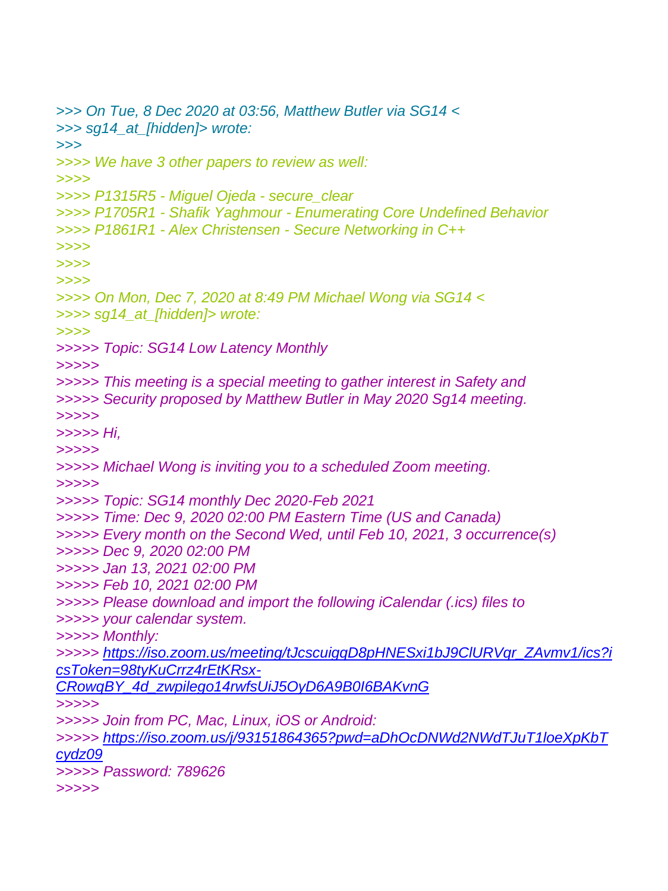```
>>> On Tue, 8 Dec 2020 at 03:56, Matthew Butler via SG14 <
>>> sg14_at_[hidden]> wrote:
>>>
>>>> We have 3 other papers to review as well:
>>>>
>>>> P1315R5 - Miguel Ojeda - secure_clear
>>>> P1705R1 - Shafik Yaghmour - Enumerating Core Undefined Behavior
>>>> P1861R1 - Alex Christensen - Secure Networking in C++
>>>>
>>>>
>>>>
>>>> On Mon, Dec 7, 2020 at 8:49 PM Michael Wong via SG14 <
>>>> sg14_at_[hidden]> wrote:
>>>>
>>>>> Topic: SG14 Low Latency Monthly
>>>>>
>>>>> This meeting is a special meeting to gather interest in Safety and
>>>>> Security proposed by Matthew Butler in May 2020 Sg14 meeting.
>>>>>
>>>>> Hi,
>>>>>
>>>>> Michael Wong is inviting you to a scheduled Zoom meeting.
>>>>>
>>>>> Topic: SG14 monthly Dec 2020-Feb 2021
>>>>> Time: Dec 9, 2020 02:00 PM Eastern Time (US and Canada)
>>>>> Every month on the Second Wed, until Feb 10, 2021, 3 occurrence(s)
>>>>> Dec 9, 2020 02:00 PM
>>>>> Jan 13, 2021 02:00 PM
>>>>> Feb 10, 2021 02:00 PM
>>>>> Please download and import the following iCalendar (.ics) files to
>>>>> your calendar system.
>>>>> Monthly:
>>>>> https://iso.zoom.us/meeting/tJcscuigqD8pHNESxi1bJ9ClURVqr_ZAvmv1/ics?i
csToken=98tyKuCrrz4rEtKRsx-
CRowqBY_4d_zwpilego14rwfsUiJ5OyD6A9B0I6BAKvnG
>>>>>
>>>>> Join from PC, Mac, Linux, iOS or Android:
>>>>> https://iso.zoom.us/j/93151864365?pwd=aDhOcDNWd2NWdTJuT1loeXpKbT
cydz09
>>>>> Password: 789626
>>>>>
```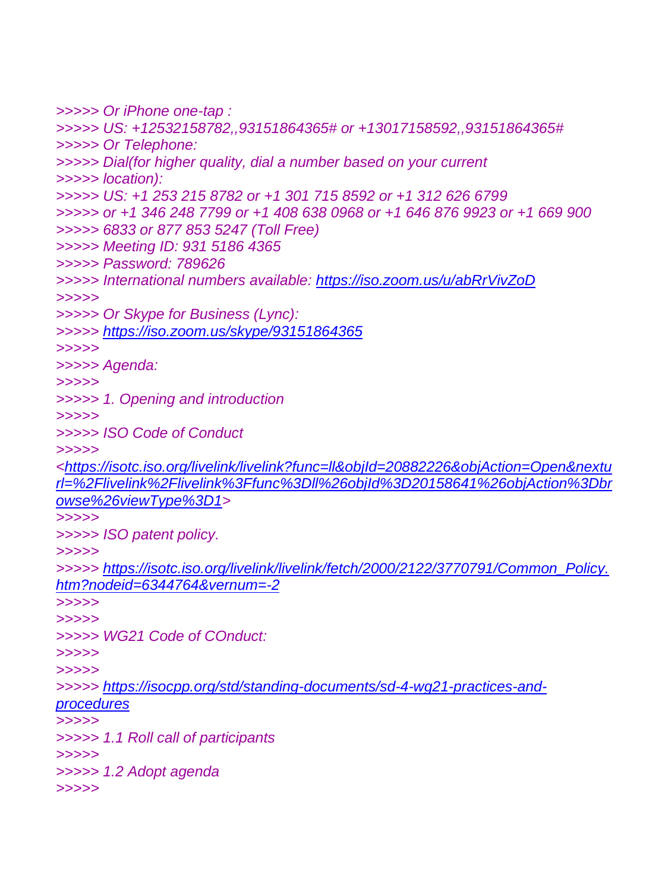```
>>>>> Or iPhone one-tap :
>>>>> US: +12532158782,,93151864365# or +13017158592,,93151864365#
>>>>> Or Telephone:
>>>>> Dial(for higher quality, dial a number based on your current
>>>>> location):
>>>>> US: +1 253 215 8782 or +1 301 715 8592 or +1 312 626 6799
>>>>> or +1 346 248 7799 or +1 408 638 0968 or +1 646 876 9923 or +1 669 900
>>>>> 6833 or 877 853 5247 (Toll Free)
>>>>> Meeting ID: 931 5186 4365
>>>>> Password: 789626
>>>>> International numbers available: https://iso.zoom.us/u/abRrVivZoD
>>>>>
>>>>> Or Skype for Business (Lync):
>>>>> https://iso.zoom.us/skype/93151864365
>>>>>
>>>>> Agenda:
>>>>>
>>>>> 1. Opening and introduction
>>>>>
>>>>> ISO Code of Conduct
>>>>> 
<https://isotc.iso.org/livelink/livelink?func=ll&objId=20882226&objAction=Open&nextu
rl=%2Flivelink%2Flivelink%3Ffunc%3Dll%26objId%3D20158641%26objAction%3Dbr
owse%26viewType%3D1>
>>>>>
>>>>> ISO patent policy.
>>>>>
>>>>> https://isotc.iso.org/livelink/livelink/fetch/2000/2122/3770791/Common_Policy.
htm?nodeid=6344764&vernum=-2
>>>>>
>>>>>
>>>>> WG21 Code of COnduct:
>>>>>
>>>>>
>>>>> https://isocpp.org/std/standing-documents/sd-4-wg21-practices-and-
procedures
>>>>>
>>>>> 1.1 Roll call of participants
>>>>>
>>>>> 1.2 Adopt agenda
>>>>>
```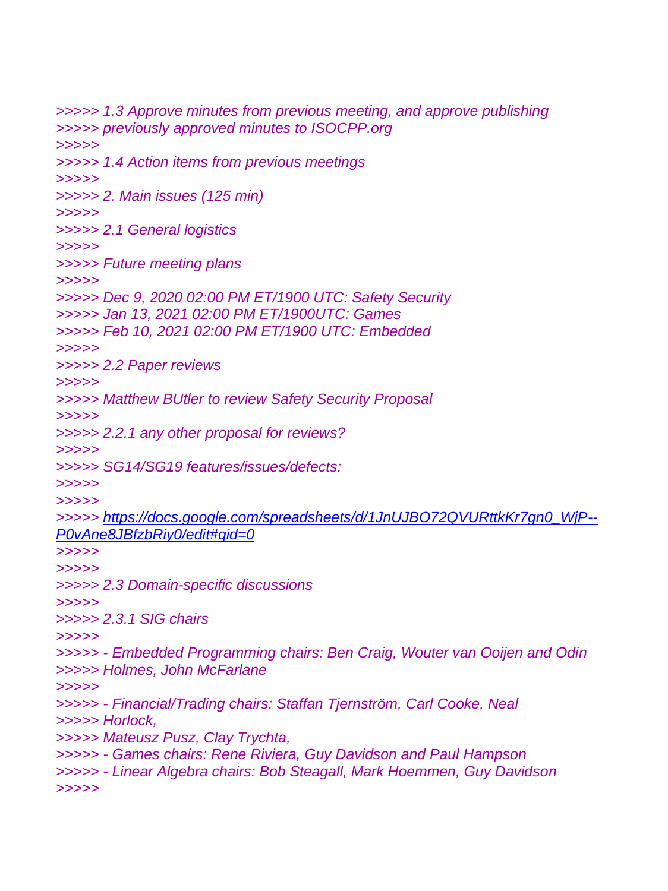*>>>>> 1.3 Approve minutes from previous meeting, and approve publishing >>>>> previously approved minutes to ISOCPP.org >>>>> >>>>> 1.4 Action items from previous meetings >>>>> >>>>> 2. Main issues (125 min) >>>>> >>>>> 2.1 General logistics >>>>> >>>>> Future meeting plans >>>>> >>>>> Dec 9, 2020 02:00 PM ET/1900 UTC: Safety Security >>>>> Jan 13, 2021 02:00 PM ET/1900UTC: Games >>>>> Feb 10, 2021 02:00 PM ET/1900 UTC: Embedded >>>>> >>>>> 2.2 Paper reviews >>>>> >>>>> Matthew BUtler to review Safety Security Proposal >>>>> >>>>> 2.2.1 any other proposal for reviews? >>>>> >>>>> SG14/SG19 features/issues/defects: >>>>> >>>>> >>>>> [https://docs.google.com/spreadsheets/d/1JnUJBO72QVURttkKr7gn0\\_WjP--](https://docs.google.com/spreadsheets/d/1JnUJBO72QVURttkKr7gn0_WjP--P0vAne8JBfzbRiy0/edit#gid=0) [P0vAne8JBfzbRiy0/edit#gid=0](https://docs.google.com/spreadsheets/d/1JnUJBO72QVURttkKr7gn0_WjP--P0vAne8JBfzbRiy0/edit#gid=0) >>>>> >>>>> >>>>> 2.3 Domain-specific discussions >>>>> >>>>> 2.3.1 SIG chairs >>>>> >>>>> - Embedded Programming chairs: Ben Craig, Wouter van Ooijen and Odin >>>>> Holmes, John McFarlane >>>>> >>>>> - Financial/Trading chairs: Staffan Tjernström, Carl Cooke, Neal >>>>> Horlock, >>>>> Mateusz Pusz, Clay Trychta, >>>>> - Games chairs: Rene Riviera, Guy Davidson and Paul Hampson >>>>> - Linear Algebra chairs: Bob Steagall, Mark Hoemmen, Guy Davidson >>>>>*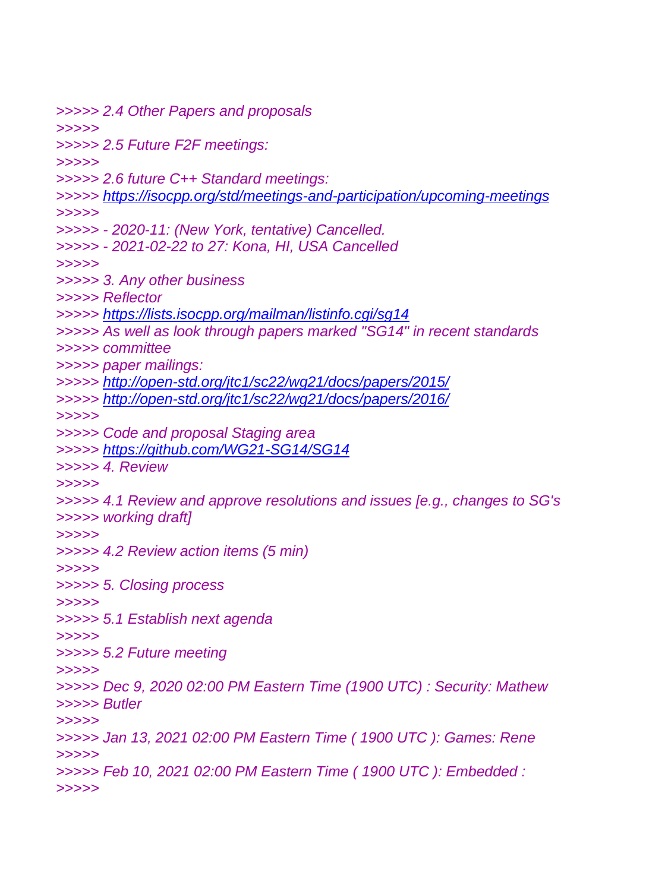*>>>>> 2.4 Other Papers and proposals >>>>> >>>>> 2.5 Future F2F meetings: >>>>> >>>>> 2.6 future C++ Standard meetings: >>>>> <https://isocpp.org/std/meetings-and-participation/upcoming-meetings> >>>>> >>>>> - 2020-11: (New York, tentative) Cancelled. >>>>> - 2021-02-22 to 27: Kona, HI, USA Cancelled >>>>> >>>>> 3. Any other business >>>>> Reflector >>>>> <https://lists.isocpp.org/mailman/listinfo.cgi/sg14> >>>>> As well as look through papers marked "SG14" in recent standards >>>>> committee >>>>> paper mailings: >>>>> <http://open-std.org/jtc1/sc22/wg21/docs/papers/2015/> >>>>> <http://open-std.org/jtc1/sc22/wg21/docs/papers/2016/> >>>>> >>>>> Code and proposal Staging area >>>>> <https://github.com/WG21-SG14/SG14> >>>>> 4. Review >>>>> >>>>> 4.1 Review and approve resolutions and issues [e.g., changes to SG's >>>>> working draft] >>>>> >>>>> 4.2 Review action items (5 min) >>>>> >>>>> 5. Closing process >>>>> >>>>> 5.1 Establish next agenda >>>>> >>>>> 5.2 Future meeting >>>>> >>>>> Dec 9, 2020 02:00 PM Eastern Time (1900 UTC) : Security: Mathew >>>>> Butler >>>>> >>>>> Jan 13, 2021 02:00 PM Eastern Time ( 1900 UTC ): Games: Rene >>>>> >>>>> Feb 10, 2021 02:00 PM Eastern Time ( 1900 UTC ): Embedded : >>>>>*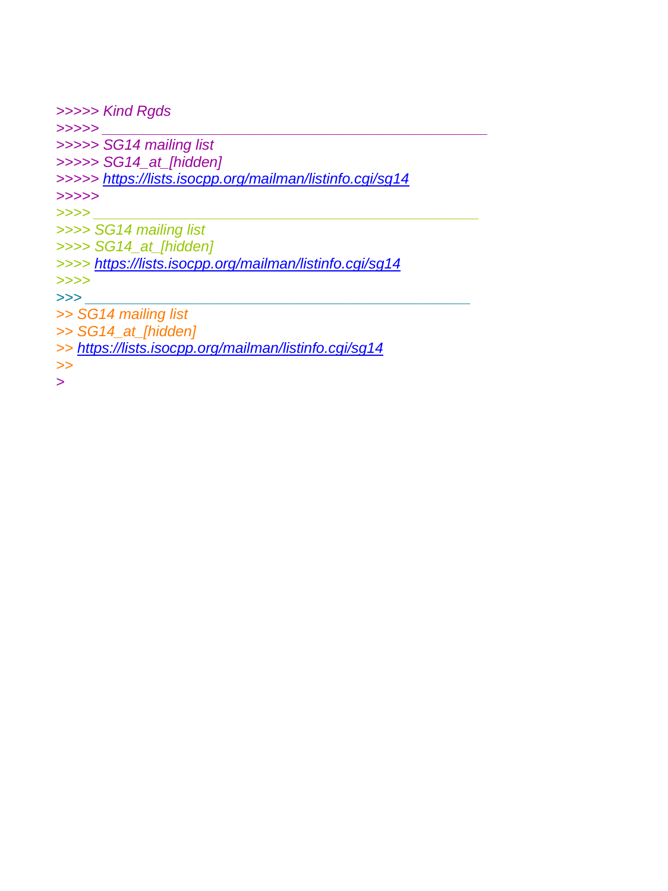```
>>>>> Kind Rgds
>>>>> _______________________________________________
>>>>> SG14 mailing list
>>>>> SG14_at_[hidden]
>>>>> https://lists.isocpp.org/mailman/listinfo.cgi/sg14
>>>>>
>>>> _______________________________________________
>>>> SG14 mailing list
>>>> SG14_at_[hidden]
>>>> https://lists.isocpp.org/mailman/listinfo.cgi/sg14
>>>>
>>> _______________________________________________
>> SG14 mailing list
>> SG14_at_[hidden]
>> https://lists.isocpp.org/mailman/listinfo.cgi/sg14
>>
>
```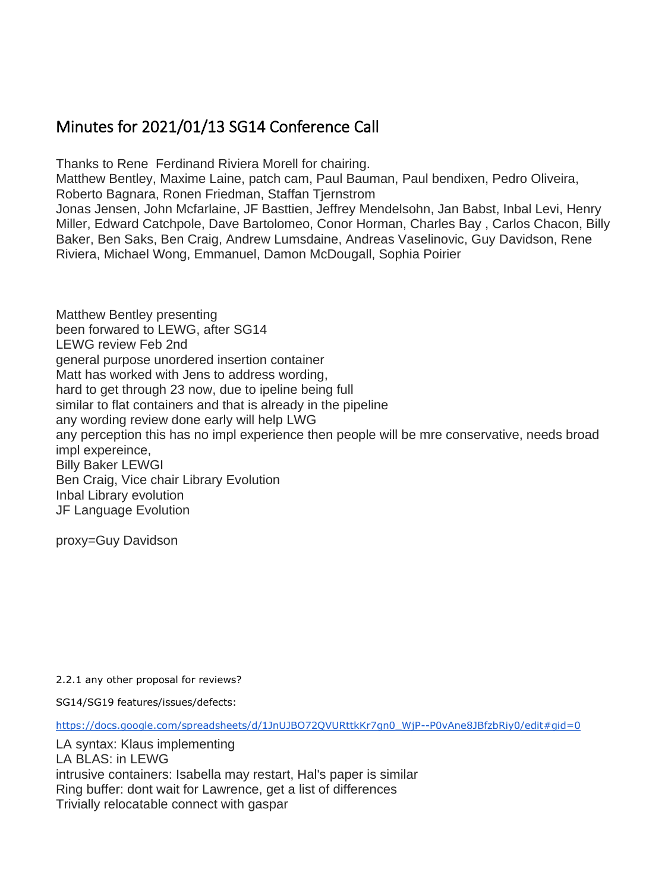### <span id="page-16-0"></span>Minutes for 2021/01/13 SG14 Conference Call

Thanks to Rene Ferdinand Riviera Morell for chairing.

Matthew Bentley, Maxime Laine, patch cam, Paul Bauman, Paul bendixen, Pedro Oliveira, Roberto Bagnara, Ronen Friedman, Staffan Tjernstrom

Jonas Jensen, John Mcfarlaine, JF Basttien, Jeffrey Mendelsohn, Jan Babst, Inbal Levi, Henry Miller, Edward Catchpole, Dave Bartolomeo, Conor Horman, Charles Bay , Carlos Chacon, Billy Baker, Ben Saks, Ben Craig, Andrew Lumsdaine, Andreas Vaselinovic, Guy Davidson, Rene Riviera, Michael Wong, Emmanuel, Damon McDougall, Sophia Poirier

Matthew Bentley presenting been forwared to LEWG, after SG14 LEWG review Feb 2nd general purpose unordered insertion container Matt has worked with Jens to address wording, hard to get through 23 now, due to ipeline being full similar to flat containers and that is already in the pipeline any wording review done early will help LWG any perception this has no impl experience then people will be mre conservative, needs broad impl expereince, Billy Baker LEWGI Ben Craig, Vice chair Library Evolution Inbal Library evolution JF Language Evolution

proxy=Guy Davidson

2.2.1 any other proposal for reviews?

SG14/SG19 features/issues/defects:

[https://docs.google.com/spreadsheets/d/1JnUJBO72QVURttkKr7gn0\\_WjP--P0vAne8JBfzbRiy0/edit#gid=0](https://docs.google.com/spreadsheets/d/1JnUJBO72QVURttkKr7gn0_WjP--P0vAne8JBfzbRiy0/edit#gid=0)

LA syntax: Klaus implementing LA BLAS: in LEWG intrusive containers: Isabella may restart, Hal's paper is similar Ring buffer: dont wait for Lawrence, get a list of differences Trivially relocatable connect with gaspar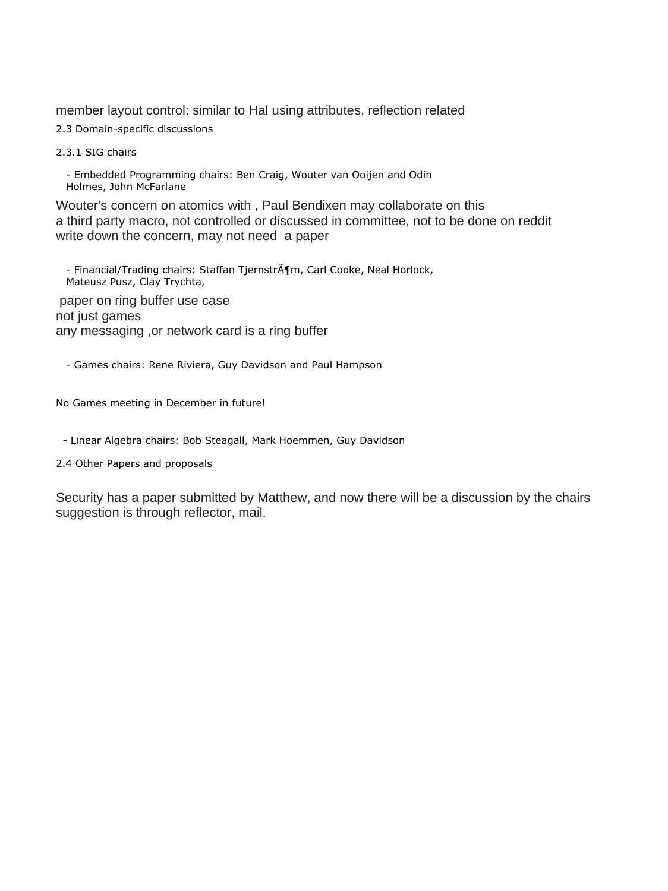member layout control: similar to Hal using attributes, reflection related

2.3 Domain-specific discussions

2.3.1 SIG chairs

 - Embedded Programming chairs: Ben Craig, Wouter van Ooijen and Odin Holmes, John McFarlane

Wouter's concern on atomics with , Paul Bendixen may collaborate on this a third party macro, not controlled or discussed in committee, not to be done on reddit write down the concern, may not need a paper

- Financial/Trading chairs: Staffan Tjernstr $\tilde{A}$ ¶m, Carl Cooke, Neal Horlock, Mateusz Pusz, Clay Trychta,

paper on ring buffer use case not just games any messaging ,or network card is a ring buffer

- Games chairs: Rene Riviera, Guy Davidson and Paul Hampson

No Games meeting in December in future!

- Linear Algebra chairs: Bob Steagall, Mark Hoemmen, Guy Davidson

2.4 Other Papers and proposals

Security has a paper submitted by Matthew, and now there will be a discussion by the chairs suggestion is through reflector, mail.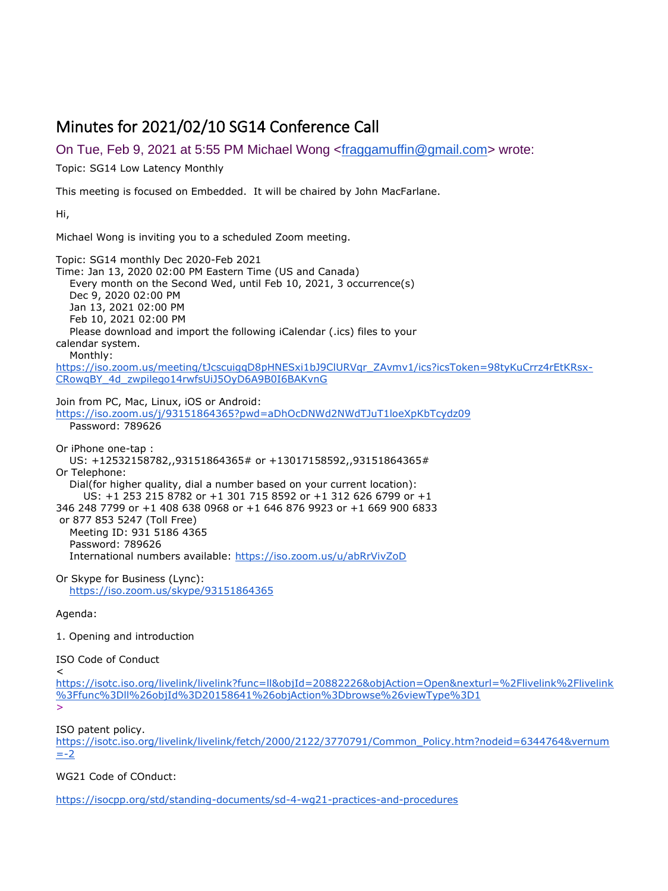### <span id="page-18-0"></span>Minutes for 2021/02/10 SG14 Conference Call

On Tue, Feb 9, 2021 at 5:55 PM Michael Wong [<fraggamuffin@gmail.com>](mailto:fraggamuffin@gmail.com) wrote:

Topic: SG14 Low Latency Monthly

This meeting is focused on Embedded. It will be chaired by John MacFarlane.

Hi,

Michael Wong is inviting you to a scheduled Zoom meeting.

Topic: SG14 monthly Dec 2020-Feb 2021 Time: Jan 13, 2020 02:00 PM Eastern Time (US and Canada) Every month on the Second Wed, until Feb 10, 2021, 3 occurrence(s) Dec 9, 2020 02:00 PM Jan 13, 2021 02:00 PM Feb 10, 2021 02:00 PM Please download and import the following iCalendar (.ics) files to your calendar system. Monthly:

[https://iso.zoom.us/meeting/tJcscuigqD8pHNESxi1bJ9ClURVqr\\_ZAvmv1/ics?icsToken=98tyKuCrrz4rEtKRsx-](https://iso.zoom.us/meeting/tJcscuigqD8pHNESxi1bJ9ClURVqr_ZAvmv1/ics?icsToken=98tyKuCrrz4rEtKRsx-CRowqBY_4d_zwpilego14rwfsUiJ5OyD6A9B0I6BAKvnG)[CRowqBY\\_4d\\_zwpilego14rwfsUiJ5OyD6A9B0I6BAKvnG](https://iso.zoom.us/meeting/tJcscuigqD8pHNESxi1bJ9ClURVqr_ZAvmv1/ics?icsToken=98tyKuCrrz4rEtKRsx-CRowqBY_4d_zwpilego14rwfsUiJ5OyD6A9B0I6BAKvnG)

Join from PC, Mac, Linux, iOS or Android:

<https://iso.zoom.us/j/93151864365?pwd=aDhOcDNWd2NWdTJuT1loeXpKbTcydz09> Password: 789626

Or iPhone one-tap : US: +12532158782,,93151864365# or +13017158592,,93151864365# Or Telephone: Dial(for higher quality, dial a number based on your current location): US: +1 253 215 8782 or +1 301 715 8592 or +1 312 626 6799 or +1 346 248 7799 or +1 408 638 0968 or +1 646 876 9923 or +1 669 900 6833 or 877 853 5247 (Toll Free) Meeting ID: 931 5186 4365 Password: 789626 International numbers available: <https://iso.zoom.us/u/abRrVivZoD>

Or Skype for Business (Lync): <https://iso.zoom.us/skype/93151864365>

Agenda:

1. Opening and introduction

ISO Code of Conduct

 $\epsilon$ 

[https://isotc.iso.org/livelink/livelink?func=ll&objId=20882226&objAction=Open&nexturl=%2Flivelink%2Flivelink](https://isotc.iso.org/livelink/livelink?func=ll&objId=20882226&objAction=Open&nexturl=%2Flivelink%2Flivelink%3Ffunc%3Dll%26objId%3D20158641%26objAction%3Dbrowse%26viewType%3D1) [%3Ffunc%3Dll%26objId%3D20158641%26objAction%3Dbrowse%26viewType%3D1](https://isotc.iso.org/livelink/livelink?func=ll&objId=20882226&objAction=Open&nexturl=%2Flivelink%2Flivelink%3Ffunc%3Dll%26objId%3D20158641%26objAction%3Dbrowse%26viewType%3D1)

>

ISO patent policy.

[https://isotc.iso.org/livelink/livelink/fetch/2000/2122/3770791/Common\\_Policy.htm?nodeid=6344764&vernum](https://isotc.iso.org/livelink/livelink/fetch/2000/2122/3770791/Common_Policy.htm?nodeid=6344764&vernum=-2)  $=-2$ 

WG21 Code of COnduct:

<https://isocpp.org/std/standing-documents/sd-4-wg21-practices-and-procedures>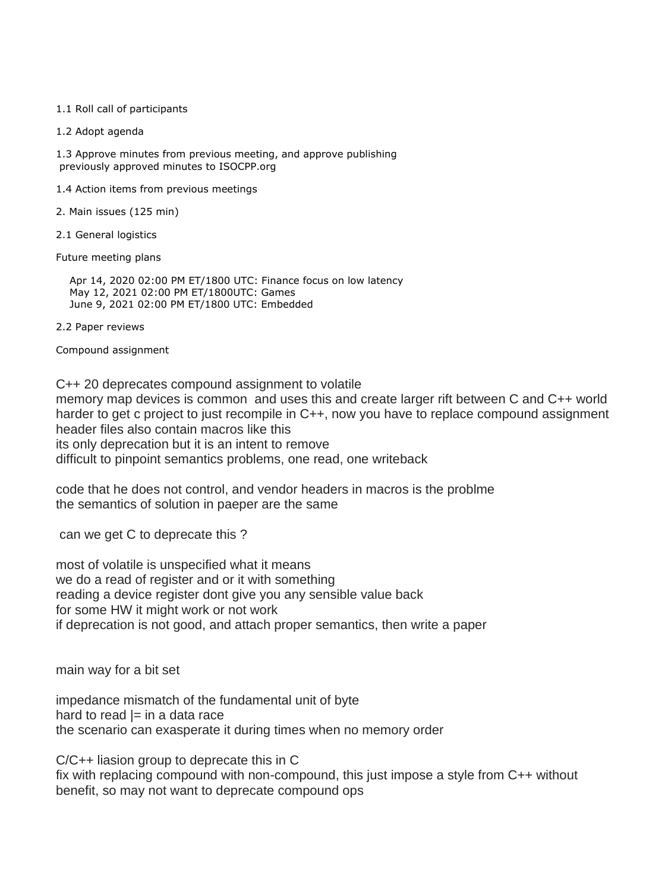#### 1.1 Roll call of participants

1.2 Adopt agenda

1.3 Approve minutes from previous meeting, and approve publishing previously approved minutes to ISOCPP.org

- 1.4 Action items from previous meetings
- 2. Main issues (125 min)
- 2.1 General logistics

Future meeting plans

Apr 14, 2020 02:00 PM ET/1800 UTC: Finance focus on low latency May 12, 2021 02:00 PM ET/1800UTC: Games June 9, 2021 02:00 PM ET/1800 UTC: Embedded

2.2 Paper reviews

Compound assignment

C++ 20 deprecates compound assignment to volatile memory map devices is common and uses this and create larger rift between C and C++ world harder to get c project to just recompile in C++, now you have to replace compound assignment header files also contain macros like this its only deprecation but it is an intent to remove difficult to pinpoint semantics problems, one read, one writeback

code that he does not control, and vendor headers in macros is the problme the semantics of solution in paeper are the same

can we get C to deprecate this ?

most of volatile is unspecified what it means we do a read of register and or it with something reading a device register dont give you any sensible value back for some HW it might work or not work if deprecation is not good, and attach proper semantics, then write a paper

main way for a bit set

impedance mismatch of the fundamental unit of byte hard to read  $|=$  in a data race the scenario can exasperate it during times when no memory order

C/C++ liasion group to deprecate this in C fix with replacing compound with non-compound, this just impose a style from C++ without benefit, so may not want to deprecate compound ops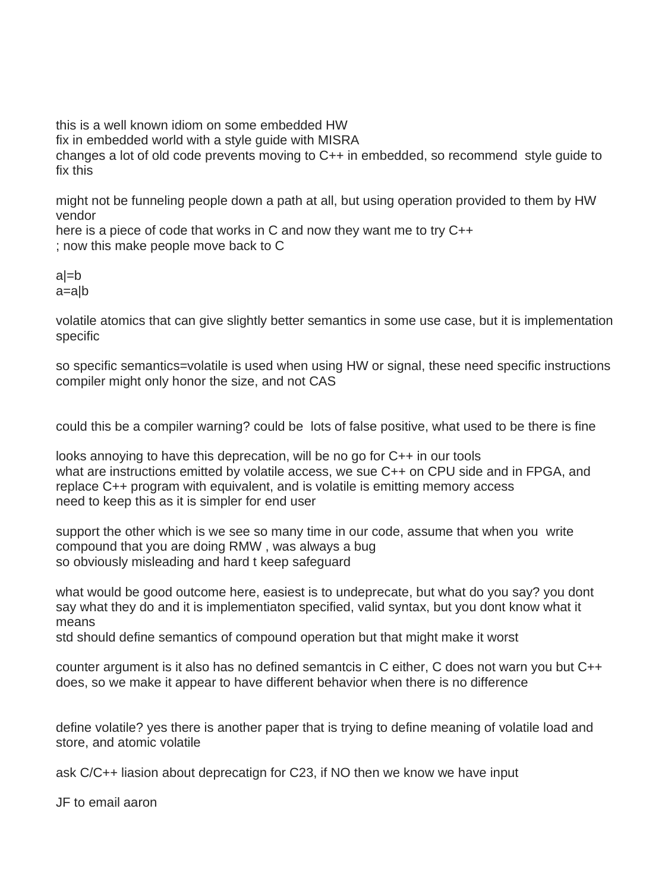this is a well known idiom on some embedded HW fix in embedded world with a style guide with MISRA changes a lot of old code prevents moving to C++ in embedded, so recommend style guide to fix this

might not be funneling people down a path at all, but using operation provided to them by HW vendor

here is a piece of code that works in C and now they want me to try C++ ; now this make people move back to C

a|=b a=a|b

volatile atomics that can give slightly better semantics in some use case, but it is implementation specific

so specific semantics=volatile is used when using HW or signal, these need specific instructions compiler might only honor the size, and not CAS

could this be a compiler warning? could be lots of false positive, what used to be there is fine

looks annoying to have this deprecation, will be no go for C++ in our tools what are instructions emitted by volatile access, we sue C++ on CPU side and in FPGA, and replace C++ program with equivalent, and is volatile is emitting memory access need to keep this as it is simpler for end user

support the other which is we see so many time in our code, assume that when you write compound that you are doing RMW , was always a bug so obviously misleading and hard t keep safeguard

what would be good outcome here, easiest is to undeprecate, but what do you say? you dont say what they do and it is implementiaton specified, valid syntax, but you dont know what it means

std should define semantics of compound operation but that might make it worst

counter argument is it also has no defined semantcis in C either, C does not warn you but C++ does, so we make it appear to have different behavior when there is no difference

define volatile? yes there is another paper that is trying to define meaning of volatile load and store, and atomic volatile

ask C/C++ liasion about deprecatign for C23, if NO then we know we have input

JF to email aaron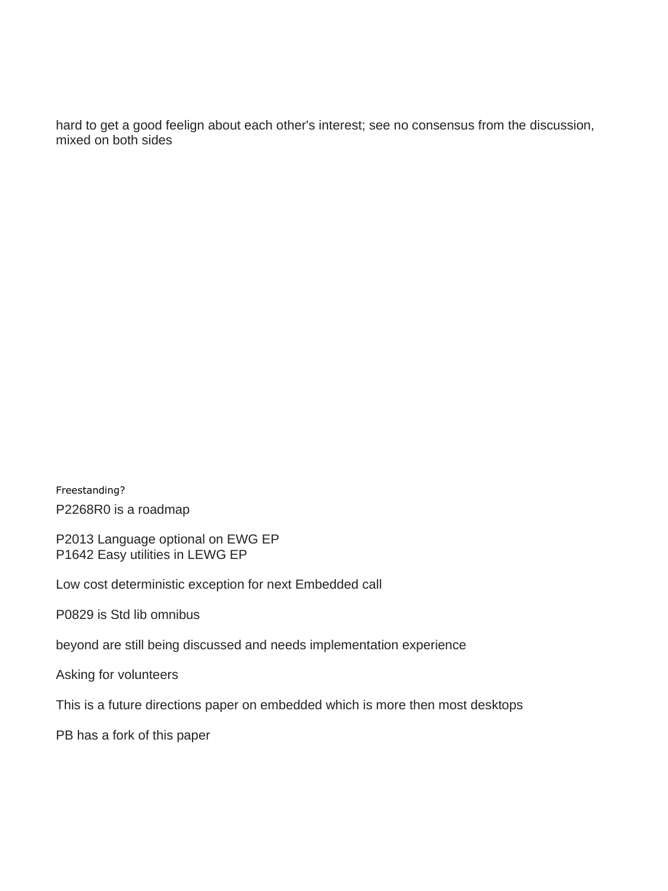hard to get a good feelign about each other's interest; see no consensus from the discussion, mixed on both sides

Freestanding? P2268R0 is a roadmap

P2013 Language optional on EWG EP P1642 Easy utilities in LEWG EP

Low cost deterministic exception for next Embedded call

P0829 is Std lib omnibus

beyond are still being discussed and needs implementation experience

Asking for volunteers

This is a future directions paper on embedded which is more then most desktops

PB has a fork of this paper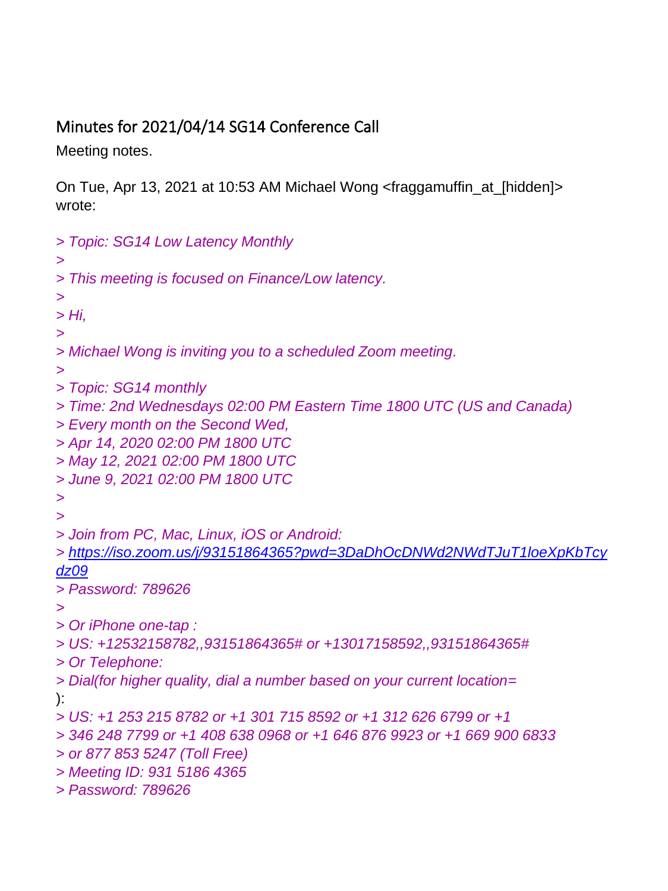## <span id="page-22-0"></span>Minutes for 2021/04/14 SG14 Conference Call

Meeting notes.

On Tue, Apr 13, 2021 at 10:53 AM Michael Wong <fraggamuffin\_at\_[hidden]> wrote:

```
> Topic: SG14 Low Latency Monthly
>
> This meeting is focused on Finance/Low latency.
>
> Hi,
>
> Michael Wong is inviting you to a scheduled Zoom meeting.
>
> Topic: SG14 monthly
> Time: 2nd Wednesdays 02:00 PM Eastern Time 1800 UTC (US and Canada)
> Every month on the Second Wed,
> Apr 14, 2020 02:00 PM 1800 UTC
> May 12, 2021 02:00 PM 1800 UTC
> June 9, 2021 02:00 PM 1800 UTC
>
>
> Join from PC, Mac, Linux, iOS or Android:
> https://iso.zoom.us/j/93151864365?pwd=3DaDhOcDNWd2NWdTJuT1loeXpKbTcy
dz09
> Password: 789626
>
> Or iPhone one-tap :
> US: +12532158782,,93151864365# or +13017158592,,93151864365#
> Or Telephone:
> Dial(for higher quality, dial a number based on your current location=
):
> US: +1 253 215 8782 or +1 301 715 8592 or +1 312 626 6799 or +1
> 346 248 7799 or +1 408 638 0968 or +1 646 876 9923 or +1 669 900 6833
> or 877 853 5247 (Toll Free)
> Meeting ID: 931 5186 4365
> Password: 789626
```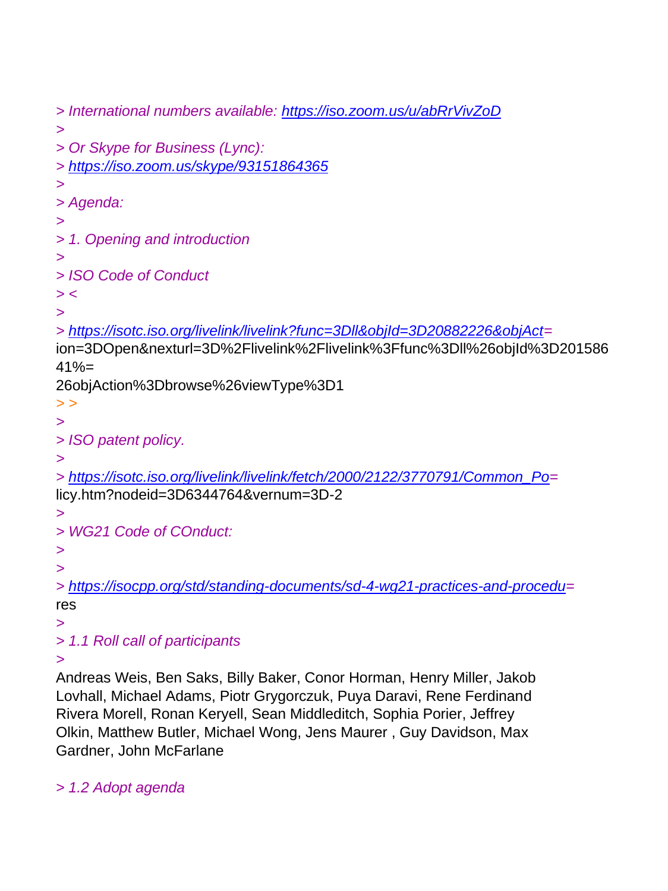```
> International numbers available: https://iso.zoom.us/u/abRrVivZoD
>
> Or Skype for Business (Lync):
> https://iso.zoom.us/skype/93151864365
>
> Agenda:
>
> 1. Opening and introduction
>
> ISO Code of Conduct
> <
>
> https://isotc.iso.org/livelink/livelink?func=3Dll&objId=3D20882226&objAct=
ion=3DOpen&nexturl=3D%2Flivelink%2Flivelink%3Ffunc%3Dll%26objId%3D201586
41% =26objAction%3Dbrowse%26viewType%3D1
> >
>
> ISO patent policy.
>
> https://isotc.iso.org/livelink/livelink/fetch/2000/2122/3770791/Common_Po=
licy.htm?nodeid=3D6344764&vernum=3D-2
>
> WG21 Code of COnduct:
>
>
> https://isocpp.org/std/standing-documents/sd-4-wg21-practices-and-procedu=
res
>
> 1.1 Roll call of participants
>
```
Andreas Weis, Ben Saks, Billy Baker, Conor Horman, Henry Miller, Jakob Lovhall, Michael Adams, Piotr Grygorczuk, Puya Daravi, Rene Ferdinand Rivera Morell, Ronan Keryell, Sean Middleditch, Sophia Porier, Jeffrey Olkin, Matthew Butler, Michael Wong, Jens Maurer , Guy Davidson, Max Gardner, John McFarlane

*> 1.2 Adopt agenda*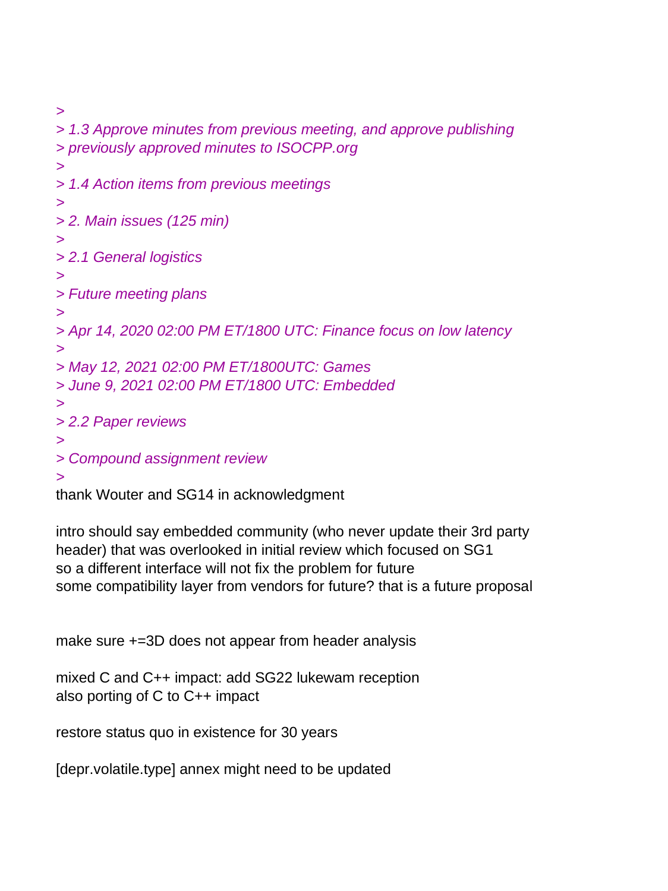```
>
> 1.3 Approve minutes from previous meeting, and approve publishing
> previously approved minutes to ISOCPP.org
>
> 1.4 Action items from previous meetings
>
> 2. Main issues (125 min)
>
> 2.1 General logistics
>
> Future meeting plans
>
> Apr 14, 2020 02:00 PM ET/1800 UTC: Finance focus on low latency
>
> May 12, 2021 02:00 PM ET/1800UTC: Games
> June 9, 2021 02:00 PM ET/1800 UTC: Embedded
>
> 2.2 Paper reviews
>
> Compound assignment review
>
```
thank Wouter and SG14 in acknowledgment

intro should say embedded community (who never update their 3rd party header) that was overlooked in initial review which focused on SG1 so a different interface will not fix the problem for future some compatibility layer from vendors for future? that is a future proposal

make sure +=3D does not appear from header analysis

```
mixed C and C++ impact: add SG22 lukewam reception
also porting of C to C++ impact
```
restore status quo in existence for 30 years

[depr.volatile.type] annex might need to be updated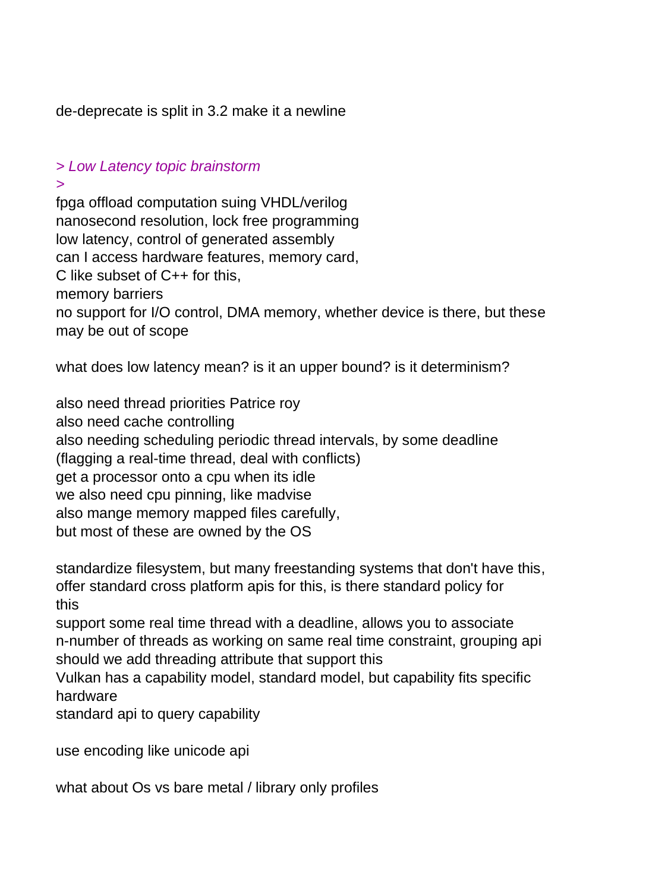de-deprecate is split in 3.2 make it a newline

#### *> Low Latency topic brainstorm*

*>*

fpga offload computation suing VHDL/verilog nanosecond resolution, lock free programming low latency, control of generated assembly can I access hardware features, memory card, C like subset of C++ for this, memory barriers no support for I/O control, DMA memory, whether device is there, but these may be out of scope

what does low latency mean? is it an upper bound? is it determinism?

also need thread priorities Patrice roy also need cache controlling also needing scheduling periodic thread intervals, by some deadline (flagging a real-time thread, deal with conflicts) get a processor onto a cpu when its idle we also need cpu pinning, like madvise also mange memory mapped files carefully, but most of these are owned by the OS

standardize filesystem, but many freestanding systems that don't have this, offer standard cross platform apis for this, is there standard policy for this

support some real time thread with a deadline, allows you to associate n-number of threads as working on same real time constraint, grouping api should we add threading attribute that support this

Vulkan has a capability model, standard model, but capability fits specific hardware

standard api to query capability

use encoding like unicode api

what about Os vs bare metal / library only profiles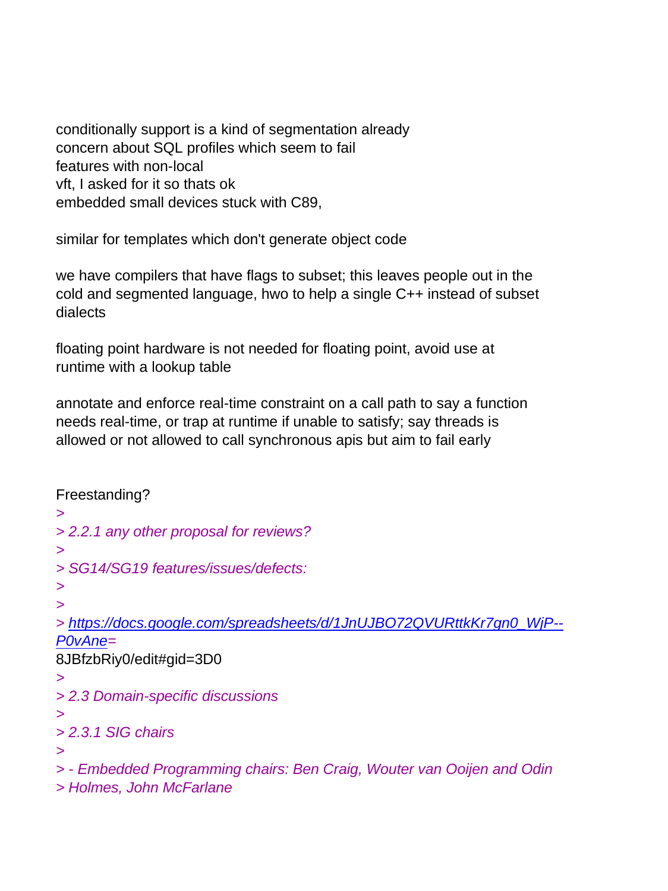conditionally support is a kind of segmentation already concern about SQL profiles which seem to fail features with non-local vft, I asked for it so thats ok embedded small devices stuck with C89,

similar for templates which don't generate object code

we have compilers that have flags to subset; this leaves people out in the cold and segmented language, hwo to help a single C++ instead of subset dialects

floating point hardware is not needed for floating point, avoid use at runtime with a lookup table

annotate and enforce real-time constraint on a call path to say a function needs real-time, or trap at runtime if unable to satisfy; say threads is allowed or not allowed to call synchronous apis but aim to fail early

Freestanding? *> > 2.2.1 any other proposal for reviews? > > SG14/SG19 features/issues/defects: > > > [https://docs.google.com/spreadsheets/d/1JnUJBO72QVURttkKr7gn0\\_WjP--](https://docs.google.com/spreadsheets/d/1JnUJBO72QVURttkKr7gn0_WjP--P0vAne) [P0vAne=](https://docs.google.com/spreadsheets/d/1JnUJBO72QVURttkKr7gn0_WjP--P0vAne)* 8JBfzbRiy0/edit#gid=3D0 *> > 2.3 Domain-specific discussions > > 2.3.1 SIG chairs > > - Embedded Programming chairs: Ben Craig, Wouter van Ooijen and Odin > Holmes, John McFarlane*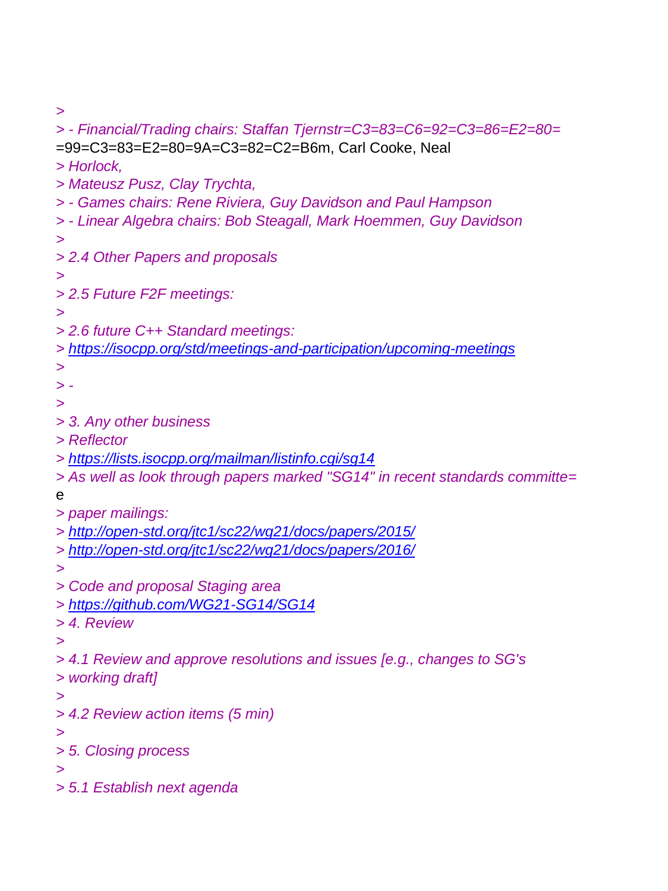*>*

*> - Financial/Trading chairs: Staffan Tjernstr=C3=83=C6=92=C3=86=E2=80=* =99=C3=83=E2=80=9A=C3=82=C2=B6m, Carl Cooke, Neal *> Horlock, > Mateusz Pusz, Clay Trychta, > - Games chairs: Rene Riviera, Guy Davidson and Paul Hampson > - Linear Algebra chairs: Bob Steagall, Mark Hoemmen, Guy Davidson > > 2.4 Other Papers and proposals > > 2.5 Future F2F meetings: > > 2.6 future C++ Standard meetings: > <https://isocpp.org/std/meetings-and-participation/upcoming-meetings> > > - > > 3. Any other business > Reflector > <https://lists.isocpp.org/mailman/listinfo.cgi/sg14> > As well as look through papers marked "SG14" in recent standards committe=* e *> paper mailings: > <http://open-std.org/jtc1/sc22/wg21/docs/papers/2015/> > <http://open-std.org/jtc1/sc22/wg21/docs/papers/2016/> > > Code and proposal Staging area > <https://github.com/WG21-SG14/SG14> > 4. Review > > 4.1 Review and approve resolutions and issues [e.g., changes to SG's > working draft] > > 4.2 Review action items (5 min) > > 5. Closing process > > 5.1 Establish next agenda*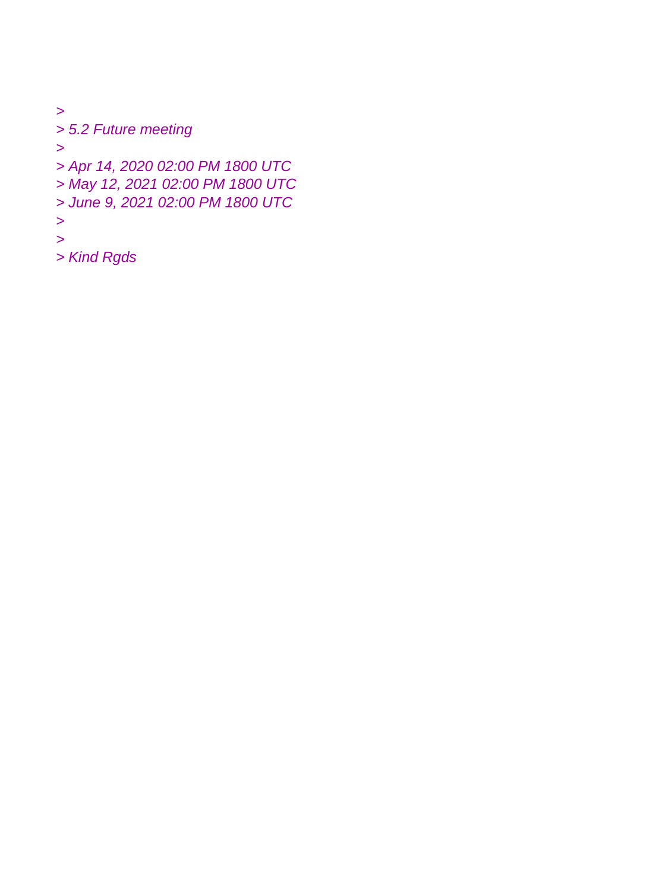*> > 5.2 Future meeting > > Apr 14, 2020 02:00 PM 1800 UTC > May 12, 2021 02:00 PM 1800 UTC > June 9, 2021 02:00 PM 1800 UTC >*

*>*

*> Kind Rgds*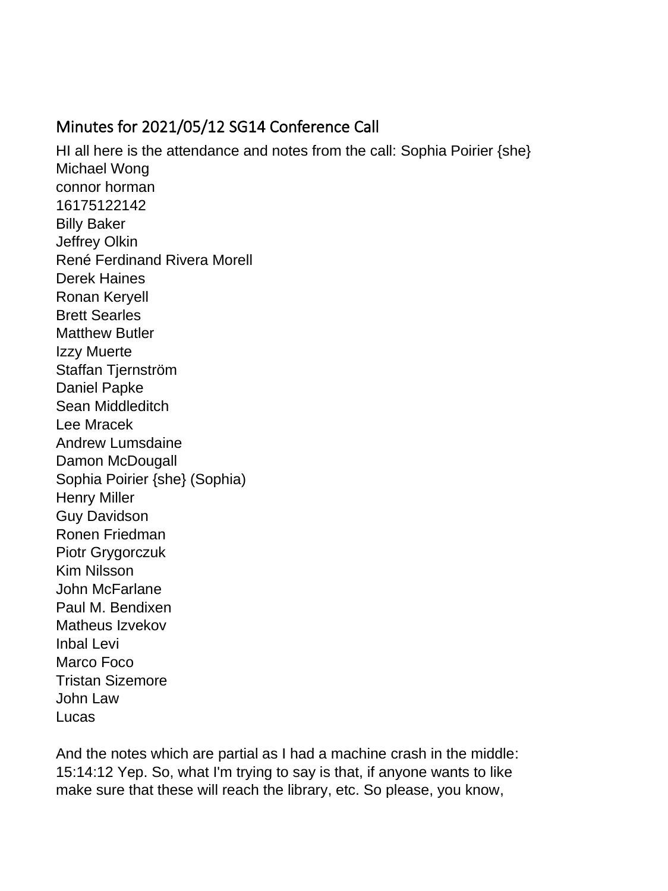### <span id="page-29-0"></span>Minutes for 2021/05/12 SG14 Conference Call

HI all here is the attendance and notes from the call: Sophia Poirier {she} Michael Wong connor horman 16175122142 Billy Baker Jeffrey Olkin René Ferdinand Rivera Morell Derek Haines Ronan Keryell Brett Searles Matthew Butler Izzy Muerte Staffan Tjernström Daniel Papke Sean Middleditch Lee Mracek Andrew Lumsdaine Damon McDougall Sophia Poirier {she} (Sophia) Henry Miller Guy Davidson Ronen Friedman Piotr Grygorczuk Kim Nilsson John McFarlane Paul M. Bendixen Matheus Izvekov Inbal Levi Marco Foco Tristan Sizemore John Law Lucas

And the notes which are partial as I had a machine crash in the middle: 15:14:12 Yep. So, what I'm trying to say is that, if anyone wants to like make sure that these will reach the library, etc. So please, you know,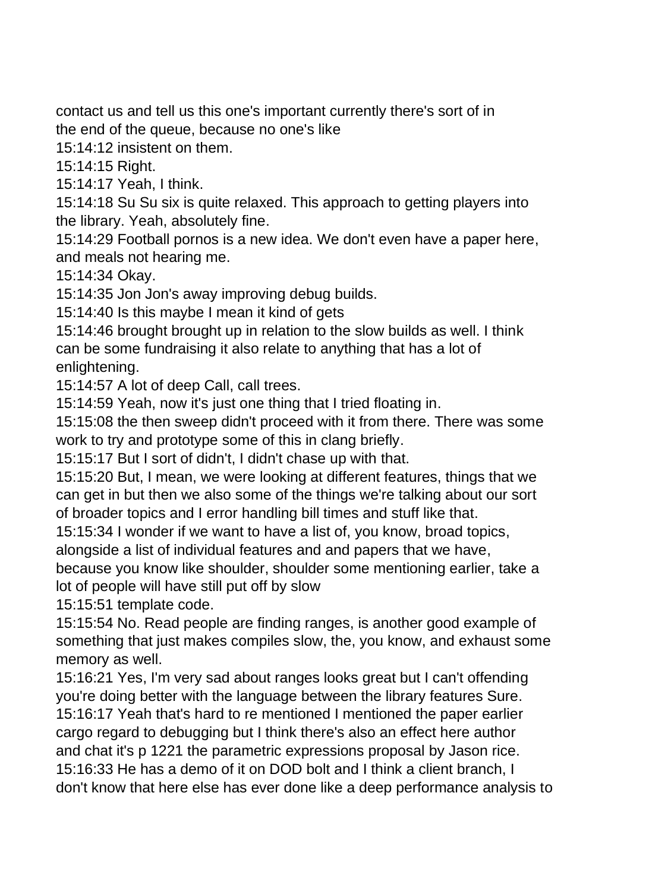contact us and tell us this one's important currently there's sort of in

the end of the queue, because no one's like

15:14:12 insistent on them.

15:14:15 Right.

15:14:17 Yeah, I think.

15:14:18 Su Su six is quite relaxed. This approach to getting players into the library. Yeah, absolutely fine.

15:14:29 Football pornos is a new idea. We don't even have a paper here, and meals not hearing me.

15:14:34 Okay.

15:14:35 Jon Jon's away improving debug builds.

15:14:40 Is this maybe I mean it kind of gets

15:14:46 brought brought up in relation to the slow builds as well. I think can be some fundraising it also relate to anything that has a lot of enlightening.

15:14:57 A lot of deep Call, call trees.

15:14:59 Yeah, now it's just one thing that I tried floating in.

15:15:08 the then sweep didn't proceed with it from there. There was some work to try and prototype some of this in clang briefly.

15:15:17 But I sort of didn't, I didn't chase up with that.

15:15:20 But, I mean, we were looking at different features, things that we can get in but then we also some of the things we're talking about our sort of broader topics and I error handling bill times and stuff like that.

15:15:34 I wonder if we want to have a list of, you know, broad topics,

alongside a list of individual features and and papers that we have,

because you know like shoulder, shoulder some mentioning earlier, take a lot of people will have still put off by slow

15:15:51 template code.

15:15:54 No. Read people are finding ranges, is another good example of something that just makes compiles slow, the, you know, and exhaust some memory as well.

15:16:21 Yes, I'm very sad about ranges looks great but I can't offending you're doing better with the language between the library features Sure.

15:16:17 Yeah that's hard to re mentioned I mentioned the paper earlier cargo regard to debugging but I think there's also an effect here author and chat it's p 1221 the parametric expressions proposal by Jason rice. 15:16:33 He has a demo of it on DOD bolt and I think a client branch, I don't know that here else has ever done like a deep performance analysis to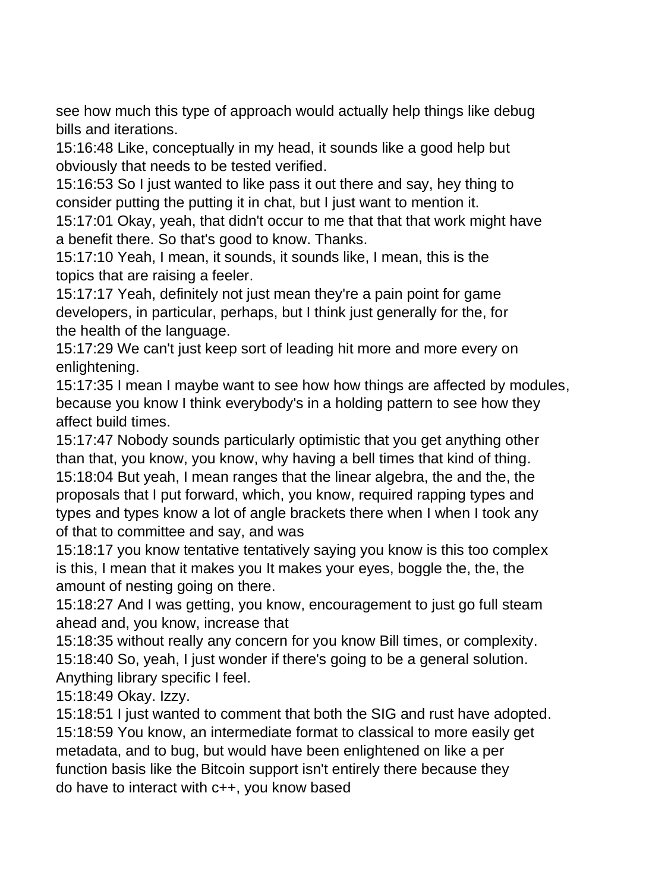see how much this type of approach would actually help things like debug bills and iterations.

15:16:48 Like, conceptually in my head, it sounds like a good help but obviously that needs to be tested verified.

15:16:53 So I just wanted to like pass it out there and say, hey thing to consider putting the putting it in chat, but I just want to mention it.

15:17:01 Okay, yeah, that didn't occur to me that that that work might have a benefit there. So that's good to know. Thanks.

15:17:10 Yeah, I mean, it sounds, it sounds like, I mean, this is the topics that are raising a feeler.

15:17:17 Yeah, definitely not just mean they're a pain point for game developers, in particular, perhaps, but I think just generally for the, for the health of the language.

15:17:29 We can't just keep sort of leading hit more and more every on enlightening.

15:17:35 I mean I maybe want to see how how things are affected by modules, because you know I think everybody's in a holding pattern to see how they affect build times.

15:17:47 Nobody sounds particularly optimistic that you get anything other than that, you know, you know, why having a bell times that kind of thing. 15:18:04 But yeah, I mean ranges that the linear algebra, the and the, the proposals that I put forward, which, you know, required rapping types and types and types know a lot of angle brackets there when I when I took any of that to committee and say, and was

15:18:17 you know tentative tentatively saying you know is this too complex is this, I mean that it makes you It makes your eyes, boggle the, the, the amount of nesting going on there.

15:18:27 And I was getting, you know, encouragement to just go full steam ahead and, you know, increase that

15:18:35 without really any concern for you know Bill times, or complexity. 15:18:40 So, yeah, I just wonder if there's going to be a general solution. Anything library specific I feel.

15:18:49 Okay. Izzy.

15:18:51 I just wanted to comment that both the SIG and rust have adopted. 15:18:59 You know, an intermediate format to classical to more easily get metadata, and to bug, but would have been enlightened on like a per function basis like the Bitcoin support isn't entirely there because they do have to interact with c++, you know based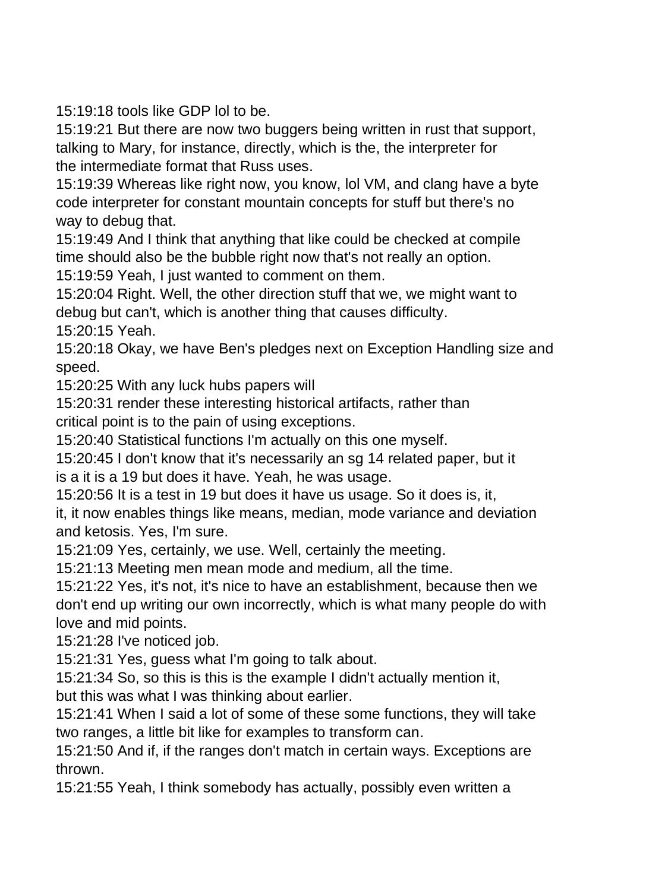15:19:18 tools like GDP lol to be.

15:19:21 But there are now two buggers being written in rust that support, talking to Mary, for instance, directly, which is the, the interpreter for the intermediate format that Russ uses.

15:19:39 Whereas like right now, you know, lol VM, and clang have a byte code interpreter for constant mountain concepts for stuff but there's no way to debug that.

15:19:49 And I think that anything that like could be checked at compile time should also be the bubble right now that's not really an option.

15:19:59 Yeah, I just wanted to comment on them.

15:20:04 Right. Well, the other direction stuff that we, we might want to debug but can't, which is another thing that causes difficulty. 15:20:15 Yeah.

15:20:18 Okay, we have Ben's pledges next on Exception Handling size and

speed.

15:20:25 With any luck hubs papers will

15:20:31 render these interesting historical artifacts, rather than critical point is to the pain of using exceptions.

15:20:40 Statistical functions I'm actually on this one myself.

15:20:45 I don't know that it's necessarily an sg 14 related paper, but it is a it is a 19 but does it have. Yeah, he was usage.

15:20:56 It is a test in 19 but does it have us usage. So it does is, it, it, it now enables things like means, median, mode variance and deviation

and ketosis. Yes, I'm sure.

15:21:09 Yes, certainly, we use. Well, certainly the meeting.

15:21:13 Meeting men mean mode and medium, all the time.

15:21:22 Yes, it's not, it's nice to have an establishment, because then we don't end up writing our own incorrectly, which is what many people do with love and mid points.

15:21:28 I've noticed job.

15:21:31 Yes, guess what I'm going to talk about.

15:21:34 So, so this is this is the example I didn't actually mention it, but this was what I was thinking about earlier.

15:21:41 When I said a lot of some of these some functions, they will take two ranges, a little bit like for examples to transform can.

15:21:50 And if, if the ranges don't match in certain ways. Exceptions are thrown.

15:21:55 Yeah, I think somebody has actually, possibly even written a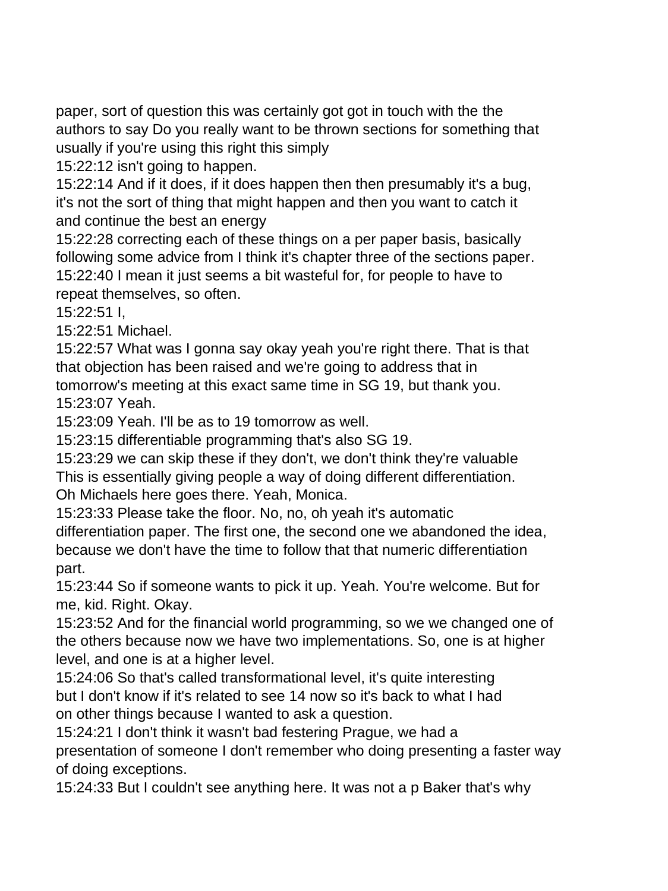paper, sort of question this was certainly got got in touch with the the authors to say Do you really want to be thrown sections for something that usually if you're using this right this simply

15:22:12 isn't going to happen.

15:22:14 And if it does, if it does happen then then presumably it's a bug, it's not the sort of thing that might happen and then you want to catch it and continue the best an energy

15:22:28 correcting each of these things on a per paper basis, basically following some advice from I think it's chapter three of the sections paper. 15:22:40 I mean it just seems a bit wasteful for, for people to have to repeat themselves, so often.

15:22:51 I,

15:22:51 Michael.

15:22:57 What was I gonna say okay yeah you're right there. That is that that objection has been raised and we're going to address that in

tomorrow's meeting at this exact same time in SG 19, but thank you. 15:23:07 Yeah.

15:23:09 Yeah. I'll be as to 19 tomorrow as well.

15:23:15 differentiable programming that's also SG 19.

15:23:29 we can skip these if they don't, we don't think they're valuable This is essentially giving people a way of doing different differentiation. Oh Michaels here goes there. Yeah, Monica.

15:23:33 Please take the floor. No, no, oh yeah it's automatic differentiation paper. The first one, the second one we abandoned the idea, because we don't have the time to follow that that numeric differentiation part.

15:23:44 So if someone wants to pick it up. Yeah. You're welcome. But for me, kid. Right. Okay.

15:23:52 And for the financial world programming, so we we changed one of the others because now we have two implementations. So, one is at higher level, and one is at a higher level.

15:24:06 So that's called transformational level, it's quite interesting but I don't know if it's related to see 14 now so it's back to what I had on other things because I wanted to ask a question.

15:24:21 I don't think it wasn't bad festering Prague, we had a presentation of someone I don't remember who doing presenting a faster way of doing exceptions.

15:24:33 But I couldn't see anything here. It was not a p Baker that's why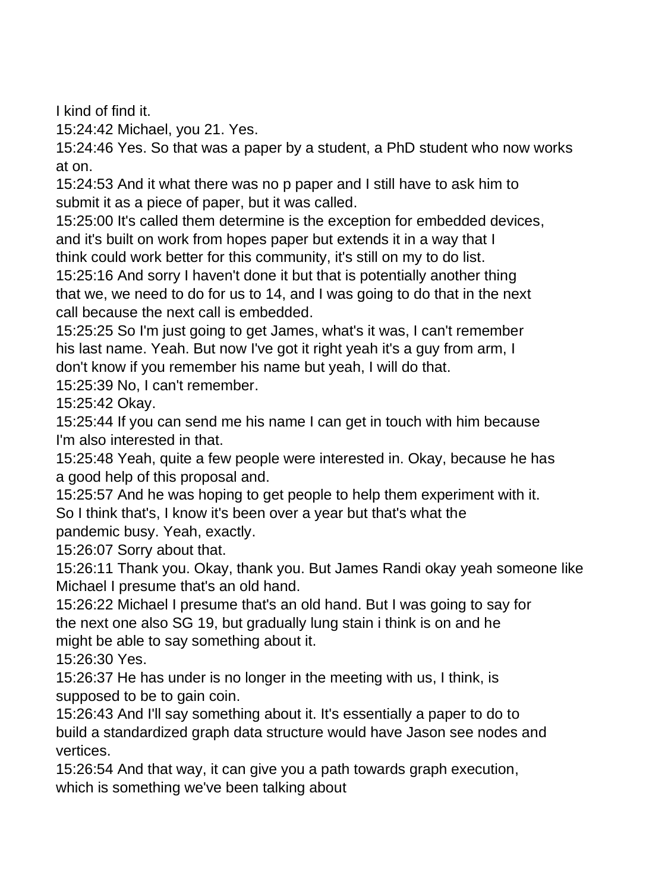I kind of find it.

15:24:42 Michael, you 21. Yes.

15:24:46 Yes. So that was a paper by a student, a PhD student who now works at on.

15:24:53 And it what there was no p paper and I still have to ask him to submit it as a piece of paper, but it was called.

15:25:00 It's called them determine is the exception for embedded devices, and it's built on work from hopes paper but extends it in a way that I think could work better for this community, it's still on my to do list.

15:25:16 And sorry I haven't done it but that is potentially another thing that we, we need to do for us to 14, and I was going to do that in the next call because the next call is embedded.

15:25:25 So I'm just going to get James, what's it was, I can't remember his last name. Yeah. But now I've got it right yeah it's a guy from arm, I don't know if you remember his name but yeah, I will do that.

15:25:39 No, I can't remember.

15:25:42 Okay.

15:25:44 If you can send me his name I can get in touch with him because I'm also interested in that.

15:25:48 Yeah, quite a few people were interested in. Okay, because he has a good help of this proposal and.

15:25:57 And he was hoping to get people to help them experiment with it. So I think that's, I know it's been over a year but that's what the pandemic busy. Yeah, exactly.

15:26:07 Sorry about that.

15:26:11 Thank you. Okay, thank you. But James Randi okay yeah someone like Michael I presume that's an old hand.

15:26:22 Michael I presume that's an old hand. But I was going to say for the next one also SG 19, but gradually lung stain i think is on and he might be able to say something about it.

15:26:30 Yes.

15:26:37 He has under is no longer in the meeting with us, I think, is supposed to be to gain coin.

15:26:43 And I'll say something about it. It's essentially a paper to do to build a standardized graph data structure would have Jason see nodes and vertices.

15:26:54 And that way, it can give you a path towards graph execution, which is something we've been talking about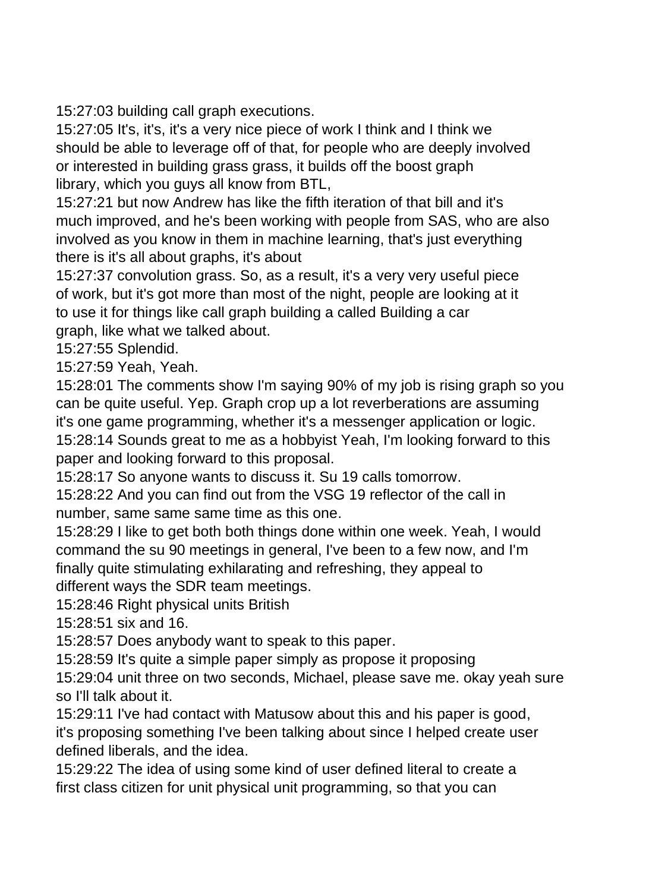15:27:03 building call graph executions.

15:27:05 It's, it's, it's a very nice piece of work I think and I think we should be able to leverage off of that, for people who are deeply involved or interested in building grass grass, it builds off the boost graph library, which you guys all know from BTL,

15:27:21 but now Andrew has like the fifth iteration of that bill and it's much improved, and he's been working with people from SAS, who are also involved as you know in them in machine learning, that's just everything there is it's all about graphs, it's about

15:27:37 convolution grass. So, as a result, it's a very very useful piece of work, but it's got more than most of the night, people are looking at it to use it for things like call graph building a called Building a car graph, like what we talked about.

15:27:55 Splendid.

15:27:59 Yeah, Yeah.

15:28:01 The comments show I'm saying 90% of my job is rising graph so you can be quite useful. Yep. Graph crop up a lot reverberations are assuming it's one game programming, whether it's a messenger application or logic. 15:28:14 Sounds great to me as a hobbyist Yeah, I'm looking forward to this paper and looking forward to this proposal.

15:28:17 So anyone wants to discuss it. Su 19 calls tomorrow.

15:28:22 And you can find out from the VSG 19 reflector of the call in number, same same same time as this one.

15:28:29 I like to get both both things done within one week. Yeah, I would command the su 90 meetings in general, I've been to a few now, and I'm finally quite stimulating exhilarating and refreshing, they appeal to different ways the SDR team meetings.

15:28:46 Right physical units British

15:28:51 six and 16.

15:28:57 Does anybody want to speak to this paper.

15:28:59 It's quite a simple paper simply as propose it proposing

15:29:04 unit three on two seconds, Michael, please save me. okay yeah sure so I'll talk about it.

15:29:11 I've had contact with Matusow about this and his paper is good, it's proposing something I've been talking about since I helped create user defined liberals, and the idea.

15:29:22 The idea of using some kind of user defined literal to create a first class citizen for unit physical unit programming, so that you can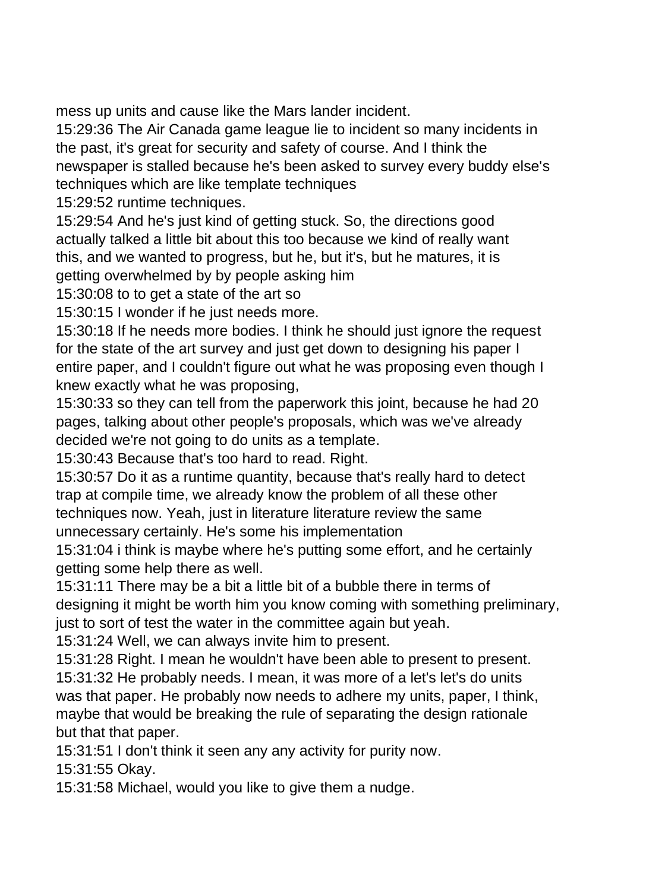mess up units and cause like the Mars lander incident.

15:29:36 The Air Canada game league lie to incident so many incidents in the past, it's great for security and safety of course. And I think the newspaper is stalled because he's been asked to survey every buddy else's techniques which are like template techniques

15:29:52 runtime techniques.

15:29:54 And he's just kind of getting stuck. So, the directions good actually talked a little bit about this too because we kind of really want this, and we wanted to progress, but he, but it's, but he matures, it is getting overwhelmed by by people asking him

15:30:08 to to get a state of the art so

15:30:15 I wonder if he just needs more.

15:30:18 If he needs more bodies. I think he should just ignore the request for the state of the art survey and just get down to designing his paper I entire paper, and I couldn't figure out what he was proposing even though I knew exactly what he was proposing,

15:30:33 so they can tell from the paperwork this joint, because he had 20 pages, talking about other people's proposals, which was we've already decided we're not going to do units as a template.

15:30:43 Because that's too hard to read. Right.

15:30:57 Do it as a runtime quantity, because that's really hard to detect trap at compile time, we already know the problem of all these other techniques now. Yeah, just in literature literature review the same unnecessary certainly. He's some his implementation

15:31:04 i think is maybe where he's putting some effort, and he certainly getting some help there as well.

15:31:11 There may be a bit a little bit of a bubble there in terms of designing it might be worth him you know coming with something preliminary, just to sort of test the water in the committee again but yeah.

15:31:24 Well, we can always invite him to present.

15:31:28 Right. I mean he wouldn't have been able to present to present. 15:31:32 He probably needs. I mean, it was more of a let's let's do units was that paper. He probably now needs to adhere my units, paper, I think, maybe that would be breaking the rule of separating the design rationale but that that paper.

15:31:51 I don't think it seen any any activity for purity now.

15:31:55 Okay.

15:31:58 Michael, would you like to give them a nudge.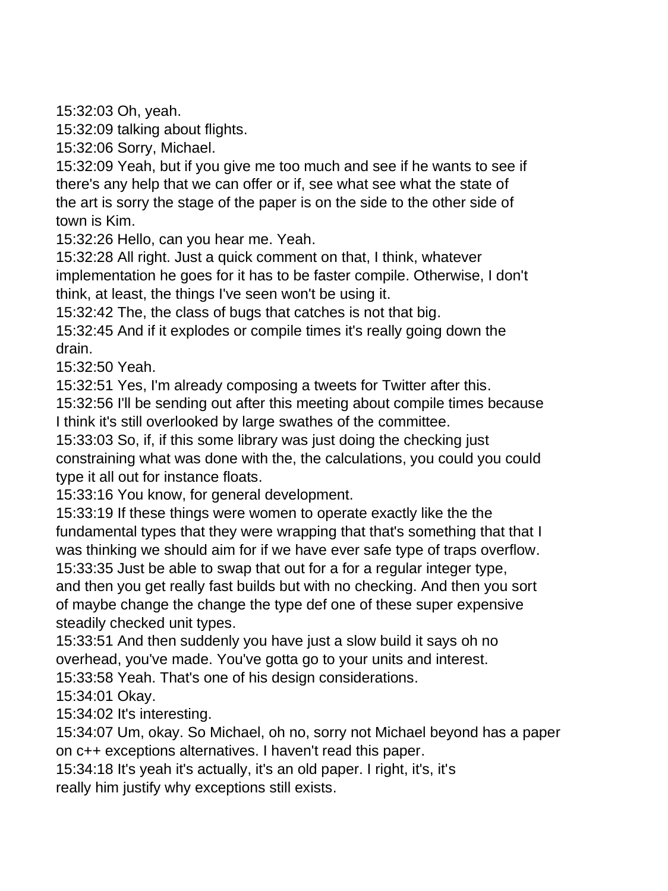15:32:03 Oh, yeah.

15:32:09 talking about flights.

15:32:06 Sorry, Michael.

15:32:09 Yeah, but if you give me too much and see if he wants to see if there's any help that we can offer or if, see what see what the state of the art is sorry the stage of the paper is on the side to the other side of town is Kim.

15:32:26 Hello, can you hear me. Yeah.

15:32:28 All right. Just a quick comment on that, I think, whatever implementation he goes for it has to be faster compile. Otherwise, I don't think, at least, the things I've seen won't be using it.

15:32:42 The, the class of bugs that catches is not that big.

15:32:45 And if it explodes or compile times it's really going down the drain.

15:32:50 Yeah.

15:32:51 Yes, I'm already composing a tweets for Twitter after this.

15:32:56 I'll be sending out after this meeting about compile times because I think it's still overlooked by large swathes of the committee.

15:33:03 So, if, if this some library was just doing the checking just constraining what was done with the, the calculations, you could you could type it all out for instance floats.

15:33:16 You know, for general development.

15:33:19 If these things were women to operate exactly like the the fundamental types that they were wrapping that that's something that that I was thinking we should aim for if we have ever safe type of traps overflow.

15:33:35 Just be able to swap that out for a for a regular integer type, and then you get really fast builds but with no checking. And then you sort of maybe change the change the type def one of these super expensive steadily checked unit types.

15:33:51 And then suddenly you have just a slow build it says oh no overhead, you've made. You've gotta go to your units and interest.

15:33:58 Yeah. That's one of his design considerations.

15:34:01 Okay.

15:34:02 It's interesting.

15:34:07 Um, okay. So Michael, oh no, sorry not Michael beyond has a paper on c++ exceptions alternatives. I haven't read this paper.

15:34:18 It's yeah it's actually, it's an old paper. I right, it's, it's

really him justify why exceptions still exists.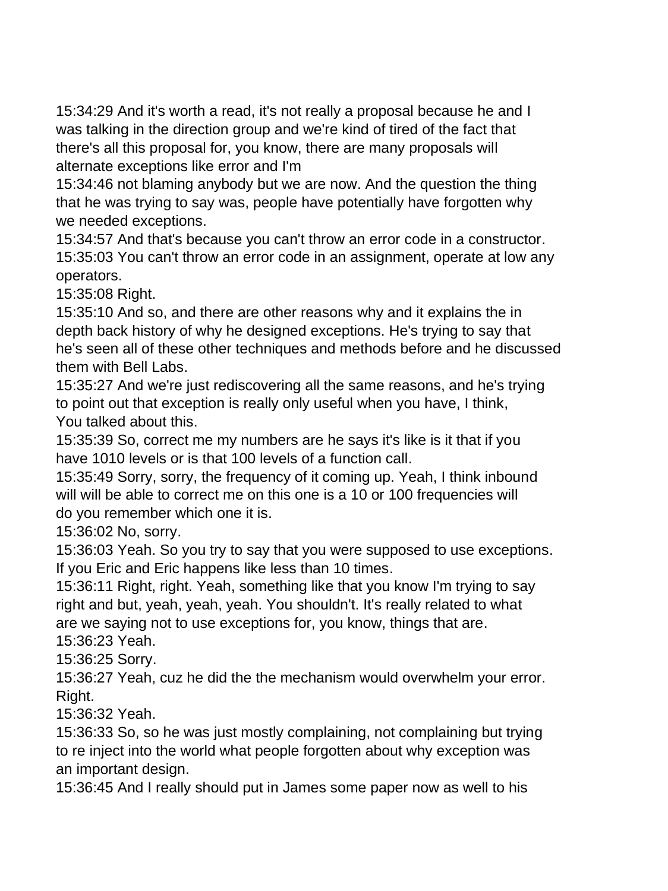15:34:29 And it's worth a read, it's not really a proposal because he and I was talking in the direction group and we're kind of tired of the fact that there's all this proposal for, you know, there are many proposals will alternate exceptions like error and I'm

15:34:46 not blaming anybody but we are now. And the question the thing that he was trying to say was, people have potentially have forgotten why we needed exceptions.

15:34:57 And that's because you can't throw an error code in a constructor. 15:35:03 You can't throw an error code in an assignment, operate at low any operators.

15:35:08 Right.

15:35:10 And so, and there are other reasons why and it explains the in depth back history of why he designed exceptions. He's trying to say that he's seen all of these other techniques and methods before and he discussed them with Bell Labs.

15:35:27 And we're just rediscovering all the same reasons, and he's trying to point out that exception is really only useful when you have, I think, You talked about this.

15:35:39 So, correct me my numbers are he says it's like is it that if you have 1010 levels or is that 100 levels of a function call.

15:35:49 Sorry, sorry, the frequency of it coming up. Yeah, I think inbound will will be able to correct me on this one is a 10 or 100 frequencies will do you remember which one it is.

15:36:02 No, sorry.

15:36:03 Yeah. So you try to say that you were supposed to use exceptions. If you Eric and Eric happens like less than 10 times.

15:36:11 Right, right. Yeah, something like that you know I'm trying to say right and but, yeah, yeah, yeah. You shouldn't. It's really related to what are we saying not to use exceptions for, you know, things that are.

15:36:23 Yeah.

15:36:25 Sorry.

15:36:27 Yeah, cuz he did the the mechanism would overwhelm your error. Right.

15:36:32 Yeah.

15:36:33 So, so he was just mostly complaining, not complaining but trying to re inject into the world what people forgotten about why exception was an important design.

15:36:45 And I really should put in James some paper now as well to his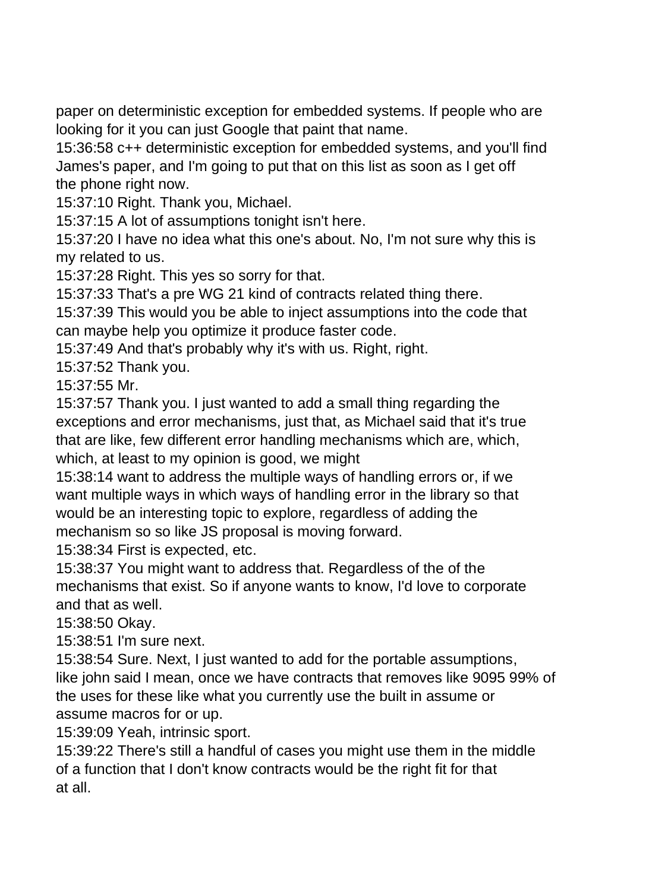paper on deterministic exception for embedded systems. If people who are looking for it you can just Google that paint that name.

15:36:58 c++ deterministic exception for embedded systems, and you'll find James's paper, and I'm going to put that on this list as soon as I get off the phone right now.

15:37:10 Right. Thank you, Michael.

15:37:15 A lot of assumptions tonight isn't here.

15:37:20 I have no idea what this one's about. No, I'm not sure why this is my related to us.

15:37:28 Right. This yes so sorry for that.

15:37:33 That's a pre WG 21 kind of contracts related thing there.

15:37:39 This would you be able to inject assumptions into the code that can maybe help you optimize it produce faster code.

15:37:49 And that's probably why it's with us. Right, right.

15:37:52 Thank you.

15:37:55 Mr.

15:37:57 Thank you. I just wanted to add a small thing regarding the exceptions and error mechanisms, just that, as Michael said that it's true that are like, few different error handling mechanisms which are, which, which, at least to my opinion is good, we might

15:38:14 want to address the multiple ways of handling errors or, if we want multiple ways in which ways of handling error in the library so that would be an interesting topic to explore, regardless of adding the mechanism so so like JS proposal is moving forward.

15:38:34 First is expected, etc.

15:38:37 You might want to address that. Regardless of the of the mechanisms that exist. So if anyone wants to know, I'd love to corporate and that as well.

15:38:50 Okay.

15:38:51 I'm sure next.

15:38:54 Sure. Next, I just wanted to add for the portable assumptions, like john said I mean, once we have contracts that removes like 9095 99% of the uses for these like what you currently use the built in assume or assume macros for or up.

15:39:09 Yeah, intrinsic sport.

15:39:22 There's still a handful of cases you might use them in the middle of a function that I don't know contracts would be the right fit for that at all.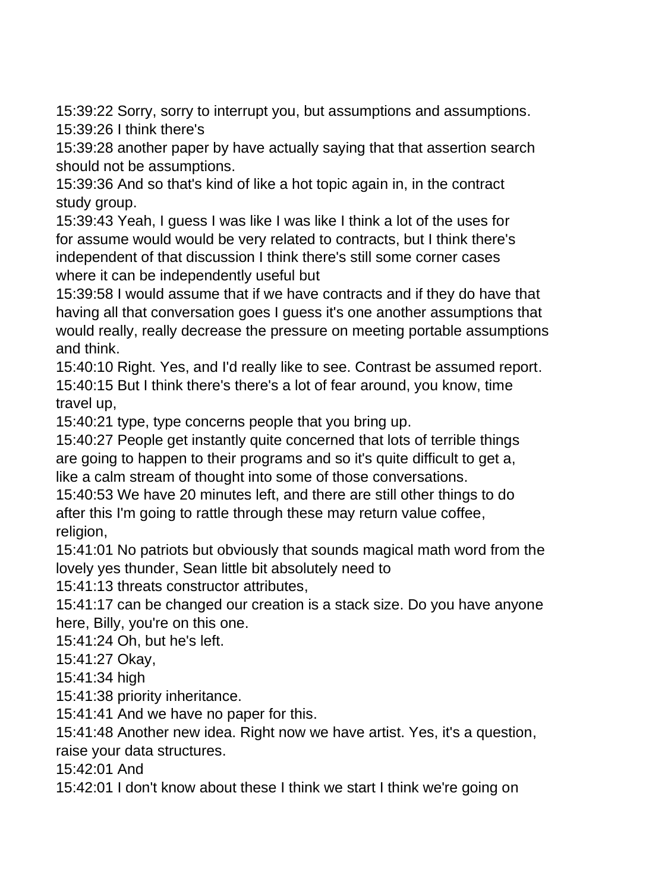15:39:22 Sorry, sorry to interrupt you, but assumptions and assumptions. 15:39:26 I think there's

15:39:28 another paper by have actually saying that that assertion search should not be assumptions.

15:39:36 And so that's kind of like a hot topic again in, in the contract study group.

15:39:43 Yeah, I guess I was like I was like I think a lot of the uses for for assume would would be very related to contracts, but I think there's independent of that discussion I think there's still some corner cases where it can be independently useful but

15:39:58 I would assume that if we have contracts and if they do have that having all that conversation goes I guess it's one another assumptions that would really, really decrease the pressure on meeting portable assumptions and think.

15:40:10 Right. Yes, and I'd really like to see. Contrast be assumed report. 15:40:15 But I think there's there's a lot of fear around, you know, time travel up,

15:40:21 type, type concerns people that you bring up.

15:40:27 People get instantly quite concerned that lots of terrible things are going to happen to their programs and so it's quite difficult to get a, like a calm stream of thought into some of those conversations.

15:40:53 We have 20 minutes left, and there are still other things to do after this I'm going to rattle through these may return value coffee, religion,

15:41:01 No patriots but obviously that sounds magical math word from the lovely yes thunder, Sean little bit absolutely need to

15:41:13 threats constructor attributes,

15:41:17 can be changed our creation is a stack size. Do you have anyone here, Billy, you're on this one.

15:41:24 Oh, but he's left.

15:41:27 Okay,

15:41:34 high

15:41:38 priority inheritance.

15:41:41 And we have no paper for this.

15:41:48 Another new idea. Right now we have artist. Yes, it's a question,

raise your data structures.

15:42:01 And

15:42:01 I don't know about these I think we start I think we're going on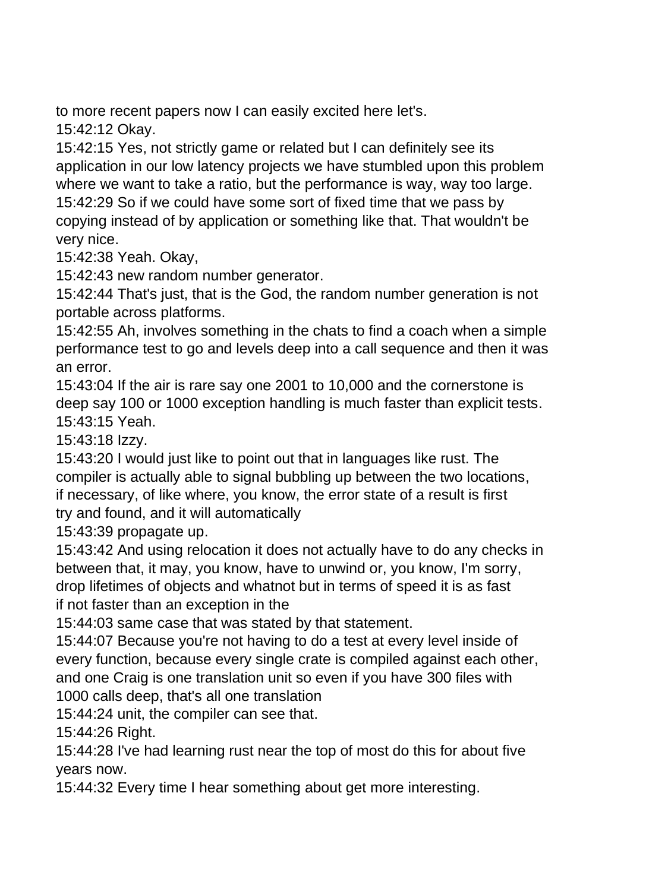to more recent papers now I can easily excited here let's.

15:42:12 Okay.

15:42:15 Yes, not strictly game or related but I can definitely see its application in our low latency projects we have stumbled upon this problem where we want to take a ratio, but the performance is way, way too large. 15:42:29 So if we could have some sort of fixed time that we pass by copying instead of by application or something like that. That wouldn't be very nice.

15:42:38 Yeah. Okay,

15:42:43 new random number generator.

15:42:44 That's just, that is the God, the random number generation is not portable across platforms.

15:42:55 Ah, involves something in the chats to find a coach when a simple performance test to go and levels deep into a call sequence and then it was an error.

15:43:04 If the air is rare say one 2001 to 10,000 and the cornerstone is deep say 100 or 1000 exception handling is much faster than explicit tests. 15:43:15 Yeah.

15:43:18 Izzy.

15:43:20 I would just like to point out that in languages like rust. The compiler is actually able to signal bubbling up between the two locations, if necessary, of like where, you know, the error state of a result is first try and found, and it will automatically

15:43:39 propagate up.

15:43:42 And using relocation it does not actually have to do any checks in between that, it may, you know, have to unwind or, you know, I'm sorry, drop lifetimes of objects and whatnot but in terms of speed it is as fast if not faster than an exception in the

15:44:03 same case that was stated by that statement.

15:44:07 Because you're not having to do a test at every level inside of every function, because every single crate is compiled against each other, and one Craig is one translation unit so even if you have 300 files with 1000 calls deep, that's all one translation

15:44:24 unit, the compiler can see that.

15:44:26 Right.

15:44:28 I've had learning rust near the top of most do this for about five years now.

15:44:32 Every time I hear something about get more interesting.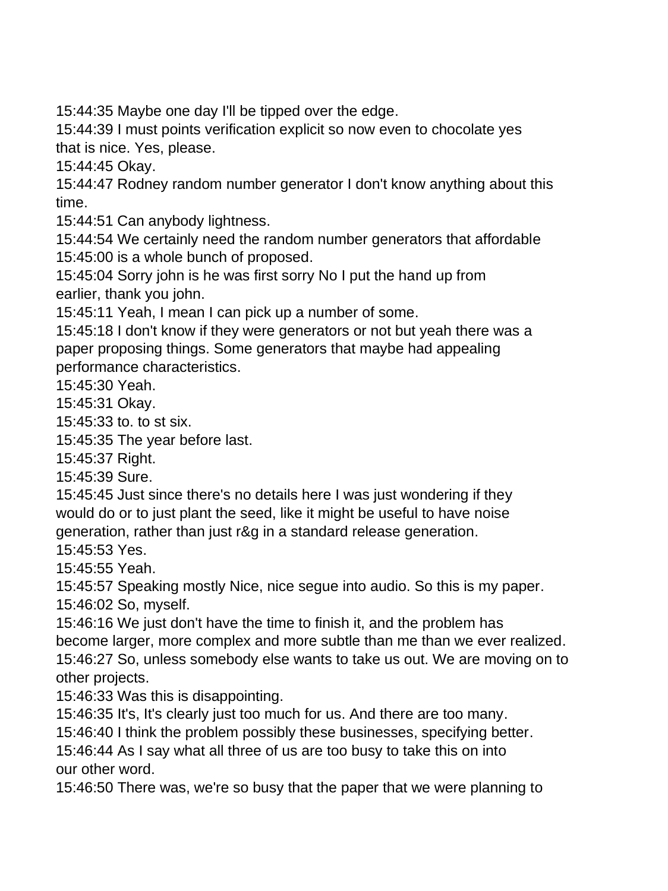15:44:35 Maybe one day I'll be tipped over the edge.

15:44:39 I must points verification explicit so now even to chocolate yes that is nice. Yes, please.

15:44:45 Okay.

15:44:47 Rodney random number generator I don't know anything about this time.

15:44:51 Can anybody lightness.

15:44:54 We certainly need the random number generators that affordable 15:45:00 is a whole bunch of proposed.

15:45:04 Sorry john is he was first sorry No I put the hand up from earlier, thank you john.

15:45:11 Yeah, I mean I can pick up a number of some.

15:45:18 I don't know if they were generators or not but yeah there was a paper proposing things. Some generators that maybe had appealing performance characteristics.

15:45:30 Yeah.

15:45:31 Okay.

15:45:33 to. to st six.

15:45:35 The year before last.

15:45:37 Right.

15:45:39 Sure.

15:45:45 Just since there's no details here I was just wondering if they would do or to just plant the seed, like it might be useful to have noise generation, rather than just r&g in a standard release generation.

15:45:53 Yes.

15:45:55 Yeah.

15:45:57 Speaking mostly Nice, nice segue into audio. So this is my paper.

15:46:02 So, myself.

15:46:16 We just don't have the time to finish it, and the problem has become larger, more complex and more subtle than me than we ever realized. 15:46:27 So, unless somebody else wants to take us out. We are moving on to other projects.

15:46:33 Was this is disappointing.

15:46:35 It's, It's clearly just too much for us. And there are too many.

15:46:40 I think the problem possibly these businesses, specifying better.

15:46:44 As I say what all three of us are too busy to take this on into our other word.

15:46:50 There was, we're so busy that the paper that we were planning to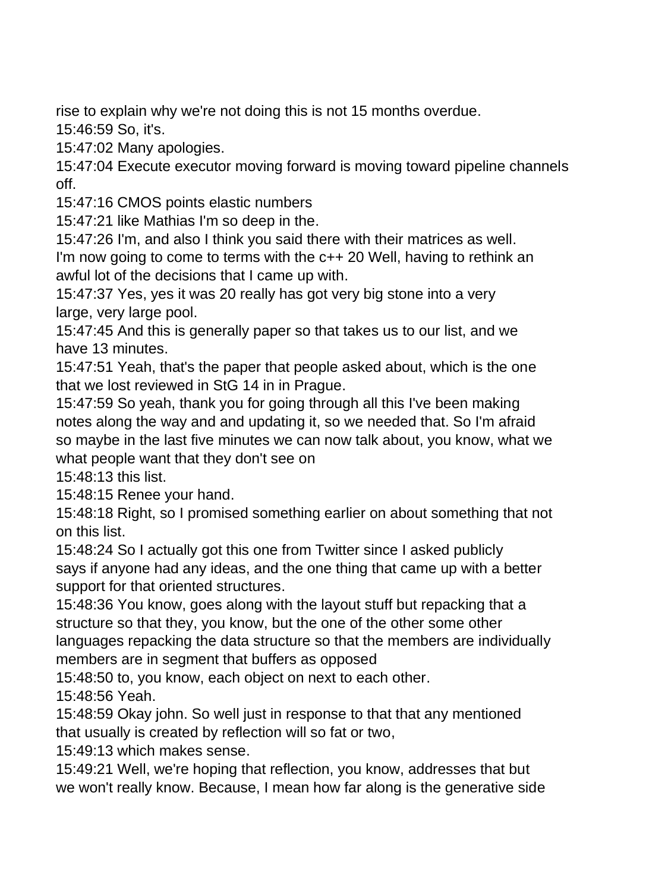rise to explain why we're not doing this is not 15 months overdue.

15:46:59 So, it's.

15:47:02 Many apologies.

15:47:04 Execute executor moving forward is moving toward pipeline channels off.

15:47:16 CMOS points elastic numbers

15:47:21 like Mathias I'm so deep in the.

15:47:26 I'm, and also I think you said there with their matrices as well.

I'm now going to come to terms with the c++ 20 Well, having to rethink an awful lot of the decisions that I came up with.

15:47:37 Yes, yes it was 20 really has got very big stone into a very large, very large pool.

15:47:45 And this is generally paper so that takes us to our list, and we have 13 minutes.

15:47:51 Yeah, that's the paper that people asked about, which is the one that we lost reviewed in StG 14 in in Prague.

15:47:59 So yeah, thank you for going through all this I've been making notes along the way and and updating it, so we needed that. So I'm afraid so maybe in the last five minutes we can now talk about, you know, what we what people want that they don't see on

15:48:13 this list.

15:48:15 Renee your hand.

15:48:18 Right, so I promised something earlier on about something that not on this list.

15:48:24 So I actually got this one from Twitter since I asked publicly says if anyone had any ideas, and the one thing that came up with a better support for that oriented structures.

15:48:36 You know, goes along with the layout stuff but repacking that a structure so that they, you know, but the one of the other some other languages repacking the data structure so that the members are individually members are in segment that buffers as opposed

15:48:50 to, you know, each object on next to each other.

15:48:56 Yeah.

15:48:59 Okay john. So well just in response to that that any mentioned that usually is created by reflection will so fat or two,

15:49:13 which makes sense.

15:49:21 Well, we're hoping that reflection, you know, addresses that but we won't really know. Because, I mean how far along is the generative side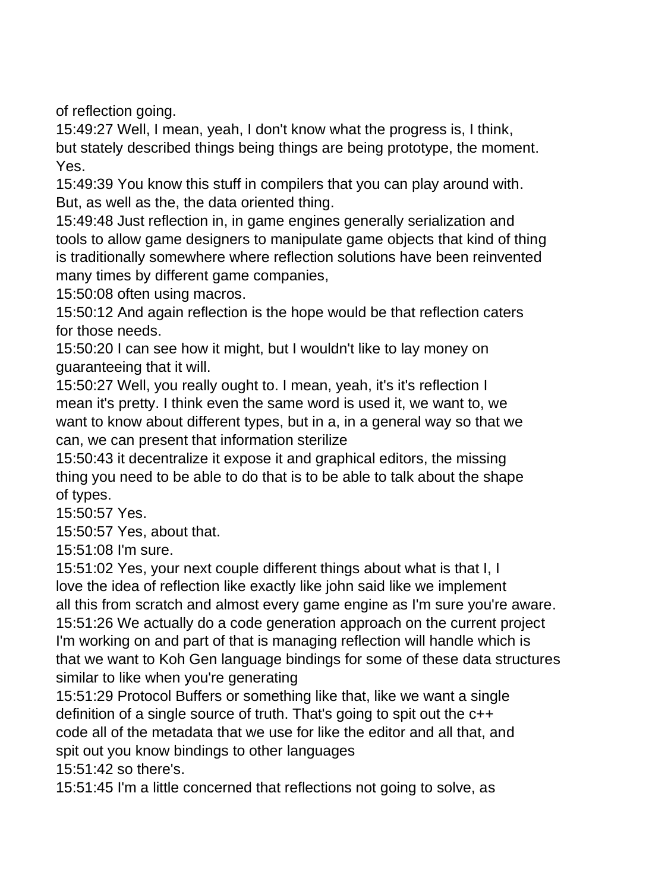of reflection going.

15:49:27 Well, I mean, yeah, I don't know what the progress is, I think, but stately described things being things are being prototype, the moment. Yes.

15:49:39 You know this stuff in compilers that you can play around with. But, as well as the, the data oriented thing.

15:49:48 Just reflection in, in game engines generally serialization and tools to allow game designers to manipulate game objects that kind of thing is traditionally somewhere where reflection solutions have been reinvented many times by different game companies,

15:50:08 often using macros.

15:50:12 And again reflection is the hope would be that reflection caters for those needs.

15:50:20 I can see how it might, but I wouldn't like to lay money on guaranteeing that it will.

15:50:27 Well, you really ought to. I mean, yeah, it's it's reflection I mean it's pretty. I think even the same word is used it, we want to, we want to know about different types, but in a, in a general way so that we can, we can present that information sterilize

15:50:43 it decentralize it expose it and graphical editors, the missing thing you need to be able to do that is to be able to talk about the shape of types.

15:50:57 Yes.

15:50:57 Yes, about that.

15:51:08 I'm sure.

15:51:02 Yes, your next couple different things about what is that I, I love the idea of reflection like exactly like john said like we implement all this from scratch and almost every game engine as I'm sure you're aware. 15:51:26 We actually do a code generation approach on the current project I'm working on and part of that is managing reflection will handle which is that we want to Koh Gen language bindings for some of these data structures similar to like when you're generating

15:51:29 Protocol Buffers or something like that, like we want a single definition of a single source of truth. That's going to spit out the c++ code all of the metadata that we use for like the editor and all that, and spit out you know bindings to other languages

15:51:42 so there's.

15:51:45 I'm a little concerned that reflections not going to solve, as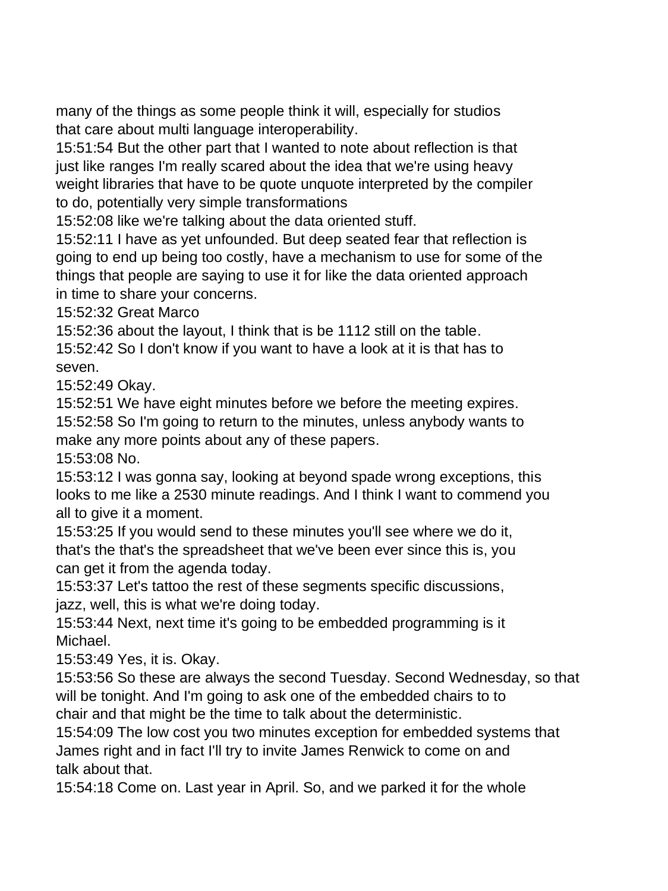many of the things as some people think it will, especially for studios that care about multi language interoperability.

15:51:54 But the other part that I wanted to note about reflection is that just like ranges I'm really scared about the idea that we're using heavy weight libraries that have to be quote unquote interpreted by the compiler to do, potentially very simple transformations

15:52:08 like we're talking about the data oriented stuff.

15:52:11 I have as yet unfounded. But deep seated fear that reflection is going to end up being too costly, have a mechanism to use for some of the things that people are saying to use it for like the data oriented approach in time to share your concerns.

15:52:32 Great Marco

15:52:36 about the layout, I think that is be 1112 still on the table.

15:52:42 So I don't know if you want to have a look at it is that has to seven.

15:52:49 Okay.

15:52:51 We have eight minutes before we before the meeting expires.

15:52:58 So I'm going to return to the minutes, unless anybody wants to make any more points about any of these papers.

15:53:08 No.

15:53:12 I was gonna say, looking at beyond spade wrong exceptions, this looks to me like a 2530 minute readings. And I think I want to commend you all to give it a moment.

15:53:25 If you would send to these minutes you'll see where we do it, that's the that's the spreadsheet that we've been ever since this is, you can get it from the agenda today.

15:53:37 Let's tattoo the rest of these segments specific discussions, jazz, well, this is what we're doing today.

15:53:44 Next, next time it's going to be embedded programming is it Michael.

15:53:49 Yes, it is. Okay.

15:53:56 So these are always the second Tuesday. Second Wednesday, so that will be tonight. And I'm going to ask one of the embedded chairs to to chair and that might be the time to talk about the deterministic.

15:54:09 The low cost you two minutes exception for embedded systems that James right and in fact I'll try to invite James Renwick to come on and talk about that.

15:54:18 Come on. Last year in April. So, and we parked it for the whole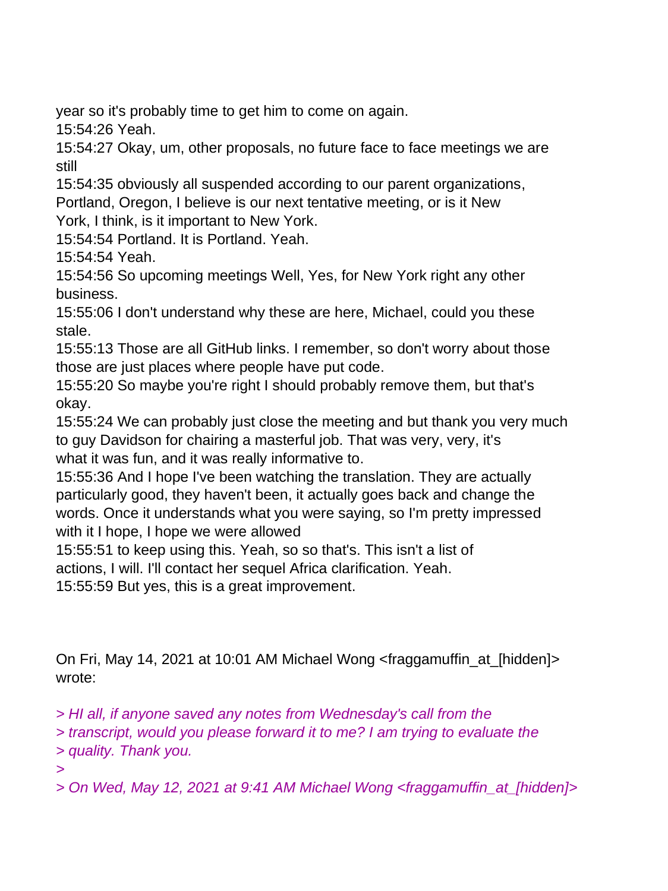year so it's probably time to get him to come on again.

15:54:26 Yeah.

15:54:27 Okay, um, other proposals, no future face to face meetings we are still

15:54:35 obviously all suspended according to our parent organizations, Portland, Oregon, I believe is our next tentative meeting, or is it New

York, I think, is it important to New York.

15:54:54 Portland. It is Portland. Yeah.

15:54:54 Yeah.

15:54:56 So upcoming meetings Well, Yes, for New York right any other business.

15:55:06 I don't understand why these are here, Michael, could you these stale.

15:55:13 Those are all GitHub links. I remember, so don't worry about those those are just places where people have put code.

15:55:20 So maybe you're right I should probably remove them, but that's okay.

15:55:24 We can probably just close the meeting and but thank you very much to guy Davidson for chairing a masterful job. That was very, very, it's what it was fun, and it was really informative to.

15:55:36 And I hope I've been watching the translation. They are actually particularly good, they haven't been, it actually goes back and change the words. Once it understands what you were saying, so I'm pretty impressed with it I hope, I hope we were allowed

15:55:51 to keep using this. Yeah, so so that's. This isn't a list of actions, I will. I'll contact her sequel Africa clarification. Yeah.

15:55:59 But yes, this is a great improvement.

On Fri, May 14, 2021 at 10:01 AM Michael Wong <fraggamuffin\_at\_[hidden]> wrote:

*> HI all, if anyone saved any notes from Wednesday's call from the*

*> transcript, would you please forward it to me? I am trying to evaluate the > quality. Thank you.*

*>*

*> On Wed, May 12, 2021 at 9:41 AM Michael Wong <fraggamuffin\_at\_[hidden]>*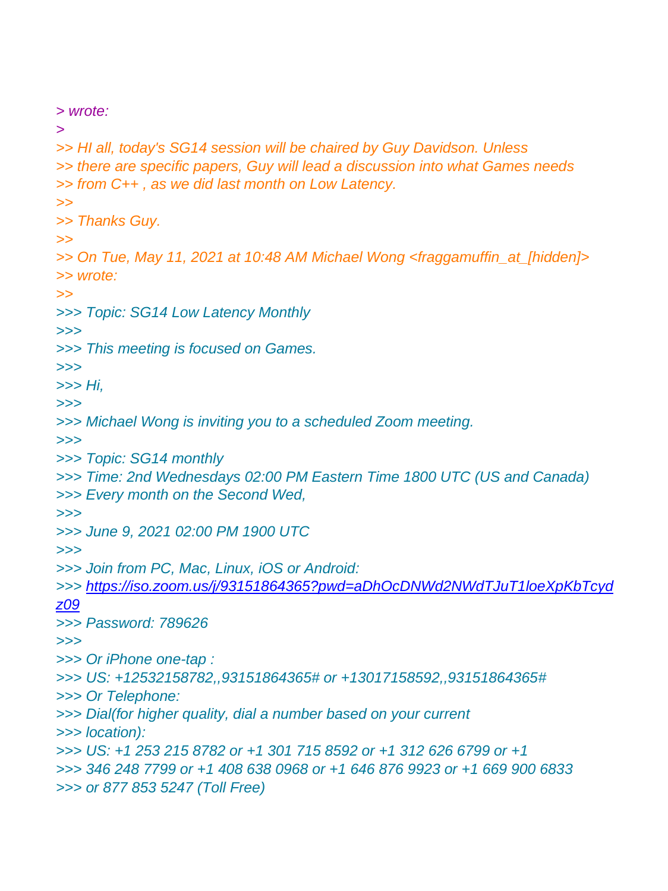*> wrote: > >> HI all, today's SG14 session will be chaired by Guy Davidson. Unless >> there are specific papers, Guy will lead a discussion into what Games needs >> from C++ , as we did last month on Low Latency. >> >> Thanks Guy. >> >> On Tue, May 11, 2021 at 10:48 AM Michael Wong <fraggamuffin\_at\_[hidden]> >> wrote: >> >>> Topic: SG14 Low Latency Monthly >>> >>> This meeting is focused on Games. >>> >>> Hi, >>> >>> Michael Wong is inviting you to a scheduled Zoom meeting. >>> >>> Topic: SG14 monthly >>> Time: 2nd Wednesdays 02:00 PM Eastern Time 1800 UTC (US and Canada) >>> Every month on the Second Wed, >>> >>> June 9, 2021 02:00 PM 1900 UTC >>> >>> Join from PC, Mac, Linux, iOS or Android: >>> [https://iso.zoom.us/j/93151864365?pwd=aDhOcDNWd2NWdTJuT1loeXpKbTcyd](https://iso.zoom.us/j/93151864365?pwd=aDhOcDNWd2NWdTJuT1loeXpKbTcydz09) [z09](https://iso.zoom.us/j/93151864365?pwd=aDhOcDNWd2NWdTJuT1loeXpKbTcydz09) >>> Password: 789626 >>> >>> Or iPhone one-tap : >>> US: +12532158782,,93151864365# or +13017158592,,93151864365# >>> Or Telephone: >>> Dial(for higher quality, dial a number based on your current >>> location): >>> US: +1 253 215 8782 or +1 301 715 8592 or +1 312 626 6799 or +1 >>> 346 248 7799 or +1 408 638 0968 or +1 646 876 9923 or +1 669 900 6833 >>> or 877 853 5247 (Toll Free)*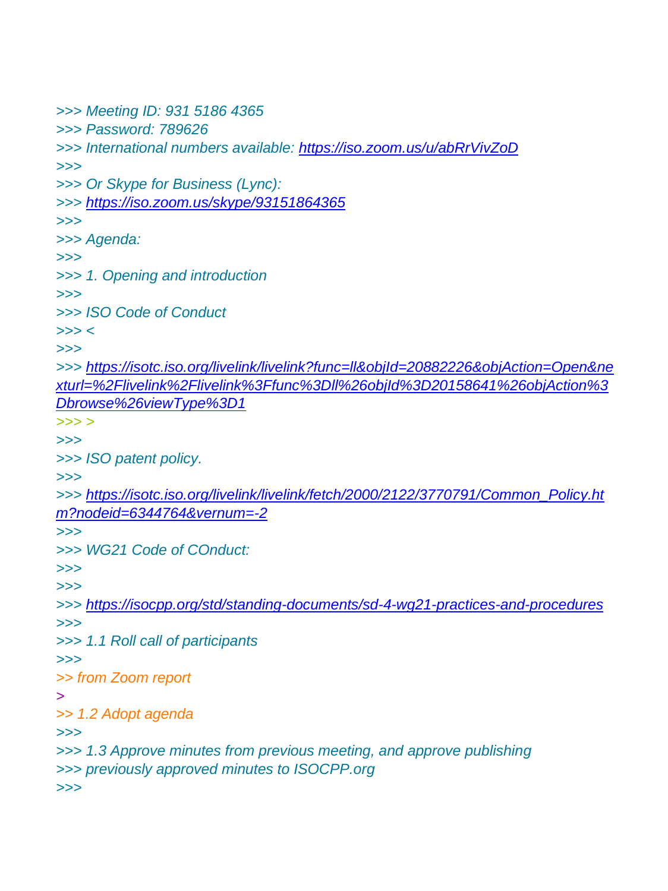```
>>> Meeting ID: 931 5186 4365
>>> Password: 789626
>>> International numbers available: https://iso.zoom.us/u/abRrVivZoD
>>>
>>> Or Skype for Business (Lync):
>>> https://iso.zoom.us/skype/93151864365
>>>
>>> Agenda:
>>>
>>> 1. Opening and introduction
>>>
>>> ISO Code of Conduct
>>> <
>>>
>>> https://isotc.iso.org/livelink/livelink?func=ll&objId=20882226&objAction=Open&ne
xturl=%2Flivelink%2Flivelink%3Ffunc%3Dll%26objId%3D20158641%26objAction%3
Dbrowse%26viewType%3D1
>>> >
>>>
>>> ISO patent policy.
>>>
>>> https://isotc.iso.org/livelink/livelink/fetch/2000/2122/3770791/Common_Policy.ht
m?nodeid=6344764&vernum=-2
>>>
>>> WG21 Code of COnduct:
>>>
>>>
>>> https://isocpp.org/std/standing-documents/sd-4-wg21-practices-and-procedures
>>>
>>> 1.1 Roll call of participants
>>>
>> from Zoom report
>
>> 1.2 Adopt agenda
>>>
>>> 1.3 Approve minutes from previous meeting, and approve publishing
>>> previously approved minutes to ISOCPP.org
>>>
```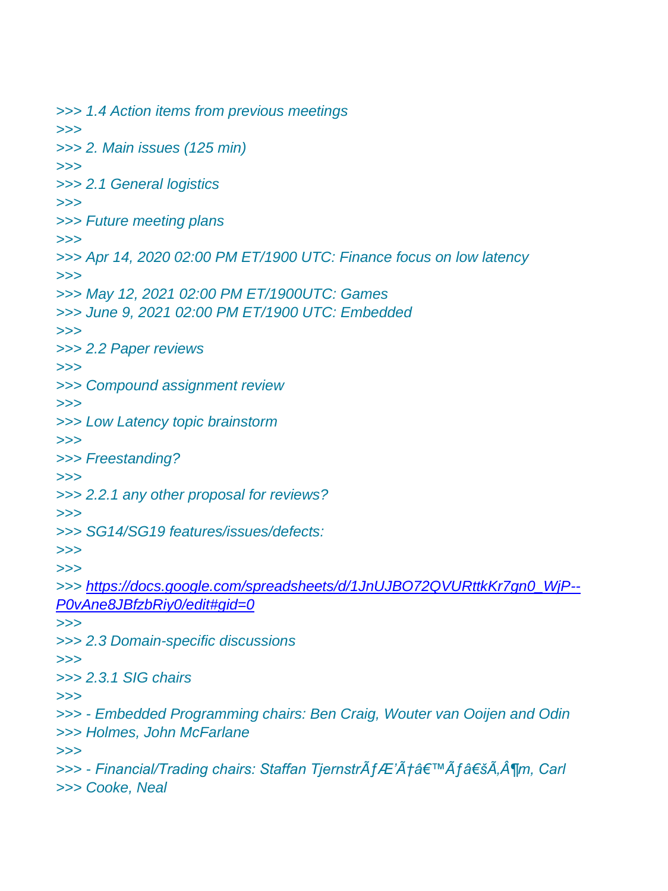```
>>> 1.4 Action items from previous meetings
>>>
>>> 2. Main issues (125 min)
>>>
>>> 2.1 General logistics
>>>
>>> Future meeting plans
>>>
>>> Apr 14, 2020 02:00 PM ET/1900 UTC: Finance focus on low latency
>>>
>>> May 12, 2021 02:00 PM ET/1900UTC: Games
>>> June 9, 2021 02:00 PM ET/1900 UTC: Embedded
>>>
>>> 2.2 Paper reviews
>>>
>>> Compound assignment review
>>>
>>> Low Latency topic brainstorm
>>>
>>> Freestanding?
>>>
>>> 2.2.1 any other proposal for reviews?
>>>
>>> SG14/SG19 features/issues/defects:
>>>
>>>
>>> https://docs.google.com/spreadsheets/d/1JnUJBO72QVURttkKr7gn0_WjP--
P0vAne8JBfzbRiy0/edit#gid=0
>>>
>>> 2.3 Domain-specific discussions
>>>
>>> 2.3.1 SIG chairs
>>>
>>> - Embedded Programming chairs: Ben Craig, Wouter van Ooijen and Odin
>>> Holmes, John McFarlane
>>>
>>> - Financial/Trading chairs: Staffan TjernstrÃfÆ'Æâ€™Ãf'Ã,¶m, Carl
>>> Cooke, Neal
```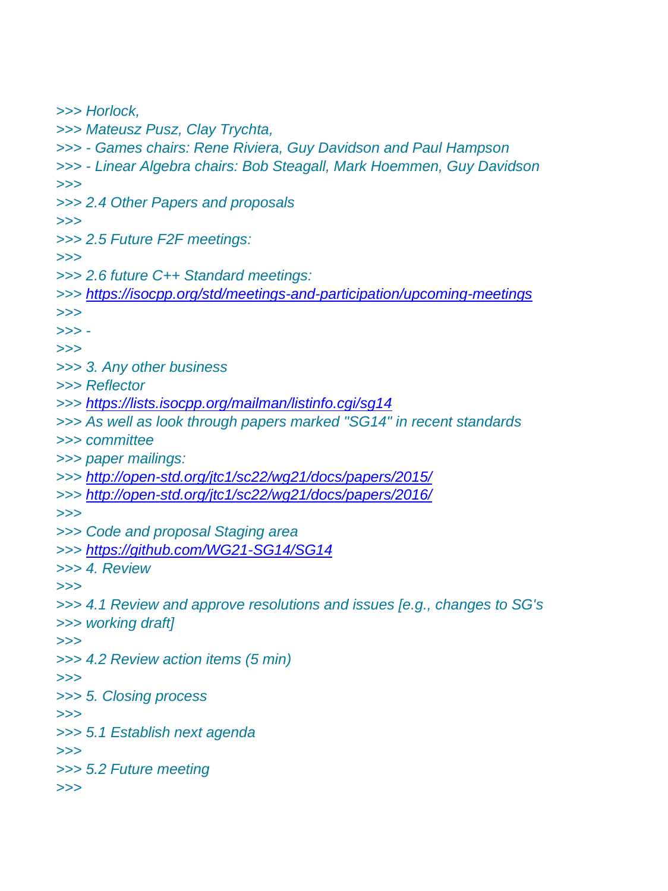*>>> Horlock, >>> Mateusz Pusz, Clay Trychta, >>> - Games chairs: Rene Riviera, Guy Davidson and Paul Hampson >>> - Linear Algebra chairs: Bob Steagall, Mark Hoemmen, Guy Davidson >>> >>> 2.4 Other Papers and proposals >>> >>> 2.5 Future F2F meetings: >>> >>> 2.6 future C++ Standard meetings: >>> <https://isocpp.org/std/meetings-and-participation/upcoming-meetings> >>> >>> - >>> >>> 3. Any other business >>> Reflector >>> <https://lists.isocpp.org/mailman/listinfo.cgi/sg14> >>> As well as look through papers marked "SG14" in recent standards >>> committee >>> paper mailings: >>> <http://open-std.org/jtc1/sc22/wg21/docs/papers/2015/> >>> <http://open-std.org/jtc1/sc22/wg21/docs/papers/2016/> >>> >>> Code and proposal Staging area >>> <https://github.com/WG21-SG14/SG14> >>> 4. Review >>> >>> 4.1 Review and approve resolutions and issues [e.g., changes to SG's >>> working draft] >>> >>> 4.2 Review action items (5 min) >>> >>> 5. Closing process >>> >>> 5.1 Establish next agenda >>> >>> 5.2 Future meeting >>>*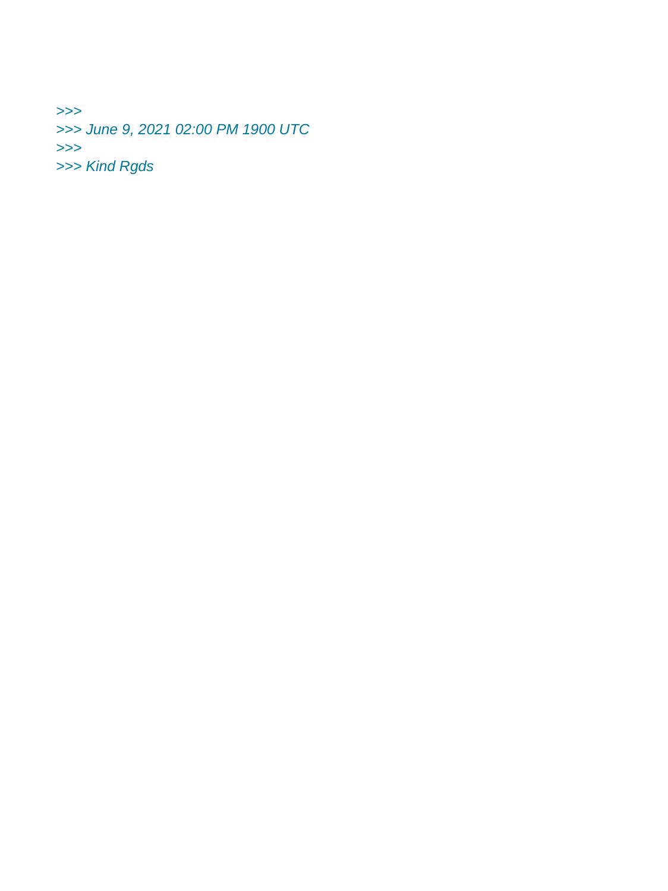*>>> >>> June 9, 2021 02:00 PM 1900 UTC >>> >>> Kind Rgds*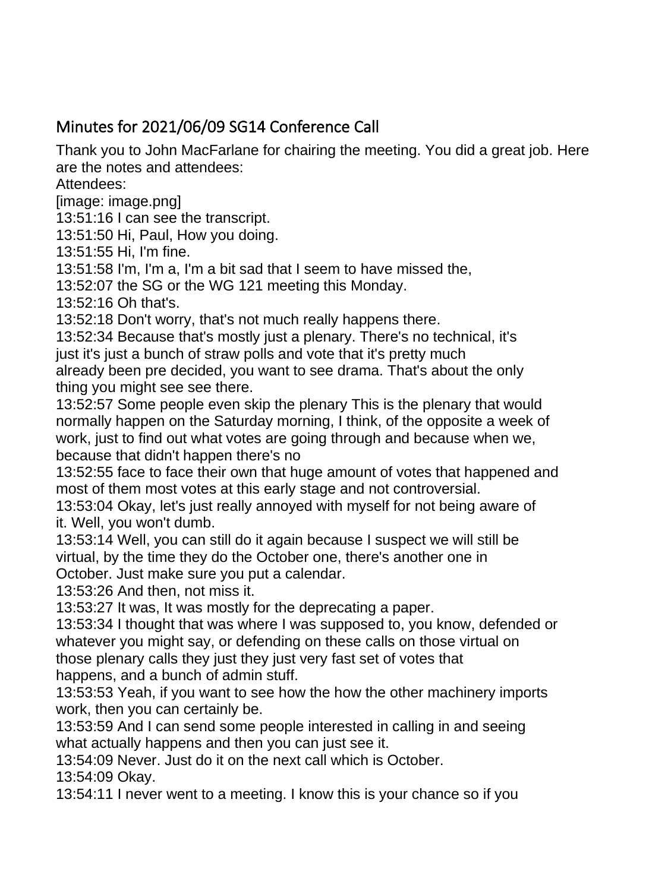## Minutes for 2021/06/09 SG14 Conference Call

Thank you to John MacFarlane for chairing the meeting. You did a great job. Here are the notes and attendees:

Attendees:

[image: image.png]

13:51:16 I can see the transcript.

13:51:50 Hi, Paul, How you doing.

13:51:55 Hi, I'm fine.

13:51:58 I'm, I'm a, I'm a bit sad that I seem to have missed the,

13:52:07 the SG or the WG 121 meeting this Monday.

13:52:16 Oh that's.

13:52:18 Don't worry, that's not much really happens there.

13:52:34 Because that's mostly just a plenary. There's no technical, it's just it's just a bunch of straw polls and vote that it's pretty much already been pre decided, you want to see drama. That's about the only

thing you might see see there.

13:52:57 Some people even skip the plenary This is the plenary that would normally happen on the Saturday morning, I think, of the opposite a week of work, just to find out what votes are going through and because when we, because that didn't happen there's no

13:52:55 face to face their own that huge amount of votes that happened and most of them most votes at this early stage and not controversial.

13:53:04 Okay, let's just really annoyed with myself for not being aware of it. Well, you won't dumb.

13:53:14 Well, you can still do it again because I suspect we will still be virtual, by the time they do the October one, there's another one in

October. Just make sure you put a calendar.

13:53:26 And then, not miss it.

13:53:27 It was, It was mostly for the deprecating a paper.

13:53:34 I thought that was where I was supposed to, you know, defended or whatever you might say, or defending on these calls on those virtual on those plenary calls they just they just very fast set of votes that happens, and a bunch of admin stuff.

13:53:53 Yeah, if you want to see how the how the other machinery imports work, then you can certainly be.

13:53:59 And I can send some people interested in calling in and seeing what actually happens and then you can just see it.

13:54:09 Never. Just do it on the next call which is October.

13:54:09 Okay.

13:54:11 I never went to a meeting. I know this is your chance so if you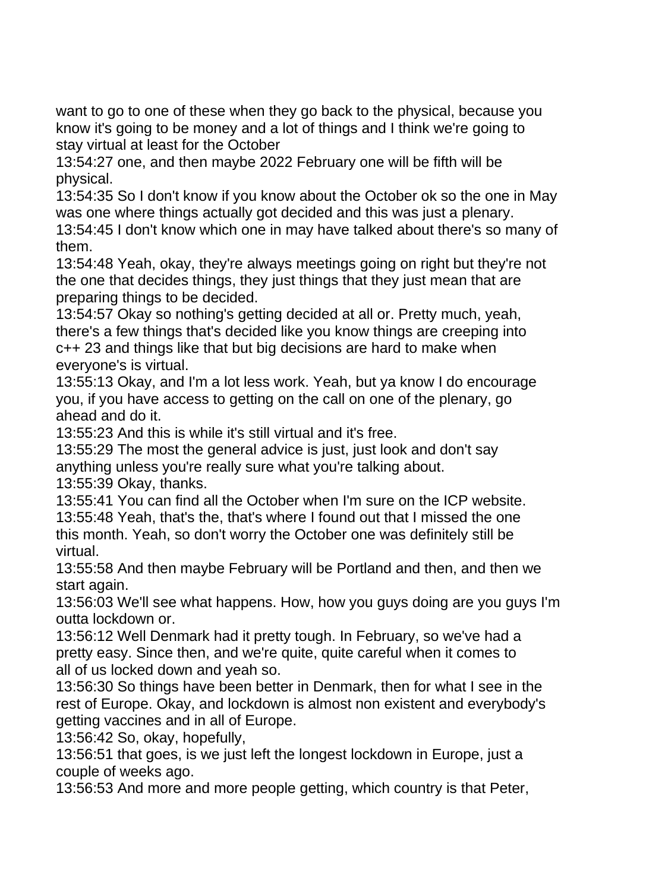want to go to one of these when they go back to the physical, because you know it's going to be money and a lot of things and I think we're going to stay virtual at least for the October

13:54:27 one, and then maybe 2022 February one will be fifth will be physical.

13:54:35 So I don't know if you know about the October ok so the one in May was one where things actually got decided and this was just a plenary.

13:54:45 I don't know which one in may have talked about there's so many of them.

13:54:48 Yeah, okay, they're always meetings going on right but they're not the one that decides things, they just things that they just mean that are preparing things to be decided.

13:54:57 Okay so nothing's getting decided at all or. Pretty much, yeah, there's a few things that's decided like you know things are creeping into c++ 23 and things like that but big decisions are hard to make when everyone's is virtual.

13:55:13 Okay, and I'm a lot less work. Yeah, but ya know I do encourage you, if you have access to getting on the call on one of the plenary, go ahead and do it.

13:55:23 And this is while it's still virtual and it's free.

13:55:29 The most the general advice is just, just look and don't say anything unless you're really sure what you're talking about.

13:55:39 Okay, thanks.

13:55:41 You can find all the October when I'm sure on the ICP website. 13:55:48 Yeah, that's the, that's where I found out that I missed the one this month. Yeah, so don't worry the October one was definitely still be virtual.

13:55:58 And then maybe February will be Portland and then, and then we start again.

13:56:03 We'll see what happens. How, how you guys doing are you guys I'm outta lockdown or.

13:56:12 Well Denmark had it pretty tough. In February, so we've had a pretty easy. Since then, and we're quite, quite careful when it comes to all of us locked down and yeah so.

13:56:30 So things have been better in Denmark, then for what I see in the rest of Europe. Okay, and lockdown is almost non existent and everybody's getting vaccines and in all of Europe.

13:56:42 So, okay, hopefully,

13:56:51 that goes, is we just left the longest lockdown in Europe, just a couple of weeks ago.

13:56:53 And more and more people getting, which country is that Peter,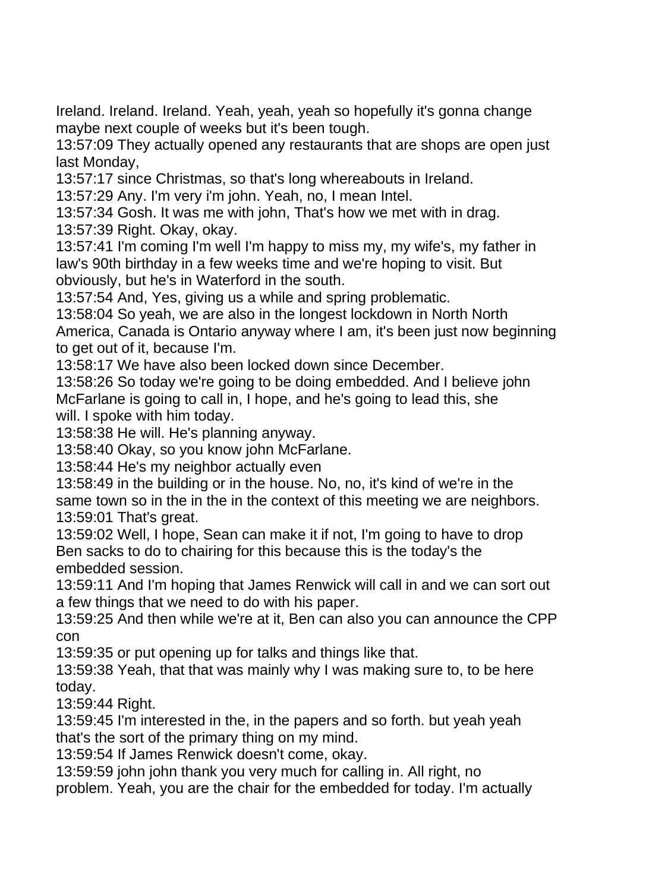Ireland. Ireland. Ireland. Yeah, yeah, yeah so hopefully it's gonna change maybe next couple of weeks but it's been tough.

13:57:09 They actually opened any restaurants that are shops are open just last Monday,

13:57:17 since Christmas, so that's long whereabouts in Ireland.

13:57:29 Any. I'm very i'm john. Yeah, no, I mean Intel.

13:57:34 Gosh. It was me with john, That's how we met with in drag. 13:57:39 Right. Okay, okay.

13:57:41 I'm coming I'm well I'm happy to miss my, my wife's, my father in law's 90th birthday in a few weeks time and we're hoping to visit. But obviously, but he's in Waterford in the south.

13:57:54 And, Yes, giving us a while and spring problematic.

13:58:04 So yeah, we are also in the longest lockdown in North North America, Canada is Ontario anyway where I am, it's been just now beginning to get out of it, because I'm.

13:58:17 We have also been locked down since December.

13:58:26 So today we're going to be doing embedded. And I believe john McFarlane is going to call in, I hope, and he's going to lead this, she will. I spoke with him today.

13:58:38 He will. He's planning anyway.

13:58:40 Okay, so you know john McFarlane.

13:58:44 He's my neighbor actually even

13:58:49 in the building or in the house. No, no, it's kind of we're in the same town so in the in the in the context of this meeting we are neighbors. 13:59:01 That's great.

13:59:02 Well, I hope, Sean can make it if not, I'm going to have to drop Ben sacks to do to chairing for this because this is the today's the embedded session.

13:59:11 And I'm hoping that James Renwick will call in and we can sort out a few things that we need to do with his paper.

13:59:25 And then while we're at it, Ben can also you can announce the CPP con

13:59:35 or put opening up for talks and things like that.

13:59:38 Yeah, that that was mainly why I was making sure to, to be here today.

13:59:44 Right.

13:59:45 I'm interested in the, in the papers and so forth. but yeah yeah that's the sort of the primary thing on my mind.

13:59:54 If James Renwick doesn't come, okay.

13:59:59 john john thank you very much for calling in. All right, no

problem. Yeah, you are the chair for the embedded for today. I'm actually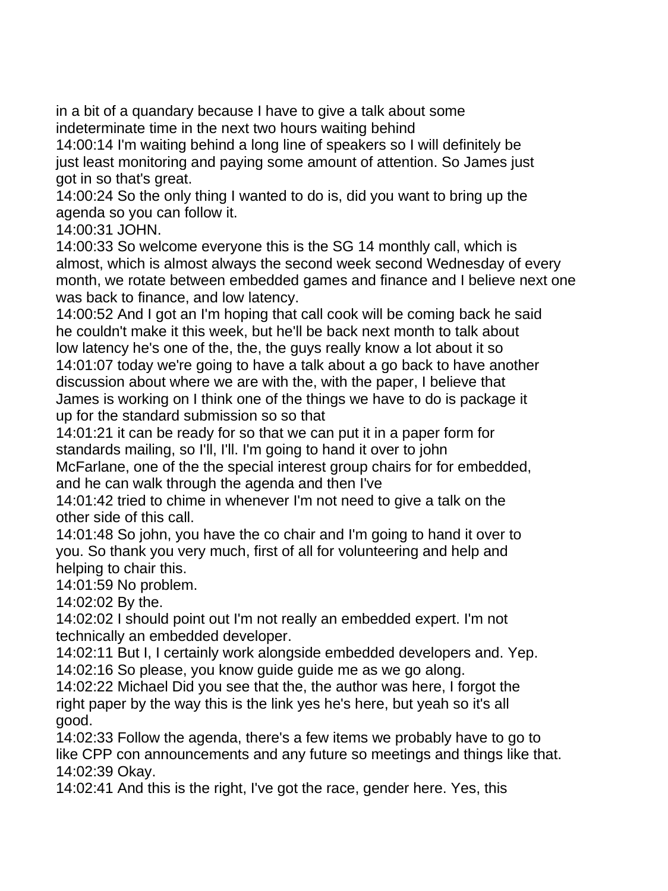in a bit of a quandary because I have to give a talk about some indeterminate time in the next two hours waiting behind

14:00:14 I'm waiting behind a long line of speakers so I will definitely be just least monitoring and paying some amount of attention. So James just got in so that's great.

14:00:24 So the only thing I wanted to do is, did you want to bring up the agenda so you can follow it.

14:00:31 JOHN.

14:00:33 So welcome everyone this is the SG 14 monthly call, which is almost, which is almost always the second week second Wednesday of every month, we rotate between embedded games and finance and I believe next one was back to finance, and low latency.

14:00:52 And I got an I'm hoping that call cook will be coming back he said he couldn't make it this week, but he'll be back next month to talk about low latency he's one of the, the, the guys really know a lot about it so 14:01:07 today we're going to have a talk about a go back to have another discussion about where we are with the, with the paper, I believe that James is working on I think one of the things we have to do is package it up for the standard submission so so that

14:01:21 it can be ready for so that we can put it in a paper form for standards mailing, so I'll, I'll. I'm going to hand it over to john

McFarlane, one of the the special interest group chairs for for embedded, and he can walk through the agenda and then I've

14:01:42 tried to chime in whenever I'm not need to give a talk on the other side of this call.

14:01:48 So john, you have the co chair and I'm going to hand it over to you. So thank you very much, first of all for volunteering and help and helping to chair this.

14:01:59 No problem.

14:02:02 By the.

14:02:02 I should point out I'm not really an embedded expert. I'm not technically an embedded developer.

14:02:11 But I, I certainly work alongside embedded developers and. Yep. 14:02:16 So please, you know guide guide me as we go along.

14:02:22 Michael Did you see that the, the author was here, I forgot the right paper by the way this is the link yes he's here, but yeah so it's all good.

14:02:33 Follow the agenda, there's a few items we probably have to go to like CPP con announcements and any future so meetings and things like that. 14:02:39 Okay.

14:02:41 And this is the right, I've got the race, gender here. Yes, this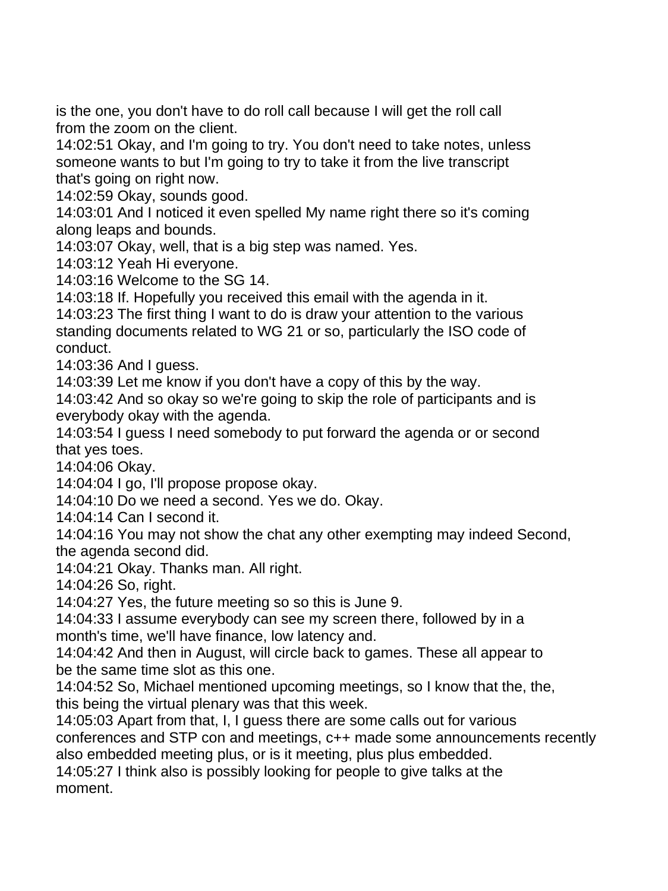is the one, you don't have to do roll call because I will get the roll call from the zoom on the client.

14:02:51 Okay, and I'm going to try. You don't need to take notes, unless someone wants to but I'm going to try to take it from the live transcript that's going on right now.

14:02:59 Okay, sounds good.

14:03:01 And I noticed it even spelled My name right there so it's coming along leaps and bounds.

14:03:07 Okay, well, that is a big step was named. Yes.

14:03:12 Yeah Hi everyone.

14:03:16 Welcome to the SG 14.

14:03:18 If. Hopefully you received this email with the agenda in it.

14:03:23 The first thing I want to do is draw your attention to the various standing documents related to WG 21 or so, particularly the ISO code of conduct.

14:03:36 And I guess.

14:03:39 Let me know if you don't have a copy of this by the way.

14:03:42 And so okay so we're going to skip the role of participants and is everybody okay with the agenda.

14:03:54 I guess I need somebody to put forward the agenda or or second that yes toes.

14:04:06 Okay.

14:04:04 I go, I'll propose propose okay.

14:04:10 Do we need a second. Yes we do. Okay.

14:04:14 Can I second it.

14:04:16 You may not show the chat any other exempting may indeed Second, the agenda second did.

14:04:21 Okay. Thanks man. All right.

14:04:26 So, right.

14:04:27 Yes, the future meeting so so this is June 9.

14:04:33 I assume everybody can see my screen there, followed by in a month's time, we'll have finance, low latency and.

14:04:42 And then in August, will circle back to games. These all appear to be the same time slot as this one.

14:04:52 So, Michael mentioned upcoming meetings, so I know that the, the, this being the virtual plenary was that this week.

14:05:03 Apart from that, I, I guess there are some calls out for various conferences and STP con and meetings, c++ made some announcements recently also embedded meeting plus, or is it meeting, plus plus embedded.

14:05:27 I think also is possibly looking for people to give talks at the moment.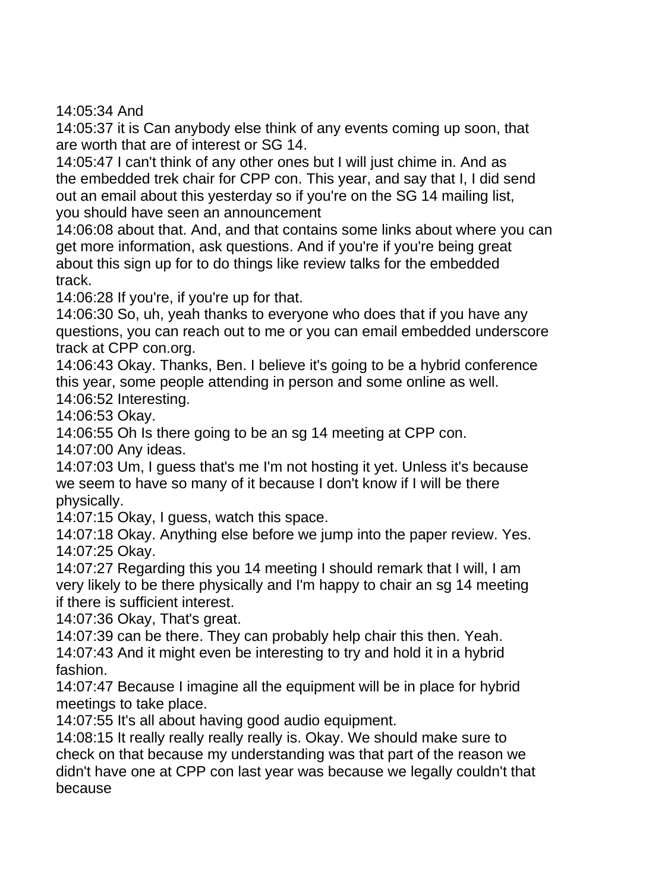14:05:34 And

14:05:37 it is Can anybody else think of any events coming up soon, that are worth that are of interest or SG 14.

14:05:47 I can't think of any other ones but I will just chime in. And as the embedded trek chair for CPP con. This year, and say that I, I did send out an email about this yesterday so if you're on the SG 14 mailing list, you should have seen an announcement

14:06:08 about that. And, and that contains some links about where you can get more information, ask questions. And if you're if you're being great about this sign up for to do things like review talks for the embedded track.

14:06:28 If you're, if you're up for that.

14:06:30 So, uh, yeah thanks to everyone who does that if you have any questions, you can reach out to me or you can email embedded underscore track at CPP con.org.

14:06:43 Okay. Thanks, Ben. I believe it's going to be a hybrid conference this year, some people attending in person and some online as well.

14:06:52 Interesting.

14:06:53 Okay.

14:06:55 Oh Is there going to be an sg 14 meeting at CPP con.

14:07:00 Any ideas.

14:07:03 Um, I guess that's me I'm not hosting it yet. Unless it's because we seem to have so many of it because I don't know if I will be there physically.

14:07:15 Okay, I guess, watch this space.

14:07:18 Okay. Anything else before we jump into the paper review. Yes. 14:07:25 Okay.

14:07:27 Regarding this you 14 meeting I should remark that I will, I am very likely to be there physically and I'm happy to chair an sg 14 meeting if there is sufficient interest.

14:07:36 Okay, That's great.

14:07:39 can be there. They can probably help chair this then. Yeah. 14:07:43 And it might even be interesting to try and hold it in a hybrid fashion.

14:07:47 Because I imagine all the equipment will be in place for hybrid meetings to take place.

14:07:55 It's all about having good audio equipment.

14:08:15 It really really really really is. Okay. We should make sure to check on that because my understanding was that part of the reason we didn't have one at CPP con last year was because we legally couldn't that because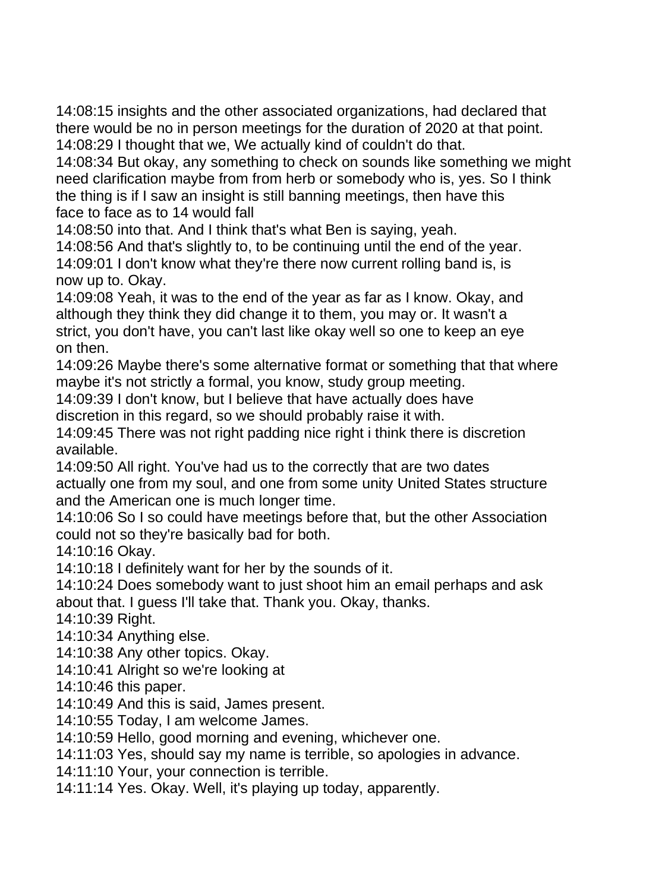14:08:15 insights and the other associated organizations, had declared that there would be no in person meetings for the duration of 2020 at that point. 14:08:29 I thought that we, We actually kind of couldn't do that.

14:08:34 But okay, any something to check on sounds like something we might need clarification maybe from from herb or somebody who is, yes. So I think the thing is if I saw an insight is still banning meetings, then have this face to face as to 14 would fall

14:08:50 into that. And I think that's what Ben is saying, yeah.

14:08:56 And that's slightly to, to be continuing until the end of the year.

14:09:01 I don't know what they're there now current rolling band is, is now up to. Okay.

14:09:08 Yeah, it was to the end of the year as far as I know. Okay, and although they think they did change it to them, you may or. It wasn't a strict, you don't have, you can't last like okay well so one to keep an eye on then.

14:09:26 Maybe there's some alternative format or something that that where maybe it's not strictly a formal, you know, study group meeting.

14:09:39 I don't know, but I believe that have actually does have discretion in this regard, so we should probably raise it with.

14:09:45 There was not right padding nice right i think there is discretion available.

14:09:50 All right. You've had us to the correctly that are two dates actually one from my soul, and one from some unity United States structure and the American one is much longer time.

14:10:06 So I so could have meetings before that, but the other Association could not so they're basically bad for both.

14:10:16 Okay.

14:10:18 I definitely want for her by the sounds of it.

14:10:24 Does somebody want to just shoot him an email perhaps and ask about that. I guess I'll take that. Thank you. Okay, thanks.

14:10:39 Right.

14:10:34 Anything else.

14:10:38 Any other topics. Okay.

14:10:41 Alright so we're looking at

14:10:46 this paper.

14:10:49 And this is said, James present.

14:10:55 Today, I am welcome James.

14:10:59 Hello, good morning and evening, whichever one.

14:11:03 Yes, should say my name is terrible, so apologies in advance.

14:11:10 Your, your connection is terrible.

14:11:14 Yes. Okay. Well, it's playing up today, apparently.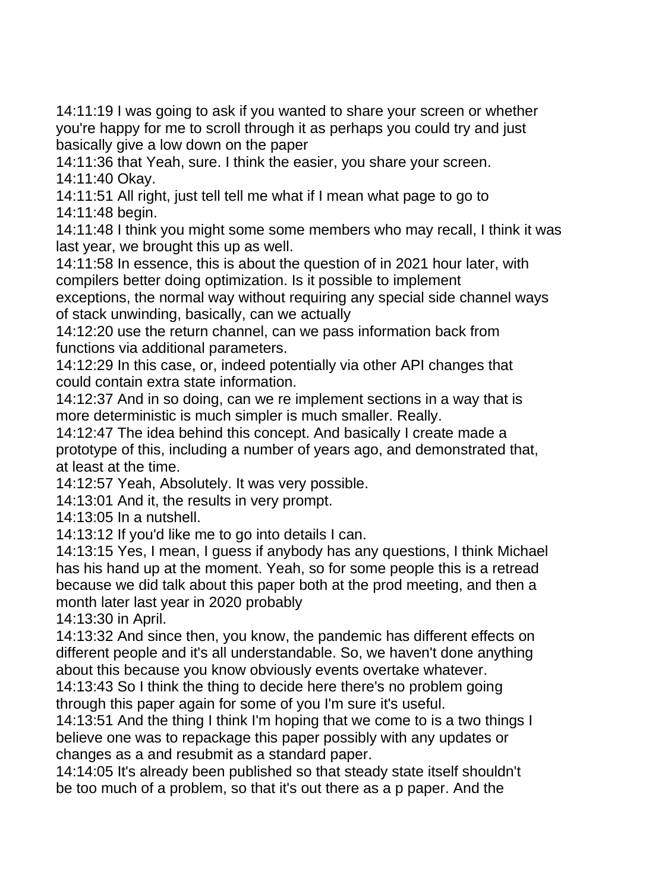14:11:19 I was going to ask if you wanted to share your screen or whether you're happy for me to scroll through it as perhaps you could try and just basically give a low down on the paper

14:11:36 that Yeah, sure. I think the easier, you share your screen. 14:11:40 Okay.

14:11:51 All right, just tell tell me what if I mean what page to go to 14:11:48 begin.

14:11:48 I think you might some some members who may recall, I think it was last year, we brought this up as well.

14:11:58 In essence, this is about the question of in 2021 hour later, with compilers better doing optimization. Is it possible to implement

exceptions, the normal way without requiring any special side channel ways of stack unwinding, basically, can we actually

14:12:20 use the return channel, can we pass information back from functions via additional parameters.

14:12:29 In this case, or, indeed potentially via other API changes that could contain extra state information.

14:12:37 And in so doing, can we re implement sections in a way that is more deterministic is much simpler is much smaller. Really.

14:12:47 The idea behind this concept. And basically I create made a prototype of this, including a number of years ago, and demonstrated that, at least at the time.

14:12:57 Yeah, Absolutely. It was very possible.

14:13:01 And it, the results in very prompt.

14:13:05 In a nutshell.

14:13:12 If you'd like me to go into details I can.

14:13:15 Yes, I mean, I guess if anybody has any questions, I think Michael has his hand up at the moment. Yeah, so for some people this is a retread because we did talk about this paper both at the prod meeting, and then a month later last year in 2020 probably

14:13:30 in April.

14:13:32 And since then, you know, the pandemic has different effects on different people and it's all understandable. So, we haven't done anything about this because you know obviously events overtake whatever.

14:13:43 So I think the thing to decide here there's no problem going through this paper again for some of you I'm sure it's useful.

14:13:51 And the thing I think I'm hoping that we come to is a two things I believe one was to repackage this paper possibly with any updates or changes as a and resubmit as a standard paper.

14:14:05 It's already been published so that steady state itself shouldn't be too much of a problem, so that it's out there as a p paper. And the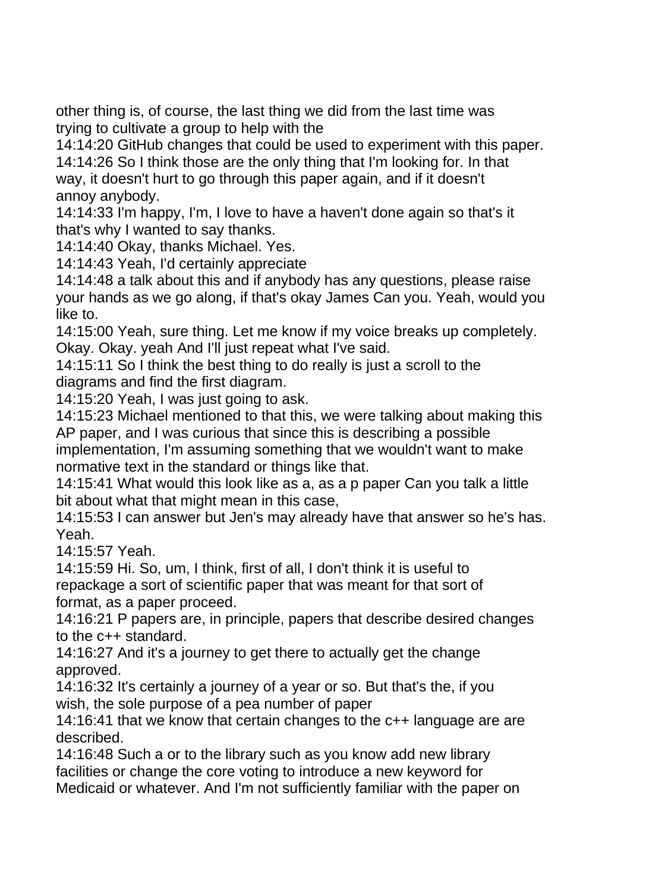other thing is, of course, the last thing we did from the last time was trying to cultivate a group to help with the

14:14:20 GitHub changes that could be used to experiment with this paper. 14:14:26 So I think those are the only thing that I'm looking for. In that way, it doesn't hurt to go through this paper again, and if it doesn't annoy anybody.

14:14:33 I'm happy, I'm, I love to have a haven't done again so that's it that's why I wanted to say thanks.

14:14:40 Okay, thanks Michael. Yes.

14:14:43 Yeah, I'd certainly appreciate

14:14:48 a talk about this and if anybody has any questions, please raise your hands as we go along, if that's okay James Can you. Yeah, would you like to.

14:15:00 Yeah, sure thing. Let me know if my voice breaks up completely. Okay. Okay. yeah And I'll just repeat what I've said.

14:15:11 So I think the best thing to do really is just a scroll to the diagrams and find the first diagram.

14:15:20 Yeah, I was just going to ask.

14:15:23 Michael mentioned to that this, we were talking about making this AP paper, and I was curious that since this is describing a possible implementation, I'm assuming something that we wouldn't want to make normative text in the standard or things like that.

14:15:41 What would this look like as a, as a p paper Can you talk a little bit about what that might mean in this case,

14:15:53 I can answer but Jen's may already have that answer so he's has. Yeah.

14:15:57 Yeah.

14:15:59 Hi. So, um, I think, first of all, I don't think it is useful to repackage a sort of scientific paper that was meant for that sort of format, as a paper proceed.

14:16:21 P papers are, in principle, papers that describe desired changes to the c++ standard.

14:16:27 And it's a journey to get there to actually get the change approved.

14:16:32 It's certainly a journey of a year or so. But that's the, if you wish, the sole purpose of a pea number of paper

14:16:41 that we know that certain changes to the c++ language are are described.

14:16:48 Such a or to the library such as you know add new library facilities or change the core voting to introduce a new keyword for Medicaid or whatever. And I'm not sufficiently familiar with the paper on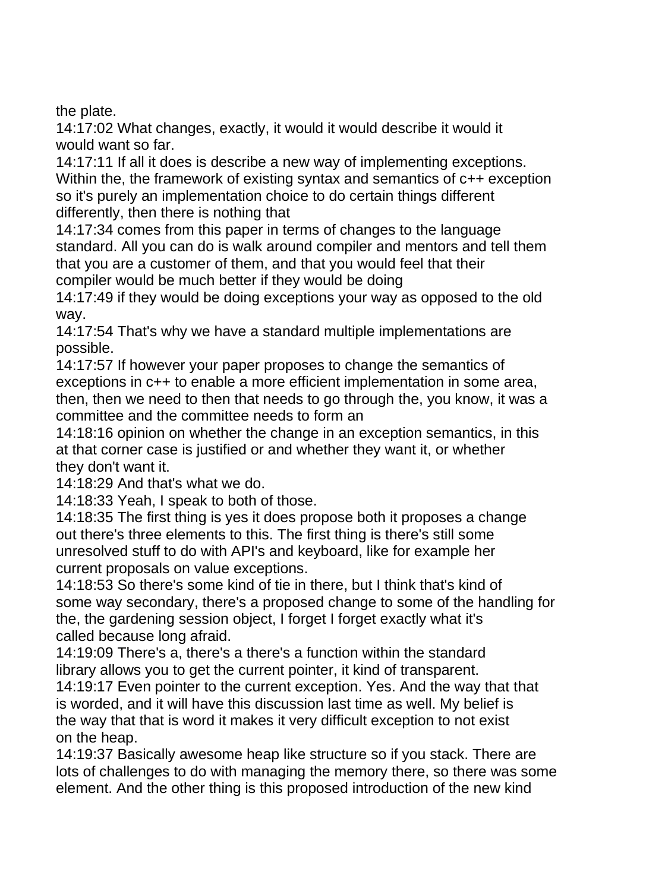the plate.

14:17:02 What changes, exactly, it would it would describe it would it would want so far.

14:17:11 If all it does is describe a new way of implementing exceptions. Within the, the framework of existing syntax and semantics of  $c++$  exception so it's purely an implementation choice to do certain things different differently, then there is nothing that

14:17:34 comes from this paper in terms of changes to the language standard. All you can do is walk around compiler and mentors and tell them that you are a customer of them, and that you would feel that their compiler would be much better if they would be doing

14:17:49 if they would be doing exceptions your way as opposed to the old way.

14:17:54 That's why we have a standard multiple implementations are possible.

14:17:57 If however your paper proposes to change the semantics of exceptions in c++ to enable a more efficient implementation in some area, then, then we need to then that needs to go through the, you know, it was a committee and the committee needs to form an

14:18:16 opinion on whether the change in an exception semantics, in this at that corner case is justified or and whether they want it, or whether they don't want it.

14:18:29 And that's what we do.

14:18:33 Yeah, I speak to both of those.

14:18:35 The first thing is yes it does propose both it proposes a change out there's three elements to this. The first thing is there's still some unresolved stuff to do with API's and keyboard, like for example her current proposals on value exceptions.

14:18:53 So there's some kind of tie in there, but I think that's kind of some way secondary, there's a proposed change to some of the handling for the, the gardening session object, I forget I forget exactly what it's called because long afraid.

14:19:09 There's a, there's a there's a function within the standard library allows you to get the current pointer, it kind of transparent.

14:19:17 Even pointer to the current exception. Yes. And the way that that is worded, and it will have this discussion last time as well. My belief is the way that that is word it makes it very difficult exception to not exist on the heap.

14:19:37 Basically awesome heap like structure so if you stack. There are lots of challenges to do with managing the memory there, so there was some element. And the other thing is this proposed introduction of the new kind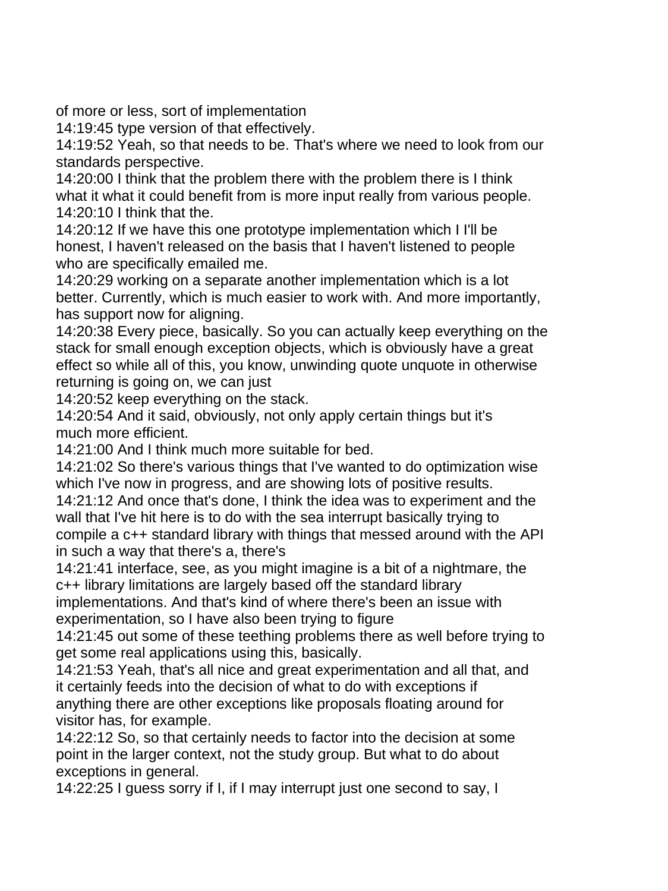of more or less, sort of implementation

14:19:45 type version of that effectively.

14:19:52 Yeah, so that needs to be. That's where we need to look from our standards perspective.

14:20:00 I think that the problem there with the problem there is I think what it what it could benefit from is more input really from various people. 14:20:10 I think that the.

14:20:12 If we have this one prototype implementation which I I'll be honest, I haven't released on the basis that I haven't listened to people who are specifically emailed me.

14:20:29 working on a separate another implementation which is a lot better. Currently, which is much easier to work with. And more importantly, has support now for aligning.

14:20:38 Every piece, basically. So you can actually keep everything on the stack for small enough exception objects, which is obviously have a great effect so while all of this, you know, unwinding quote unquote in otherwise returning is going on, we can just

14:20:52 keep everything on the stack.

14:20:54 And it said, obviously, not only apply certain things but it's much more efficient.

14:21:00 And I think much more suitable for bed.

14:21:02 So there's various things that I've wanted to do optimization wise which I've now in progress, and are showing lots of positive results.

14:21:12 And once that's done, I think the idea was to experiment and the wall that I've hit here is to do with the sea interrupt basically trying to compile a c++ standard library with things that messed around with the API in such a way that there's a, there's

14:21:41 interface, see, as you might imagine is a bit of a nightmare, the c++ library limitations are largely based off the standard library

implementations. And that's kind of where there's been an issue with experimentation, so I have also been trying to figure

14:21:45 out some of these teething problems there as well before trying to get some real applications using this, basically.

14:21:53 Yeah, that's all nice and great experimentation and all that, and it certainly feeds into the decision of what to do with exceptions if anything there are other exceptions like proposals floating around for visitor has, for example.

14:22:12 So, so that certainly needs to factor into the decision at some point in the larger context, not the study group. But what to do about exceptions in general.

14:22:25 I guess sorry if I, if I may interrupt just one second to say, I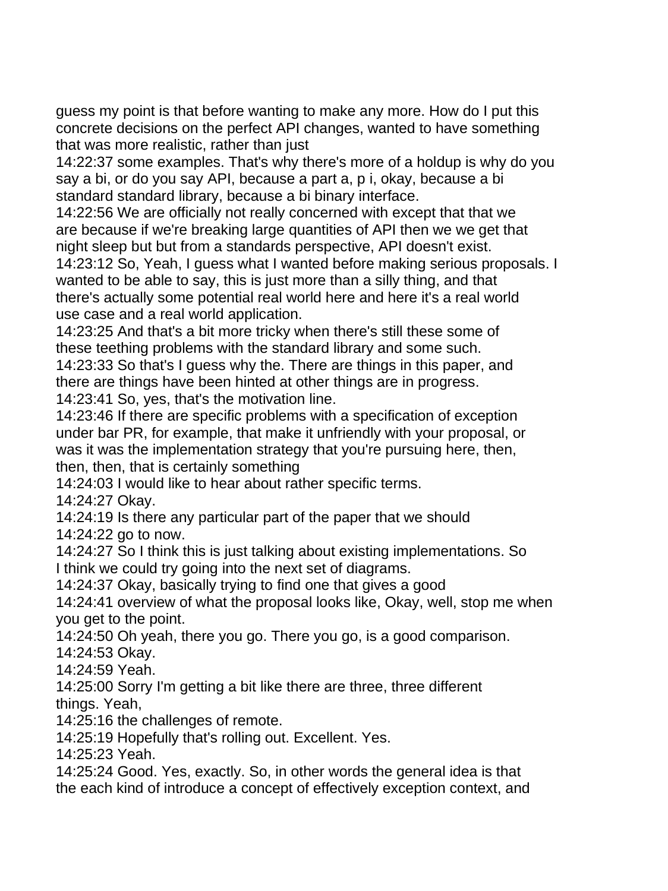guess my point is that before wanting to make any more. How do I put this concrete decisions on the perfect API changes, wanted to have something that was more realistic, rather than just

14:22:37 some examples. That's why there's more of a holdup is why do you say a bi, or do you say API, because a part a, p i, okay, because a bi standard standard library, because a bi binary interface.

14:22:56 We are officially not really concerned with except that that we are because if we're breaking large quantities of API then we we get that night sleep but but from a standards perspective, API doesn't exist.

14:23:12 So, Yeah, I guess what I wanted before making serious proposals. I wanted to be able to say, this is just more than a silly thing, and that there's actually some potential real world here and here it's a real world use case and a real world application.

14:23:25 And that's a bit more tricky when there's still these some of these teething problems with the standard library and some such.

14:23:33 So that's I guess why the. There are things in this paper, and there are things have been hinted at other things are in progress.

14:23:41 So, yes, that's the motivation line.

14:23:46 If there are specific problems with a specification of exception under bar PR, for example, that make it unfriendly with your proposal, or was it was the implementation strategy that you're pursuing here, then, then, then, that is certainly something

14:24:03 I would like to hear about rather specific terms.

14:24:27 Okay.

14:24:19 Is there any particular part of the paper that we should

14:24:22 go to now.

14:24:27 So I think this is just talking about existing implementations. So I think we could try going into the next set of diagrams.

14:24:37 Okay, basically trying to find one that gives a good

14:24:41 overview of what the proposal looks like, Okay, well, stop me when you get to the point.

14:24:50 Oh yeah, there you go. There you go, is a good comparison.

14:24:53 Okay.

14:24:59 Yeah.

14:25:00 Sorry I'm getting a bit like there are three, three different things. Yeah,

14:25:16 the challenges of remote.

14:25:19 Hopefully that's rolling out. Excellent. Yes.

14:25:23 Yeah.

14:25:24 Good. Yes, exactly. So, in other words the general idea is that the each kind of introduce a concept of effectively exception context, and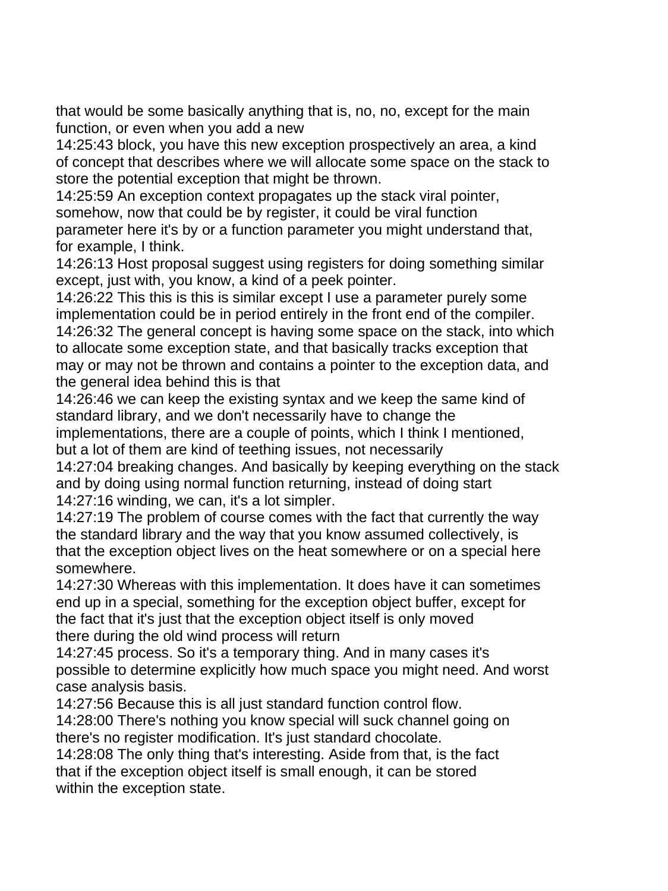that would be some basically anything that is, no, no, except for the main function, or even when you add a new

14:25:43 block, you have this new exception prospectively an area, a kind of concept that describes where we will allocate some space on the stack to store the potential exception that might be thrown.

14:25:59 An exception context propagates up the stack viral pointer, somehow, now that could be by register, it could be viral function parameter here it's by or a function parameter you might understand that, for example, I think.

14:26:13 Host proposal suggest using registers for doing something similar except, just with, you know, a kind of a peek pointer.

14:26:22 This this is this is similar except I use a parameter purely some implementation could be in period entirely in the front end of the compiler. 14:26:32 The general concept is having some space on the stack, into which to allocate some exception state, and that basically tracks exception that may or may not be thrown and contains a pointer to the exception data, and the general idea behind this is that

14:26:46 we can keep the existing syntax and we keep the same kind of standard library, and we don't necessarily have to change the implementations, there are a couple of points, which I think I mentioned, but a lot of them are kind of teething issues, not necessarily

14:27:04 breaking changes. And basically by keeping everything on the stack and by doing using normal function returning, instead of doing start 14:27:16 winding, we can, it's a lot simpler.

14:27:19 The problem of course comes with the fact that currently the way the standard library and the way that you know assumed collectively, is that the exception object lives on the heat somewhere or on a special here somewhere.

14:27:30 Whereas with this implementation. It does have it can sometimes end up in a special, something for the exception object buffer, except for the fact that it's just that the exception object itself is only moved there during the old wind process will return

14:27:45 process. So it's a temporary thing. And in many cases it's possible to determine explicitly how much space you might need. And worst case analysis basis.

14:27:56 Because this is all just standard function control flow.

14:28:00 There's nothing you know special will suck channel going on there's no register modification. It's just standard chocolate.

14:28:08 The only thing that's interesting. Aside from that, is the fact that if the exception object itself is small enough, it can be stored within the exception state.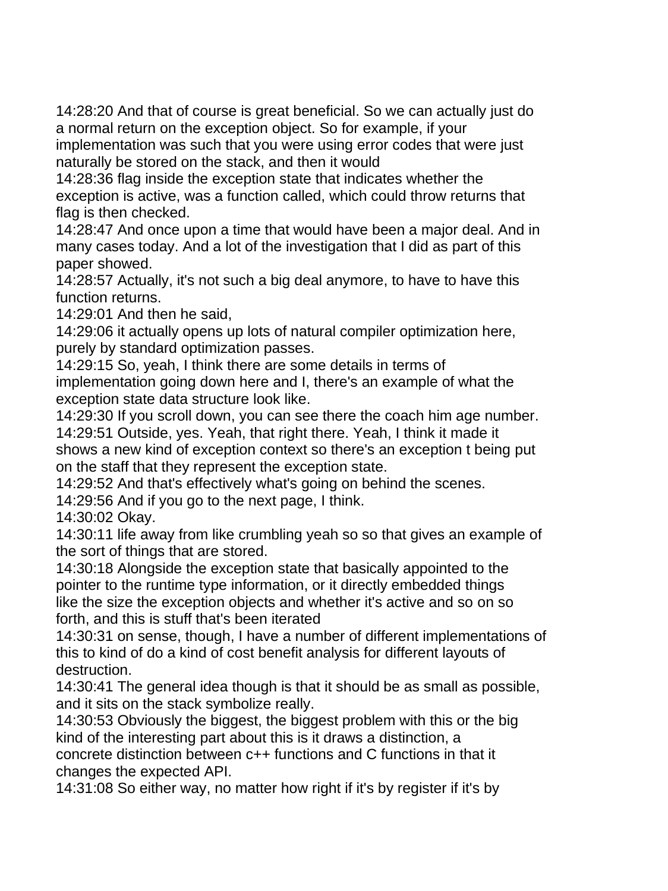14:28:20 And that of course is great beneficial. So we can actually just do a normal return on the exception object. So for example, if your implementation was such that you were using error codes that were just

naturally be stored on the stack, and then it would

14:28:36 flag inside the exception state that indicates whether the exception is active, was a function called, which could throw returns that flag is then checked.

14:28:47 And once upon a time that would have been a major deal. And in many cases today. And a lot of the investigation that I did as part of this paper showed.

14:28:57 Actually, it's not such a big deal anymore, to have to have this function returns.

14:29:01 And then he said,

14:29:06 it actually opens up lots of natural compiler optimization here, purely by standard optimization passes.

14:29:15 So, yeah, I think there are some details in terms of implementation going down here and I, there's an example of what the exception state data structure look like.

14:29:30 If you scroll down, you can see there the coach him age number. 14:29:51 Outside, yes. Yeah, that right there. Yeah, I think it made it shows a new kind of exception context so there's an exception t being put on the staff that they represent the exception state.

14:29:52 And that's effectively what's going on behind the scenes.

14:29:56 And if you go to the next page, I think.

14:30:02 Okay.

14:30:11 life away from like crumbling yeah so so that gives an example of the sort of things that are stored.

14:30:18 Alongside the exception state that basically appointed to the pointer to the runtime type information, or it directly embedded things like the size the exception objects and whether it's active and so on so forth, and this is stuff that's been iterated

14:30:31 on sense, though, I have a number of different implementations of this to kind of do a kind of cost benefit analysis for different layouts of destruction.

14:30:41 The general idea though is that it should be as small as possible, and it sits on the stack symbolize really.

14:30:53 Obviously the biggest, the biggest problem with this or the big kind of the interesting part about this is it draws a distinction, a concrete distinction between c++ functions and C functions in that it changes the expected API.

14:31:08 So either way, no matter how right if it's by register if it's by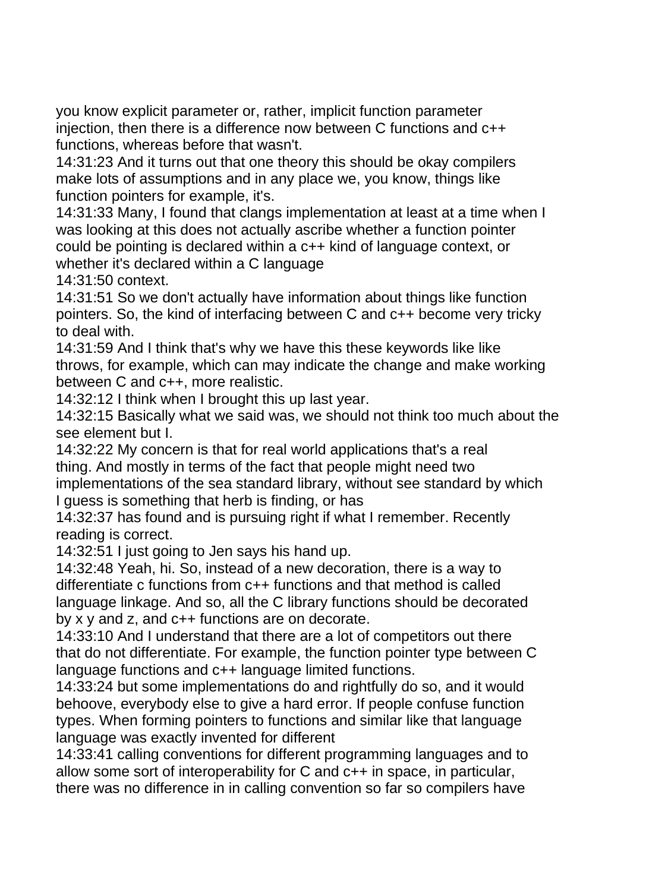you know explicit parameter or, rather, implicit function parameter injection, then there is a difference now between C functions and c++ functions, whereas before that wasn't.

14:31:23 And it turns out that one theory this should be okay compilers make lots of assumptions and in any place we, you know, things like function pointers for example, it's.

14:31:33 Many, I found that clangs implementation at least at a time when I was looking at this does not actually ascribe whether a function pointer could be pointing is declared within a c++ kind of language context, or whether it's declared within a C language

14:31:50 context.

14:31:51 So we don't actually have information about things like function pointers. So, the kind of interfacing between C and c++ become very tricky to deal with.

14:31:59 And I think that's why we have this these keywords like like throws, for example, which can may indicate the change and make working between C and c++, more realistic.

14:32:12 I think when I brought this up last year.

14:32:15 Basically what we said was, we should not think too much about the see element but I.

14:32:22 My concern is that for real world applications that's a real thing. And mostly in terms of the fact that people might need two implementations of the sea standard library, without see standard by which I guess is something that herb is finding, or has

14:32:37 has found and is pursuing right if what I remember. Recently reading is correct.

14:32:51 I just going to Jen says his hand up.

14:32:48 Yeah, hi. So, instead of a new decoration, there is a way to differentiate c functions from c++ functions and that method is called language linkage. And so, all the C library functions should be decorated by x y and z, and c++ functions are on decorate.

14:33:10 And I understand that there are a lot of competitors out there that do not differentiate. For example, the function pointer type between C language functions and c++ language limited functions.

14:33:24 but some implementations do and rightfully do so, and it would behoove, everybody else to give a hard error. If people confuse function types. When forming pointers to functions and similar like that language language was exactly invented for different

14:33:41 calling conventions for different programming languages and to allow some sort of interoperability for C and c++ in space, in particular, there was no difference in in calling convention so far so compilers have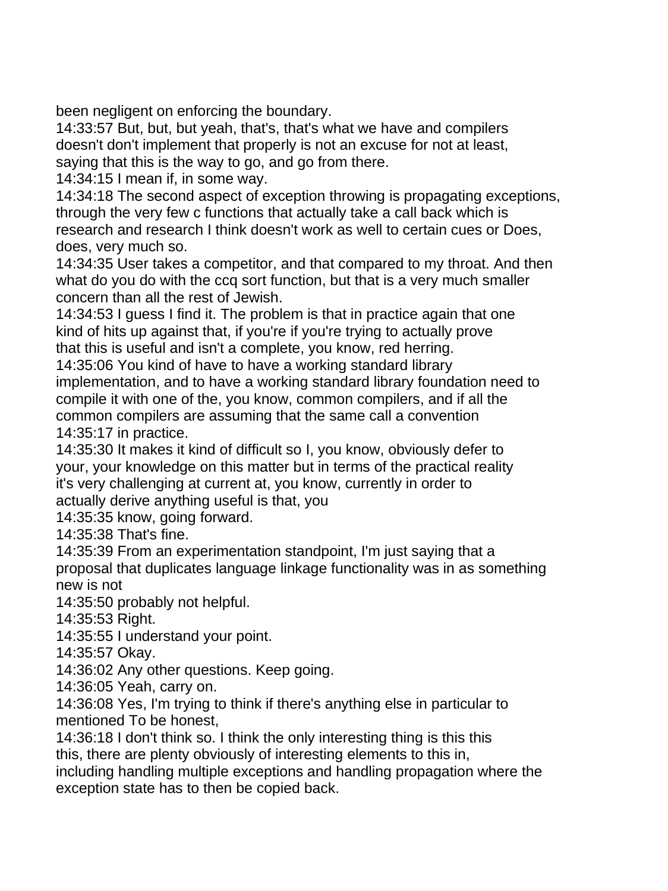been negligent on enforcing the boundary.

14:33:57 But, but, but yeah, that's, that's what we have and compilers doesn't don't implement that properly is not an excuse for not at least, saying that this is the way to go, and go from there.

14:34:15 I mean if, in some way.

14:34:18 The second aspect of exception throwing is propagating exceptions, through the very few c functions that actually take a call back which is research and research I think doesn't work as well to certain cues or Does, does, very much so.

14:34:35 User takes a competitor, and that compared to my throat. And then what do you do with the ccq sort function, but that is a very much smaller concern than all the rest of Jewish.

14:34:53 I guess I find it. The problem is that in practice again that one kind of hits up against that, if you're if you're trying to actually prove that this is useful and isn't a complete, you know, red herring.

14:35:06 You kind of have to have a working standard library implementation, and to have a working standard library foundation need to compile it with one of the, you know, common compilers, and if all the common compilers are assuming that the same call a convention 14:35:17 in practice.

14:35:30 It makes it kind of difficult so I, you know, obviously defer to your, your knowledge on this matter but in terms of the practical reality it's very challenging at current at, you know, currently in order to actually derive anything useful is that, you

14:35:35 know, going forward.

14:35:38 That's fine.

14:35:39 From an experimentation standpoint, I'm just saying that a proposal that duplicates language linkage functionality was in as something new is not

14:35:50 probably not helpful.

14:35:53 Right.

14:35:55 I understand your point.

14:35:57 Okay.

14:36:02 Any other questions. Keep going.

14:36:05 Yeah, carry on.

14:36:08 Yes, I'm trying to think if there's anything else in particular to mentioned To be honest,

14:36:18 I don't think so. I think the only interesting thing is this this this, there are plenty obviously of interesting elements to this in,

including handling multiple exceptions and handling propagation where the exception state has to then be copied back.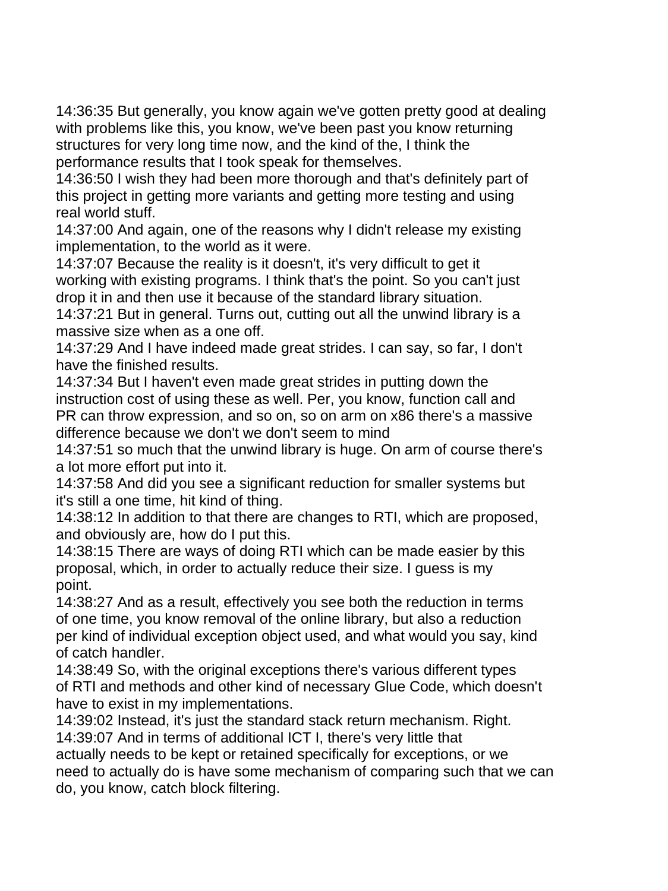14:36:35 But generally, you know again we've gotten pretty good at dealing with problems like this, you know, we've been past you know returning structures for very long time now, and the kind of the, I think the performance results that I took speak for themselves.

14:36:50 I wish they had been more thorough and that's definitely part of this project in getting more variants and getting more testing and using real world stuff.

14:37:00 And again, one of the reasons why I didn't release my existing implementation, to the world as it were.

14:37:07 Because the reality is it doesn't, it's very difficult to get it working with existing programs. I think that's the point. So you can't just drop it in and then use it because of the standard library situation.

14:37:21 But in general. Turns out, cutting out all the unwind library is a massive size when as a one off.

14:37:29 And I have indeed made great strides. I can say, so far, I don't have the finished results.

14:37:34 But I haven't even made great strides in putting down the instruction cost of using these as well. Per, you know, function call and PR can throw expression, and so on, so on arm on x86 there's a massive difference because we don't we don't seem to mind

14:37:51 so much that the unwind library is huge. On arm of course there's a lot more effort put into it.

14:37:58 And did you see a significant reduction for smaller systems but it's still a one time, hit kind of thing.

14:38:12 In addition to that there are changes to RTI, which are proposed, and obviously are, how do I put this.

14:38:15 There are ways of doing RTI which can be made easier by this proposal, which, in order to actually reduce their size. I guess is my point.

14:38:27 And as a result, effectively you see both the reduction in terms of one time, you know removal of the online library, but also a reduction per kind of individual exception object used, and what would you say, kind of catch handler.

14:38:49 So, with the original exceptions there's various different types of RTI and methods and other kind of necessary Glue Code, which doesn't have to exist in my implementations.

14:39:02 Instead, it's just the standard stack return mechanism. Right. 14:39:07 And in terms of additional ICT I, there's very little that

actually needs to be kept or retained specifically for exceptions, or we need to actually do is have some mechanism of comparing such that we can do, you know, catch block filtering.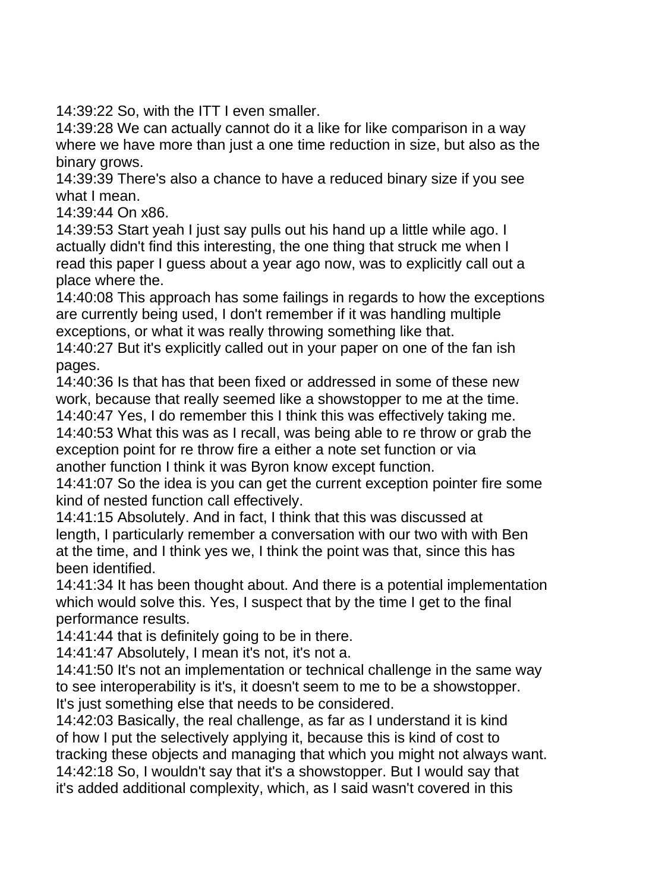14:39:22 So, with the ITT I even smaller.

14:39:28 We can actually cannot do it a like for like comparison in a way where we have more than just a one time reduction in size, but also as the binary grows.

14:39:39 There's also a chance to have a reduced binary size if you see what I mean.

14:39:44 On x86.

14:39:53 Start yeah I just say pulls out his hand up a little while ago. I actually didn't find this interesting, the one thing that struck me when I read this paper I guess about a year ago now, was to explicitly call out a place where the.

14:40:08 This approach has some failings in regards to how the exceptions are currently being used, I don't remember if it was handling multiple exceptions, or what it was really throwing something like that.

14:40:27 But it's explicitly called out in your paper on one of the fan ish pages.

14:40:36 Is that has that been fixed or addressed in some of these new work, because that really seemed like a showstopper to me at the time.

14:40:47 Yes, I do remember this I think this was effectively taking me.

14:40:53 What this was as I recall, was being able to re throw or grab the exception point for re throw fire a either a note set function or via another function I think it was Byron know except function.

14:41:07 So the idea is you can get the current exception pointer fire some kind of nested function call effectively.

14:41:15 Absolutely. And in fact, I think that this was discussed at length, I particularly remember a conversation with our two with with Ben at the time, and I think yes we, I think the point was that, since this has been identified.

14:41:34 It has been thought about. And there is a potential implementation which would solve this. Yes, I suspect that by the time I get to the final performance results.

14:41:44 that is definitely going to be in there.

14:41:47 Absolutely, I mean it's not, it's not a.

14:41:50 It's not an implementation or technical challenge in the same way to see interoperability is it's, it doesn't seem to me to be a showstopper. It's just something else that needs to be considered.

14:42:03 Basically, the real challenge, as far as I understand it is kind of how I put the selectively applying it, because this is kind of cost to tracking these objects and managing that which you might not always want. 14:42:18 So, I wouldn't say that it's a showstopper. But I would say that it's added additional complexity, which, as I said wasn't covered in this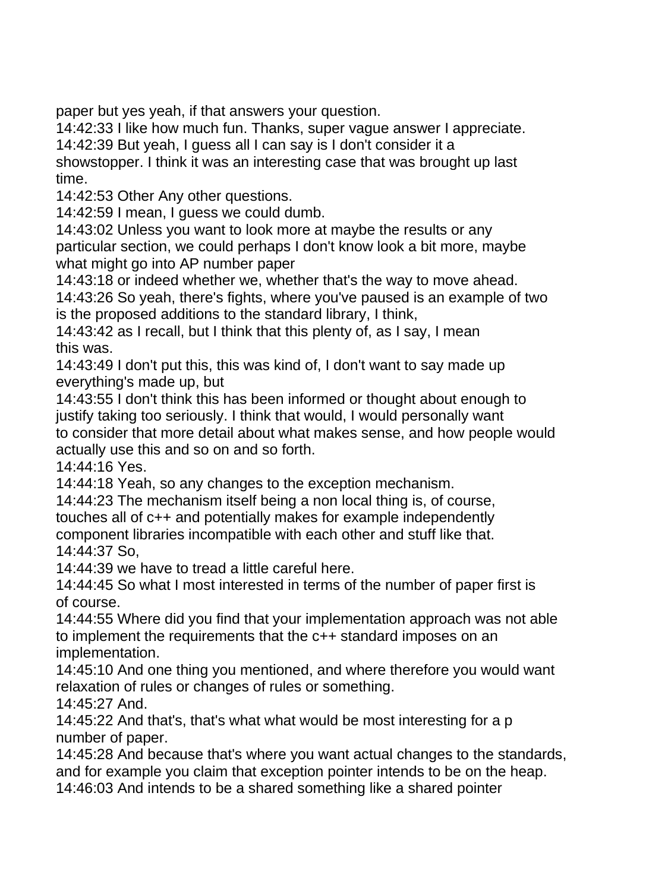paper but yes yeah, if that answers your question.

14:42:33 I like how much fun. Thanks, super vague answer I appreciate. 14:42:39 But yeah, I guess all I can say is I don't consider it a

showstopper. I think it was an interesting case that was brought up last time.

14:42:53 Other Any other questions.

14:42:59 I mean, I guess we could dumb.

14:43:02 Unless you want to look more at maybe the results or any particular section, we could perhaps I don't know look a bit more, maybe what might go into AP number paper

14:43:18 or indeed whether we, whether that's the way to move ahead.

14:43:26 So yeah, there's fights, where you've paused is an example of two is the proposed additions to the standard library, I think,

14:43:42 as I recall, but I think that this plenty of, as I say, I mean this was.

14:43:49 I don't put this, this was kind of, I don't want to say made up everything's made up, but

14:43:55 I don't think this has been informed or thought about enough to justify taking too seriously. I think that would, I would personally want to consider that more detail about what makes sense, and how people would actually use this and so on and so forth.

14:44:16 Yes.

14:44:18 Yeah, so any changes to the exception mechanism.

14:44:23 The mechanism itself being a non local thing is, of course, touches all of c++ and potentially makes for example independently component libraries incompatible with each other and stuff like that. 14:44:37 So,

14:44:39 we have to tread a little careful here.

14:44:45 So what I most interested in terms of the number of paper first is of course.

14:44:55 Where did you find that your implementation approach was not able to implement the requirements that the c++ standard imposes on an implementation.

14:45:10 And one thing you mentioned, and where therefore you would want relaxation of rules or changes of rules or something.

14:45:27 And.

14:45:22 And that's, that's what what would be most interesting for a p number of paper.

14:45:28 And because that's where you want actual changes to the standards, and for example you claim that exception pointer intends to be on the heap. 14:46:03 And intends to be a shared something like a shared pointer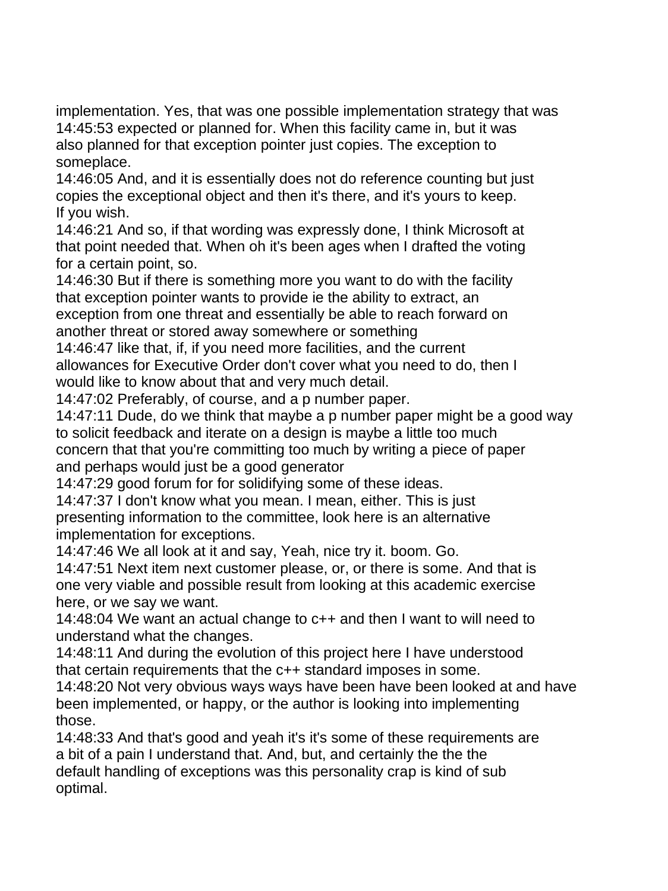implementation. Yes, that was one possible implementation strategy that was 14:45:53 expected or planned for. When this facility came in, but it was also planned for that exception pointer just copies. The exception to someplace.

14:46:05 And, and it is essentially does not do reference counting but just copies the exceptional object and then it's there, and it's yours to keep. If you wish.

14:46:21 And so, if that wording was expressly done, I think Microsoft at that point needed that. When oh it's been ages when I drafted the voting for a certain point, so.

14:46:30 But if there is something more you want to do with the facility that exception pointer wants to provide ie the ability to extract, an exception from one threat and essentially be able to reach forward on another threat or stored away somewhere or something

14:46:47 like that, if, if you need more facilities, and the current allowances for Executive Order don't cover what you need to do, then I would like to know about that and very much detail.

14:47:02 Preferably, of course, and a p number paper.

14:47:11 Dude, do we think that maybe a p number paper might be a good way to solicit feedback and iterate on a design is maybe a little too much concern that that you're committing too much by writing a piece of paper and perhaps would just be a good generator

14:47:29 good forum for for solidifying some of these ideas.

14:47:37 I don't know what you mean. I mean, either. This is just presenting information to the committee, look here is an alternative implementation for exceptions.

14:47:46 We all look at it and say, Yeah, nice try it. boom. Go.

14:47:51 Next item next customer please, or, or there is some. And that is one very viable and possible result from looking at this academic exercise here, or we say we want.

14:48:04 We want an actual change to c++ and then I want to will need to understand what the changes.

14:48:11 And during the evolution of this project here I have understood that certain requirements that the c++ standard imposes in some.

14:48:20 Not very obvious ways ways have been have been looked at and have been implemented, or happy, or the author is looking into implementing those.

14:48:33 And that's good and yeah it's it's some of these requirements are a bit of a pain I understand that. And, but, and certainly the the the default handling of exceptions was this personality crap is kind of sub optimal.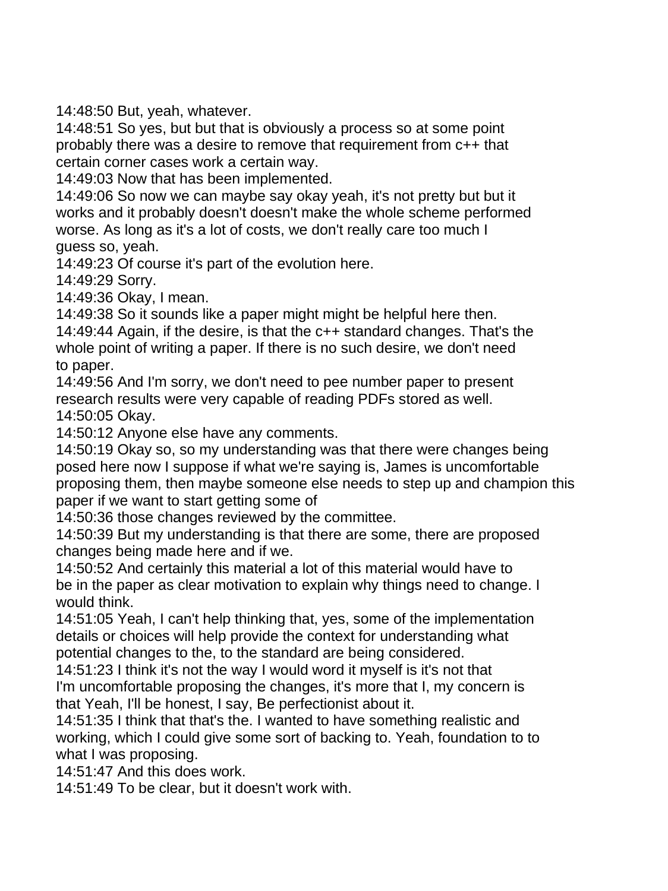14:48:50 But, yeah, whatever.

14:48:51 So yes, but but that is obviously a process so at some point probably there was a desire to remove that requirement from c++ that certain corner cases work a certain way.

14:49:03 Now that has been implemented.

14:49:06 So now we can maybe say okay yeah, it's not pretty but but it works and it probably doesn't doesn't make the whole scheme performed worse. As long as it's a lot of costs, we don't really care too much I guess so, yeah.

14:49:23 Of course it's part of the evolution here.

14:49:29 Sorry.

14:49:36 Okay, I mean.

14:49:38 So it sounds like a paper might might be helpful here then.

14:49:44 Again, if the desire, is that the c++ standard changes. That's the whole point of writing a paper. If there is no such desire, we don't need to paper.

14:49:56 And I'm sorry, we don't need to pee number paper to present research results were very capable of reading PDFs stored as well. 14:50:05 Okay.

14:50:12 Anyone else have any comments.

14:50:19 Okay so, so my understanding was that there were changes being posed here now I suppose if what we're saying is, James is uncomfortable proposing them, then maybe someone else needs to step up and champion this paper if we want to start getting some of

14:50:36 those changes reviewed by the committee.

14:50:39 But my understanding is that there are some, there are proposed changes being made here and if we.

14:50:52 And certainly this material a lot of this material would have to be in the paper as clear motivation to explain why things need to change. I would think.

14:51:05 Yeah, I can't help thinking that, yes, some of the implementation details or choices will help provide the context for understanding what potential changes to the, to the standard are being considered.

14:51:23 I think it's not the way I would word it myself is it's not that I'm uncomfortable proposing the changes, it's more that I, my concern is that Yeah, I'll be honest, I say, Be perfectionist about it.

14:51:35 I think that that's the. I wanted to have something realistic and working, which I could give some sort of backing to. Yeah, foundation to to what I was proposing.

14:51:47 And this does work.

14:51:49 To be clear, but it doesn't work with.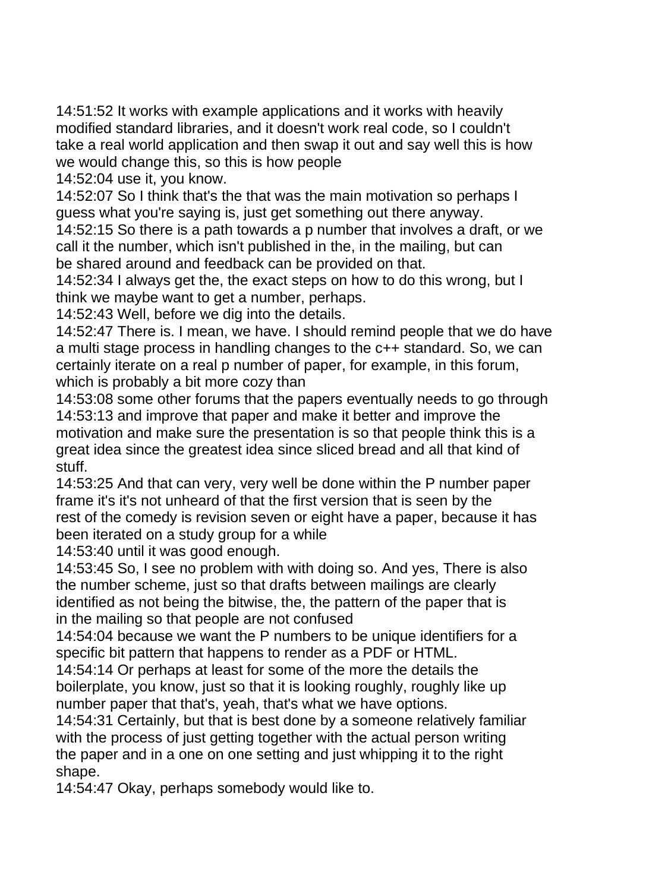14:51:52 It works with example applications and it works with heavily modified standard libraries, and it doesn't work real code, so I couldn't take a real world application and then swap it out and say well this is how we would change this, so this is how people

14:52:04 use it, you know.

14:52:07 So I think that's the that was the main motivation so perhaps I guess what you're saying is, just get something out there anyway.

14:52:15 So there is a path towards a p number that involves a draft, or we call it the number, which isn't published in the, in the mailing, but can be shared around and feedback can be provided on that.

14:52:34 I always get the, the exact steps on how to do this wrong, but I think we maybe want to get a number, perhaps.

14:52:43 Well, before we dig into the details.

14:52:47 There is. I mean, we have. I should remind people that we do have a multi stage process in handling changes to the c++ standard. So, we can certainly iterate on a real p number of paper, for example, in this forum, which is probably a bit more cozy than

14:53:08 some other forums that the papers eventually needs to go through 14:53:13 and improve that paper and make it better and improve the motivation and make sure the presentation is so that people think this is a great idea since the greatest idea since sliced bread and all that kind of stuff.

14:53:25 And that can very, very well be done within the P number paper frame it's it's not unheard of that the first version that is seen by the rest of the comedy is revision seven or eight have a paper, because it has been iterated on a study group for a while

14:53:40 until it was good enough.

14:53:45 So, I see no problem with with doing so. And yes, There is also the number scheme, just so that drafts between mailings are clearly identified as not being the bitwise, the, the pattern of the paper that is in the mailing so that people are not confused

14:54:04 because we want the P numbers to be unique identifiers for a specific bit pattern that happens to render as a PDF or HTML.

14:54:14 Or perhaps at least for some of the more the details the boilerplate, you know, just so that it is looking roughly, roughly like up number paper that that's, yeah, that's what we have options.

14:54:31 Certainly, but that is best done by a someone relatively familiar with the process of just getting together with the actual person writing the paper and in a one on one setting and just whipping it to the right shape.

14:54:47 Okay, perhaps somebody would like to.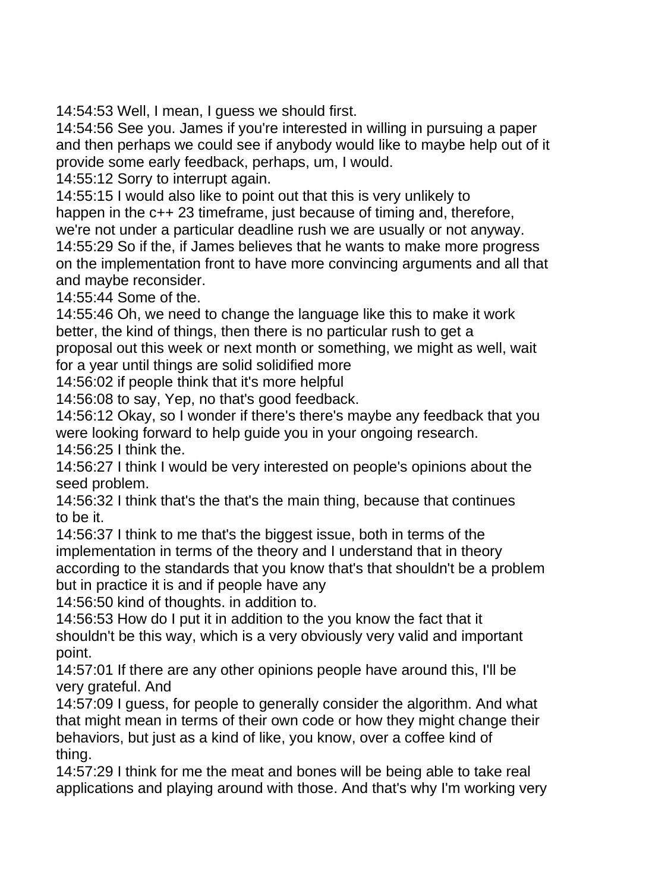14:54:53 Well, I mean, I guess we should first.

14:54:56 See you. James if you're interested in willing in pursuing a paper and then perhaps we could see if anybody would like to maybe help out of it provide some early feedback, perhaps, um, I would.

14:55:12 Sorry to interrupt again.

14:55:15 I would also like to point out that this is very unlikely to happen in the c++ 23 timeframe, just because of timing and, therefore,

we're not under a particular deadline rush we are usually or not anyway.

14:55:29 So if the, if James believes that he wants to make more progress on the implementation front to have more convincing arguments and all that and maybe reconsider.

14:55:44 Some of the.

14:55:46 Oh, we need to change the language like this to make it work better, the kind of things, then there is no particular rush to get a

proposal out this week or next month or something, we might as well, wait for a year until things are solid solidified more

14:56:02 if people think that it's more helpful

14:56:08 to say, Yep, no that's good feedback.

14:56:12 Okay, so I wonder if there's there's maybe any feedback that you were looking forward to help guide you in your ongoing research. 14:56:25 I think the.

14:56:27 I think I would be very interested on people's opinions about the seed problem.

14:56:32 I think that's the that's the main thing, because that continues to be it.

14:56:37 I think to me that's the biggest issue, both in terms of the implementation in terms of the theory and I understand that in theory according to the standards that you know that's that shouldn't be a problem but in practice it is and if people have any

14:56:50 kind of thoughts. in addition to.

14:56:53 How do I put it in addition to the you know the fact that it shouldn't be this way, which is a very obviously very valid and important point.

14:57:01 If there are any other opinions people have around this, I'll be very grateful. And

14:57:09 I guess, for people to generally consider the algorithm. And what that might mean in terms of their own code or how they might change their behaviors, but just as a kind of like, you know, over a coffee kind of thing.

14:57:29 I think for me the meat and bones will be being able to take real applications and playing around with those. And that's why I'm working very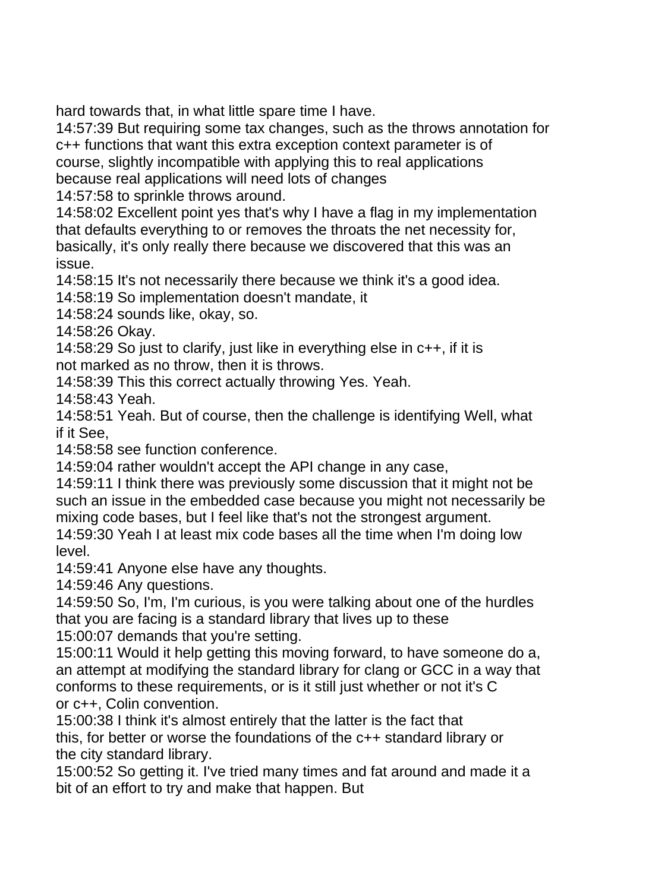hard towards that, in what little spare time I have.

14:57:39 But requiring some tax changes, such as the throws annotation for c++ functions that want this extra exception context parameter is of course, slightly incompatible with applying this to real applications because real applications will need lots of changes

14:57:58 to sprinkle throws around.

14:58:02 Excellent point yes that's why I have a flag in my implementation that defaults everything to or removes the throats the net necessity for, basically, it's only really there because we discovered that this was an issue.

14:58:15 It's not necessarily there because we think it's a good idea.

14:58:19 So implementation doesn't mandate, it

14:58:24 sounds like, okay, so.

14:58:26 Okay.

14:58:29 So just to clarify, just like in everything else in c++, if it is not marked as no throw, then it is throws.

14:58:39 This this correct actually throwing Yes. Yeah.

14:58:43 Yeah.

14:58:51 Yeah. But of course, then the challenge is identifying Well, what if it See,

14:58:58 see function conference.

14:59:04 rather wouldn't accept the API change in any case,

14:59:11 I think there was previously some discussion that it might not be such an issue in the embedded case because you might not necessarily be mixing code bases, but I feel like that's not the strongest argument.

14:59:30 Yeah I at least mix code bases all the time when I'm doing low level.

14:59:41 Anyone else have any thoughts.

14:59:46 Any questions.

14:59:50 So, I'm, I'm curious, is you were talking about one of the hurdles that you are facing is a standard library that lives up to these

15:00:07 demands that you're setting.

15:00:11 Would it help getting this moving forward, to have someone do a, an attempt at modifying the standard library for clang or GCC in a way that conforms to these requirements, or is it still just whether or not it's C or c++, Colin convention.

15:00:38 I think it's almost entirely that the latter is the fact that this, for better or worse the foundations of the c++ standard library or the city standard library.

15:00:52 So getting it. I've tried many times and fat around and made it a bit of an effort to try and make that happen. But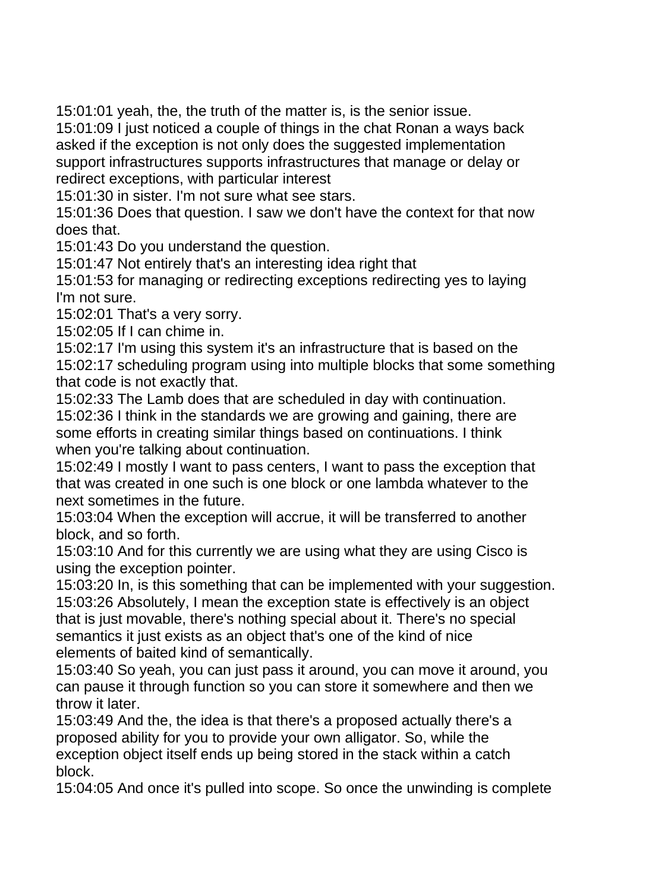15:01:01 yeah, the, the truth of the matter is, is the senior issue.

15:01:09 I just noticed a couple of things in the chat Ronan a ways back asked if the exception is not only does the suggested implementation support infrastructures supports infrastructures that manage or delay or redirect exceptions, with particular interest

15:01:30 in sister. I'm not sure what see stars.

15:01:36 Does that question. I saw we don't have the context for that now does that.

15:01:43 Do you understand the question.

15:01:47 Not entirely that's an interesting idea right that

15:01:53 for managing or redirecting exceptions redirecting yes to laying I'm not sure.

15:02:01 That's a very sorry.

15:02:05 If I can chime in.

15:02:17 I'm using this system it's an infrastructure that is based on the 15:02:17 scheduling program using into multiple blocks that some something that code is not exactly that.

15:02:33 The Lamb does that are scheduled in day with continuation.

15:02:36 I think in the standards we are growing and gaining, there are some efforts in creating similar things based on continuations. I think when you're talking about continuation.

15:02:49 I mostly I want to pass centers, I want to pass the exception that that was created in one such is one block or one lambda whatever to the next sometimes in the future.

15:03:04 When the exception will accrue, it will be transferred to another block, and so forth.

15:03:10 And for this currently we are using what they are using Cisco is using the exception pointer.

15:03:20 In, is this something that can be implemented with your suggestion. 15:03:26 Absolutely, I mean the exception state is effectively is an object that is just movable, there's nothing special about it. There's no special semantics it just exists as an object that's one of the kind of nice elements of baited kind of semantically.

15:03:40 So yeah, you can just pass it around, you can move it around, you can pause it through function so you can store it somewhere and then we throw it later.

15:03:49 And the, the idea is that there's a proposed actually there's a proposed ability for you to provide your own alligator. So, while the exception object itself ends up being stored in the stack within a catch block.

15:04:05 And once it's pulled into scope. So once the unwinding is complete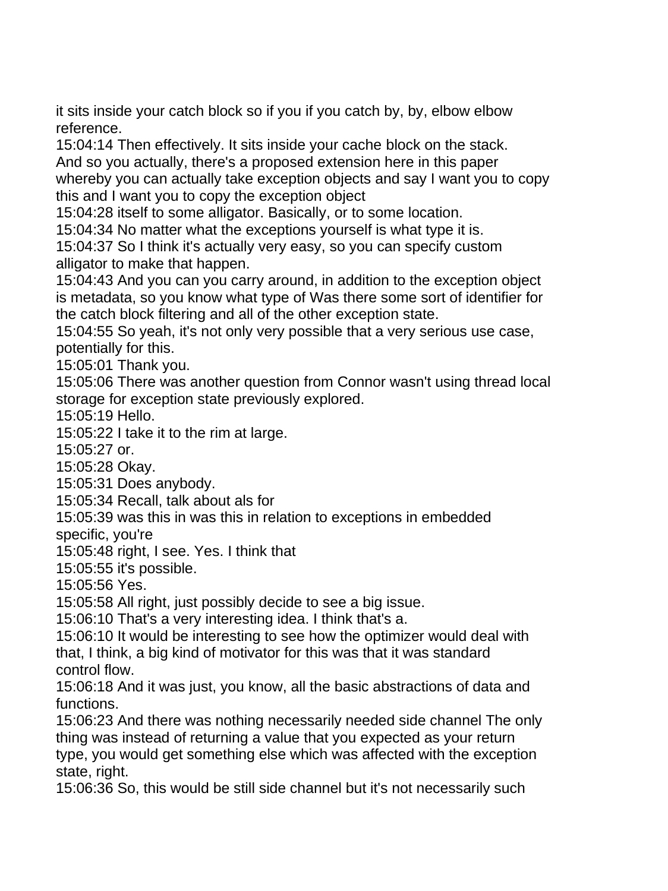it sits inside your catch block so if you if you catch by, by, elbow elbow reference.

15:04:14 Then effectively. It sits inside your cache block on the stack. And so you actually, there's a proposed extension here in this paper

whereby you can actually take exception objects and say I want you to copy this and I want you to copy the exception object

15:04:28 itself to some alligator. Basically, or to some location.

15:04:34 No matter what the exceptions yourself is what type it is.

15:04:37 So I think it's actually very easy, so you can specify custom alligator to make that happen.

15:04:43 And you can you carry around, in addition to the exception object is metadata, so you know what type of Was there some sort of identifier for the catch block filtering and all of the other exception state.

15:04:55 So yeah, it's not only very possible that a very serious use case, potentially for this.

15:05:01 Thank you.

15:05:06 There was another question from Connor wasn't using thread local storage for exception state previously explored.

15:05:19 Hello.

15:05:22 I take it to the rim at large.

15:05:27 or.

15:05:28 Okay.

15:05:31 Does anybody.

15:05:34 Recall, talk about als for

15:05:39 was this in was this in relation to exceptions in embedded

specific, you're

15:05:48 right, I see. Yes. I think that

15:05:55 it's possible.

15:05:56 Yes.

15:05:58 All right, just possibly decide to see a big issue.

15:06:10 That's a very interesting idea. I think that's a.

15:06:10 It would be interesting to see how the optimizer would deal with that, I think, a big kind of motivator for this was that it was standard control flow.

15:06:18 And it was just, you know, all the basic abstractions of data and functions.

15:06:23 And there was nothing necessarily needed side channel The only thing was instead of returning a value that you expected as your return type, you would get something else which was affected with the exception state, right.

15:06:36 So, this would be still side channel but it's not necessarily such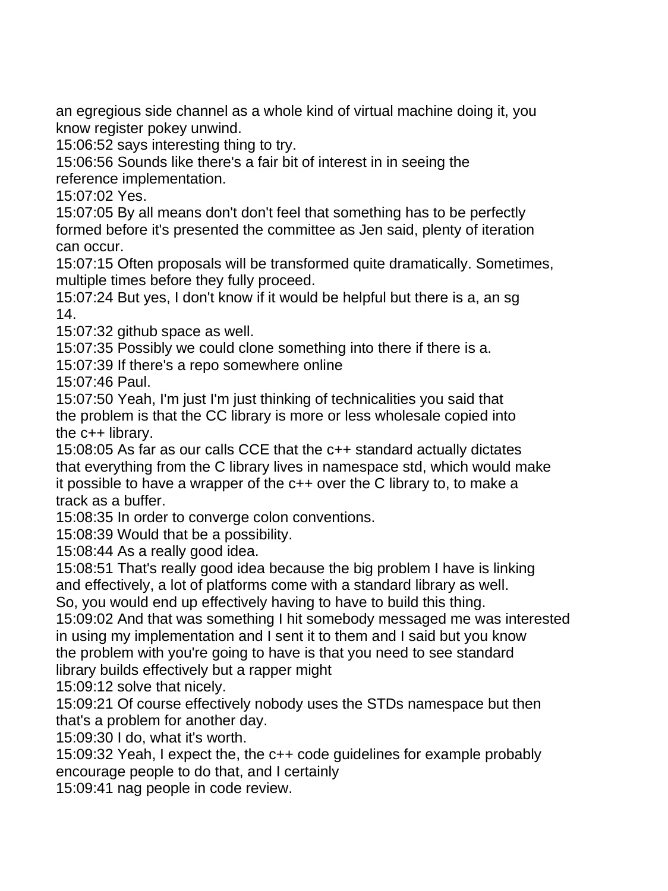an egregious side channel as a whole kind of virtual machine doing it, you know register pokey unwind.

15:06:52 says interesting thing to try.

15:06:56 Sounds like there's a fair bit of interest in in seeing the reference implementation.

15:07:02 Yes.

15:07:05 By all means don't don't feel that something has to be perfectly formed before it's presented the committee as Jen said, plenty of iteration can occur.

15:07:15 Often proposals will be transformed quite dramatically. Sometimes, multiple times before they fully proceed.

15:07:24 But yes, I don't know if it would be helpful but there is a, an sg 14.

15:07:32 github space as well.

15:07:35 Possibly we could clone something into there if there is a.

15:07:39 If there's a repo somewhere online

15:07:46 Paul.

15:07:50 Yeah, I'm just I'm just thinking of technicalities you said that the problem is that the CC library is more or less wholesale copied into the c++ library.

15:08:05 As far as our calls CCE that the c++ standard actually dictates that everything from the C library lives in namespace std, which would make it possible to have a wrapper of the c++ over the C library to, to make a track as a buffer.

15:08:35 In order to converge colon conventions.

15:08:39 Would that be a possibility.

15:08:44 As a really good idea.

15:08:51 That's really good idea because the big problem I have is linking and effectively, a lot of platforms come with a standard library as well.

So, you would end up effectively having to have to build this thing.

15:09:02 And that was something I hit somebody messaged me was interested in using my implementation and I sent it to them and I said but you know the problem with you're going to have is that you need to see standard library builds effectively but a rapper might

15:09:12 solve that nicely.

15:09:21 Of course effectively nobody uses the STDs namespace but then that's a problem for another day.

15:09:30 I do, what it's worth.

15:09:32 Yeah, I expect the, the c++ code guidelines for example probably encourage people to do that, and I certainly

15:09:41 nag people in code review.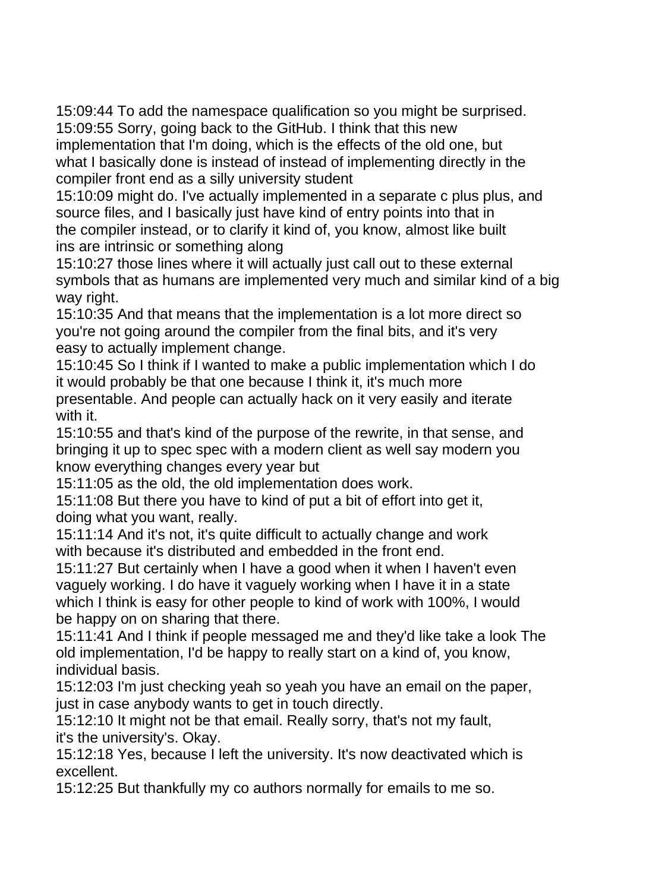15:09:44 To add the namespace qualification so you might be surprised. 15:09:55 Sorry, going back to the GitHub. I think that this new

implementation that I'm doing, which is the effects of the old one, but what I basically done is instead of instead of implementing directly in the compiler front end as a silly university student

15:10:09 might do. I've actually implemented in a separate c plus plus, and source files, and I basically just have kind of entry points into that in the compiler instead, or to clarify it kind of, you know, almost like built ins are intrinsic or something along

15:10:27 those lines where it will actually just call out to these external symbols that as humans are implemented very much and similar kind of a big way right.

15:10:35 And that means that the implementation is a lot more direct so you're not going around the compiler from the final bits, and it's very easy to actually implement change.

15:10:45 So I think if I wanted to make a public implementation which I do it would probably be that one because I think it, it's much more presentable. And people can actually hack on it very easily and iterate with it.

15:10:55 and that's kind of the purpose of the rewrite, in that sense, and bringing it up to spec spec with a modern client as well say modern you know everything changes every year but

15:11:05 as the old, the old implementation does work.

15:11:08 But there you have to kind of put a bit of effort into get it, doing what you want, really.

15:11:14 And it's not, it's quite difficult to actually change and work with because it's distributed and embedded in the front end.

15:11:27 But certainly when I have a good when it when I haven't even vaguely working. I do have it vaguely working when I have it in a state which I think is easy for other people to kind of work with 100%, I would be happy on on sharing that there.

15:11:41 And I think if people messaged me and they'd like take a look The old implementation, I'd be happy to really start on a kind of, you know, individual basis.

15:12:03 I'm just checking yeah so yeah you have an email on the paper, just in case anybody wants to get in touch directly.

15:12:10 It might not be that email. Really sorry, that's not my fault, it's the university's. Okay.

15:12:18 Yes, because I left the university. It's now deactivated which is excellent.

15:12:25 But thankfully my co authors normally for emails to me so.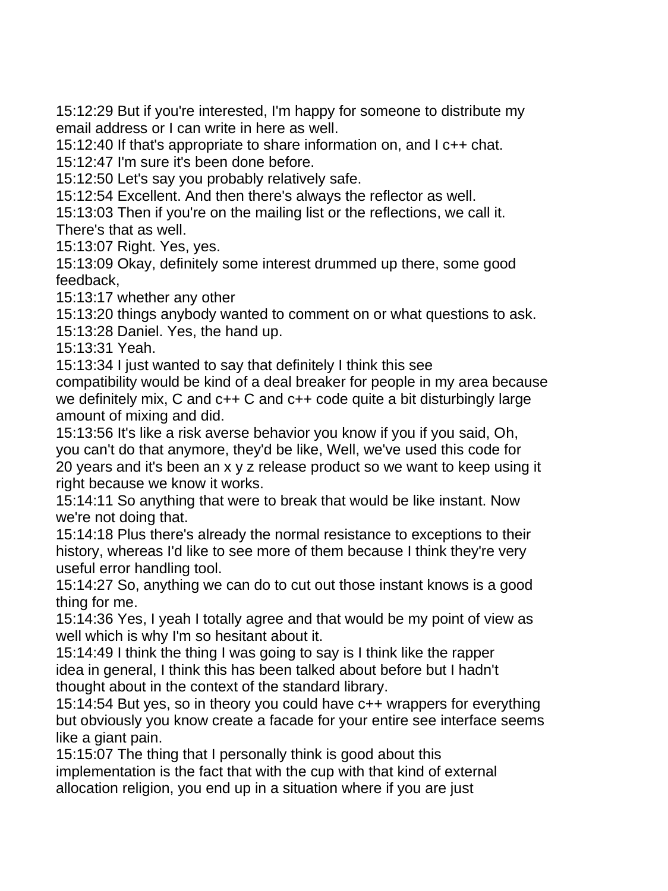15:12:29 But if you're interested, I'm happy for someone to distribute my email address or I can write in here as well.

15:12:40 If that's appropriate to share information on, and I c++ chat.

15:12:47 I'm sure it's been done before.

15:12:50 Let's say you probably relatively safe.

15:12:54 Excellent. And then there's always the reflector as well.

15:13:03 Then if you're on the mailing list or the reflections, we call it.

There's that as well.

15:13:07 Right. Yes, yes.

15:13:09 Okay, definitely some interest drummed up there, some good feedback,

15:13:17 whether any other

15:13:20 things anybody wanted to comment on or what questions to ask. 15:13:28 Daniel. Yes, the hand up.

15:13:31 Yeah.

15:13:34 I just wanted to say that definitely I think this see

compatibility would be kind of a deal breaker for people in my area because we definitely mix, C and c++ C and c++ code quite a bit disturbingly large amount of mixing and did.

15:13:56 It's like a risk averse behavior you know if you if you said, Oh, you can't do that anymore, they'd be like, Well, we've used this code for 20 years and it's been an x y z release product so we want to keep using it right because we know it works.

15:14:11 So anything that were to break that would be like instant. Now we're not doing that.

15:14:18 Plus there's already the normal resistance to exceptions to their history, whereas I'd like to see more of them because I think they're very useful error handling tool.

15:14:27 So, anything we can do to cut out those instant knows is a good thing for me.

15:14:36 Yes, I yeah I totally agree and that would be my point of view as well which is why I'm so hesitant about it.

15:14:49 I think the thing I was going to say is I think like the rapper idea in general, I think this has been talked about before but I hadn't thought about in the context of the standard library.

15:14:54 But yes, so in theory you could have c++ wrappers for everything but obviously you know create a facade for your entire see interface seems like a giant pain.

15:15:07 The thing that I personally think is good about this implementation is the fact that with the cup with that kind of external allocation religion, you end up in a situation where if you are just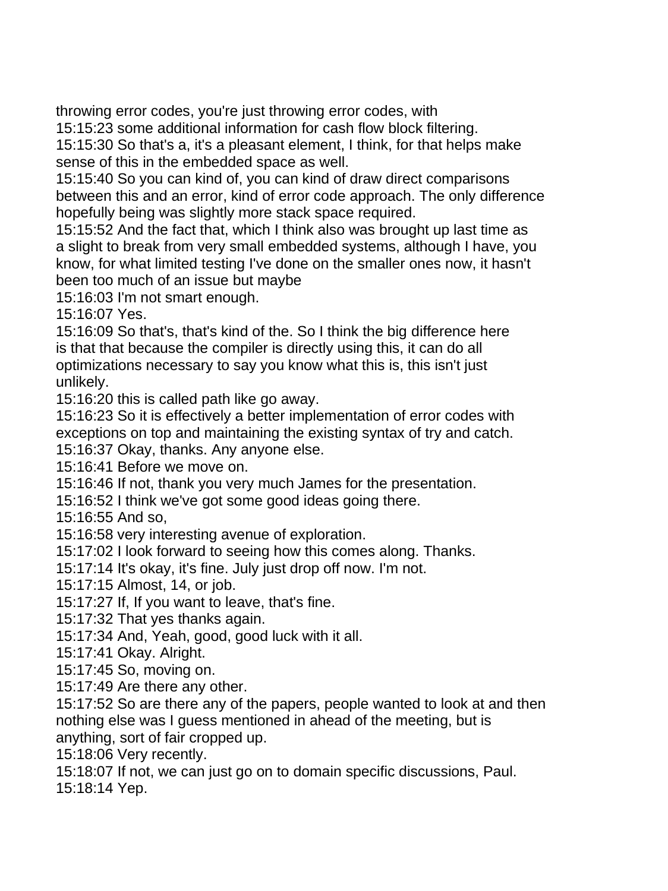throwing error codes, you're just throwing error codes, with

15:15:23 some additional information for cash flow block filtering.

15:15:30 So that's a, it's a pleasant element, I think, for that helps make sense of this in the embedded space as well.

15:15:40 So you can kind of, you can kind of draw direct comparisons between this and an error, kind of error code approach. The only difference hopefully being was slightly more stack space required.

15:15:52 And the fact that, which I think also was brought up last time as a slight to break from very small embedded systems, although I have, you know, for what limited testing I've done on the smaller ones now, it hasn't been too much of an issue but maybe

15:16:03 I'm not smart enough.

15:16:07 Yes.

15:16:09 So that's, that's kind of the. So I think the big difference here is that that because the compiler is directly using this, it can do all optimizations necessary to say you know what this is, this isn't just unlikely.

15:16:20 this is called path like go away.

15:16:23 So it is effectively a better implementation of error codes with exceptions on top and maintaining the existing syntax of try and catch.

15:16:37 Okay, thanks. Any anyone else.

15:16:41 Before we move on.

15:16:46 If not, thank you very much James for the presentation.

15:16:52 I think we've got some good ideas going there.

15:16:55 And so,

15:16:58 very interesting avenue of exploration.

15:17:02 I look forward to seeing how this comes along. Thanks.

15:17:14 It's okay, it's fine. July just drop off now. I'm not.

15:17:15 Almost, 14, or job.

15:17:27 If, If you want to leave, that's fine.

15:17:32 That yes thanks again.

15:17:34 And, Yeah, good, good luck with it all.

15:17:41 Okay. Alright.

15:17:45 So, moving on.

15:17:49 Are there any other.

15:17:52 So are there any of the papers, people wanted to look at and then nothing else was I guess mentioned in ahead of the meeting, but is

anything, sort of fair cropped up.

15:18:06 Very recently.

15:18:07 If not, we can just go on to domain specific discussions, Paul.

15:18:14 Yep.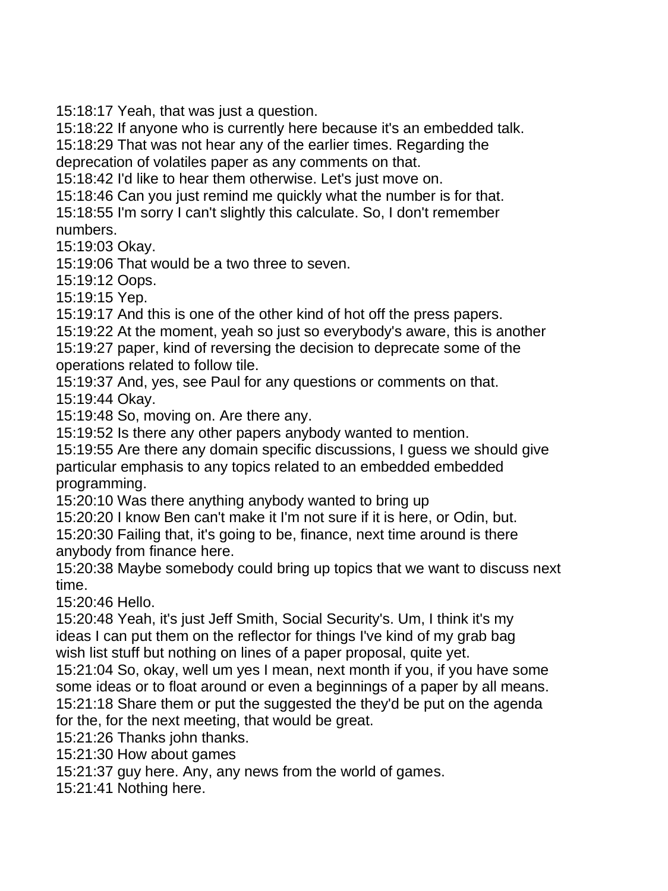15:18:17 Yeah, that was just a question.

15:18:22 If anyone who is currently here because it's an embedded talk.

15:18:29 That was not hear any of the earlier times. Regarding the

deprecation of volatiles paper as any comments on that.

15:18:42 I'd like to hear them otherwise. Let's just move on.

15:18:46 Can you just remind me quickly what the number is for that. 15:18:55 I'm sorry I can't slightly this calculate. So, I don't remember numbers.

15:19:03 Okay.

15:19:06 That would be a two three to seven.

15:19:12 Oops.

15:19:15 Yep.

15:19:17 And this is one of the other kind of hot off the press papers.

15:19:22 At the moment, yeah so just so everybody's aware, this is another

15:19:27 paper, kind of reversing the decision to deprecate some of the operations related to follow tile.

15:19:37 And, yes, see Paul for any questions or comments on that.

15:19:44 Okay.

15:19:48 So, moving on. Are there any.

15:19:52 Is there any other papers anybody wanted to mention.

15:19:55 Are there any domain specific discussions, I guess we should give particular emphasis to any topics related to an embedded embedded programming.

15:20:10 Was there anything anybody wanted to bring up

15:20:20 I know Ben can't make it I'm not sure if it is here, or Odin, but.

15:20:30 Failing that, it's going to be, finance, next time around is there anybody from finance here.

15:20:38 Maybe somebody could bring up topics that we want to discuss next time.

15:20:46 Hello.

15:20:48 Yeah, it's just Jeff Smith, Social Security's. Um, I think it's my ideas I can put them on the reflector for things I've kind of my grab bag wish list stuff but nothing on lines of a paper proposal, quite yet.

15:21:04 So, okay, well um yes I mean, next month if you, if you have some some ideas or to float around or even a beginnings of a paper by all means. 15:21:18 Share them or put the suggested the they'd be put on the agenda for the, for the next meeting, that would be great.

15:21:26 Thanks john thanks.

15:21:30 How about games

15:21:37 guy here. Any, any news from the world of games.

15:21:41 Nothing here.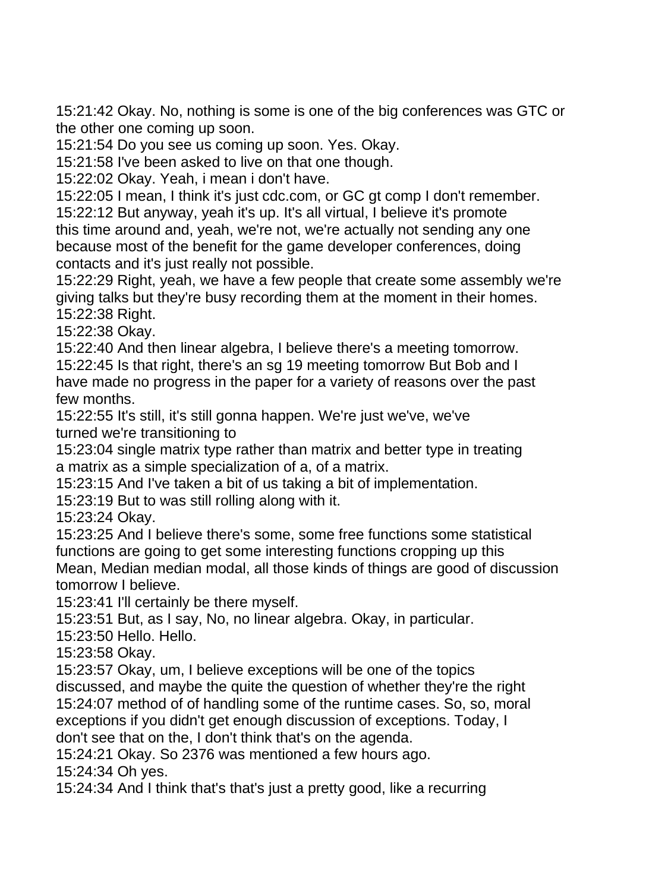15:21:42 Okay. No, nothing is some is one of the big conferences was GTC or the other one coming up soon.

15:21:54 Do you see us coming up soon. Yes. Okay.

15:21:58 I've been asked to live on that one though.

15:22:02 Okay. Yeah, i mean i don't have.

15:22:05 I mean, I think it's just cdc.com, or GC gt comp I don't remember.

15:22:12 But anyway, yeah it's up. It's all virtual, I believe it's promote this time around and, yeah, we're not, we're actually not sending any one because most of the benefit for the game developer conferences, doing contacts and it's just really not possible.

15:22:29 Right, yeah, we have a few people that create some assembly we're giving talks but they're busy recording them at the moment in their homes. 15:22:38 Right.

15:22:38 Okay.

15:22:40 And then linear algebra, I believe there's a meeting tomorrow. 15:22:45 Is that right, there's an sg 19 meeting tomorrow But Bob and I have made no progress in the paper for a variety of reasons over the past few months.

15:22:55 It's still, it's still gonna happen. We're just we've, we've turned we're transitioning to

15:23:04 single matrix type rather than matrix and better type in treating a matrix as a simple specialization of a, of a matrix.

15:23:15 And I've taken a bit of us taking a bit of implementation.

15:23:19 But to was still rolling along with it.

15:23:24 Okay.

15:23:25 And I believe there's some, some free functions some statistical functions are going to get some interesting functions cropping up this Mean, Median median modal, all those kinds of things are good of discussion tomorrow I believe.

15:23:41 I'll certainly be there myself.

15:23:51 But, as I say, No, no linear algebra. Okay, in particular.

15:23:50 Hello. Hello.

15:23:58 Okay.

15:23:57 Okay, um, I believe exceptions will be one of the topics

discussed, and maybe the quite the question of whether they're the right 15:24:07 method of of handling some of the runtime cases. So, so, moral exceptions if you didn't get enough discussion of exceptions. Today, I don't see that on the, I don't think that's on the agenda.

15:24:21 Okay. So 2376 was mentioned a few hours ago.

15:24:34 Oh yes.

15:24:34 And I think that's that's just a pretty good, like a recurring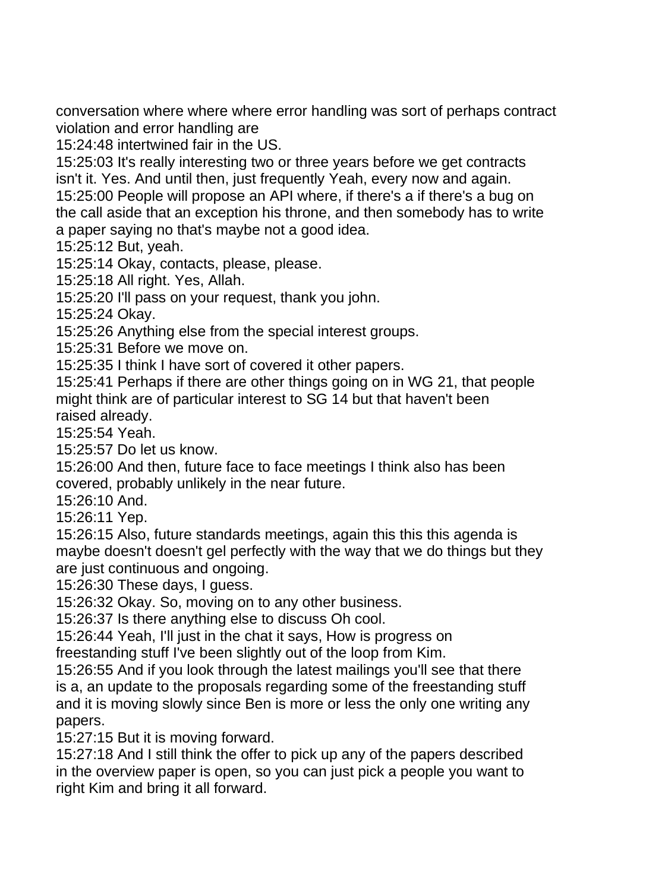conversation where where where error handling was sort of perhaps contract violation and error handling are

15:24:48 intertwined fair in the US.

15:25:03 It's really interesting two or three years before we get contracts isn't it. Yes. And until then, just frequently Yeah, every now and again.

15:25:00 People will propose an API where, if there's a if there's a bug on the call aside that an exception his throne, and then somebody has to write a paper saying no that's maybe not a good idea.

15:25:12 But, yeah.

15:25:14 Okay, contacts, please, please.

15:25:18 All right. Yes, Allah.

15:25:20 I'll pass on your request, thank you john.

15:25:24 Okay.

15:25:26 Anything else from the special interest groups.

15:25:31 Before we move on.

15:25:35 I think I have sort of covered it other papers.

15:25:41 Perhaps if there are other things going on in WG 21, that people might think are of particular interest to SG 14 but that haven't been raised already.

15:25:54 Yeah.

15:25:57 Do let us know.

15:26:00 And then, future face to face meetings I think also has been covered, probably unlikely in the near future.

15:26:10 And.

15:26:11 Yep.

15:26:15 Also, future standards meetings, again this this this agenda is maybe doesn't doesn't gel perfectly with the way that we do things but they are just continuous and ongoing.

15:26:30 These days, I guess.

15:26:32 Okay. So, moving on to any other business.

15:26:37 Is there anything else to discuss Oh cool.

15:26:44 Yeah, I'll just in the chat it says, How is progress on

freestanding stuff I've been slightly out of the loop from Kim.

15:26:55 And if you look through the latest mailings you'll see that there is a, an update to the proposals regarding some of the freestanding stuff and it is moving slowly since Ben is more or less the only one writing any papers.

15:27:15 But it is moving forward.

15:27:18 And I still think the offer to pick up any of the papers described in the overview paper is open, so you can just pick a people you want to right Kim and bring it all forward.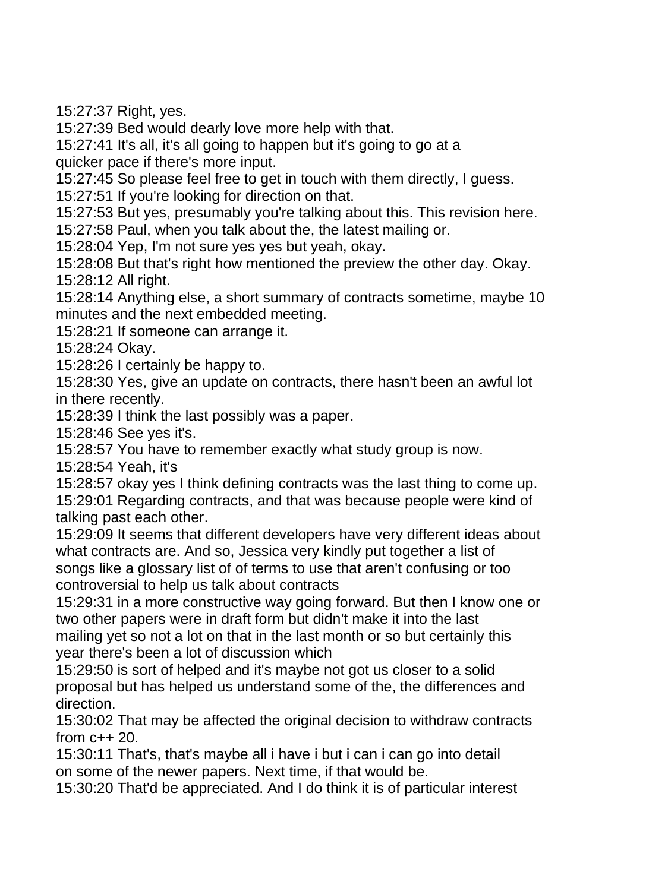15:27:37 Right, yes.

15:27:39 Bed would dearly love more help with that.

15:27:41 It's all, it's all going to happen but it's going to go at a

quicker pace if there's more input.

15:27:45 So please feel free to get in touch with them directly, I guess.

15:27:51 If you're looking for direction on that.

15:27:53 But yes, presumably you're talking about this. This revision here.

15:27:58 Paul, when you talk about the, the latest mailing or.

15:28:04 Yep, I'm not sure yes yes but yeah, okay.

15:28:08 But that's right how mentioned the preview the other day. Okay. 15:28:12 All right.

15:28:14 Anything else, a short summary of contracts sometime, maybe 10 minutes and the next embedded meeting.

15:28:21 If someone can arrange it.

15:28:24 Okay.

15:28:26 I certainly be happy to.

15:28:30 Yes, give an update on contracts, there hasn't been an awful lot in there recently.

15:28:39 I think the last possibly was a paper.

15:28:46 See yes it's.

15:28:57 You have to remember exactly what study group is now.

15:28:54 Yeah, it's

15:28:57 okay yes I think defining contracts was the last thing to come up. 15:29:01 Regarding contracts, and that was because people were kind of talking past each other.

15:29:09 It seems that different developers have very different ideas about what contracts are. And so, Jessica very kindly put together a list of songs like a glossary list of of terms to use that aren't confusing or too controversial to help us talk about contracts

15:29:31 in a more constructive way going forward. But then I know one or two other papers were in draft form but didn't make it into the last mailing yet so not a lot on that in the last month or so but certainly this year there's been a lot of discussion which

15:29:50 is sort of helped and it's maybe not got us closer to a solid proposal but has helped us understand some of the, the differences and direction.

15:30:02 That may be affected the original decision to withdraw contracts from c++ 20.

15:30:11 That's, that's maybe all i have i but i can i can go into detail on some of the newer papers. Next time, if that would be.

15:30:20 That'd be appreciated. And I do think it is of particular interest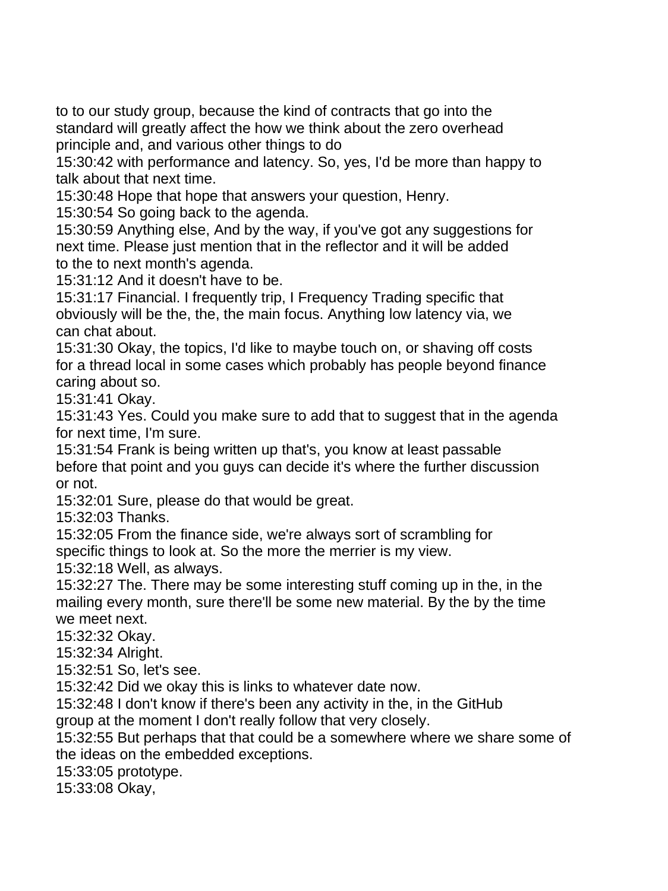to to our study group, because the kind of contracts that go into the standard will greatly affect the how we think about the zero overhead principle and, and various other things to do

15:30:42 with performance and latency. So, yes, I'd be more than happy to talk about that next time.

15:30:48 Hope that hope that answers your question, Henry.

15:30:54 So going back to the agenda.

15:30:59 Anything else, And by the way, if you've got any suggestions for next time. Please just mention that in the reflector and it will be added to the to next month's agenda.

15:31:12 And it doesn't have to be.

15:31:17 Financial. I frequently trip, I Frequency Trading specific that obviously will be the, the, the main focus. Anything low latency via, we can chat about.

15:31:30 Okay, the topics, I'd like to maybe touch on, or shaving off costs for a thread local in some cases which probably has people beyond finance caring about so.

15:31:41 Okay.

15:31:43 Yes. Could you make sure to add that to suggest that in the agenda for next time, I'm sure.

15:31:54 Frank is being written up that's, you know at least passable before that point and you guys can decide it's where the further discussion or not.

15:32:01 Sure, please do that would be great.

15:32:03 Thanks.

15:32:05 From the finance side, we're always sort of scrambling for specific things to look at. So the more the merrier is my view.

15:32:18 Well, as always.

15:32:27 The. There may be some interesting stuff coming up in the, in the mailing every month, sure there'll be some new material. By the by the time we meet next.

15:32:32 Okay.

15:32:34 Alright.

15:32:51 So, let's see.

15:32:42 Did we okay this is links to whatever date now.

15:32:48 I don't know if there's been any activity in the, in the GitHub group at the moment I don't really follow that very closely.

15:32:55 But perhaps that that could be a somewhere where we share some of

the ideas on the embedded exceptions.

15:33:05 prototype.

15:33:08 Okay,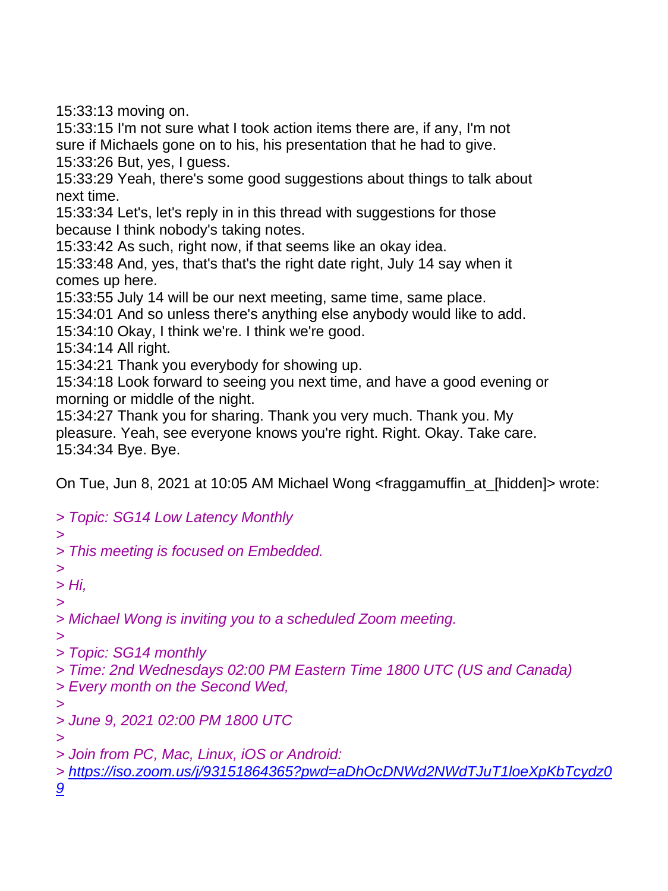15:33:13 moving on.

15:33:15 I'm not sure what I took action items there are, if any, I'm not sure if Michaels gone on to his, his presentation that he had to give. 15:33:26 But, yes, I guess.

15:33:29 Yeah, there's some good suggestions about things to talk about next time.

15:33:34 Let's, let's reply in in this thread with suggestions for those because I think nobody's taking notes.

15:33:42 As such, right now, if that seems like an okay idea.

15:33:48 And, yes, that's that's the right date right, July 14 say when it comes up here.

15:33:55 July 14 will be our next meeting, same time, same place.

15:34:01 And so unless there's anything else anybody would like to add.

15:34:10 Okay, I think we're. I think we're good.

15:34:14 All right.

15:34:21 Thank you everybody for showing up.

15:34:18 Look forward to seeing you next time, and have a good evening or morning or middle of the night.

15:34:27 Thank you for sharing. Thank you very much. Thank you. My pleasure. Yeah, see everyone knows you're right. Right. Okay. Take care. 15:34:34 Bye. Bye.

On Tue, Jun 8, 2021 at 10:05 AM Michael Wong <fraggamuffin\_at\_[hidden]> wrote:

*> Topic: SG14 Low Latency Monthly > > This meeting is focused on Embedded. > > Hi, > > Michael Wong is inviting you to a scheduled Zoom meeting. > > Topic: SG14 monthly > Time: 2nd Wednesdays 02:00 PM Eastern Time 1800 UTC (US and Canada) > Every month on the Second Wed, > > June 9, 2021 02:00 PM 1800 UTC > > Join from PC, Mac, Linux, iOS or Android: > [https://iso.zoom.us/j/93151864365?pwd=aDhOcDNWd2NWdTJuT1loeXpKbTcydz0](https://iso.zoom.us/j/93151864365?pwd=aDhOcDNWd2NWdTJuT1loeXpKbTcydz09) [9](https://iso.zoom.us/j/93151864365?pwd=aDhOcDNWd2NWdTJuT1loeXpKbTcydz09)*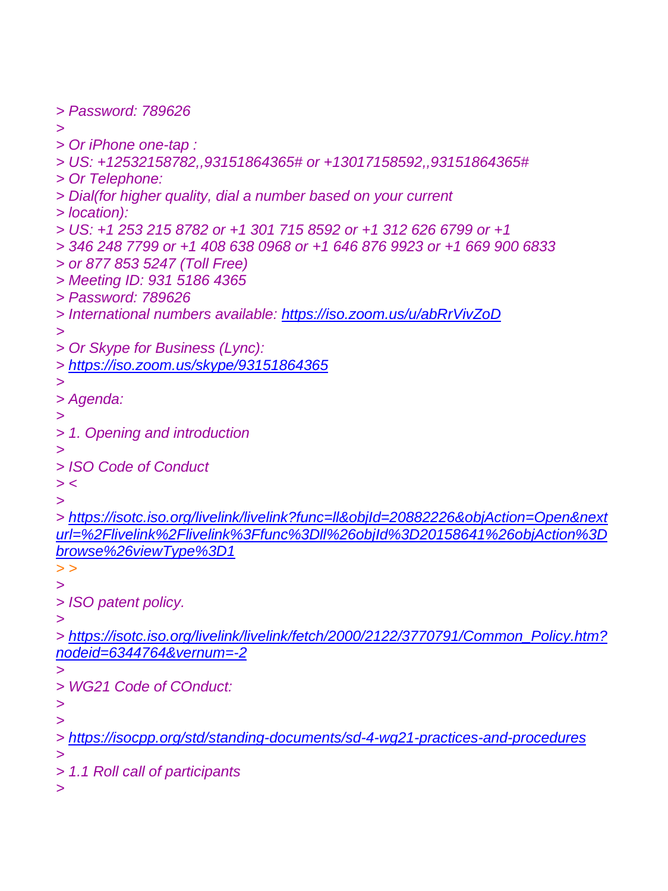```
> Password: 789626
>
> Or iPhone one-tap :
> US: +12532158782,,93151864365# or +13017158592,,93151864365#
> Or Telephone:
> Dial(for higher quality, dial a number based on your current
> location):
> US: +1 253 215 8782 or +1 301 715 8592 or +1 312 626 6799 or +1
> 346 248 7799 or +1 408 638 0968 or +1 646 876 9923 or +1 669 900 6833
> or 877 853 5247 (Toll Free)
> Meeting ID: 931 5186 4365
> Password: 789626
> International numbers available: https://iso.zoom.us/u/abRrVivZoD
>
> Or Skype for Business (Lync):
> https://iso.zoom.us/skype/93151864365
>
> Agenda:
>
> 1. Opening and introduction
>
> ISO Code of Conduct
> <
>
> https://isotc.iso.org/livelink/livelink?func=ll&objId=20882226&objAction=Open&next
url=%2Flivelink%2Flivelink%3Ffunc%3Dll%26objId%3D20158641%26objAction%3D
browse%26viewType%3D1
> >
>
> ISO patent policy.
>
> https://isotc.iso.org/livelink/livelink/fetch/2000/2122/3770791/Common_Policy.htm?
nodeid=6344764&vernum=-2
>
> WG21 Code of COnduct:
>
>
> https://isocpp.org/std/standing-documents/sd-4-wg21-practices-and-procedures
>
> 1.1 Roll call of participants
>
```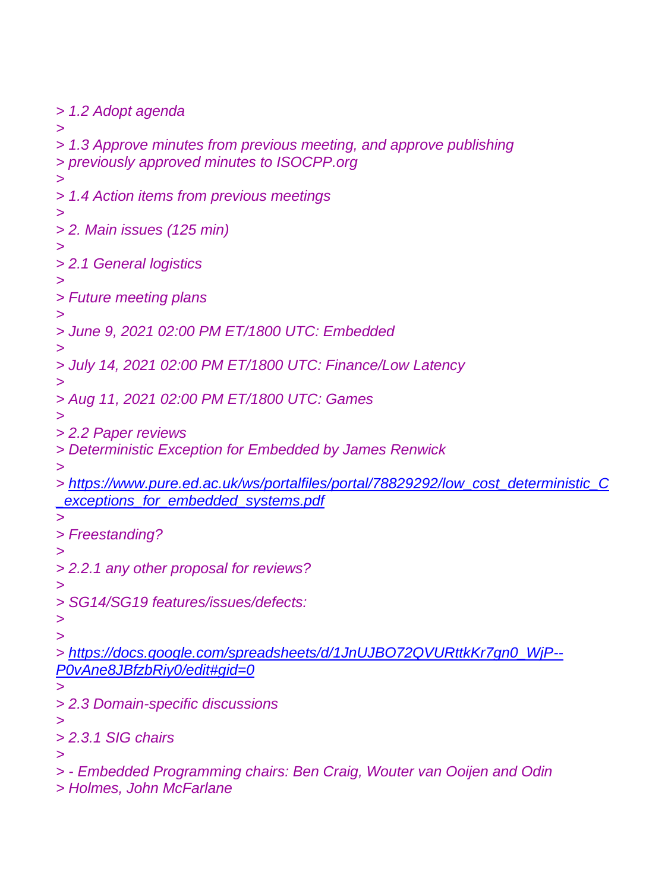*> 1.2 Adopt agenda > > 1.3 Approve minutes from previous meeting, and approve publishing > previously approved minutes to ISOCPP.org > > 1.4 Action items from previous meetings > > 2. Main issues (125 min) > > 2.1 General logistics > > Future meeting plans > > June 9, 2021 02:00 PM ET/1800 UTC: Embedded > > July 14, 2021 02:00 PM ET/1800 UTC: Finance/Low Latency > > Aug 11, 2021 02:00 PM ET/1800 UTC: Games > > 2.2 Paper reviews > Deterministic Exception for Embedded by James Renwick > > [https://www.pure.ed.ac.uk/ws/portalfiles/portal/78829292/low\\_cost\\_deterministic\\_C](https://www.pure.ed.ac.uk/ws/portalfiles/portal/78829292/low_cost_deterministic_C_exceptions_for_embedded_systems.pdf) [\\_exceptions\\_for\\_embedded\\_systems.pdf](https://www.pure.ed.ac.uk/ws/portalfiles/portal/78829292/low_cost_deterministic_C_exceptions_for_embedded_systems.pdf) > > Freestanding? > > 2.2.1 any other proposal for reviews? > > SG14/SG19 features/issues/defects: > > > [https://docs.google.com/spreadsheets/d/1JnUJBO72QVURttkKr7gn0\\_WjP--](https://docs.google.com/spreadsheets/d/1JnUJBO72QVURttkKr7gn0_WjP--P0vAne8JBfzbRiy0/edit#gid=0) [P0vAne8JBfzbRiy0/edit#gid=0](https://docs.google.com/spreadsheets/d/1JnUJBO72QVURttkKr7gn0_WjP--P0vAne8JBfzbRiy0/edit#gid=0) > > 2.3 Domain-specific discussions > > 2.3.1 SIG chairs > > - Embedded Programming chairs: Ben Craig, Wouter van Ooijen and Odin > Holmes, John McFarlane*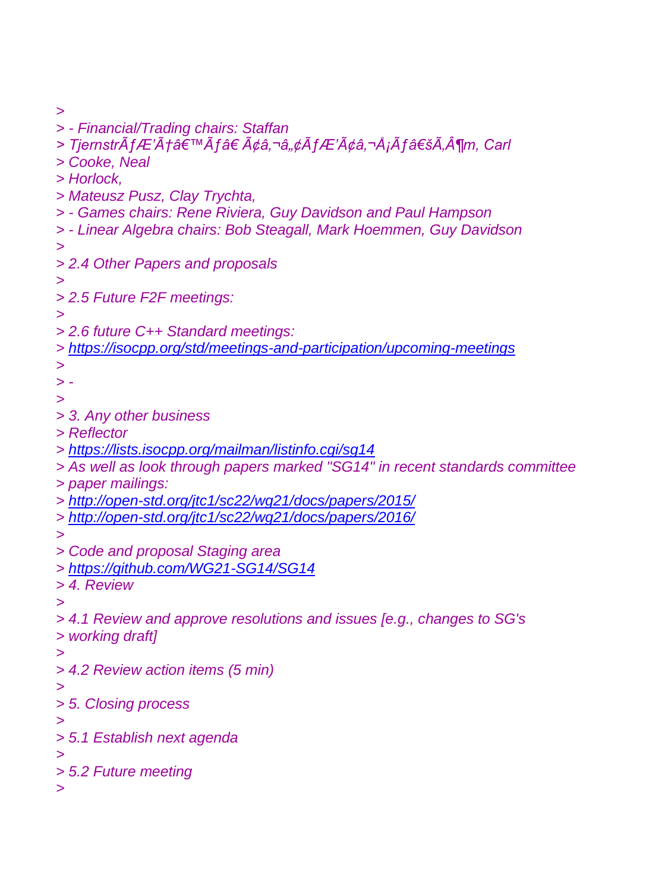*>*

*> - Financial/Trading chairs: Staffan* > TjernstrÃfÆ'Æâ€™Ãf†Ã¢â,¬â"¢ÃfÆ'ââ,¬Å¡Ãf'Ã,¶m, Carl *> Cooke, Neal > Horlock, > Mateusz Pusz, Clay Trychta, > - Games chairs: Rene Riviera, Guy Davidson and Paul Hampson > - Linear Algebra chairs: Bob Steagall, Mark Hoemmen, Guy Davidson > > 2.4 Other Papers and proposals > > 2.5 Future F2F meetings: > > 2.6 future C++ Standard meetings: > <https://isocpp.org/std/meetings-and-participation/upcoming-meetings> > > - > > 3. Any other business > Reflector > <https://lists.isocpp.org/mailman/listinfo.cgi/sg14> > As well as look through papers marked "SG14" in recent standards committee > paper mailings: > <http://open-std.org/jtc1/sc22/wg21/docs/papers/2015/> > <http://open-std.org/jtc1/sc22/wg21/docs/papers/2016/> > > Code and proposal Staging area > <https://github.com/WG21-SG14/SG14> > 4. Review > > 4.1 Review and approve resolutions and issues [e.g., changes to SG's > working draft] > > 4.2 Review action items (5 min) > > 5. Closing process > > 5.1 Establish next agenda > > 5.2 Future meeting >*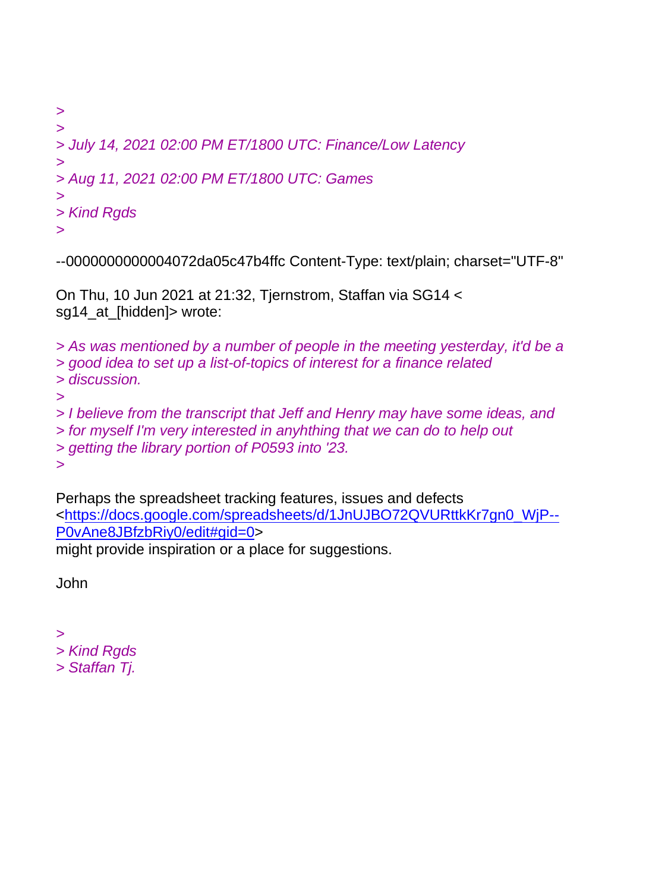```
>
>
> July 14, 2021 02:00 PM ET/1800 UTC: Finance/Low Latency
>
> Aug 11, 2021 02:00 PM ET/1800 UTC: Games
>
> Kind Rgds
>
```
--0000000000004072da05c47b4ffc Content-Type: text/plain; charset="UTF-8"

On Thu, 10 Jun 2021 at 21:32, Tjernstrom, Staffan via SG14 < sg14\_at\_[hidden]> wrote:

*> As was mentioned by a number of people in the meeting yesterday, it'd be a > good idea to set up a list-of-topics of interest for a finance related > discussion. > > I believe from the transcript that Jeff and Henry may have some ideas, and > for myself I'm very interested in anyhthing that we can do to help out > getting the library portion of P0593 into '23. >*

Perhaps the spreadsheet tracking features, issues and defects [<https://docs.google.com/spreadsheets/d/1JnUJBO72QVURttkKr7gn0\\_WjP--](https://docs.google.com/spreadsheets/d/1JnUJBO72QVURttkKr7gn0_WjP--P0vAne8JBfzbRiy0/edit#gid=0) [P0vAne8JBfzbRiy0/edit#gid=0>](https://docs.google.com/spreadsheets/d/1JnUJBO72QVURttkKr7gn0_WjP--P0vAne8JBfzbRiy0/edit#gid=0)

might provide inspiration or a place for suggestions.

John

*>*

*> Kind Rgds*

*> Staffan Tj.*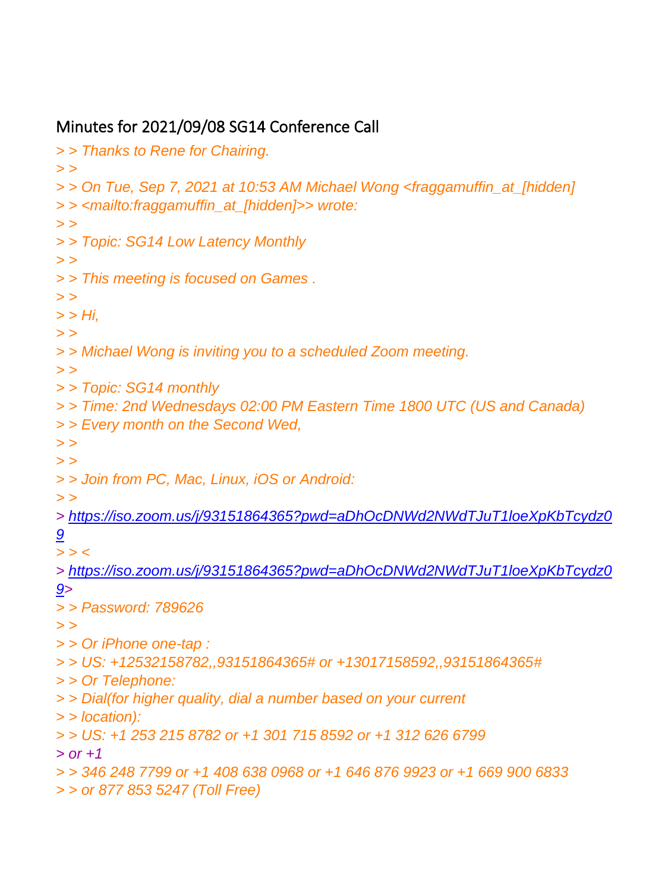## Minutes for 2021/09/08 SG14 Conference Call

*> > Thanks to Rene for Chairing. > > > > On Tue, Sep 7, 2021 at 10:53 AM Michael Wong <fraggamuffin\_at\_[hidden] > > <mailto:fraggamuffin\_at\_[hidden]>> wrote: > > > > Topic: SG14 Low Latency Monthly > > > > This meeting is focused on Games . > > > > Hi, > > > > Michael Wong is inviting you to a scheduled Zoom meeting. > > > > Topic: SG14 monthly > > Time: 2nd Wednesdays 02:00 PM Eastern Time 1800 UTC (US and Canada) > > Every month on the Second Wed, > > > > > > Join from PC, Mac, Linux, iOS or Android: > > > [https://iso.zoom.us/j/93151864365?pwd=aDhOcDNWd2NWdTJuT1loeXpKbTcydz0](https://iso.zoom.us/j/93151864365?pwd=aDhOcDNWd2NWdTJuT1loeXpKbTcydz09) [9](https://iso.zoom.us/j/93151864365?pwd=aDhOcDNWd2NWdTJuT1loeXpKbTcydz09) > > < > [https://iso.zoom.us/j/93151864365?pwd=aDhOcDNWd2NWdTJuT1loeXpKbTcydz0](https://iso.zoom.us/j/93151864365?pwd=aDhOcDNWd2NWdTJuT1loeXpKbTcydz09) [9>](https://iso.zoom.us/j/93151864365?pwd=aDhOcDNWd2NWdTJuT1loeXpKbTcydz09) > > Password: 789626 > > > > Or iPhone one-tap : > > US: +12532158782,,93151864365# or +13017158592,,93151864365# > > Or Telephone: > > Dial(for higher quality, dial a number based on your current > > location): > > US: +1 253 215 8782 or +1 301 715 8592 or +1 312 626 6799 > or +1 > > 346 248 7799 or +1 408 638 0968 or +1 646 876 9923 or +1 669 900 6833 > > or 877 853 5247 (Toll Free)*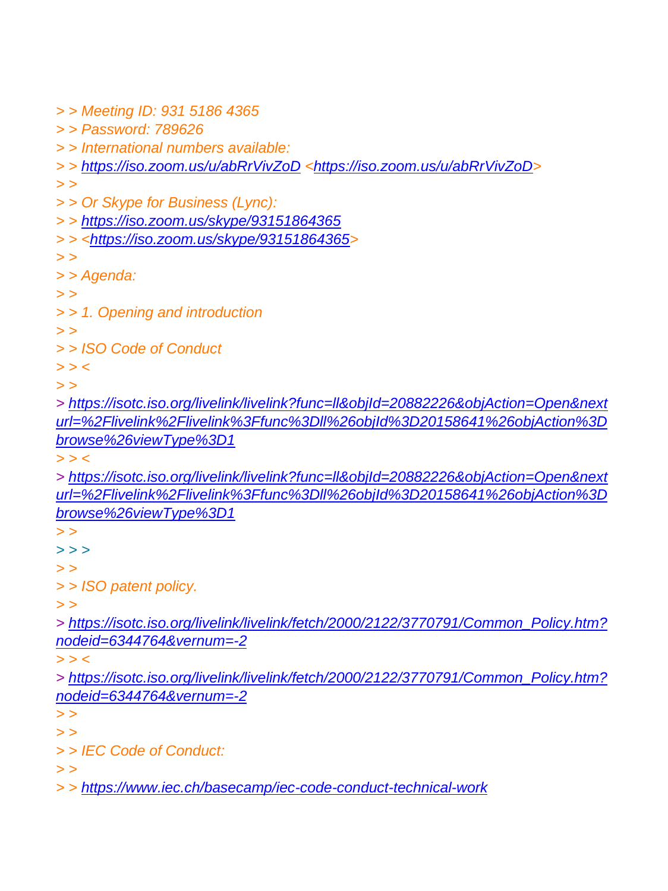*> > Meeting ID: 931 5186 4365 > > Password: 789626 > > International numbers available: > > <https://iso.zoom.us/u/abRrVivZoD> [<https://iso.zoom.us/u/abRrVivZoD>](https://iso.zoom.us/u/abRrVivZoD) > > > > Or Skype for Business (Lync): > > <https://iso.zoom.us/skype/93151864365> > > [<https://iso.zoom.us/skype/93151864365>](https://iso.zoom.us/skype/93151864365) > > > > Agenda: > > > > 1. Opening and introduction > > > > ISO Code of Conduct > > < > > > [https://isotc.iso.org/livelink/livelink?func=ll&objId=20882226&objAction=Open&next](https://isotc.iso.org/livelink/livelink?func=ll&objId=20882226&objAction=Open&nexturl=%2Flivelink%2Flivelink%3Ffunc%3Dll%26objId%3D20158641%26objAction%3Dbrowse%26viewType%3D1) [url=%2Flivelink%2Flivelink%3Ffunc%3Dll%26objId%3D20158641%26objAction%3D](https://isotc.iso.org/livelink/livelink?func=ll&objId=20882226&objAction=Open&nexturl=%2Flivelink%2Flivelink%3Ffunc%3Dll%26objId%3D20158641%26objAction%3Dbrowse%26viewType%3D1) [browse%26viewType%3D1](https://isotc.iso.org/livelink/livelink?func=ll&objId=20882226&objAction=Open&nexturl=%2Flivelink%2Flivelink%3Ffunc%3Dll%26objId%3D20158641%26objAction%3Dbrowse%26viewType%3D1) > > < > [https://isotc.iso.org/livelink/livelink?func=ll&objId=20882226&objAction=Open&next](https://isotc.iso.org/livelink/livelink?func=ll&objId=20882226&objAction=Open&nexturl=%2Flivelink%2Flivelink%3Ffunc%3Dll%26objId%3D20158641%26objAction%3Dbrowse%26viewType%3D1) [url=%2Flivelink%2Flivelink%3Ffunc%3Dll%26objId%3D20158641%26objAction%3D](https://isotc.iso.org/livelink/livelink?func=ll&objId=20882226&objAction=Open&nexturl=%2Flivelink%2Flivelink%3Ffunc%3Dll%26objId%3D20158641%26objAction%3Dbrowse%26viewType%3D1) [browse%26viewType%3D1](https://isotc.iso.org/livelink/livelink?func=ll&objId=20882226&objAction=Open&nexturl=%2Flivelink%2Flivelink%3Ffunc%3Dll%26objId%3D20158641%26objAction%3Dbrowse%26viewType%3D1) > > > > > > > > > ISO patent policy. > > > [https://isotc.iso.org/livelink/livelink/fetch/2000/2122/3770791/Common\\_Policy.htm?](https://isotc.iso.org/livelink/livelink/fetch/2000/2122/3770791/Common_Policy.htm?nodeid=6344764&vernum=-2) [nodeid=6344764&vernum=-2](https://isotc.iso.org/livelink/livelink/fetch/2000/2122/3770791/Common_Policy.htm?nodeid=6344764&vernum=-2) > > < > [https://isotc.iso.org/livelink/livelink/fetch/2000/2122/3770791/Common\\_Policy.htm?](https://isotc.iso.org/livelink/livelink/fetch/2000/2122/3770791/Common_Policy.htm?nodeid=6344764&vernum=-2)*

*[nodeid=6344764&vernum=-2](https://isotc.iso.org/livelink/livelink/fetch/2000/2122/3770791/Common_Policy.htm?nodeid=6344764&vernum=-2)*

*> > > >*

*> > IEC Code of Conduct:*

*> >*

*> > <https://www.iec.ch/basecamp/iec-code-conduct-technical-work>*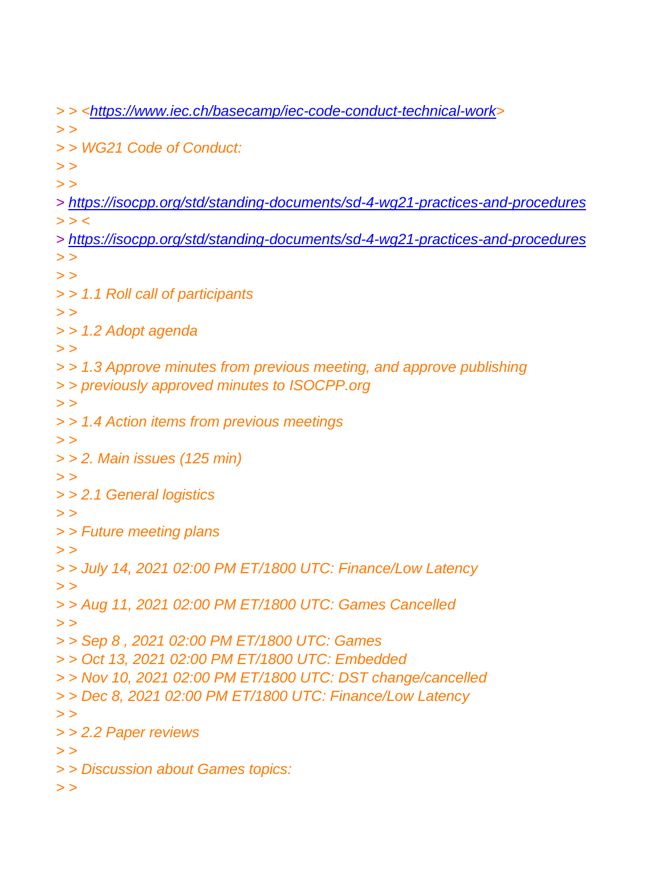*> > [<https://www.iec.ch/basecamp/iec-code-conduct-technical-work>](https://www.iec.ch/basecamp/iec-code-conduct-technical-work) > > > > WG21 Code of Conduct: > > > > > <https://isocpp.org/std/standing-documents/sd-4-wg21-practices-and-procedures> > > < > <https://isocpp.org/std/standing-documents/sd-4-wg21-practices-and-procedures> > > > > > > 1.1 Roll call of participants > > > > 1.2 Adopt agenda > > > > 1.3 Approve minutes from previous meeting, and approve publishing > > previously approved minutes to ISOCPP.org > > > > 1.4 Action items from previous meetings > > > > 2. Main issues (125 min) > > > > 2.1 General logistics > > > > Future meeting plans > > > > July 14, 2021 02:00 PM ET/1800 UTC: Finance/Low Latency > > > > Aug 11, 2021 02:00 PM ET/1800 UTC: Games Cancelled > > > > Sep 8 , 2021 02:00 PM ET/1800 UTC: Games > > Oct 13, 2021 02:00 PM ET/1800 UTC: Embedded > > Nov 10, 2021 02:00 PM ET/1800 UTC: DST change/cancelled > > Dec 8, 2021 02:00 PM ET/1800 UTC: Finance/Low Latency > > > > 2.2 Paper reviews > > > > Discussion about Games topics: > >*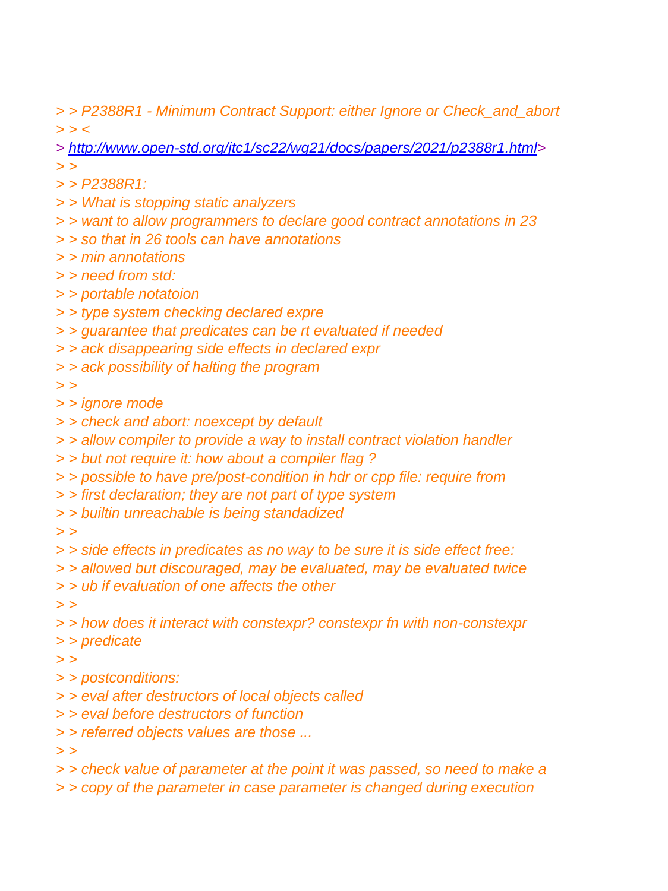*> > P2388R1 - Minimum Contract Support: either Ignore or Check\_and\_abort > > <*

*> [http://www.open-std.org/jtc1/sc22/wg21/docs/papers/2021/p2388r1.html>](http://www.open-std.org/jtc1/sc22/wg21/docs/papers/2021/p2388r1.html)*

- *> >*
- *> > P2388R1:*
- *> > What is stopping static analyzers*
- *> > want to allow programmers to declare good contract annotations in 23*
- *> > so that in 26 tools can have annotations*
- *> > min annotations*
- *> > need from std:*
- *> > portable notatoion*
- *> > type system checking declared expre*
- *> > guarantee that predicates can be rt evaluated if needed*
- *> > ack disappearing side effects in declared expr*
- *> > ack possibility of halting the program*
- *> >*
- *> > ignore mode*
- *> > check and abort: noexcept by default*
- *> > allow compiler to provide a way to install contract violation handler*
- *> > but not require it: how about a compiler flag ?*
- *> > possible to have pre/post-condition in hdr or cpp file: require from*
- *> > first declaration; they are not part of type system*
- *> > builtin unreachable is being standadized*
- *> >*
- *> > side effects in predicates as no way to be sure it is side effect free:*
- *> > allowed but discouraged, may be evaluated, may be evaluated twice*
- *> > ub if evaluation of one affects the other*
- *> >*
- *> > how does it interact with constexpr? constexpr fn with non-constexpr*
- *> > predicate*
- *> >*
- *> > postconditions:*
- *> > eval after destructors of local objects called*
- *> > eval before destructors of function*
- *> > referred objects values are those ...*
- *> >*
- *> > check value of parameter at the point it was passed, so need to make a*
- *> > copy of the parameter in case parameter is changed during execution*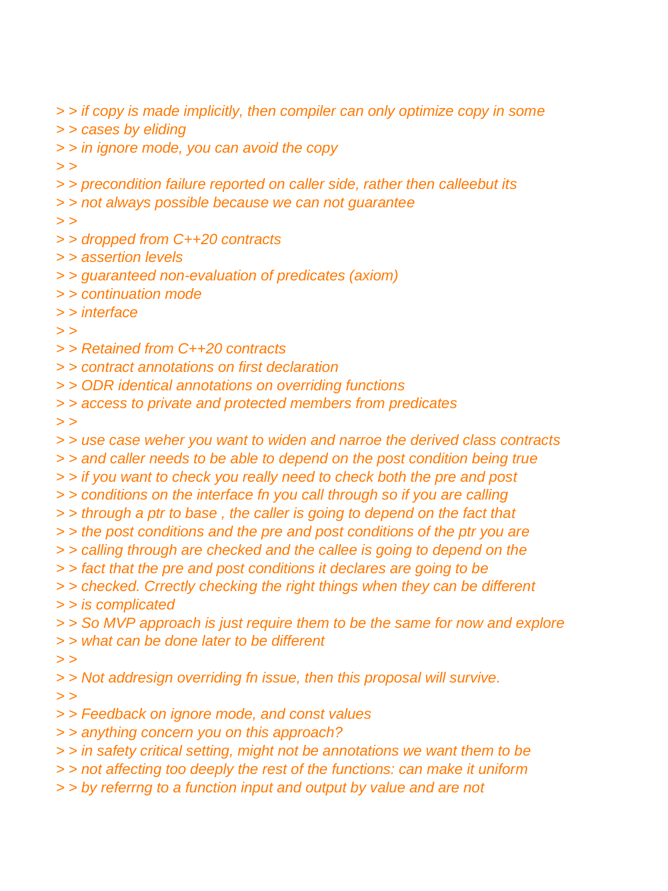*> > if copy is made implicitly, then compiler can only optimize copy in some*

*> > cases by eliding*

*> > in ignore mode, you can avoid the copy*

*> >*

*> > precondition failure reported on caller side, rather then calleebut its*

*> > not always possible because we can not guarantee*

*> >*

- *> > dropped from C++20 contracts*
- *> > assertion levels*
- *> > guaranteed non-evaluation of predicates (axiom)*
- *> > continuation mode*
- *> > interface*

*> >*

- *> > Retained from C++20 contracts*
- *> > contract annotations on first declaration*
- *> > ODR identical annotations on overriding functions*
- *> > access to private and protected members from predicates*

*> >*

- *> > use case weher you want to widen and narroe the derived class contracts*
- *> > and caller needs to be able to depend on the post condition being true*
- *> > if you want to check you really need to check both the pre and post*
- *> > conditions on the interface fn you call through so if you are calling*
- *> > through a ptr to base , the caller is going to depend on the fact that*
- *> > the post conditions and the pre and post conditions of the ptr you are*
- *> > calling through are checked and the callee is going to depend on the*
- *> > fact that the pre and post conditions it declares are going to be*
- *> > checked. Crrectly checking the right things when they can be different*

*> > is complicated*

- *> > So MVP approach is just require them to be the same for now and explore*
- *> > what can be done later to be different*

*> >*

*> > Not addresign overriding fn issue, then this proposal will survive.*

*> >*

- *> > Feedback on ignore mode, and const values*
- *> > anything concern you on this approach?*
- *> > in safety critical setting, might not be annotations we want them to be*
- *> > not affecting too deeply the rest of the functions: can make it uniform*
- *> > by referrng to a function input and output by value and are not*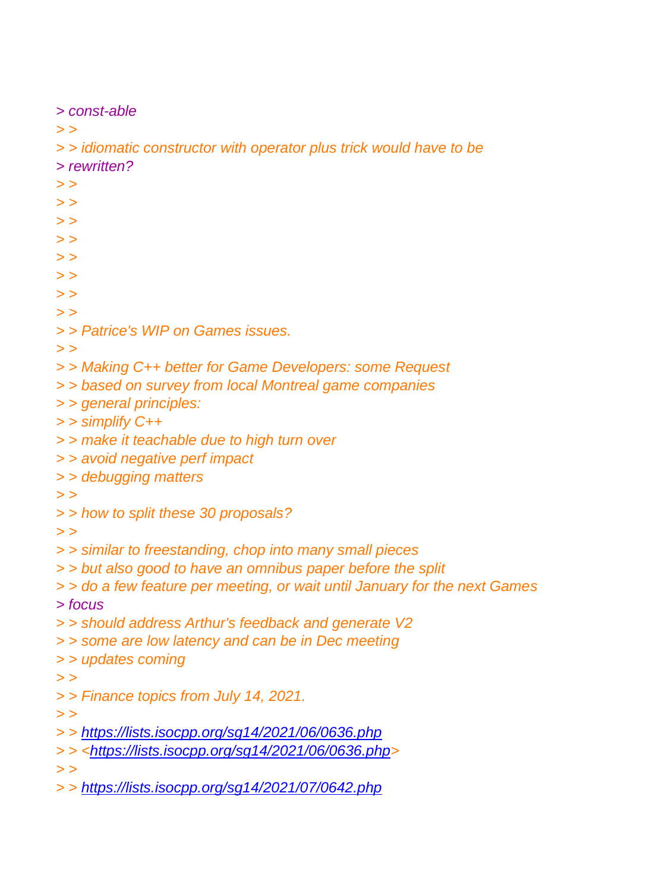```
> const-able
> >
> > idiomatic constructor with operator plus trick would have to be
> rewritten?
> >
> >
> >
> >
> >
> >
> >
> >
> > Patrice's WIP on Games issues.
> >
> > Making C++ better for Game Developers: some Request
> > based on survey from local Montreal game companies
> > general principles:
> > simplify C++
> > make it teachable due to high turn over
> > avoid negative perf impact
> > debugging matters
> >
> > how to split these 30 proposals?
> >
> > similar to freestanding, chop into many small pieces
> > but also good to have an omnibus paper before the split
> > do a few feature per meeting, or wait until January for the next Games
> focus
> > should address Arthur's feedback and generate V2
> > some are low latency and can be in Dec meeting
> > updates coming
> >
> > Finance topics from July 14, 2021.
> >
> > https://lists.isocpp.org/sg14/2021/06/0636.php
> > <https://lists.isocpp.org/sg14/2021/06/0636.php>
> >
> > https://lists.isocpp.org/sg14/2021/07/0642.php
```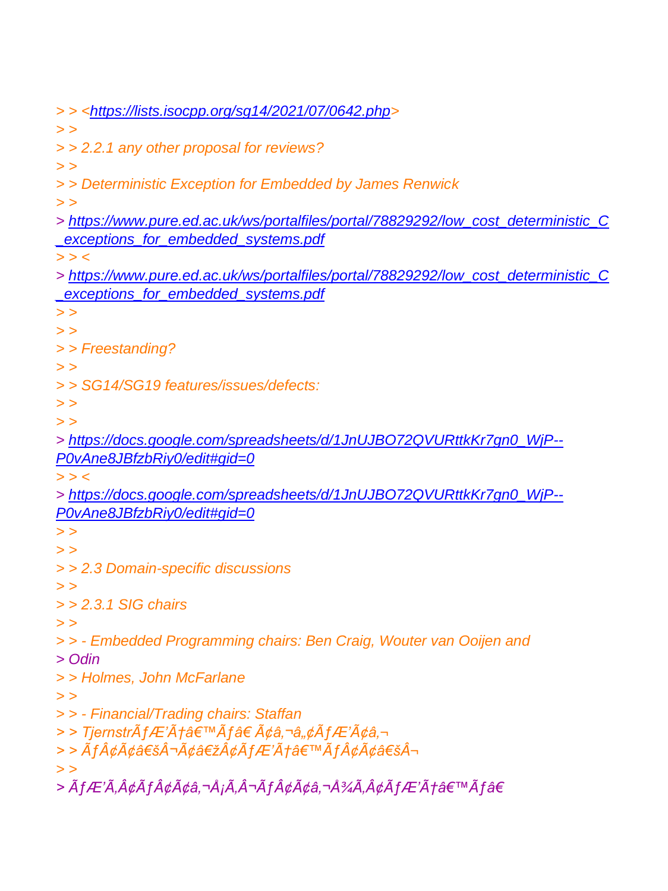*> > [<https://lists.isocpp.org/sg14/2021/07/0642.php>](https://lists.isocpp.org/sg14/2021/07/0642.php) > > > > 2.2.1 any other proposal for reviews? > > > > Deterministic Exception for Embedded by James Renwick > > > [https://www.pure.ed.ac.uk/ws/portalfiles/portal/78829292/low\\_cost\\_deterministic\\_C](https://www.pure.ed.ac.uk/ws/portalfiles/portal/78829292/low_cost_deterministic_C_exceptions_for_embedded_systems.pdf) [\\_exceptions\\_for\\_embedded\\_systems.pdf](https://www.pure.ed.ac.uk/ws/portalfiles/portal/78829292/low_cost_deterministic_C_exceptions_for_embedded_systems.pdf) > > < > [https://www.pure.ed.ac.uk/ws/portalfiles/portal/78829292/low\\_cost\\_deterministic\\_C](https://www.pure.ed.ac.uk/ws/portalfiles/portal/78829292/low_cost_deterministic_C_exceptions_for_embedded_systems.pdf) [\\_exceptions\\_for\\_embedded\\_systems.pdf](https://www.pure.ed.ac.uk/ws/portalfiles/portal/78829292/low_cost_deterministic_C_exceptions_for_embedded_systems.pdf) > > > > > > Freestanding? > > > > SG14/SG19 features/issues/defects: > > > > > [https://docs.google.com/spreadsheets/d/1JnUJBO72QVURttkKr7gn0\\_WjP--](https://docs.google.com/spreadsheets/d/1JnUJBO72QVURttkKr7gn0_WjP--P0vAne8JBfzbRiy0/edit#gid=0) [P0vAne8JBfzbRiy0/edit#gid=0](https://docs.google.com/spreadsheets/d/1JnUJBO72QVURttkKr7gn0_WjP--P0vAne8JBfzbRiy0/edit#gid=0) > > < > [https://docs.google.com/spreadsheets/d/1JnUJBO72QVURttkKr7gn0\\_WjP--](https://docs.google.com/spreadsheets/d/1JnUJBO72QVURttkKr7gn0_WjP--P0vAne8JBfzbRiy0/edit#gid=0) [P0vAne8JBfzbRiy0/edit#gid=0](https://docs.google.com/spreadsheets/d/1JnUJBO72QVURttkKr7gn0_WjP--P0vAne8JBfzbRiy0/edit#gid=0) > > > > > > 2.3 Domain-specific discussions > > > > 2.3.1 SIG chairs > > > > - Embedded Programming chairs: Ben Craig, Wouter van Ooijen and > Odin > > Holmes, John McFarlane > > > > - Financial/Trading chairs: Staffan* > > Tjernstrà fÆ'Æâ€™Ã f†Ã¢â,¬â"¢Ã fÆ'ââ,¬ > > Ãf¢Ã¢â€šÂ¬Ã¢â€žÂ¢ÃfÆ'Æâ€™Ãf¢Ã¢â€šÂ*¬ > >* > ÃfÆ'Ã,¢Ãf¢Ã¢â,¬Å¡Ã,¬Ãf¢Ã¢â,¬Å¾Ã,¢ÃfÆ'Æâ€™Ãfâ€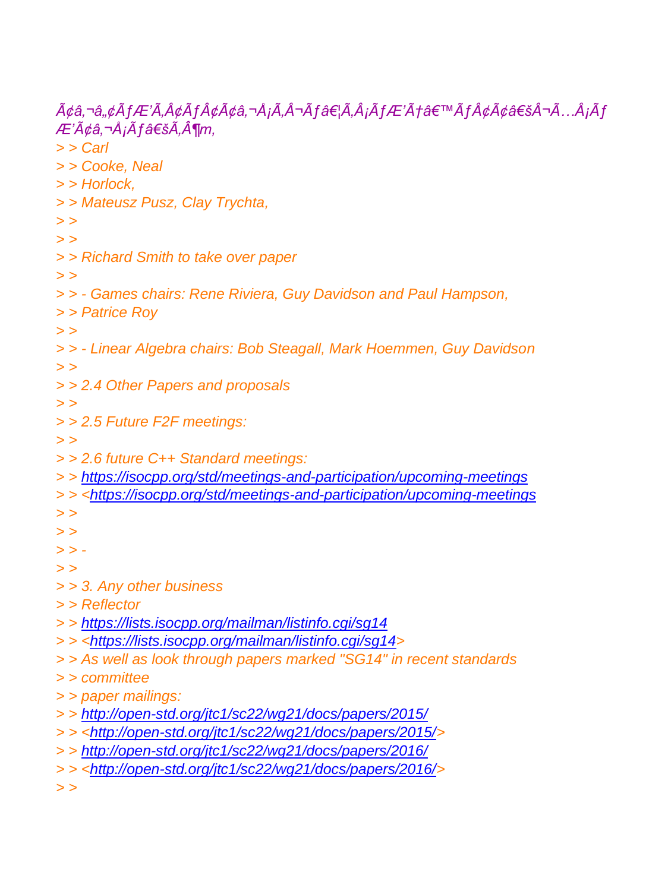*ââ,¬â"¢ÃfÆ'Ã,¢Ãf¢Ã¢â,¬Å¡Ã,¬Ãf…Ã,¡ÃfÆ'Æâ€™Ãf¢Ã¢â€šÂ¬Ã…¡Ãf ƒâ€šÃ'¶m, > > Carl > > Cooke, Neal > > Horlock, > > Mateusz Pusz, Clay Trychta, > > > > > > Richard Smith to take over paper > > > > - Games chairs: Rene Riviera, Guy Davidson and Paul Hampson, > > Patrice Roy > > > > - Linear Algebra chairs: Bob Steagall, Mark Hoemmen, Guy Davidson > > > > 2.4 Other Papers and proposals > > > > 2.5 Future F2F meetings: > > > > 2.6 future C++ Standard meetings: > > <https://isocpp.org/std/meetings-and-participation/upcoming-meetings> > > [<https://isocpp.org/std/meetings-and-participation/upcoming-meetings](https://isocpp.org/std/meetings-and-participation/upcoming-meetings) > > > > > > - > > > > 3. Any other business > > Reflector > > <https://lists.isocpp.org/mailman/listinfo.cgi/sg14> > > [<https://lists.isocpp.org/mailman/listinfo.cgi/sg14>](https://lists.isocpp.org/mailman/listinfo.cgi/sg14) > > As well as look through papers marked "SG14" in recent standards > > committee > > paper mailings: > > <http://open-std.org/jtc1/sc22/wg21/docs/papers/2015/> > > [<http://open-std.org/jtc1/sc22/wg21/docs/papers/2015/>](http://open-std.org/jtc1/sc22/wg21/docs/papers/2015/) > > <http://open-std.org/jtc1/sc22/wg21/docs/papers/2016/> > > [<http://open-std.org/jtc1/sc22/wg21/docs/papers/2016/>](http://open-std.org/jtc1/sc22/wg21/docs/papers/2016/) > >*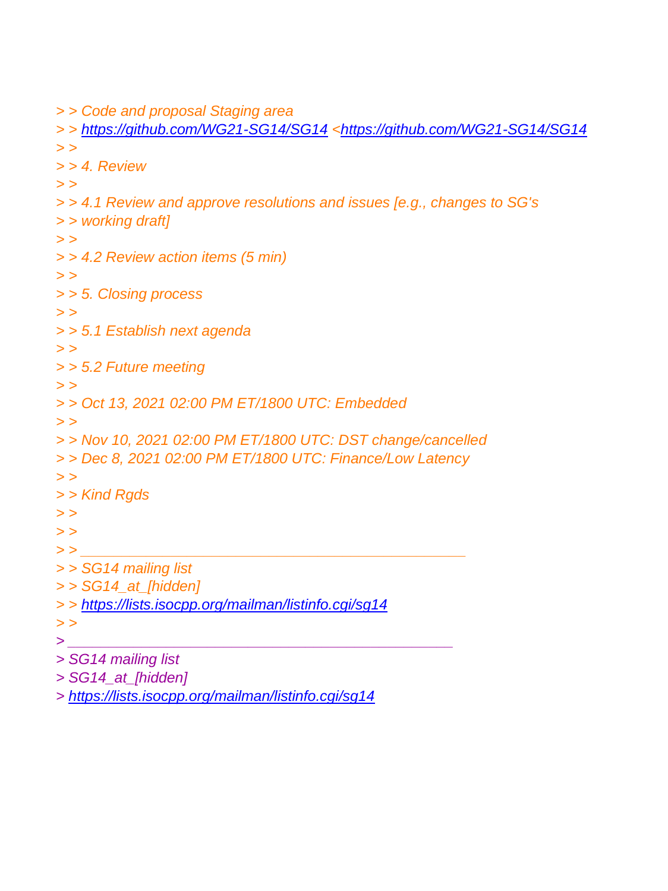```
> > Code and proposal Staging area
```

```
> > https://github.com/WG21-SG14/SG14 <https://github.com/WG21-SG14/SG14
> >
> > 4. Review
> >
> > 4.1 Review and approve resolutions and issues [e.g., changes to SG's
> > working draft]
> >
> > 4.2 Review action items (5 min)
> >
> > 5. Closing process
> >
> > 5.1 Establish next agenda
> >
> > 5.2 Future meeting
> >
> > Oct 13, 2021 02:00 PM ET/1800 UTC: Embedded
> >
> > Nov 10, 2021 02:00 PM ET/1800 UTC: DST change/cancelled
> > Dec 8, 2021 02:00 PM ET/1800 UTC: Finance/Low Latency
> >
> > Kind Rgds
> >
> >
> > _______________________________________________
> > SG14 mailing list
> > SG14_at_[hidden]
> > https://lists.isocpp.org/mailman/listinfo.cgi/sg14
> >
> _______________________________________________
> SG14 mailing list
```

```
> SG14_at_[hidden]
```
*> <https://lists.isocpp.org/mailman/listinfo.cgi/sg14>*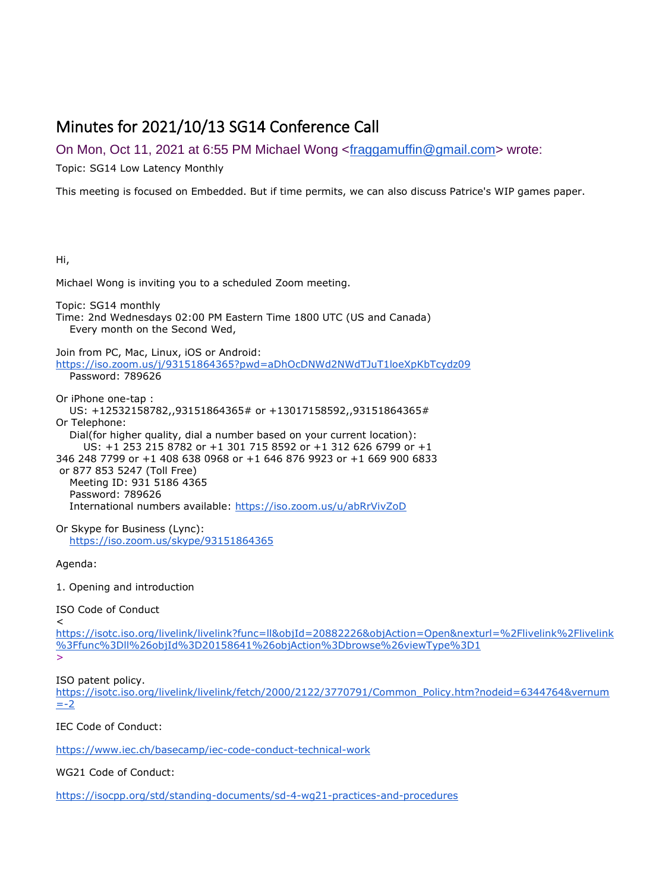# Minutes for 2021/10/13 SG14 Conference Call

On Mon, Oct 11, 2021 at 6:55 PM Michael Wong [<fraggamuffin@gmail.com>](mailto:fraggamuffin@gmail.com) wrote:

Topic: SG14 Low Latency Monthly

This meeting is focused on Embedded. But if time permits, we can also discuss Patrice's WIP games paper.

#### Hi,

Michael Wong is inviting you to a scheduled Zoom meeting.

Topic: SG14 monthly

Time: 2nd Wednesdays 02:00 PM Eastern Time 1800 UTC (US and Canada) Every month on the Second Wed,

Join from PC, Mac, Linux, iOS or Android: <https://iso.zoom.us/j/93151864365?pwd=aDhOcDNWd2NWdTJuT1loeXpKbTcydz09> Password: 789626

Or iPhone one-tap : US: +12532158782,,93151864365# or +13017158592,,93151864365# Or Telephone: Dial(for higher quality, dial a number based on your current location): US: +1 253 215 8782 or +1 301 715 8592 or +1 312 626 6799 or +1 346 248 7799 or +1 408 638 0968 or +1 646 876 9923 or +1 669 900 6833 or 877 853 5247 (Toll Free) Meeting ID: 931 5186 4365 Password: 789626 International numbers available: <https://iso.zoom.us/u/abRrVivZoD>

Or Skype for Business (Lync): <https://iso.zoom.us/skype/93151864365>

Agenda:

1. Opening and introduction

### ISO Code of Conduct

 $\epsilon$ 

[https://isotc.iso.org/livelink/livelink?func=ll&objId=20882226&objAction=Open&nexturl=%2Flivelink%2Flivelink](https://isotc.iso.org/livelink/livelink?func=ll&objId=20882226&objAction=Open&nexturl=%2Flivelink%2Flivelink%3Ffunc%3Dll%26objId%3D20158641%26objAction%3Dbrowse%26viewType%3D1) [%3Ffunc%3Dll%26objId%3D20158641%26objAction%3Dbrowse%26viewType%3D1](https://isotc.iso.org/livelink/livelink?func=ll&objId=20882226&objAction=Open&nexturl=%2Flivelink%2Flivelink%3Ffunc%3Dll%26objId%3D20158641%26objAction%3Dbrowse%26viewType%3D1) >

ISO patent policy.

[https://isotc.iso.org/livelink/livelink/fetch/2000/2122/3770791/Common\\_Policy.htm?nodeid=6344764&vernum](https://isotc.iso.org/livelink/livelink/fetch/2000/2122/3770791/Common_Policy.htm?nodeid=6344764&vernum=-2)  $= -2$ 

IEC Code of Conduct:

<https://www.iec.ch/basecamp/iec-code-conduct-technical-work>

#### WG21 Code of Conduct:

<https://isocpp.org/std/standing-documents/sd-4-wg21-practices-and-procedures>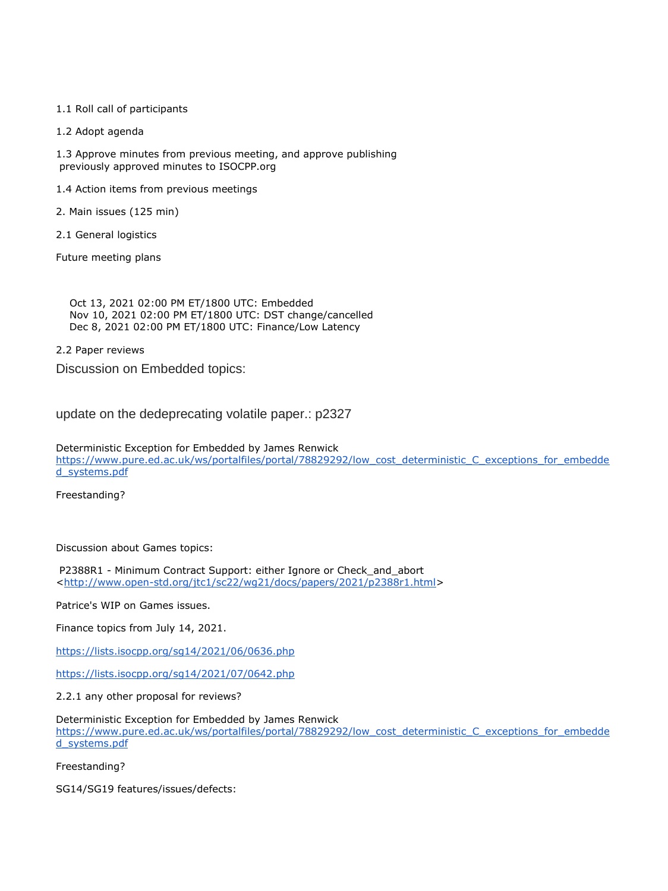#### 1.1 Roll call of participants

1.2 Adopt agenda

1.3 Approve minutes from previous meeting, and approve publishing previously approved minutes to ISOCPP.org

- 1.4 Action items from previous meetings
- 2. Main issues (125 min)
- 2.1 General logistics

Future meeting plans

 Oct 13, 2021 02:00 PM ET/1800 UTC: Embedded Nov 10, 2021 02:00 PM ET/1800 UTC: DST change/cancelled Dec 8, 2021 02:00 PM ET/1800 UTC: Finance/Low Latency

2.2 Paper reviews

Discussion on Embedded topics:

update on the dedeprecating volatile paper.: p2327

Deterministic Exception for Embedded by James Renwick [https://www.pure.ed.ac.uk/ws/portalfiles/portal/78829292/low\\_cost\\_deterministic\\_C\\_exceptions\\_for\\_embedde](https://www.pure.ed.ac.uk/ws/portalfiles/portal/78829292/low_cost_deterministic_C_exceptions_for_embedded_systems.pdf) [d\\_systems.pdf](https://www.pure.ed.ac.uk/ws/portalfiles/portal/78829292/low_cost_deterministic_C_exceptions_for_embedded_systems.pdf)

Freestanding?

#### Discussion about Games topics:

P2388R1 - Minimum Contract Support: either Ignore or Check\_and\_abort [<http://www.open-std.org/jtc1/sc22/wg21/docs/papers/2021/p2388r1.html>](http://www.open-std.org/jtc1/sc22/wg21/docs/papers/2021/p2388r1.html)

Patrice's WIP on Games issues.

Finance topics from July 14, 2021.

<https://lists.isocpp.org/sg14/2021/06/0636.php>

<https://lists.isocpp.org/sg14/2021/07/0642.php>

2.2.1 any other proposal for reviews?

Deterministic Exception for Embedded by James Renwick [https://www.pure.ed.ac.uk/ws/portalfiles/portal/78829292/low\\_cost\\_deterministic\\_C\\_exceptions\\_for\\_embedde](https://www.pure.ed.ac.uk/ws/portalfiles/portal/78829292/low_cost_deterministic_C_exceptions_for_embedded_systems.pdf) [d\\_systems.pdf](https://www.pure.ed.ac.uk/ws/portalfiles/portal/78829292/low_cost_deterministic_C_exceptions_for_embedded_systems.pdf)

Freestanding?

SG14/SG19 features/issues/defects: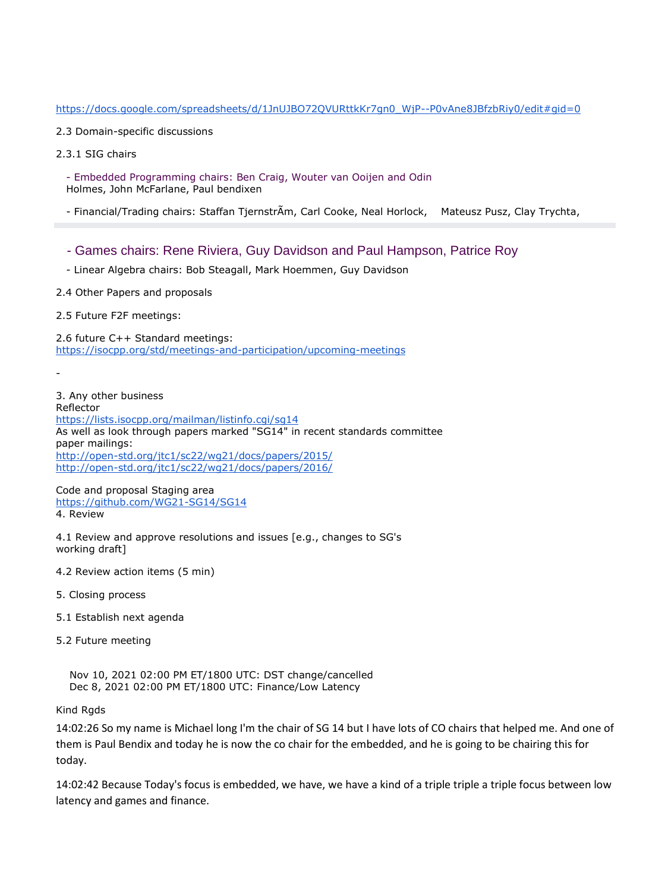#### https://docs.google.com/spreadsheets/d/1JnUJBO72OVURttkKr7gn0\_WiP--P0vAne8JBfzbRiy0/edit#gid=0

- 2.3 Domain-specific discussions
- 2.3.1 SIG chairs

 - Embedded Programming chairs: Ben Craig, Wouter van Ooijen and Odin Holmes, John McFarlane, Paul bendixen

- Financial/Trading chairs: Staffan TjernstrÃm, Carl Cooke, Neal Horlock, Mateusz Pusz, Clay Trychta,

- Games chairs: Rene Riviera, Guy Davidson and Paul Hampson, Patrice Roy
- Linear Algebra chairs: Bob Steagall, Mark Hoemmen, Guy Davidson
- 2.4 Other Papers and proposals
- 2.5 Future F2F meetings:

2.6 future C++ Standard meetings: <https://isocpp.org/std/meetings-and-participation/upcoming-meetings>

-

3. Any other business Reflector <https://lists.isocpp.org/mailman/listinfo.cgi/sg14> As well as look through papers marked "SG14" in recent standards committee paper mailings: <http://open-std.org/jtc1/sc22/wg21/docs/papers/2015/> <http://open-std.org/jtc1/sc22/wg21/docs/papers/2016/>

Code and proposal Staging area <https://github.com/WG21-SG14/SG14> 4. Review

4.1 Review and approve resolutions and issues [e.g., changes to SG's working draft]

- 4.2 Review action items (5 min)
- 5. Closing process
- 5.1 Establish next agenda
- 5.2 Future meeting

 Nov 10, 2021 02:00 PM ET/1800 UTC: DST change/cancelled Dec 8, 2021 02:00 PM ET/1800 UTC: Finance/Low Latency

Kind Rgds

14:02:26 So my name is Michael long I'm the chair of SG 14 but I have lots of CO chairs that helped me. And one of them is Paul Bendix and today he is now the co chair for the embedded, and he is going to be chairing this for today.

14:02:42 Because Today's focus is embedded, we have, we have a kind of a triple triple a triple focus between low latency and games and finance.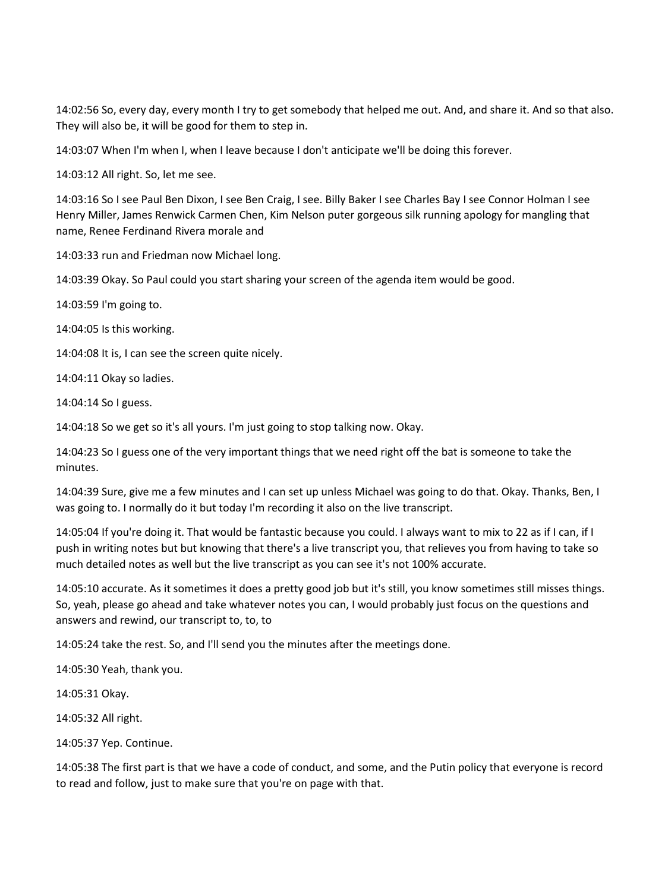14:02:56 So, every day, every month I try to get somebody that helped me out. And, and share it. And so that also. They will also be, it will be good for them to step in.

14:03:07 When I'm when I, when I leave because I don't anticipate we'll be doing this forever.

14:03:12 All right. So, let me see.

14:03:16 So I see Paul Ben Dixon, I see Ben Craig, I see. Billy Baker I see Charles Bay I see Connor Holman I see Henry Miller, James Renwick Carmen Chen, Kim Nelson puter gorgeous silk running apology for mangling that name, Renee Ferdinand Rivera morale and

14:03:33 run and Friedman now Michael long.

14:03:39 Okay. So Paul could you start sharing your screen of the agenda item would be good.

14:03:59 I'm going to.

14:04:05 Is this working.

14:04:08 It is, I can see the screen quite nicely.

14:04:11 Okay so ladies.

14:04:14 So I guess.

14:04:18 So we get so it's all yours. I'm just going to stop talking now. Okay.

14:04:23 So I guess one of the very important things that we need right off the bat is someone to take the minutes.

14:04:39 Sure, give me a few minutes and I can set up unless Michael was going to do that. Okay. Thanks, Ben, I was going to. I normally do it but today I'm recording it also on the live transcript.

14:05:04 If you're doing it. That would be fantastic because you could. I always want to mix to 22 as if I can, if I push in writing notes but but knowing that there's a live transcript you, that relieves you from having to take so much detailed notes as well but the live transcript as you can see it's not 100% accurate.

14:05:10 accurate. As it sometimes it does a pretty good job but it's still, you know sometimes still misses things. So, yeah, please go ahead and take whatever notes you can, I would probably just focus on the questions and answers and rewind, our transcript to, to, to

14:05:24 take the rest. So, and I'll send you the minutes after the meetings done.

14:05:30 Yeah, thank you.

14:05:31 Okay.

14:05:32 All right.

14:05:37 Yep. Continue.

14:05:38 The first part is that we have a code of conduct, and some, and the Putin policy that everyone is record to read and follow, just to make sure that you're on page with that.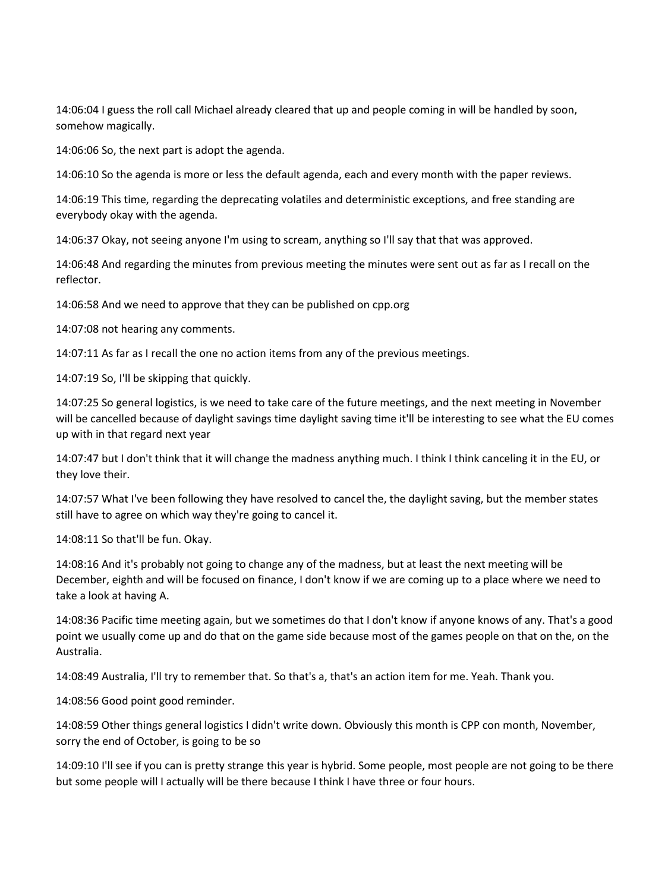14:06:04 I guess the roll call Michael already cleared that up and people coming in will be handled by soon, somehow magically.

14:06:06 So, the next part is adopt the agenda.

14:06:10 So the agenda is more or less the default agenda, each and every month with the paper reviews.

14:06:19 This time, regarding the deprecating volatiles and deterministic exceptions, and free standing are everybody okay with the agenda.

14:06:37 Okay, not seeing anyone I'm using to scream, anything so I'll say that that was approved.

14:06:48 And regarding the minutes from previous meeting the minutes were sent out as far as I recall on the reflector.

14:06:58 And we need to approve that they can be published on cpp.org

14:07:08 not hearing any comments.

14:07:11 As far as I recall the one no action items from any of the previous meetings.

14:07:19 So, I'll be skipping that quickly.

14:07:25 So general logistics, is we need to take care of the future meetings, and the next meeting in November will be cancelled because of daylight savings time daylight saving time it'll be interesting to see what the EU comes up with in that regard next year

14:07:47 but I don't think that it will change the madness anything much. I think I think canceling it in the EU, or they love their.

14:07:57 What I've been following they have resolved to cancel the, the daylight saving, but the member states still have to agree on which way they're going to cancel it.

14:08:11 So that'll be fun. Okay.

14:08:16 And it's probably not going to change any of the madness, but at least the next meeting will be December, eighth and will be focused on finance, I don't know if we are coming up to a place where we need to take a look at having A.

14:08:36 Pacific time meeting again, but we sometimes do that I don't know if anyone knows of any. That's a good point we usually come up and do that on the game side because most of the games people on that on the, on the Australia.

14:08:49 Australia, I'll try to remember that. So that's a, that's an action item for me. Yeah. Thank you.

14:08:56 Good point good reminder.

14:08:59 Other things general logistics I didn't write down. Obviously this month is CPP con month, November, sorry the end of October, is going to be so

14:09:10 I'll see if you can is pretty strange this year is hybrid. Some people, most people are not going to be there but some people will I actually will be there because I think I have three or four hours.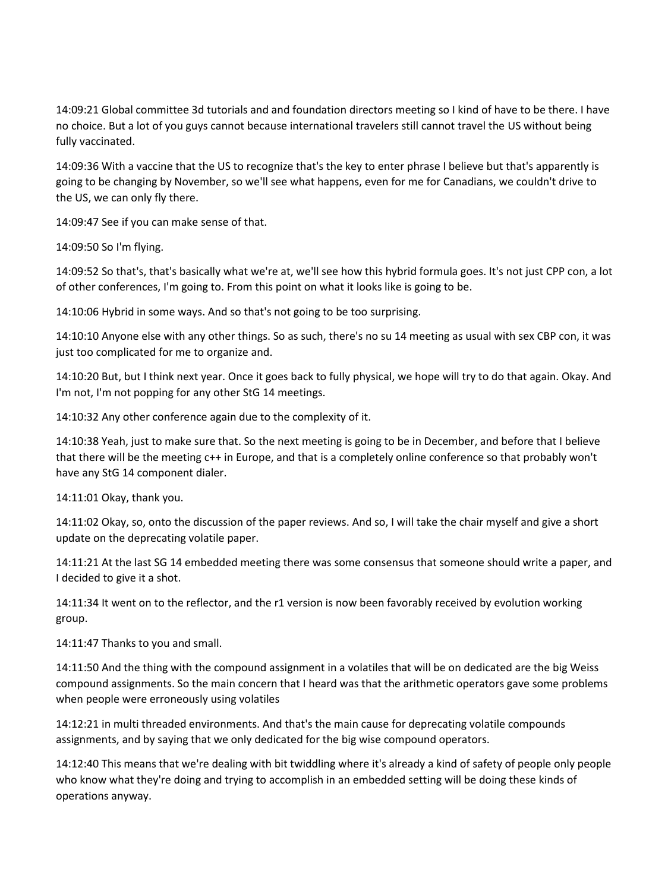14:09:21 Global committee 3d tutorials and and foundation directors meeting so I kind of have to be there. I have no choice. But a lot of you guys cannot because international travelers still cannot travel the US without being fully vaccinated.

14:09:36 With a vaccine that the US to recognize that's the key to enter phrase I believe but that's apparently is going to be changing by November, so we'll see what happens, even for me for Canadians, we couldn't drive to the US, we can only fly there.

14:09:47 See if you can make sense of that.

14:09:50 So I'm flying.

14:09:52 So that's, that's basically what we're at, we'll see how this hybrid formula goes. It's not just CPP con, a lot of other conferences, I'm going to. From this point on what it looks like is going to be.

14:10:06 Hybrid in some ways. And so that's not going to be too surprising.

14:10:10 Anyone else with any other things. So as such, there's no su 14 meeting as usual with sex CBP con, it was just too complicated for me to organize and.

14:10:20 But, but I think next year. Once it goes back to fully physical, we hope will try to do that again. Okay. And I'm not, I'm not popping for any other StG 14 meetings.

14:10:32 Any other conference again due to the complexity of it.

14:10:38 Yeah, just to make sure that. So the next meeting is going to be in December, and before that I believe that there will be the meeting c++ in Europe, and that is a completely online conference so that probably won't have any StG 14 component dialer.

14:11:01 Okay, thank you.

14:11:02 Okay, so, onto the discussion of the paper reviews. And so, I will take the chair myself and give a short update on the deprecating volatile paper.

14:11:21 At the last SG 14 embedded meeting there was some consensus that someone should write a paper, and I decided to give it a shot.

14:11:34 It went on to the reflector, and the r1 version is now been favorably received by evolution working group.

14:11:47 Thanks to you and small.

14:11:50 And the thing with the compound assignment in a volatiles that will be on dedicated are the big Weiss compound assignments. So the main concern that I heard was that the arithmetic operators gave some problems when people were erroneously using volatiles

14:12:21 in multi threaded environments. And that's the main cause for deprecating volatile compounds assignments, and by saying that we only dedicated for the big wise compound operators.

14:12:40 This means that we're dealing with bit twiddling where it's already a kind of safety of people only people who know what they're doing and trying to accomplish in an embedded setting will be doing these kinds of operations anyway.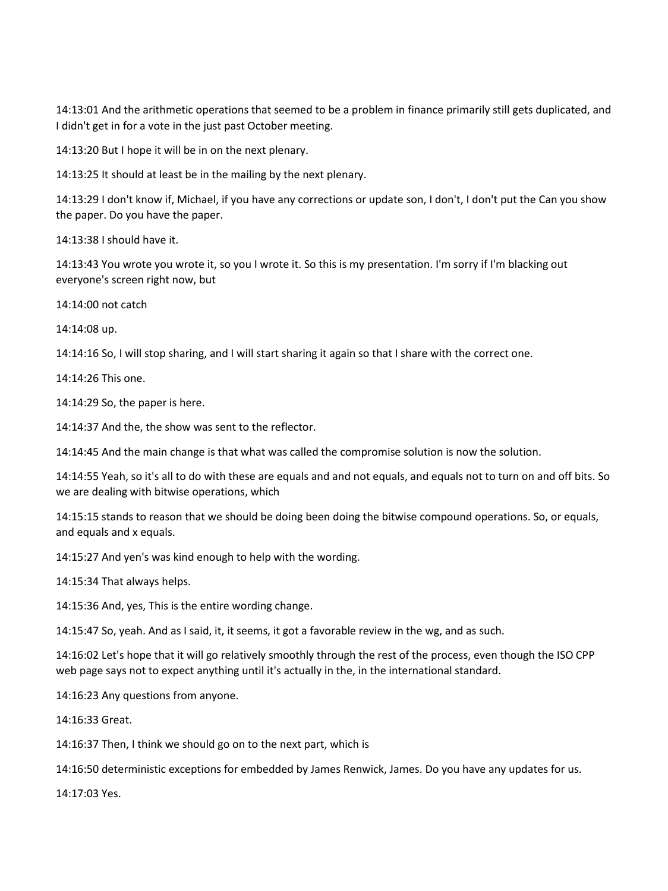14:13:01 And the arithmetic operations that seemed to be a problem in finance primarily still gets duplicated, and I didn't get in for a vote in the just past October meeting.

14:13:20 But I hope it will be in on the next plenary.

14:13:25 It should at least be in the mailing by the next plenary.

14:13:29 I don't know if, Michael, if you have any corrections or update son, I don't, I don't put the Can you show the paper. Do you have the paper.

14:13:38 I should have it.

14:13:43 You wrote you wrote it, so you I wrote it. So this is my presentation. I'm sorry if I'm blacking out everyone's screen right now, but

14:14:00 not catch

14:14:08 up.

14:14:16 So, I will stop sharing, and I will start sharing it again so that I share with the correct one.

14:14:26 This one.

14:14:29 So, the paper is here.

14:14:37 And the, the show was sent to the reflector.

14:14:45 And the main change is that what was called the compromise solution is now the solution.

14:14:55 Yeah, so it's all to do with these are equals and and not equals, and equals not to turn on and off bits. So we are dealing with bitwise operations, which

14:15:15 stands to reason that we should be doing been doing the bitwise compound operations. So, or equals, and equals and x equals.

14:15:27 And yen's was kind enough to help with the wording.

14:15:34 That always helps.

14:15:36 And, yes, This is the entire wording change.

14:15:47 So, yeah. And as I said, it, it seems, it got a favorable review in the wg, and as such.

14:16:02 Let's hope that it will go relatively smoothly through the rest of the process, even though the ISO CPP web page says not to expect anything until it's actually in the, in the international standard.

14:16:23 Any questions from anyone.

14:16:33 Great.

14:16:37 Then, I think we should go on to the next part, which is

14:16:50 deterministic exceptions for embedded by James Renwick, James. Do you have any updates for us.

14:17:03 Yes.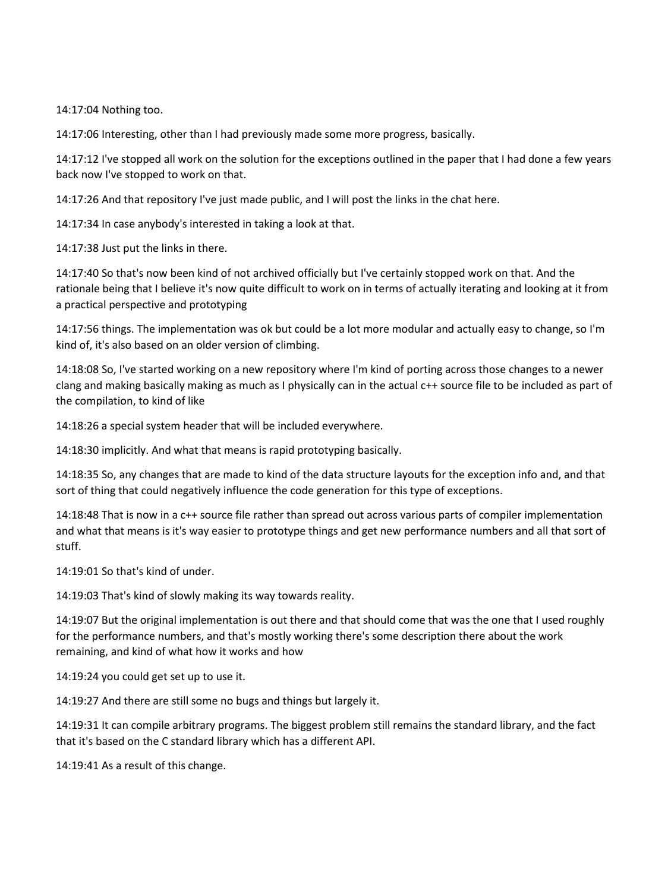14:17:04 Nothing too.

14:17:06 Interesting, other than I had previously made some more progress, basically.

14:17:12 I've stopped all work on the solution for the exceptions outlined in the paper that I had done a few years back now I've stopped to work on that.

14:17:26 And that repository I've just made public, and I will post the links in the chat here.

14:17:34 In case anybody's interested in taking a look at that.

14:17:38 Just put the links in there.

14:17:40 So that's now been kind of not archived officially but I've certainly stopped work on that. And the rationale being that I believe it's now quite difficult to work on in terms of actually iterating and looking at it from a practical perspective and prototyping

14:17:56 things. The implementation was ok but could be a lot more modular and actually easy to change, so I'm kind of, it's also based on an older version of climbing.

14:18:08 So, I've started working on a new repository where I'm kind of porting across those changes to a newer clang and making basically making as much as I physically can in the actual c++ source file to be included as part of the compilation, to kind of like

14:18:26 a special system header that will be included everywhere.

14:18:30 implicitly. And what that means is rapid prototyping basically.

14:18:35 So, any changes that are made to kind of the data structure layouts for the exception info and, and that sort of thing that could negatively influence the code generation for this type of exceptions.

14:18:48 That is now in a c++ source file rather than spread out across various parts of compiler implementation and what that means is it's way easier to prototype things and get new performance numbers and all that sort of stuff.

14:19:01 So that's kind of under.

14:19:03 That's kind of slowly making its way towards reality.

14:19:07 But the original implementation is out there and that should come that was the one that I used roughly for the performance numbers, and that's mostly working there's some description there about the work remaining, and kind of what how it works and how

14:19:24 you could get set up to use it.

14:19:27 And there are still some no bugs and things but largely it.

14:19:31 It can compile arbitrary programs. The biggest problem still remains the standard library, and the fact that it's based on the C standard library which has a different API.

14:19:41 As a result of this change.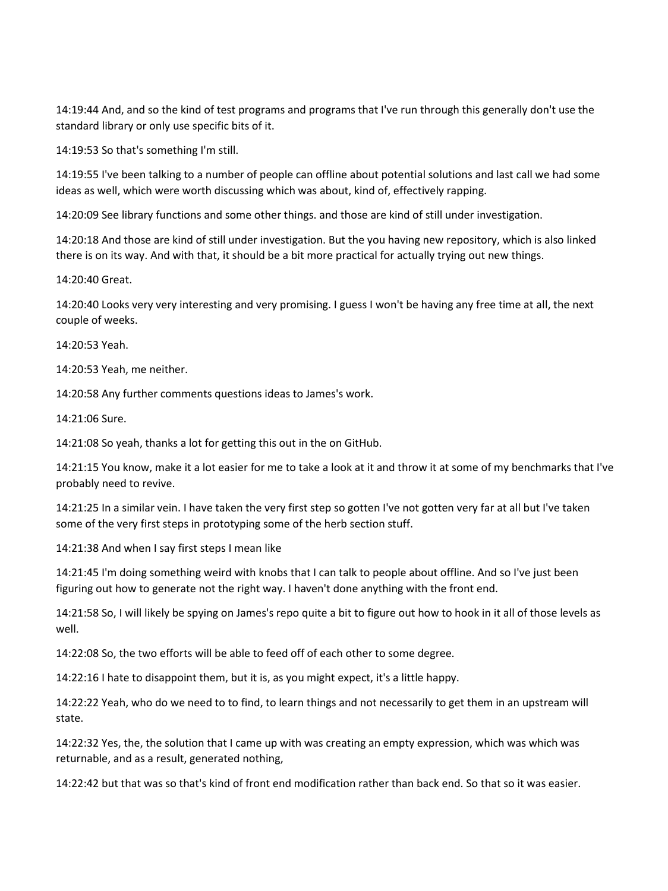14:19:44 And, and so the kind of test programs and programs that I've run through this generally don't use the standard library or only use specific bits of it.

14:19:53 So that's something I'm still.

14:19:55 I've been talking to a number of people can offline about potential solutions and last call we had some ideas as well, which were worth discussing which was about, kind of, effectively rapping.

14:20:09 See library functions and some other things. and those are kind of still under investigation.

14:20:18 And those are kind of still under investigation. But the you having new repository, which is also linked there is on its way. And with that, it should be a bit more practical for actually trying out new things.

14:20:40 Great.

14:20:40 Looks very very interesting and very promising. I guess I won't be having any free time at all, the next couple of weeks.

14:20:53 Yeah.

14:20:53 Yeah, me neither.

14:20:58 Any further comments questions ideas to James's work.

14:21:06 Sure.

14:21:08 So yeah, thanks a lot for getting this out in the on GitHub.

14:21:15 You know, make it a lot easier for me to take a look at it and throw it at some of my benchmarks that I've probably need to revive.

14:21:25 In a similar vein. I have taken the very first step so gotten I've not gotten very far at all but I've taken some of the very first steps in prototyping some of the herb section stuff.

14:21:38 And when I say first steps I mean like

14:21:45 I'm doing something weird with knobs that I can talk to people about offline. And so I've just been figuring out how to generate not the right way. I haven't done anything with the front end.

14:21:58 So, I will likely be spying on James's repo quite a bit to figure out how to hook in it all of those levels as well.

14:22:08 So, the two efforts will be able to feed off of each other to some degree.

14:22:16 I hate to disappoint them, but it is, as you might expect, it's a little happy.

14:22:22 Yeah, who do we need to to find, to learn things and not necessarily to get them in an upstream will state.

14:22:32 Yes, the, the solution that I came up with was creating an empty expression, which was which was returnable, and as a result, generated nothing,

14:22:42 but that was so that's kind of front end modification rather than back end. So that so it was easier.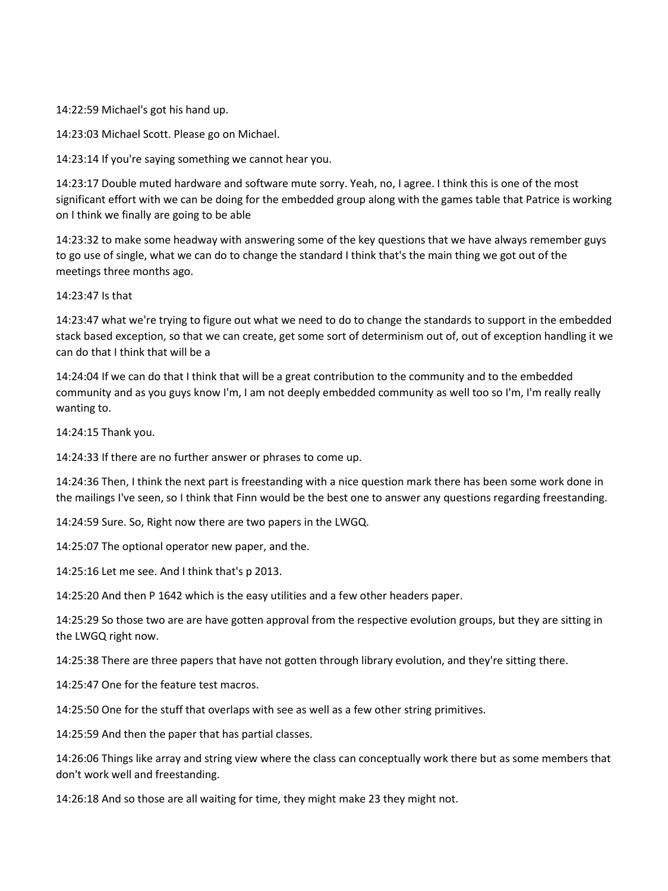14:22:59 Michael's got his hand up.

14:23:03 Michael Scott. Please go on Michael.

14:23:14 If you're saying something we cannot hear you.

14:23:17 Double muted hardware and software mute sorry. Yeah, no, I agree. I think this is one of the most significant effort with we can be doing for the embedded group along with the games table that Patrice is working on I think we finally are going to be able

14:23:32 to make some headway with answering some of the key questions that we have always remember guys to go use of single, what we can do to change the standard I think that's the main thing we got out of the meetings three months ago.

14:23:47 Is that

14:23:47 what we're trying to figure out what we need to do to change the standards to support in the embedded stack based exception, so that we can create, get some sort of determinism out of, out of exception handling it we can do that I think that will be a

14:24:04 If we can do that I think that will be a great contribution to the community and to the embedded community and as you guys know I'm, I am not deeply embedded community as well too so I'm, I'm really really wanting to.

14:24:15 Thank you.

14:24:33 If there are no further answer or phrases to come up.

14:24:36 Then, I think the next part is freestanding with a nice question mark there has been some work done in the mailings I've seen, so I think that Finn would be the best one to answer any questions regarding freestanding.

14:24:59 Sure. So, Right now there are two papers in the LWGQ.

14:25:07 The optional operator new paper, and the.

14:25:16 Let me see. And I think that's p 2013.

14:25:20 And then P 1642 which is the easy utilities and a few other headers paper.

14:25:29 So those two are are have gotten approval from the respective evolution groups, but they are sitting in the LWGQ right now.

14:25:38 There are three papers that have not gotten through library evolution, and they're sitting there.

14:25:47 One for the feature test macros.

14:25:50 One for the stuff that overlaps with see as well as a few other string primitives.

14:25:59 And then the paper that has partial classes.

14:26:06 Things like array and string view where the class can conceptually work there but as some members that don't work well and freestanding.

14:26:18 And so those are all waiting for time, they might make 23 they might not.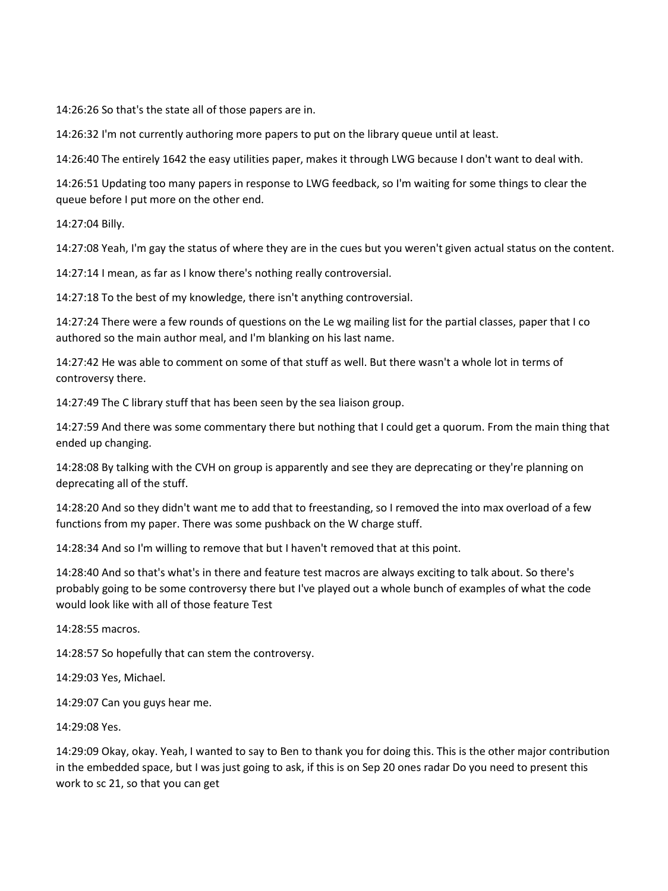14:26:26 So that's the state all of those papers are in.

14:26:32 I'm not currently authoring more papers to put on the library queue until at least.

14:26:40 The entirely 1642 the easy utilities paper, makes it through LWG because I don't want to deal with.

14:26:51 Updating too many papers in response to LWG feedback, so I'm waiting for some things to clear the queue before I put more on the other end.

14:27:04 Billy.

14:27:08 Yeah, I'm gay the status of where they are in the cues but you weren't given actual status on the content.

14:27:14 I mean, as far as I know there's nothing really controversial.

14:27:18 To the best of my knowledge, there isn't anything controversial.

14:27:24 There were a few rounds of questions on the Le wg mailing list for the partial classes, paper that I co authored so the main author meal, and I'm blanking on his last name.

14:27:42 He was able to comment on some of that stuff as well. But there wasn't a whole lot in terms of controversy there.

14:27:49 The C library stuff that has been seen by the sea liaison group.

14:27:59 And there was some commentary there but nothing that I could get a quorum. From the main thing that ended up changing.

14:28:08 By talking with the CVH on group is apparently and see they are deprecating or they're planning on deprecating all of the stuff.

14:28:20 And so they didn't want me to add that to freestanding, so I removed the into max overload of a few functions from my paper. There was some pushback on the W charge stuff.

14:28:34 And so I'm willing to remove that but I haven't removed that at this point.

14:28:40 And so that's what's in there and feature test macros are always exciting to talk about. So there's probably going to be some controversy there but I've played out a whole bunch of examples of what the code would look like with all of those feature Test

14:28:55 macros.

14:28:57 So hopefully that can stem the controversy.

14:29:03 Yes, Michael.

14:29:07 Can you guys hear me.

14:29:08 Yes.

14:29:09 Okay, okay. Yeah, I wanted to say to Ben to thank you for doing this. This is the other major contribution in the embedded space, but I was just going to ask, if this is on Sep 20 ones radar Do you need to present this work to sc 21, so that you can get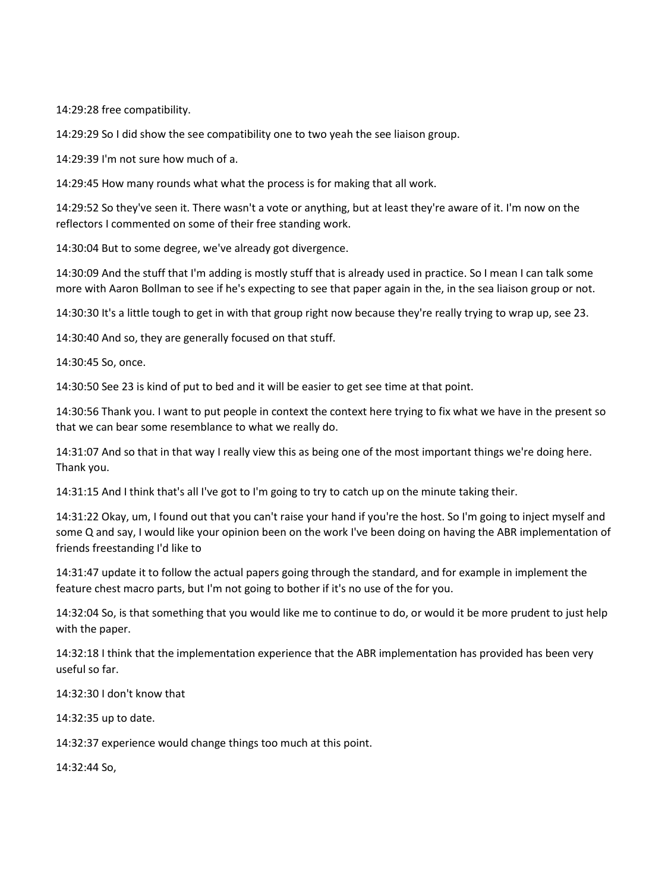14:29:28 free compatibility.

14:29:29 So I did show the see compatibility one to two yeah the see liaison group.

14:29:39 I'm not sure how much of a.

14:29:45 How many rounds what what the process is for making that all work.

14:29:52 So they've seen it. There wasn't a vote or anything, but at least they're aware of it. I'm now on the reflectors I commented on some of their free standing work.

14:30:04 But to some degree, we've already got divergence.

14:30:09 And the stuff that I'm adding is mostly stuff that is already used in practice. So I mean I can talk some more with Aaron Bollman to see if he's expecting to see that paper again in the, in the sea liaison group or not.

14:30:30 It's a little tough to get in with that group right now because they're really trying to wrap up, see 23.

14:30:40 And so, they are generally focused on that stuff.

14:30:45 So, once.

14:30:50 See 23 is kind of put to bed and it will be easier to get see time at that point.

14:30:56 Thank you. I want to put people in context the context here trying to fix what we have in the present so that we can bear some resemblance to what we really do.

14:31:07 And so that in that way I really view this as being one of the most important things we're doing here. Thank you.

14:31:15 And I think that's all I've got to I'm going to try to catch up on the minute taking their.

14:31:22 Okay, um, I found out that you can't raise your hand if you're the host. So I'm going to inject myself and some Q and say, I would like your opinion been on the work I've been doing on having the ABR implementation of friends freestanding I'd like to

14:31:47 update it to follow the actual papers going through the standard, and for example in implement the feature chest macro parts, but I'm not going to bother if it's no use of the for you.

14:32:04 So, is that something that you would like me to continue to do, or would it be more prudent to just help with the paper.

14:32:18 I think that the implementation experience that the ABR implementation has provided has been very useful so far.

14:32:30 I don't know that

14:32:35 up to date.

14:32:37 experience would change things too much at this point.

14:32:44 So,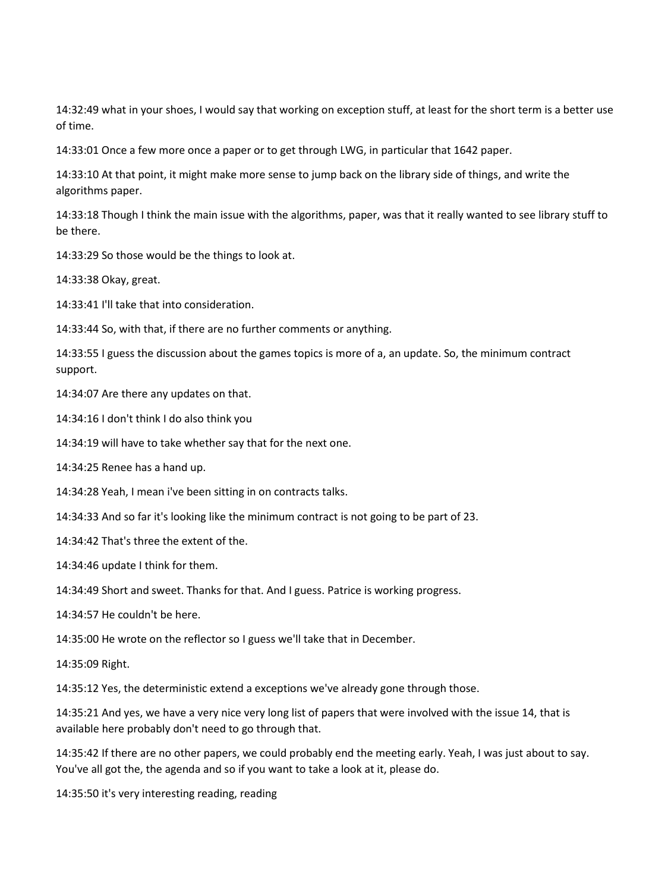14:32:49 what in your shoes, I would say that working on exception stuff, at least for the short term is a better use of time.

14:33:01 Once a few more once a paper or to get through LWG, in particular that 1642 paper.

14:33:10 At that point, it might make more sense to jump back on the library side of things, and write the algorithms paper.

14:33:18 Though I think the main issue with the algorithms, paper, was that it really wanted to see library stuff to be there.

14:33:29 So those would be the things to look at.

14:33:38 Okay, great.

14:33:41 I'll take that into consideration.

14:33:44 So, with that, if there are no further comments or anything.

14:33:55 I guess the discussion about the games topics is more of a, an update. So, the minimum contract support.

14:34:07 Are there any updates on that.

14:34:16 I don't think I do also think you

14:34:19 will have to take whether say that for the next one.

14:34:25 Renee has a hand up.

14:34:28 Yeah, I mean i've been sitting in on contracts talks.

14:34:33 And so far it's looking like the minimum contract is not going to be part of 23.

14:34:42 That's three the extent of the.

14:34:46 update I think for them.

14:34:49 Short and sweet. Thanks for that. And I guess. Patrice is working progress.

14:34:57 He couldn't be here.

14:35:00 He wrote on the reflector so I guess we'll take that in December.

14:35:09 Right.

14:35:12 Yes, the deterministic extend a exceptions we've already gone through those.

14:35:21 And yes, we have a very nice very long list of papers that were involved with the issue 14, that is available here probably don't need to go through that.

14:35:42 If there are no other papers, we could probably end the meeting early. Yeah, I was just about to say. You've all got the, the agenda and so if you want to take a look at it, please do.

14:35:50 it's very interesting reading, reading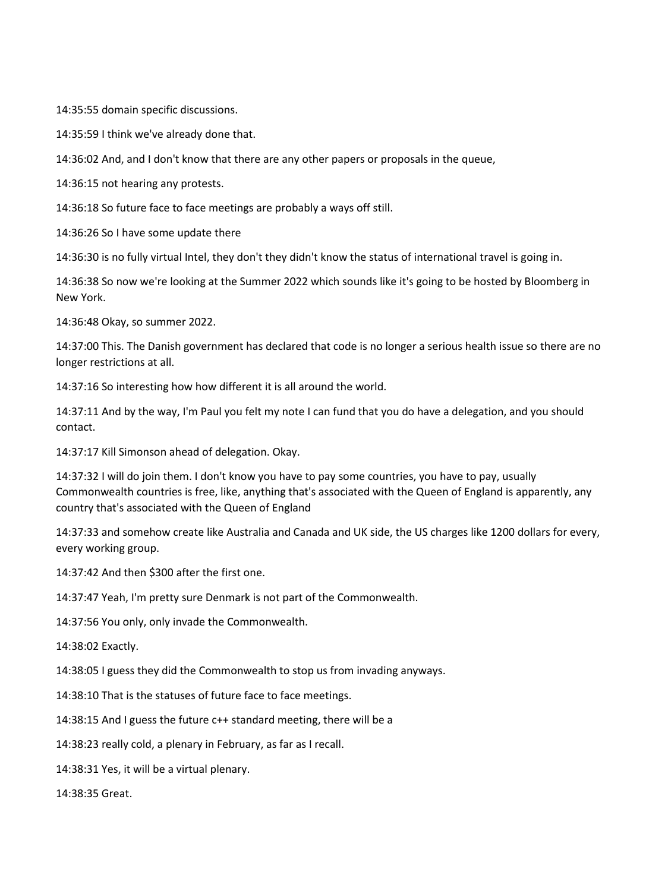14:35:55 domain specific discussions.

14:35:59 I think we've already done that.

14:36:02 And, and I don't know that there are any other papers or proposals in the queue,

14:36:15 not hearing any protests.

14:36:18 So future face to face meetings are probably a ways off still.

14:36:26 So I have some update there

14:36:30 is no fully virtual Intel, they don't they didn't know the status of international travel is going in.

14:36:38 So now we're looking at the Summer 2022 which sounds like it's going to be hosted by Bloomberg in New York.

14:36:48 Okay, so summer 2022.

14:37:00 This. The Danish government has declared that code is no longer a serious health issue so there are no longer restrictions at all.

14:37:16 So interesting how how different it is all around the world.

14:37:11 And by the way, I'm Paul you felt my note I can fund that you do have a delegation, and you should contact.

14:37:17 Kill Simonson ahead of delegation. Okay.

14:37:32 I will do join them. I don't know you have to pay some countries, you have to pay, usually Commonwealth countries is free, like, anything that's associated with the Queen of England is apparently, any country that's associated with the Queen of England

14:37:33 and somehow create like Australia and Canada and UK side, the US charges like 1200 dollars for every, every working group.

14:37:42 And then \$300 after the first one.

14:37:47 Yeah, I'm pretty sure Denmark is not part of the Commonwealth.

14:37:56 You only, only invade the Commonwealth.

14:38:02 Exactly.

14:38:05 I guess they did the Commonwealth to stop us from invading anyways.

14:38:10 That is the statuses of future face to face meetings.

14:38:15 And I guess the future c++ standard meeting, there will be a

14:38:23 really cold, a plenary in February, as far as I recall.

14:38:31 Yes, it will be a virtual plenary.

14:38:35 Great.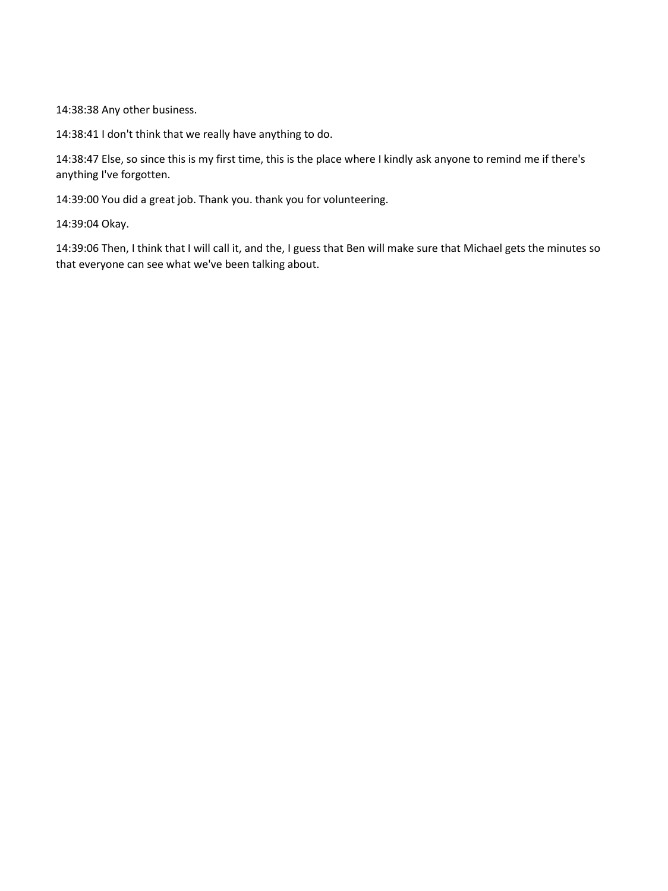14:38:38 Any other business.

14:38:41 I don't think that we really have anything to do.

14:38:47 Else, so since this is my first time, this is the place where I kindly ask anyone to remind me if there's anything I've forgotten.

14:39:00 You did a great job. Thank you. thank you for volunteering.

14:39:04 Okay.

14:39:06 Then, I think that I will call it, and the, I guess that Ben will make sure that Michael gets the minutes so that everyone can see what we've been talking about.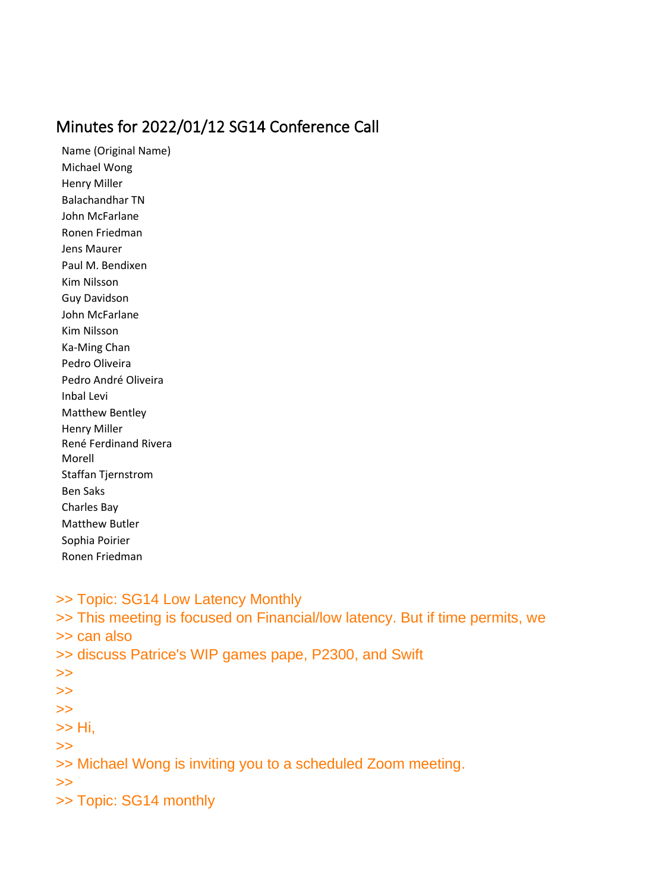## Minutes for 2022/01/12 SG14 Conference Call

Name (Original Name) Michael Wong Henry Miller Balachandhar TN John McFarlane Ronen Friedman Jens Maurer Paul M. Bendixen Kim Nilsson Guy Davidson John McFarlane Kim Nilsson Ka-Ming Chan Pedro Oliveira Pedro André Oliveira Inbal Levi Matthew Bentley Henry Miller René Ferdinand Rivera Morell Staffan Tjernstrom Ben Saks Charles Bay Matthew Butler Sophia Poirier Ronen Friedman

>> Topic: SG14 Low Latency Monthly

>> This meeting is focused on Financial/low latency. But if time permits, we

>> can also

>> discuss Patrice's WIP games pape, P2300, and Swift

- >>
- >>
- >>
- >> Hi,
- >>

>> Michael Wong is inviting you to a scheduled Zoom meeting.

>>

>> Topic: SG14 monthly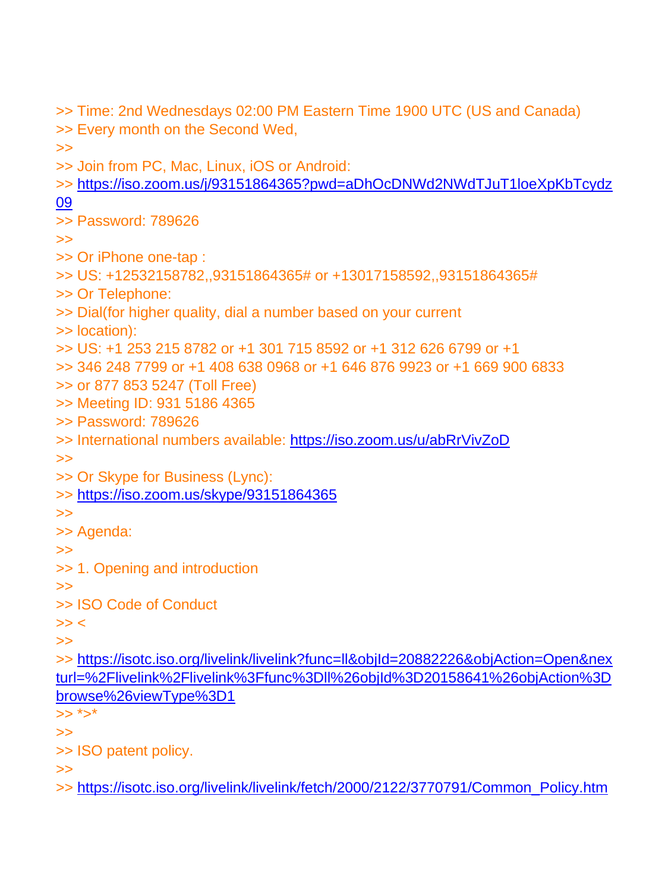>> Time: 2nd Wednesdays 02:00 PM Eastern Time 1900 UTC (US and Canada) >> Every month on the Second Wed, >> >> Join from PC, Mac, Linux, iOS or Android: >> [https://iso.zoom.us/j/93151864365?pwd=aDhOcDNWd2NWdTJuT1loeXpKbTcydz](https://iso.zoom.us/j/93151864365?pwd=aDhOcDNWd2NWdTJuT1loeXpKbTcydz09) [09](https://iso.zoom.us/j/93151864365?pwd=aDhOcDNWd2NWdTJuT1loeXpKbTcydz09) >> Password: 789626 >> >> Or iPhone one-tap : >> US: +12532158782,,93151864365# or +13017158592,,93151864365# >> Or Telephone: >> Dial(for higher quality, dial a number based on your current >> location): >> US: +1 253 215 8782 or +1 301 715 8592 or +1 312 626 6799 or +1 >> 346 248 7799 or +1 408 638 0968 or +1 646 876 9923 or +1 669 900 6833 >> or 877 853 5247 (Toll Free) >> Meeting ID: 931 5186 4365 >> Password: 789626 >> International numbers available: <https://iso.zoom.us/u/abRrVivZoD> >> >> Or Skype for Business (Lync): >> <https://iso.zoom.us/skype/93151864365> >> >> Agenda: >> >> 1. Opening and introduction  $\gt$ >> ISO Code of Conduct  $>>$ >> >> [https://isotc.iso.org/livelink/livelink?func=ll&objId=20882226&objAction=Open&nex](https://isotc.iso.org/livelink/livelink?func=ll&objId=20882226&objAction=Open&nexturl=%2Flivelink%2Flivelink%3Ffunc%3Dll%26objId%3D20158641%26objAction%3Dbrowse%26viewType%3D1) [turl=%2Flivelink%2Flivelink%3Ffunc%3Dll%26objId%3D20158641%26objAction%3D](https://isotc.iso.org/livelink/livelink?func=ll&objId=20882226&objAction=Open&nexturl=%2Flivelink%2Flivelink%3Ffunc%3Dll%26objId%3D20158641%26objAction%3Dbrowse%26viewType%3D1) [browse%26viewType%3D1](https://isotc.iso.org/livelink/livelink?func=ll&objId=20882226&objAction=Open&nexturl=%2Flivelink%2Flivelink%3Ffunc%3Dll%26objId%3D20158641%26objAction%3Dbrowse%26viewType%3D1)  $>> * > *$  $\gt$ >> ISO patent policy. >>

>> [https://isotc.iso.org/livelink/livelink/fetch/2000/2122/3770791/Common\\_Policy.htm](https://isotc.iso.org/livelink/livelink/fetch/2000/2122/3770791/Common_Policy.htm?nodeid=6344764&vernum=-2)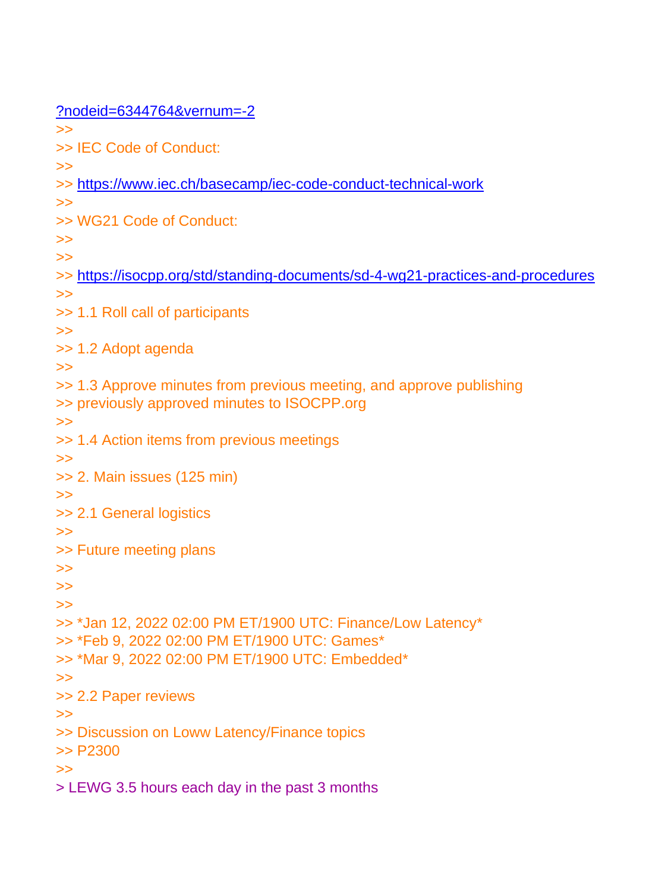[?nodeid=6344764&vernum=-2](https://isotc.iso.org/livelink/livelink/fetch/2000/2122/3770791/Common_Policy.htm?nodeid=6344764&vernum=-2) >> >> IEC Code of Conduct: >> >> <https://www.iec.ch/basecamp/iec-code-conduct-technical-work> >> >> WG21 Code of Conduct: >> >> >> <https://isocpp.org/std/standing-documents/sd-4-wg21-practices-and-procedures> >> >> 1.1 Roll call of participants >> >> 1.2 Adopt agenda  $\gt$ >> 1.3 Approve minutes from previous meeting, and approve publishing >> previously approved minutes to ISOCPP.org >> >> 1.4 Action items from previous meetings >> >> 2. Main issues (125 min) >> >> 2.1 General logistics >> >> Future meeting plans >> >> >> >> \*Jan 12, 2022 02:00 PM ET/1900 UTC: Finance/Low Latency\* >> \*Feb 9, 2022 02:00 PM ET/1900 UTC: Games\* >> \*Mar 9, 2022 02:00 PM ET/1900 UTC: Embedded\* >> >> 2.2 Paper reviews >> >> Discussion on Loww Latency/Finance topics >> P2300 >> > LEWG 3.5 hours each day in the past 3 months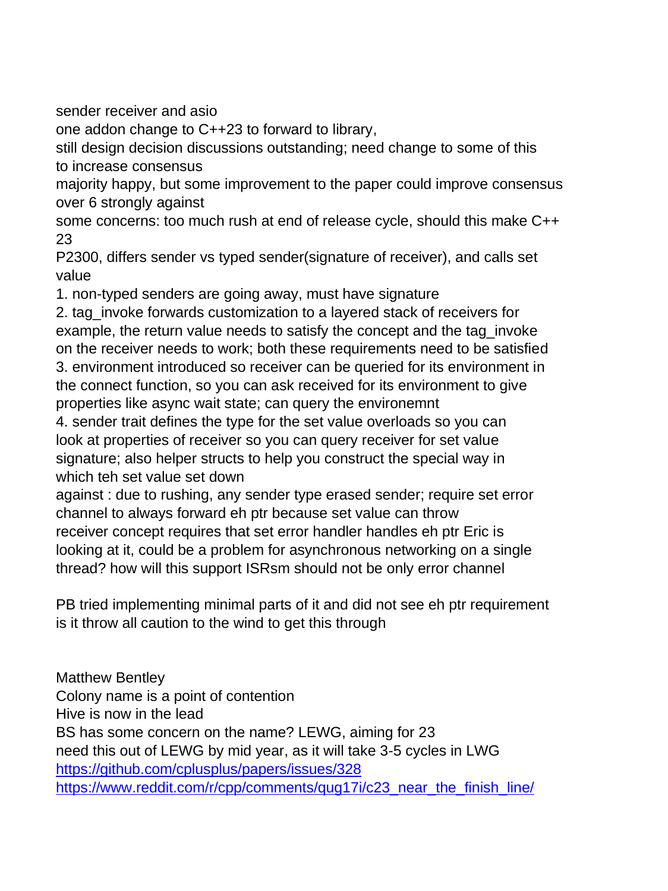sender receiver and asio

one addon change to C++23 to forward to library,

still design decision discussions outstanding; need change to some of this to increase consensus

majority happy, but some improvement to the paper could improve consensus over 6 strongly against

some concerns: too much rush at end of release cycle, should this make C++ 23

P2300, differs sender vs typed sender(signature of receiver), and calls set value

1. non-typed senders are going away, must have signature

2. tag\_invoke forwards customization to a layered stack of receivers for example, the return value needs to satisfy the concept and the tag invoke on the receiver needs to work; both these requirements need to be satisfied 3. environment introduced so receiver can be queried for its environment in the connect function, so you can ask received for its environment to give

properties like async wait state; can query the environemnt

4. sender trait defines the type for the set value overloads so you can look at properties of receiver so you can query receiver for set value signature; also helper structs to help you construct the special way in which teh set value set down

against : due to rushing, any sender type erased sender; require set error channel to always forward eh ptr because set value can throw receiver concept requires that set error handler handles eh ptr Eric is looking at it, could be a problem for asynchronous networking on a single thread? how will this support ISRsm should not be only error channel

PB tried implementing minimal parts of it and did not see eh ptr requirement is it throw all caution to the wind to get this through

Matthew Bentley Colony name is a point of contention Hive is now in the lead BS has some concern on the name? LEWG, aiming for 23 need this out of LEWG by mid year, as it will take 3-5 cycles in LWG <https://github.com/cplusplus/papers/issues/328> [https://www.reddit.com/r/cpp/comments/qug17i/c23\\_near\\_the\\_finish\\_line/](https://www.reddit.com/r/cpp/comments/qug17i/c23_near_the_finish_line/)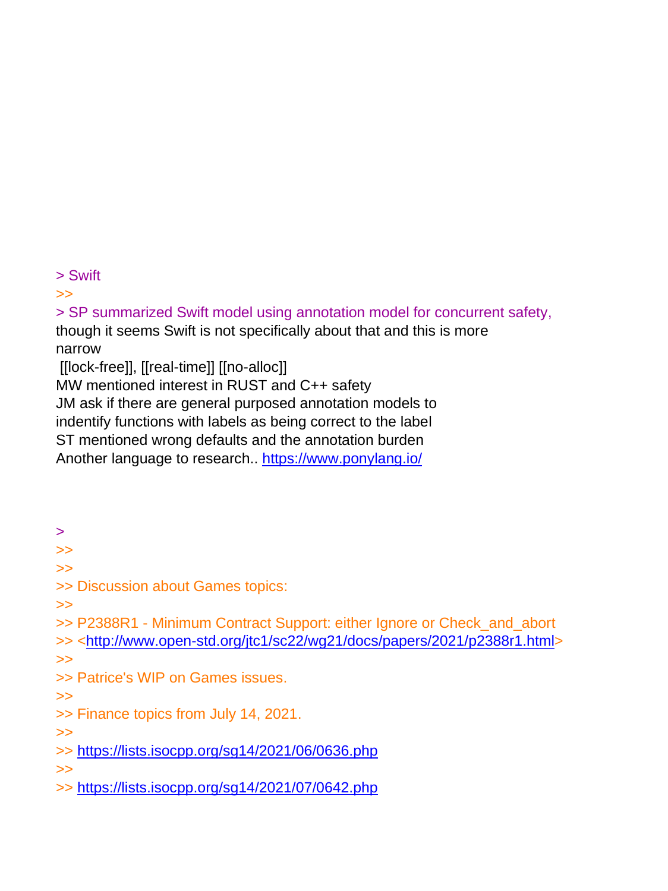> Swift

>>

> SP summarized Swift model using annotation model for concurrent safety, though it seems Swift is not specifically about that and this is more narrow [[lock-free]], [[real-time]] [[no-alloc]]

MW mentioned interest in RUST and C++ safety JM ask if there are general purposed annotation models to

indentify functions with labels as being correct to the label

ST mentioned wrong defaults and the annotation burden

Another language to research.. <https://www.ponylang.io/>

> >>

>>

>> Discussion about Games topics:

>>

>> P2388R1 - Minimum Contract Support: either Ignore or Check\_and\_abort >> [<http://www.open-std.org/jtc1/sc22/wg21/docs/papers/2021/p2388r1.html>](http://www.open-std.org/jtc1/sc22/wg21/docs/papers/2021/p2388r1.html) >>

>> Patrice's WIP on Games issues.

>>

>> Finance topics from July 14, 2021.

>>

>> <https://lists.isocpp.org/sg14/2021/06/0636.php>

>>

>> <https://lists.isocpp.org/sg14/2021/07/0642.php>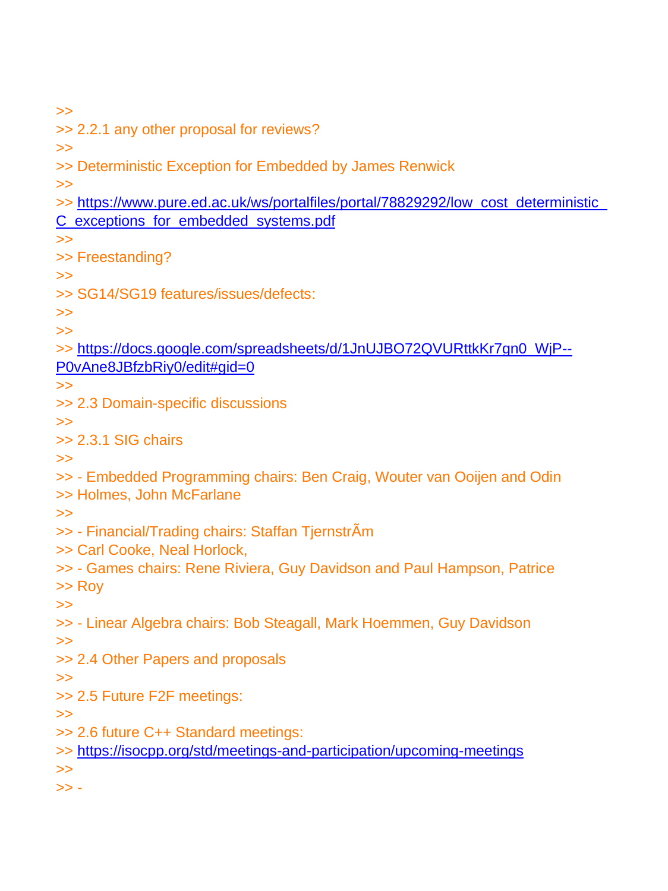>>

>> 2.2.1 any other proposal for reviews?

>>

>> Deterministic Exception for Embedded by James Renwick

>>

- >> https://www.pure.ed.ac.uk/ws/portalfiles/portal/78829292/low\_cost\_deterministic [C\\_exceptions\\_for\\_embedded\\_systems.pdf](https://www.pure.ed.ac.uk/ws/portalfiles/portal/78829292/low_cost_deterministic_C_exceptions_for_embedded_systems.pdf)
- >>
- >> Freestanding?
- >>
- >> SG14/SG19 features/issues/defects:

>>

>>

>> [https://docs.google.com/spreadsheets/d/1JnUJBO72QVURttkKr7gn0\\_WjP--](https://docs.google.com/spreadsheets/d/1JnUJBO72QVURttkKr7gn0_WjP--P0vAne8JBfzbRiy0/edit#gid=0) [P0vAne8JBfzbRiy0/edit#gid=0](https://docs.google.com/spreadsheets/d/1JnUJBO72QVURttkKr7gn0_WjP--P0vAne8JBfzbRiy0/edit#gid=0)

- >>
- >> 2.3 Domain-specific discussions
- $\gt$
- >> 2.3.1 SIG chairs

>>

- >> Embedded Programming chairs: Ben Craig, Wouter van Ooijen and Odin
- >> Holmes, John McFarlane
- >>
- >> Financial/Trading chairs: Staffan TjernstrÃm
- >> Carl Cooke, Neal Horlock,
- >> Games chairs: Rene Riviera, Guy Davidson and Paul Hampson, Patrice

>> Roy

>>

>> - Linear Algebra chairs: Bob Steagall, Mark Hoemmen, Guy Davidson

>>

>> 2.4 Other Papers and proposals

>>

>> 2.5 Future F2F meetings:

>>

- >> 2.6 future C++ Standard meetings:
- >> <https://isocpp.org/std/meetings-and-participation/upcoming-meetings>

>>

 $>> -$